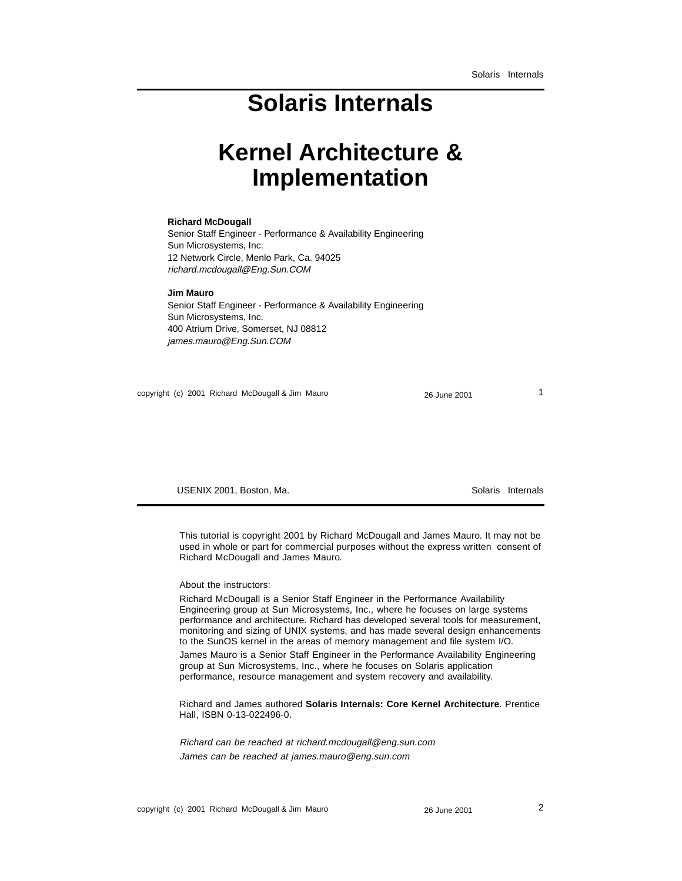#### **Solaris Internals**

#### **Kernel Architecture & Implementation**

#### **Richard McDougall**

Senior Staff Engineer - Performance & Availability Engineering Sun Microsystems, Inc. 12 Network Circle, Menlo Park, Ca. 94025 richard.mcdougall@Eng.Sun.COM

#### **Jim Mauro**

Senior Staff Engineer - Performance & Availability Engineering Sun Microsystems, Inc. 400 Atrium Drive, Somerset, NJ 08812 james.mauro@Eng.Sun.COM

copyright (c) 2001 Richard McDougall & Jim Mauro 26 June 2001 26 June 2001

USENIX 2001, Boston, Ma. Solaris Internals

This tutorial is copyright 2001 by Richard McDougall and James Mauro. It may not be used in whole or part for commercial purposes without the express written consent of Richard McDougall and James Mauro.

#### About the instructors:

Richard McDougall is a Senior Staff Engineer in the Performance Availability Engineering group at Sun Microsystems, Inc., where he focuses on large systems performance and architecture. Richard has developed several tools for measurement, monitoring and sizing of UNIX systems, and has made several design enhancements to the SunOS kernel in the areas of memory management and file system I/O.

James Mauro is a Senior Staff Engineer in the Performance Availability Engineering group at Sun Microsystems, Inc., where he focuses on Solaris application performance, resource management and system recovery and availability.

Richard and James authored **Solaris Internals: Core Kernel Architecture**. Prentice Hall, ISBN 0-13-022496-0.

Richard can be reached at richard.mcdougall@eng.sun.com James can be reached at james.mauro@eng.sun.com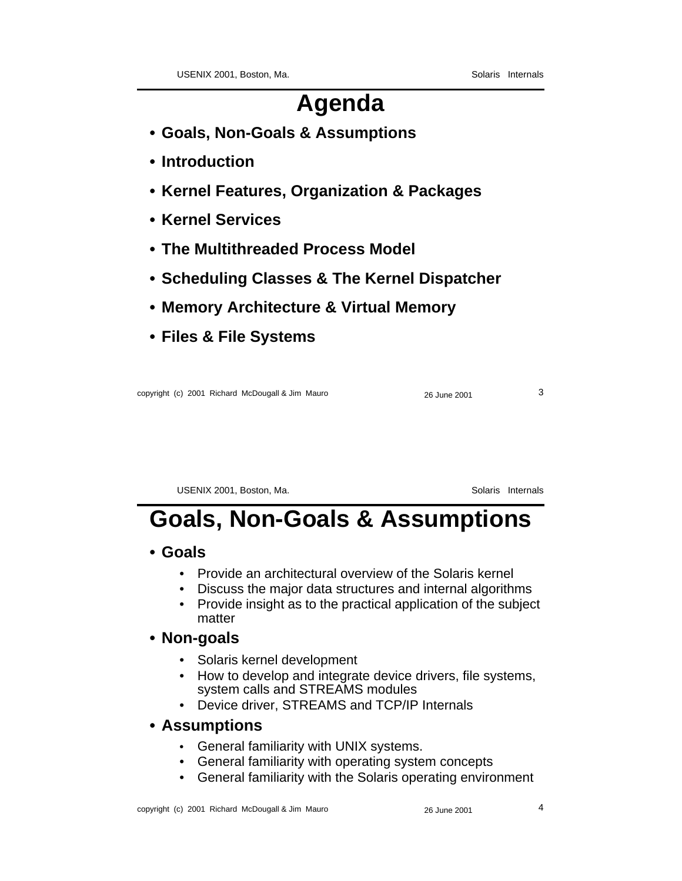#### **Agenda**

- **Goals, Non-Goals & Assumptions**
- **Introduction**
- **Kernel Features, Organization & Packages**
- **Kernel Services**
- **The Multithreaded Process Model**
- **Scheduling Classes & The Kernel Dispatcher**
- **Memory Architecture & Virtual Memory**
- **Files & File Systems**

copyright (c) 2001 Richard McDougall & Jim Mauro 2001 26 June 2001 26

USENIX 2001, Boston, Ma. Solaris Internals

### **Goals, Non-Goals & Assumptions**

#### **• Goals**

- Provide an architectural overview of the Solaris kernel
- Discuss the major data structures and internal algorithms
- Provide insight as to the practical application of the subject matter

#### **• Non-goals**

- Solaris kernel development
- How to develop and integrate device drivers, file systems, system calls and STREAMS modules
- Device driver, STREAMS and TCP/IP Internals

#### **• Assumptions**

- General familiarity with UNIX systems.
- General familiarity with operating system concepts
- General familiarity with the Solaris operating environment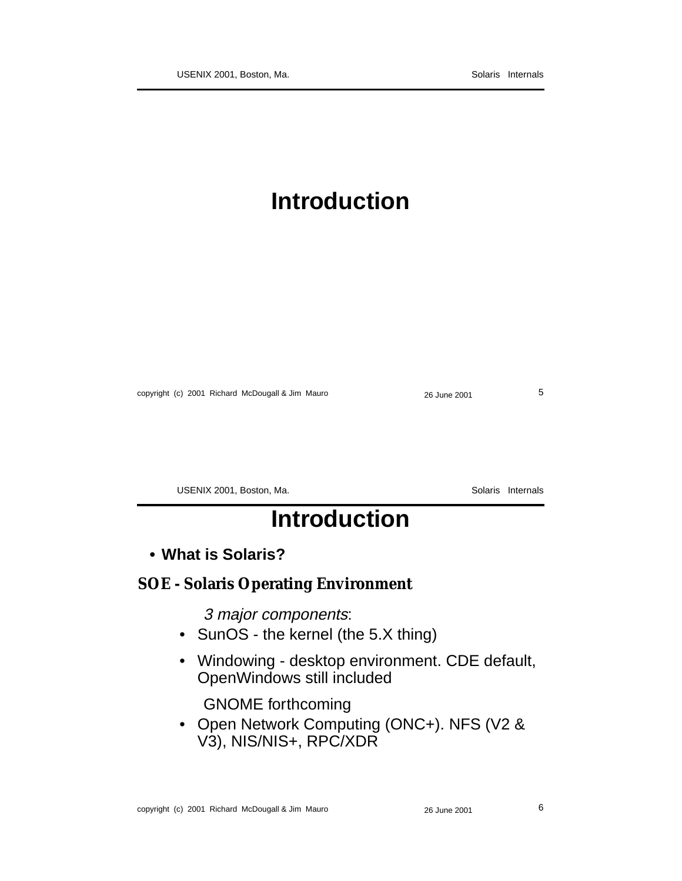### **Introduction**

copyright (c) 2001 Richard McDougall & Jim Mauro 26 June 2001 26 June 2001

USENIX 2001, Boston, Ma. Solaris Internals

### **Introduction**

**• What is Solaris?**

#### **SOE - Solaris Operating Environment**

3 major components:

- SunOS the kernel (the 5.X thing)
- Windowing desktop environment. CDE default, OpenWindows still included

GNOME forthcoming

• Open Network Computing (ONC+). NFS (V2 & V3), NIS/NIS+, RPC/XDR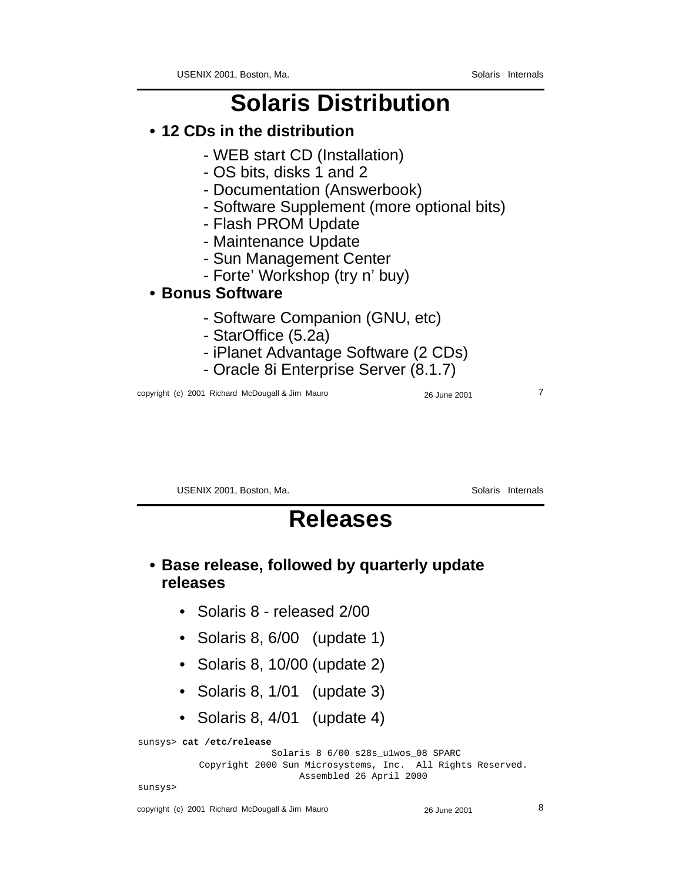### **Solaris Distribution**

- **12 CDs in the distribution**
	- WEB start CD (Installation)
	- OS bits, disks 1 and 2
	- Documentation (Answerbook)
	- Software Supplement (more optional bits)
	- Flash PROM Update
	- Maintenance Update
	- Sun Management Center
	- Forte' Workshop (try n' buy)

#### **• Bonus Software**

- Software Companion (GNU, etc)
- StarOffice (5.2a)
- iPlanet Advantage Software (2 CDs)
- Oracle 8i Enterprise Server (8.1.7)

copyright (c) 2001 Richard McDougall & Jim Mauro 26 June 2001 26 June 2001

USENIX 2001, Boston, Ma. Solaris Internals

#### **Releases**

#### **• Base release, followed by quarterly update releases**

- Solaris 8 released 2/00
- Solaris 8, 6/00 (update 1)
- Solaris 8, 10/00 (update 2)
- Solaris 8, 1/01 (update 3)
- Solaris 8, 4/01 (update 4)

sunsys> **cat /etc/release**

 Solaris 8 6/00 s28s\_u1wos\_08 SPARC Copyright 2000 Sun Microsystems, Inc. All Rights Reserved. Assembled 26 April 2000

sunsys>

copyright (c) 2001 Richard McDougall & Jim Mauro 26 June 2001 26 June 2001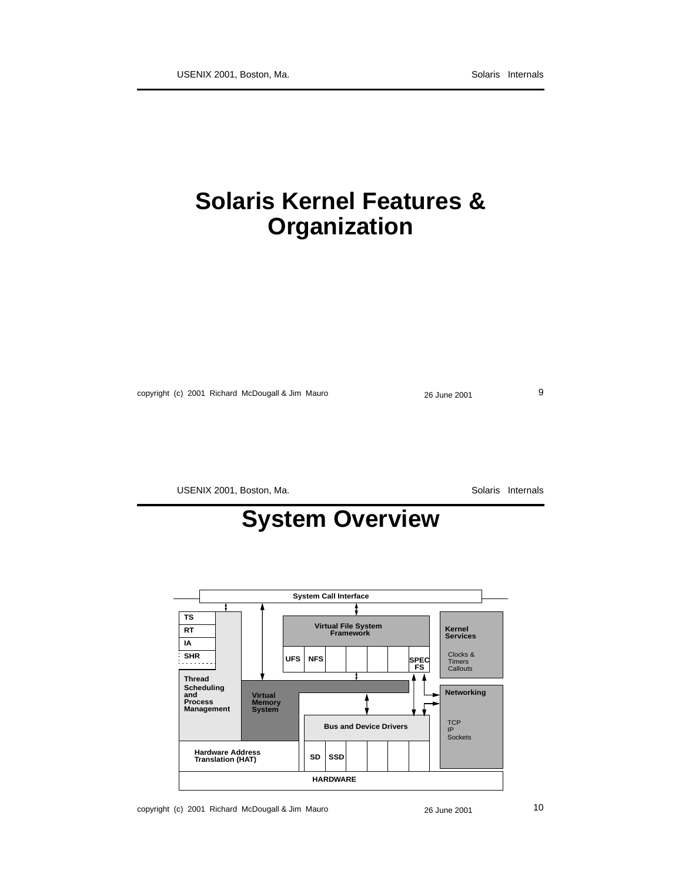#### **Solaris Kernel Features & Organization**

copyright (c) 2001 Richard McDougall & Jim Mauro 26 June 2001 26 June 2001

USENIX 2001, Boston, Ma. Solaris Internals

### **System Overview**

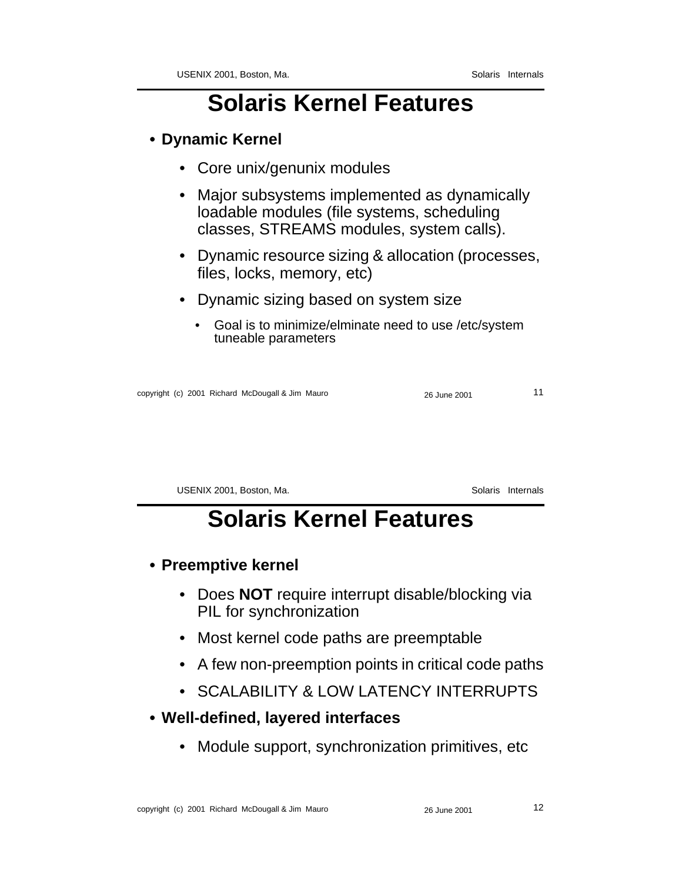#### **• Dynamic Kernel**

- Core unix/genunix modules
- Major subsystems implemented as dynamically loadable modules (file systems, scheduling classes, STREAMS modules, system calls).
- Dynamic resource sizing & allocation (processes, files, locks, memory, etc)
- Dynamic sizing based on system size
	- Goal is to minimize/elminate need to use /etc/system tuneable parameters

copyright (c) 2001 Richard McDougall & Jim Mauro 26 June 2001 11

USENIX 2001, Boston, Ma. Solaris Internals

### **Solaris Kernel Features**

- **Preemptive kernel**
	- Does **NOT** require interrupt disable/blocking via PIL for synchronization
	- Most kernel code paths are preemptable
	- A few non-preemption points in critical code paths
	- SCALABILITY & LOW LATENCY INTERRUPTS
- **Well-defined, layered interfaces**
	- Module support, synchronization primitives, etc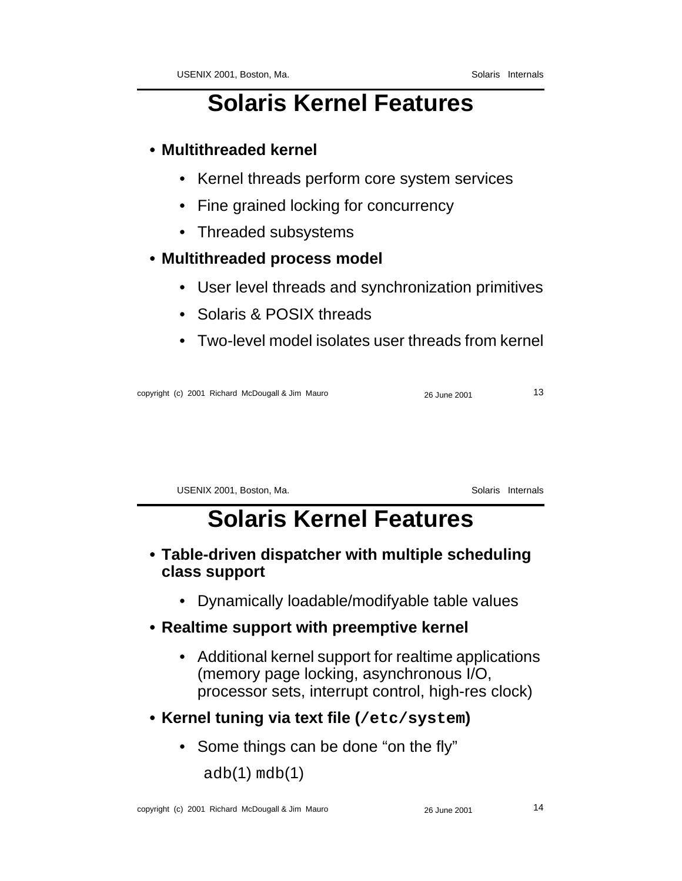#### **• Multithreaded kernel**

- Kernel threads perform core system services
- Fine grained locking for concurrency
- Threaded subsystems

#### **• Multithreaded process model**

- User level threads and synchronization primitives
- Solaris & POSIX threads
- Two-level model isolates user threads from kernel

copyright (c) 2001 Richard McDougall & Jim Mauro 26 June 2001 26 June 2001 13

USENIX 2001, Boston, Ma. Solaris Internals

### **Solaris Kernel Features**

- **Table-driven dispatcher with multiple scheduling class support**
	- Dynamically loadable/modifyable table values
- **Realtime support with preemptive kernel**
	- Additional kernel support for realtime applications (memory page locking, asynchronous I/O, processor sets, interrupt control, high-res clock)
- **Kernel tuning via text file (/etc/system)**
	- Some things can be done "on the fly" adb(1) mdb(1)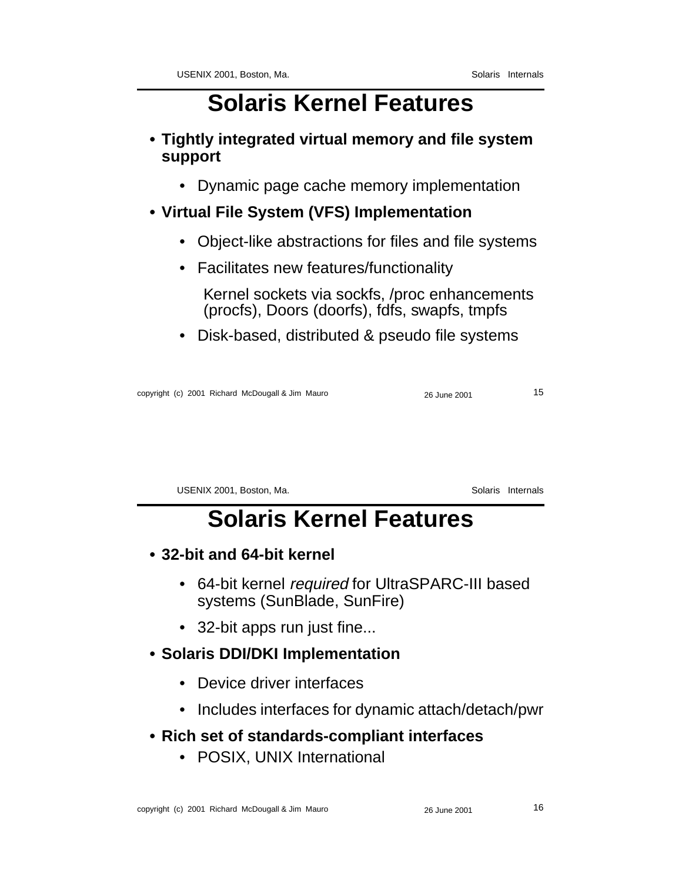- **Tightly integrated virtual memory and file system support**
	- Dynamic page cache memory implementation

#### **• Virtual File System (VFS) Implementation**

- Object-like abstractions for files and file systems
- Facilitates new features/functionality

Kernel sockets via sockfs, /proc enhancements (procfs), Doors (doorfs), fdfs, swapfs, tmpfs

• Disk-based, distributed & pseudo file systems

copyright (c) 2001 Richard McDougall & Jim Mauro 26 June 2001 26 June 2001 15

USENIX 2001, Boston, Ma. Solaris Internals

### **Solaris Kernel Features**

- **32-bit and 64-bit kernel**
	- 64-bit kernel required for UltraSPARC-III based systems (SunBlade, SunFire)
	- 32-bit apps run just fine...

#### **• Solaris DDI/DKI Implementation**

- Device driver interfaces
- Includes interfaces for dynamic attach/detach/pwr
- **Rich set of standards-compliant interfaces**
	- POSIX, UNIX International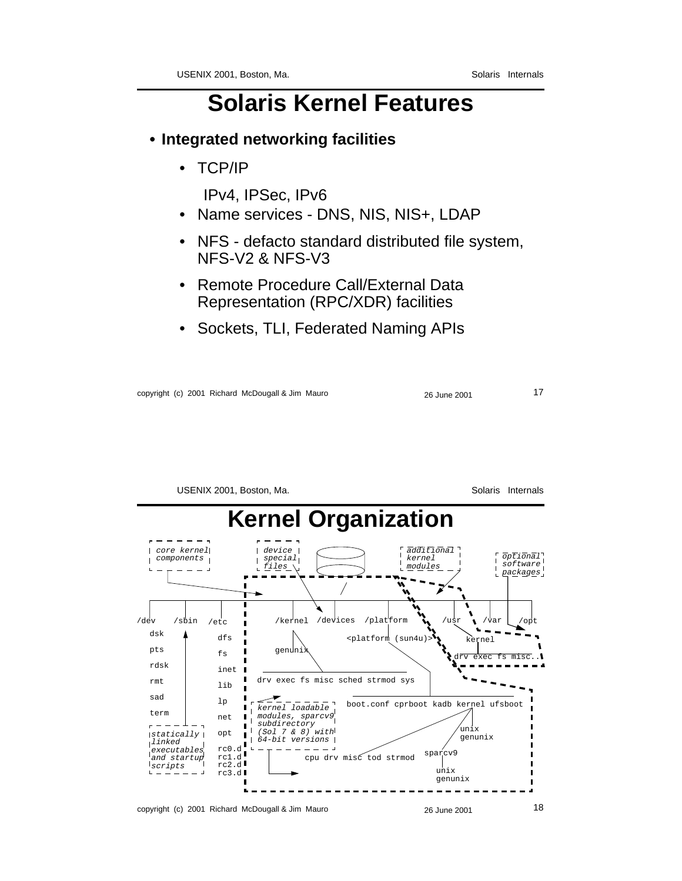#### **• Integrated networking facilities**

• TCP/IP

IPv4, IPSec, IPv6

- Name services DNS, NIS, NIS+, LDAP
- NFS defacto standard distributed file system, NFS-V2 & NFS-V3
- Remote Procedure Call/External Data Representation (RPC/XDR) facilities
- Sockets, TLI, Federated Naming APIs

copyright (c) 2001 Richard McDougall & Jim Mauro 26 June 2001 26 June 2001

```
USENIX 2001, Boston, Ma. Solaris Internals
     Kernel Organization
         device
         ı
```


copyright (c) 2001 Richard McDougall & Jim Mauro 26 June 2001 26 June 2001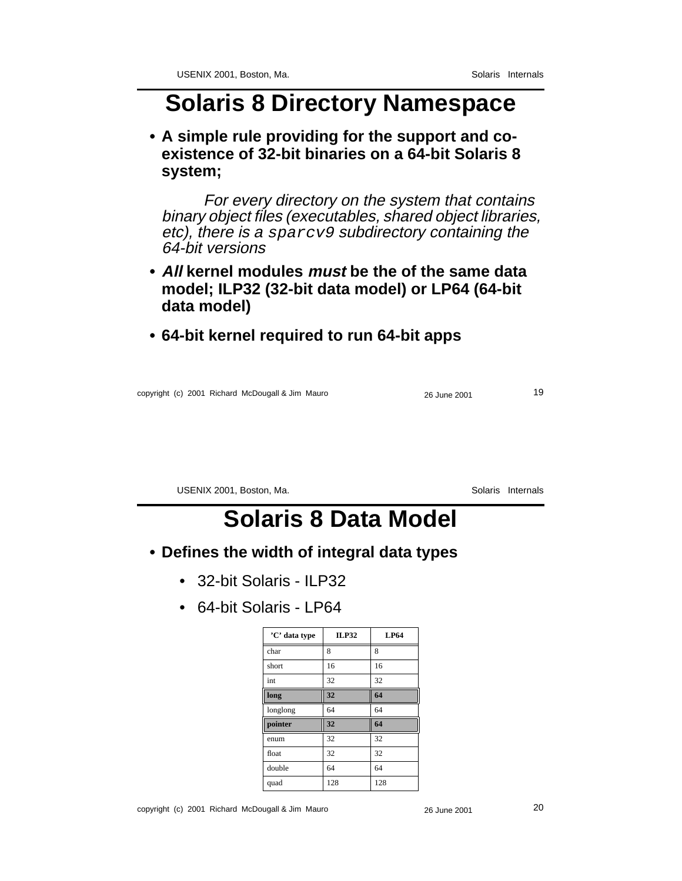#### **Solaris 8 Directory Namespace**

**• A simple rule providing for the support and coexistence of 32-bit binaries on a 64-bit Solaris 8 system;**

For every directory on the system that contains binary object files (executables, shared object libraries, etc), there is a sparcv9 subdirectory containing the 64-bit versions

- **• All kernel modules must be the of the same data model; ILP32 (32-bit data model) or LP64 (64-bit data model)**
- **64-bit kernel required to run 64-bit apps**

copyright (c) 2001 Richard McDougall & Jim Mauro 26 June 2001 19

USENIX 2001, Boston, Ma. Solaris Internals

### **Solaris 8 Data Model**

- **Defines the width of integral data types**
	- 32-bit Solaris ILP32
	- 64-bit Solaris LP64

| 'C' data type | ILP32 | <b>LP64</b> |
|---------------|-------|-------------|
| char          | 8     | 8           |
| short         | 16    | 16          |
| int           | 32    | 32          |
| long          | 32    | 64          |
| longlong      | 64    | 64          |
| pointer       | 32    | 64          |
| enum          | 32    | 32          |
| float         | 32    | 32          |
| double        | 64    | 64          |
| quad          | 128   | 128         |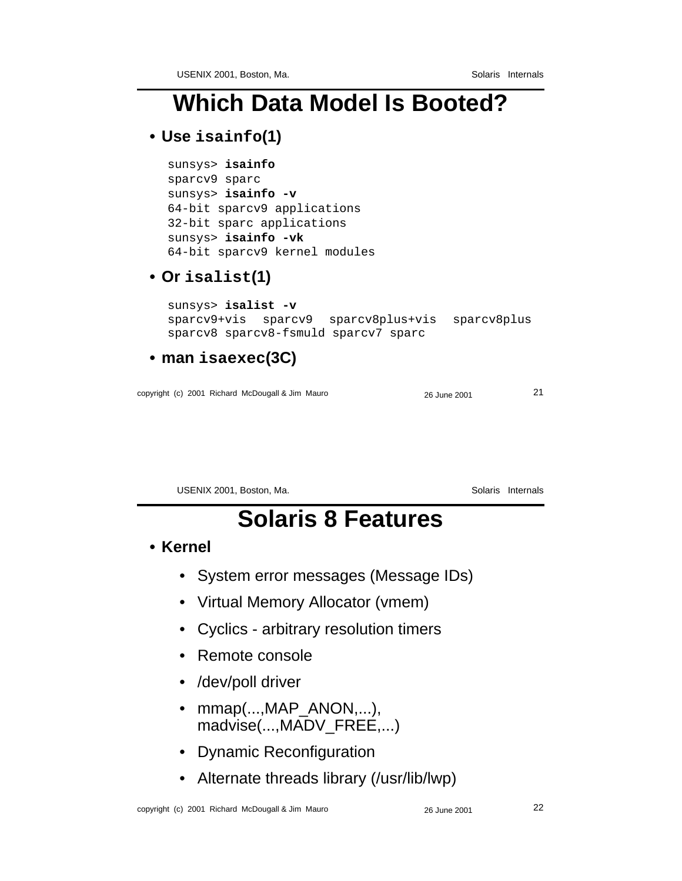### **Which Data Model Is Booted?**

#### **• Use isainfo(1)**

```
sunsys> isainfo
sparcv9 sparc
sunsys> isainfo -v
64-bit sparcv9 applications
32-bit sparc applications
sunsys> isainfo -vk
64-bit sparcv9 kernel modules
```
#### **• Or isalist(1)**

```
sunsys> isalist -v
sparcv9+vis sparcv9 sparcv8plus+vis sparcv8plus
sparcv8 sparcv8-fsmuld sparcv7 sparc
```
#### **• man isaexec(3C)**

copyright (c) 2001 Richard McDougall & Jim Mauro 21 21

USENIX 2001, Boston, Ma. Solaris Internals

### **Solaris 8 Features**

#### **• Kernel**

- System error messages (Message IDs)
- Virtual Memory Allocator (vmem)
- Cyclics arbitrary resolution timers
- Remote console
- /dev/poll driver
- mmap(...,MAP\_ANON,...), madvise(...,MADV\_FREE,...)
- Dynamic Reconfiguration
- Alternate threads library (/usr/lib/lwp)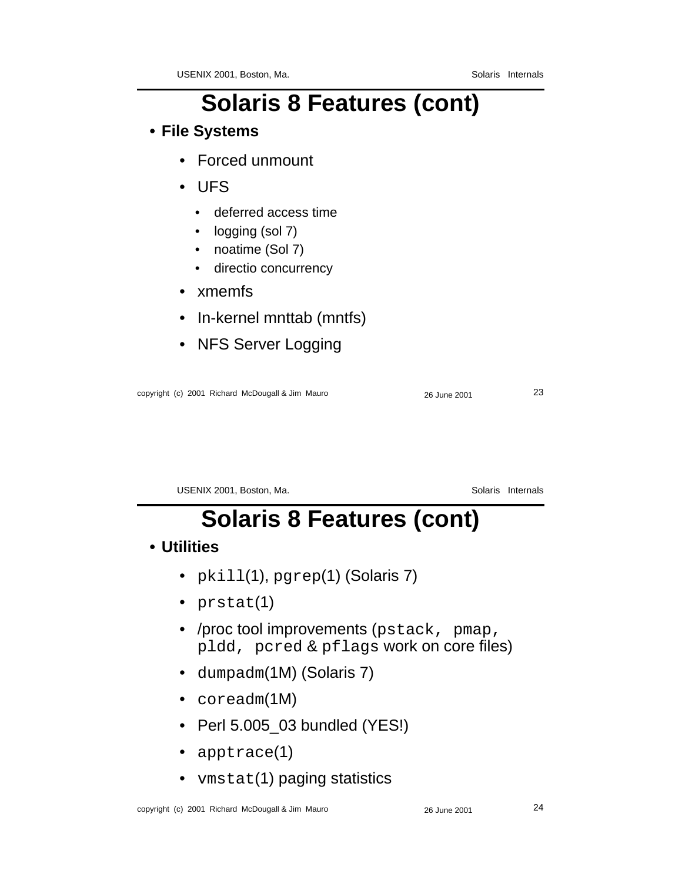# **Solaris 8 Features (cont)**

#### **• File Systems**

- Forced unmount
- UFS
	- deferred access time
	- logging (sol 7)
	- noatime (Sol 7)
	- directio concurrency
- xmemfs
- In-kernel mnttab (mntfs)
- NFS Server Logging

| copyright (c) 2001 Richard McDougall & Jim Mauro | 26 June 2001 | ົ<br>د∠ |
|--------------------------------------------------|--------------|---------|
|                                                  |              |         |

USENIX 2001, Boston, Ma. Solaris Internals

# **Solaris 8 Features (cont)**

#### **• Utilities**

- pkill(1), pgrep(1) (Solaris 7)
- prstat(1)
- /proc tool improvements (pstack, pmap, pldd, pcred & pflags work on core files)
- dumpadm(1M) (Solaris 7)
- coreadm(1M)
- Perl 5.005\_03 bundled (YES!)
- apptrace(1)
- vmstat(1) paging statistics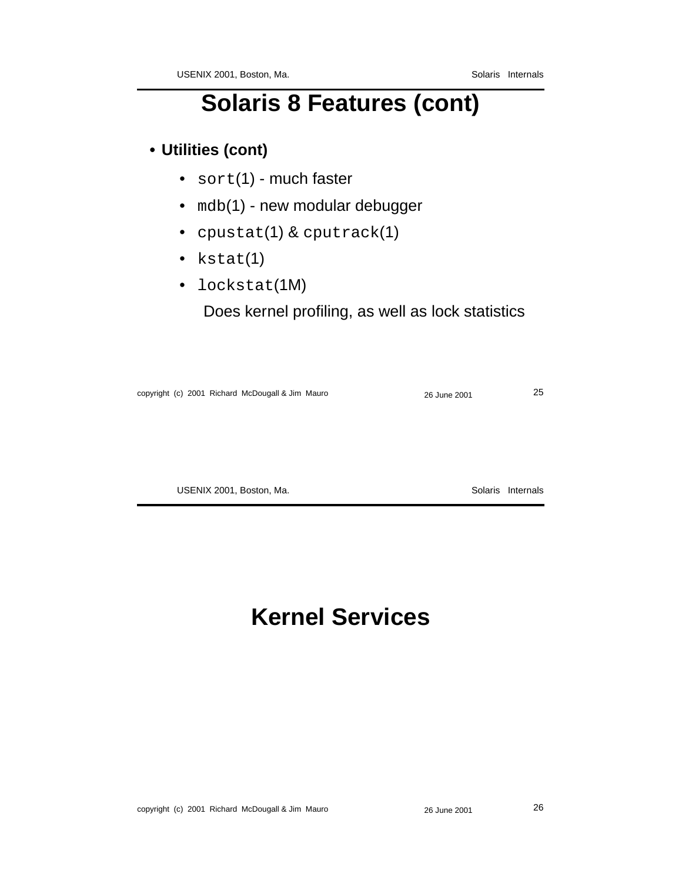## **Solaris 8 Features (cont)**

#### **• Utilities (cont)**

- sort(1) much faster
- mdb(1) new modular debugger
- cpustat(1) & cputrack(1)
- kstat(1)
- lockstat(1M)

Does kernel profiling, as well as lock statistics

| copyright (c) 2001 Richard McDougall & Jim Mauro | 26 June 2001 | 25 |
|--------------------------------------------------|--------------|----|
|                                                  |              |    |

USENIX 2001, Boston, Ma. Solaris Internals

## **Kernel Services**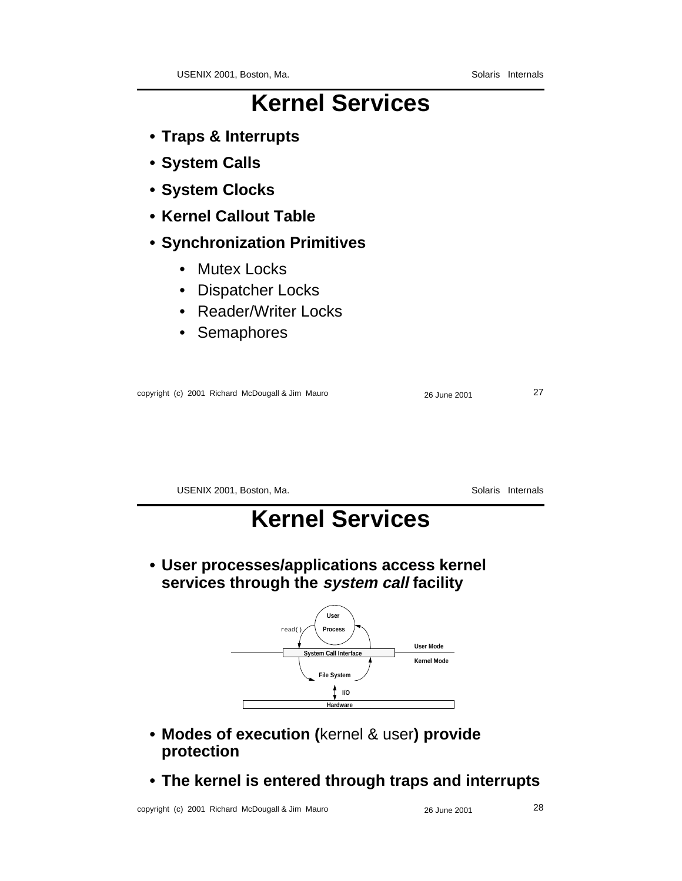### **Kernel Services**

- **Traps & Interrupts**
- **System Calls**
- **System Clocks**
- **Kernel Callout Table**
- **Synchronization Primitives**
	- Mutex Locks
	- Dispatcher Locks
	- Reader/Writer Locks
	- Semaphores

|  | copyright (c) 2001 Richard McDougall & Jim Mauro |  |
|--|--------------------------------------------------|--|
|  |                                                  |  |

USENIX 2001, Boston, Ma. Solaris Internals

copyright (c) 2001 Richard McDougall & Jim Mauro 26 June 2001 27

### **Kernel Services**

**• User processes/applications access kernel services through the system call facility**



- **Modes of execution (**kernel & user**) provide protection**
- **The kernel is entered through traps and interrupts**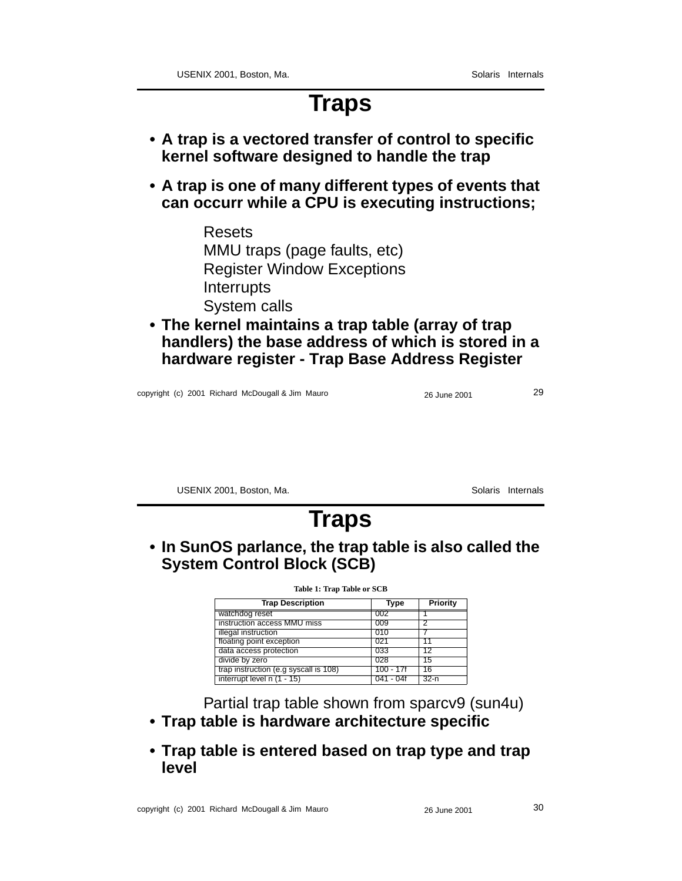#### **Traps**

- **A trap is a vectored transfer of control to specific kernel software designed to handle the trap**
- **A trap is one of many different types of events that can occurr while a CPU is executing instructions;**
	- Resets MMU traps (page faults, etc) Register Window Exceptions **Interrupts** System calls
- **The kernel maintains a trap table (array of trap handlers) the base address of which is stored in a hardware register - Trap Base Address Register**

copyright (c) 2001 Richard McDougall & Jim Mauro 26 June 2001 29

USENIX 2001, Boston, Ma. Solaris Internals

### **Traps**

**• In SunOS parlance, the trap table is also called the System Control Block (SCB)**

| <b>Table 1: Trap Table or SCB</b>     |           |          |  |  |  |  |  |
|---------------------------------------|-----------|----------|--|--|--|--|--|
| <b>Trap Description</b>               | Type      | Priority |  |  |  |  |  |
| watchdog reset                        | 002       |          |  |  |  |  |  |
| instruction access MMU miss           | 009       | 2        |  |  |  |  |  |
| illegal instruction                   | 010       |          |  |  |  |  |  |
| floating point exception              | 021       | 11       |  |  |  |  |  |
| data access protection                | 033       | 12       |  |  |  |  |  |
| divide by zero                        | 028       | 15       |  |  |  |  |  |
| trap instruction (e.g syscall is 108) | 100 - 17f | 16       |  |  |  |  |  |
| interrupt level $n(1 - 15)$           | 041 - 04f | $32-n$   |  |  |  |  |  |

Partial trap table shown from sparcv9 (sun4u)

- **Trap table is hardware architecture specific**
- **Trap table is entered based on trap type and trap level**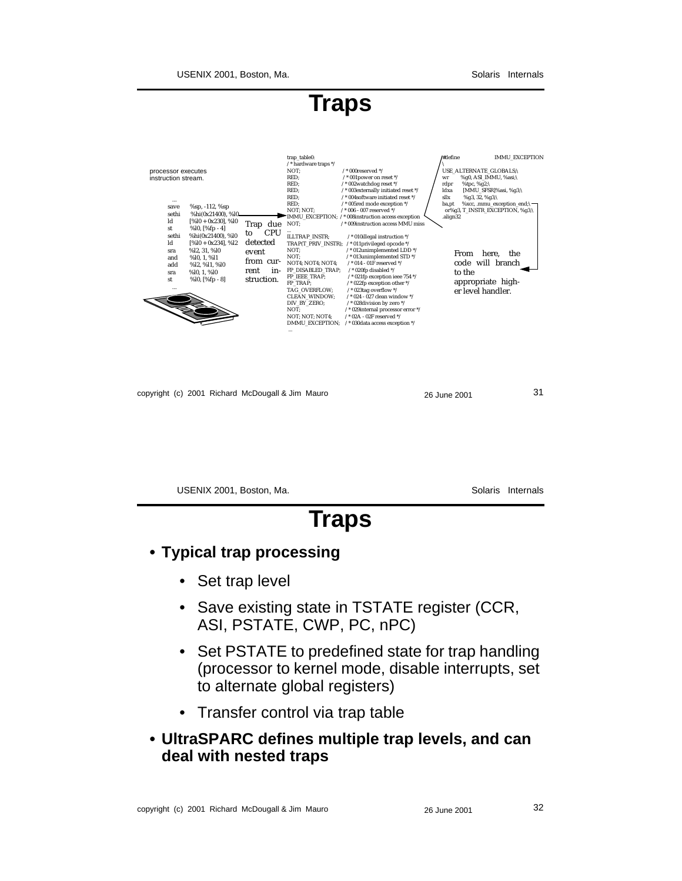USENIX 2001, Boston, Ma. Solaris Internals

**Traps**



|  | copyright (c) 2001 Richard McDougall & Jim Mauro |  | 26 June 2001 | 31 |
|--|--------------------------------------------------|--|--------------|----|
|--|--------------------------------------------------|--|--------------|----|

USENIX 2001, Boston, Ma. Solaris Internals **Traps**

#### **• Typical trap processing**

- Set trap level
- Save existing state in TSTATE register (CCR, ASI, PSTATE, CWP, PC, nPC)
- Set PSTATE to predefined state for trap handling (processor to kernel mode, disable interrupts, set to alternate global registers)
- Transfer control via trap table
- **UltraSPARC defines multiple trap levels, and can deal with nested traps**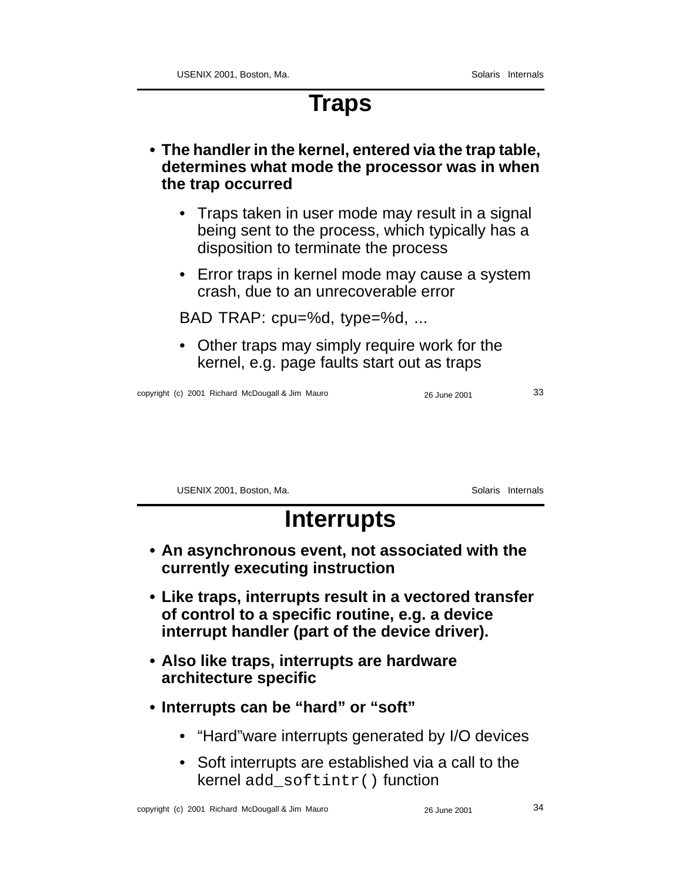### **Traps**

- **The handler in the kernel, entered via the trap table, determines what mode the processor was in when the trap occurred**
	- Traps taken in user mode may result in a signal being sent to the process, which typically has a disposition to terminate the process
	- Error traps in kernel mode may cause a system crash, due to an unrecoverable error

BAD TRAP: cpu=%d, type=%d, ...

• Other traps may simply require work for the kernel, e.g. page faults start out as traps

copyright (c) 2001 Richard McDougall & Jim Mauro 26 June 2001 26 June 2001

USENIX 2001, Boston, Ma. Solaris Internals

- **Interrupts**
- **An asynchronous event, not associated with the currently executing instruction**
- **Like traps, interrupts result in a vectored transfer of control to a specific routine, e.g. a device interrupt handler (part of the device driver).**
- **Also like traps, interrupts are hardware architecture specific**
- **Interrupts can be "hard" or "soft"**
	- "Hard"ware interrupts generated by I/O devices
	- Soft interrupts are established via a call to the kernel add\_softintr() function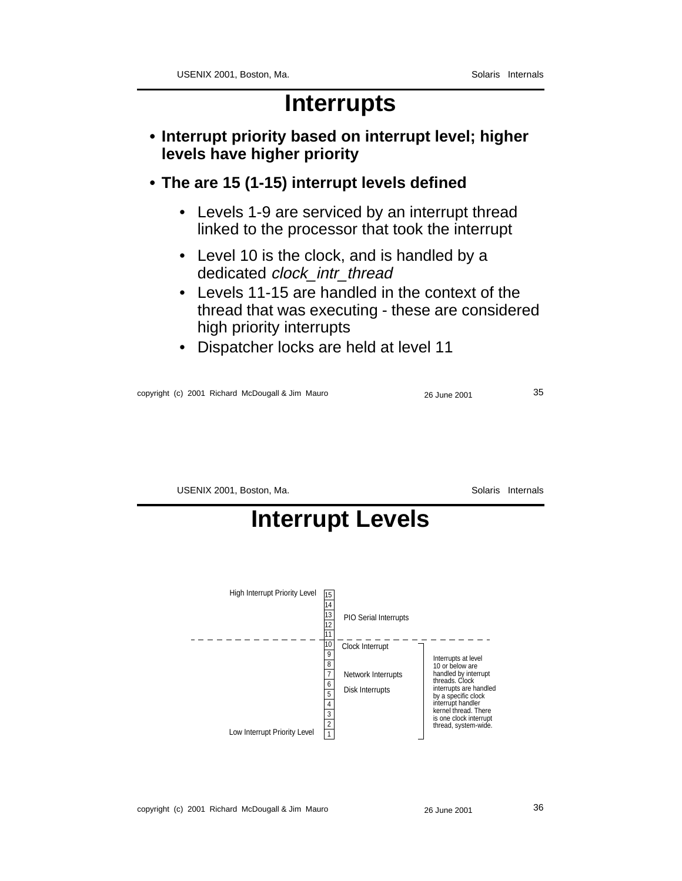#### **Interrupts**

- **Interrupt priority based on interrupt level; higher levels have higher priority**
- **The are 15 (1-15) interrupt levels defined**
	- Levels 1-9 are serviced by an interrupt thread linked to the processor that took the interrupt
	- Level 10 is the clock, and is handled by a dedicated clock intr\_thread
	- Levels 11-15 are handled in the context of the thread that was executing - these are considered high priority interrupts
	- Dispatcher locks are held at level 11

copyright (c) 2001 Richard McDougall & Jim Mauro 26 June 2001 35

USENIX 2001, Boston, Ma. Solaris Internals

## **Interrupt Levels**

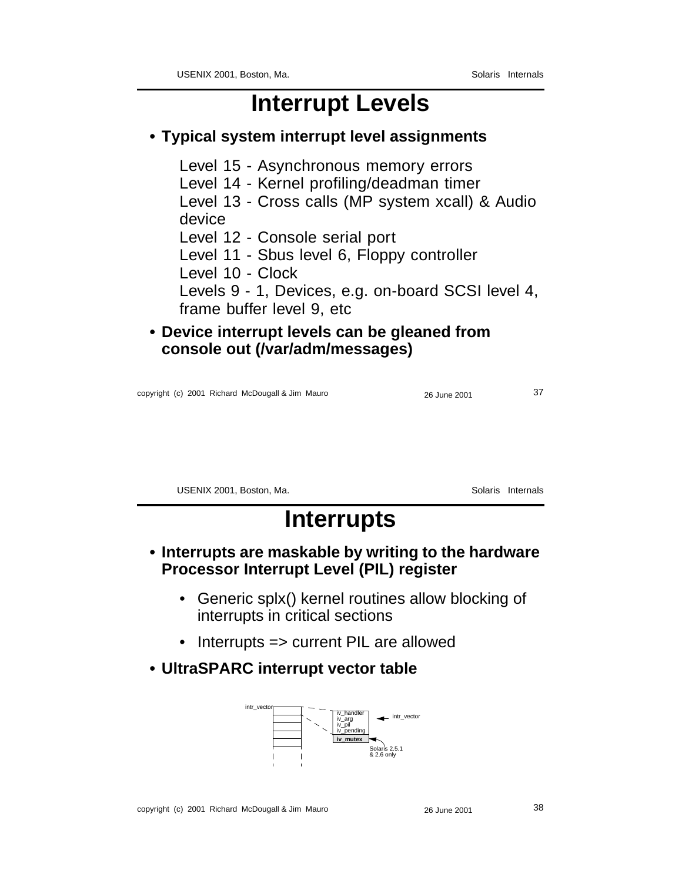### **Interrupt Levels**

#### **• Typical system interrupt level assignments**

Level 15 - Asynchronous memory errors

Level 14 - Kernel profiling/deadman timer

Level 13 - Cross calls (MP system xcall) & Audio device

Level 12 - Console serial port

Level 11 - Sbus level 6, Floppy controller

Level 10 - Clock

Levels 9 - 1, Devices, e.g. on-board SCSI level 4, frame buffer level 9, etc

**• Device interrupt levels can be gleaned from console out (/var/adm/messages)**

copyright (c) 2001 Richard McDougall & Jim Mauro 2001 26 June 2001 27

USENIX 2001, Boston, Ma. Solaris Internals

### **Interrupts**

- **Interrupts are maskable by writing to the hardware Processor Interrupt Level (PIL) register**
	- Generic splx() kernel routines allow blocking of interrupts in critical sections
	- Interrupts => current PIL are allowed
- **UltraSPARC interrupt vector table**

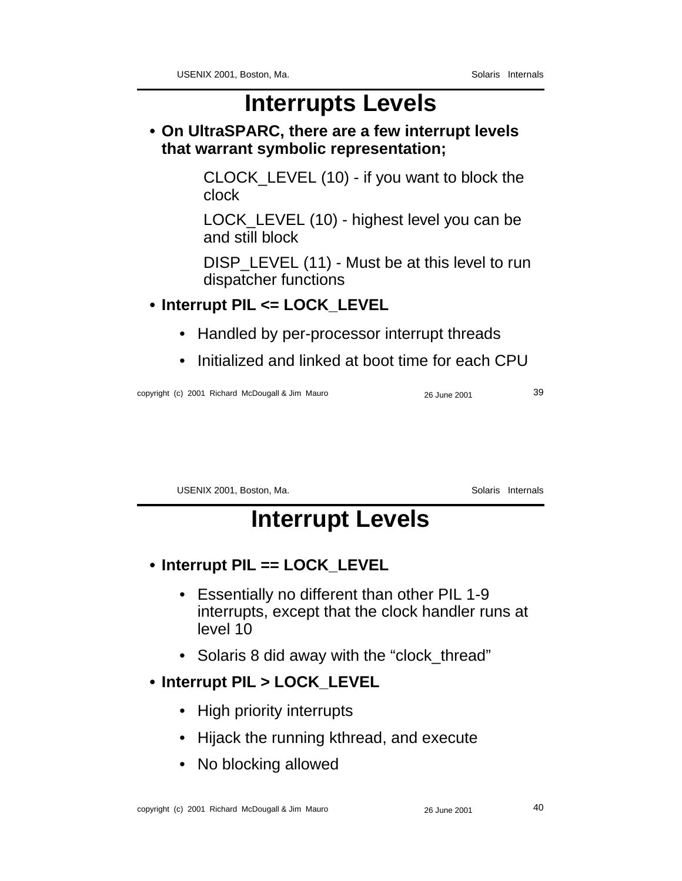### **Interrupts Levels**

**• On UltraSPARC, there are a few interrupt levels that warrant symbolic representation;**

> CLOCK\_LEVEL (10) - if you want to block the clock

> LOCK\_LEVEL (10) - highest level you can be and still block

DISP LEVEL (11) - Must be at this level to run dispatcher functions

- **Interrupt PIL <= LOCK\_LEVEL**
	- Handled by per-processor interrupt threads
	- Initialized and linked at boot time for each CPU

copyright (c) 2001 Richard McDougall & Jim Mauro 26 June 2001 39

USENIX 2001, Boston, Ma. Solaris Internals

### **Interrupt Levels**

- **Interrupt PIL == LOCK\_LEVEL**
	- Essentially no different than other PIL 1-9 interrupts, except that the clock handler runs at level 10
	- Solaris 8 did away with the "clock\_thread"

#### **• Interrupt PIL > LOCK\_LEVEL**

- High priority interrupts
- Hijack the running kthread, and execute
- No blocking allowed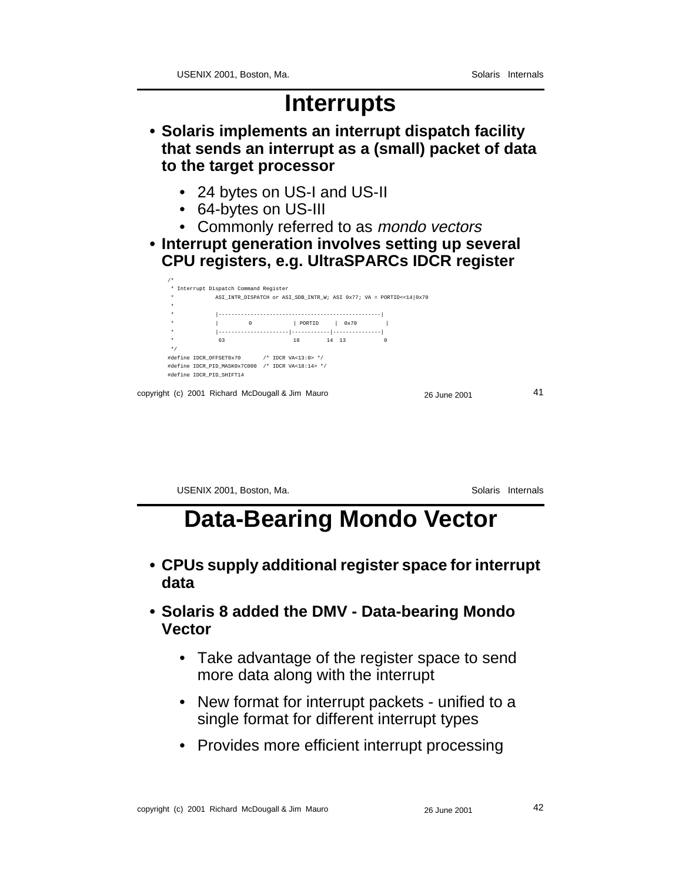#### **Interrupts**

**• Solaris implements an interrupt dispatch facility that sends an interrupt as a (small) packet of data to the target processor**

- 24 bytes on US-I and US-II
- 64-bytes on US-III
- Commonly referred to as *mondo vectors*
- **Interrupt generation involves setting up several CPU registers, e.g. UltraSPARCs IDCR register**



USENIX 2001, Boston, Ma. Solaris Internals

#### **Data-Bearing Mondo Vector**

- **CPUs supply additional register space for interrupt data**
- **Solaris 8 added the DMV Data-bearing Mondo Vector**
	- Take advantage of the register space to send more data along with the interrupt
	- New format for interrupt packets unified to a single format for different interrupt types
	- Provides more efficient interrupt processing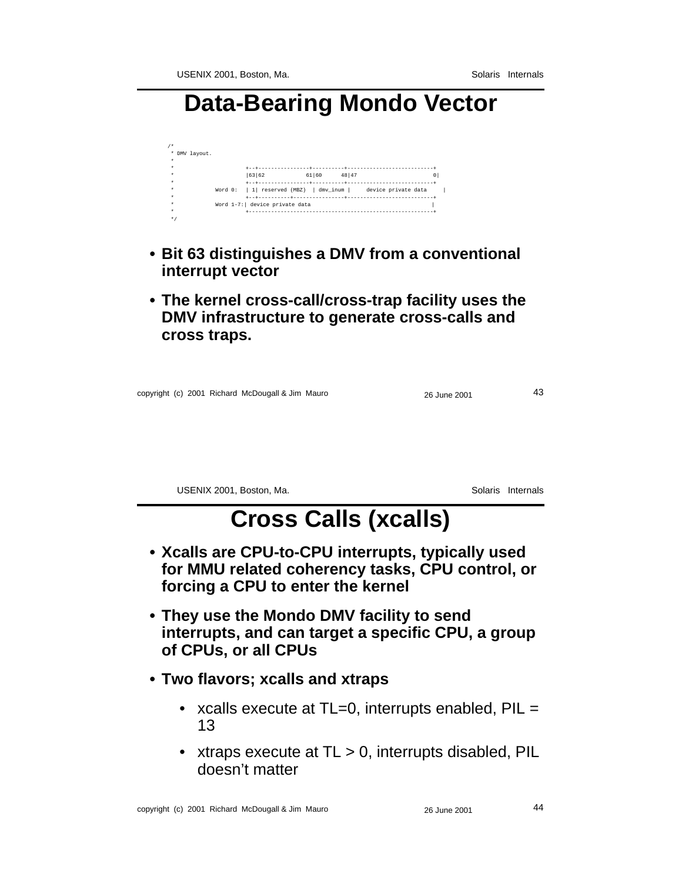#### **Data-Bearing Mondo Vector**

| ۰ |               |                                 |       |         |                                                              |  |
|---|---------------|---------------------------------|-------|---------|--------------------------------------------------------------|--|
|   | * DMV layout. |                                 |       |         |                                                              |  |
| ٠ |               |                                 |       |         |                                                              |  |
|   |               |                                 |       |         |                                                              |  |
| ٠ |               | 63 62                           | 61 60 | 48   47 |                                                              |  |
| ٠ |               |                                 |       |         |                                                              |  |
| ٠ |               |                                 |       |         | Word 0:   1  reserved (MBZ)   dmv inum   device private data |  |
| ٠ |               | +--+----------+                 |       |         |                                                              |  |
| ٠ |               | Word 1-7:   device private data |       |         |                                                              |  |
| ٠ |               |                                 |       |         |                                                              |  |
| * |               |                                 |       |         |                                                              |  |

- **Bit 63 distinguishes a DMV from a conventional interrupt vector**
- **The kernel cross-call/cross-trap facility uses the DMV infrastructure to generate cross-calls and cross traps.**

|  |  |  |  | copyright (c) 2001 Richard McDougall & Jim Mauro |  | 26 June 2001 | 43 |
|--|--|--|--|--------------------------------------------------|--|--------------|----|
|--|--|--|--|--------------------------------------------------|--|--------------|----|

USENIX 2001, Boston, Ma. Solaris Internals

## **Cross Calls (xcalls)**

- **Xcalls are CPU-to-CPU interrupts, typically used for MMU related coherency tasks, CPU control, or forcing a CPU to enter the kernel**
- **They use the Mondo DMV facility to send interrupts, and can target a specific CPU, a group of CPUs, or all CPUs**
- **Two flavors; xcalls and xtraps**
	- xcalls execute at TL=0, interrupts enabled, PIL = 13
	- xtraps execute at TL > 0, interrupts disabled, PIL doesn't matter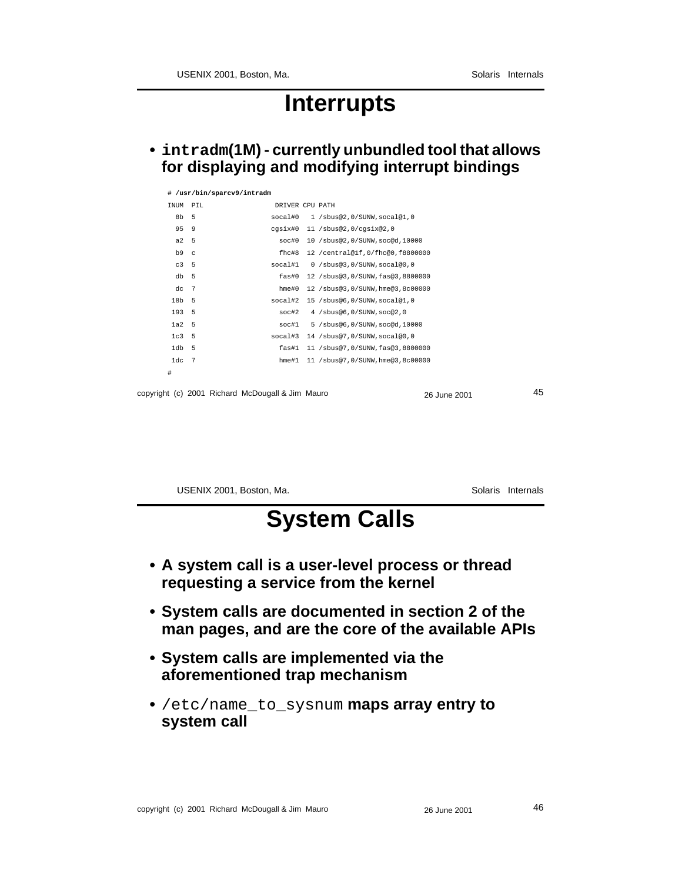#### **Interrupts**

**• intradm(1M) - currently unbundled tool that allows for displaying and modifying interrupt bindings**

|                  |     | # /usr/bin/sparcv9/intradm                       |                  |                                      |              |    |
|------------------|-----|--------------------------------------------------|------------------|--------------------------------------|--------------|----|
| INUM PIL         |     |                                                  | DRIVER CPU PATH  |                                      |              |    |
| 8b               | 5   |                                                  | social#0         | 1 /sbus@2,0/SUNW,socal@1,0           |              |    |
| 95               | 9   |                                                  | cgsix#0          | 11 /sbus@2,0/cqsix@2,0               |              |    |
| a2 <sub>5</sub>  |     |                                                  | soc#0            | 10 /sbus@2,0/SUNW,soc@d,10000        |              |    |
| b9c              |     |                                                  | $fhc$ #8         | 12 / central@1f, 0/fhc@0, f8800000   |              |    |
| C <sub>3</sub>   | - 5 |                                                  | socal#1          | 0 /sbus@3,0/SUNW,socal@0,0           |              |    |
| $db = 5$         |     |                                                  | $f$ as# $0$      | 12 / sbus@3, 0/ SUNW, fas@3, 8800000 |              |    |
| dc               | - 7 |                                                  | $h$ me# $0$      | 12 /sbus@3,0/SUNW, hme@3,8c00000     |              |    |
| 18b 5            |     |                                                  | social#2         | 15 /sbus@6,0/SUNW,socal@1,0          |              |    |
| 193 5            |     |                                                  | soc#2            | 4 / sbus@6, 0/ SUNW, soc@2, 0        |              |    |
| 1a2 <sub>5</sub> |     |                                                  | $\texttt{soc#1}$ | 5 / sbus@6, 0/ SUNW, soc@d, 10000    |              |    |
| 1c3 <sub>5</sub> |     |                                                  | socal#3          | 14 /sbus@7,0/SUNW,socal@0,0          |              |    |
| $1db$ 5          |     |                                                  | fas#1            | 11 /sbus@7,0/SUNW,fas@3,8800000      |              |    |
| $1dc$ 7          |     |                                                  | hme#1            | 11 /sbus@7,0/SUNW,hme@3,8c00000      |              |    |
| #                |     |                                                  |                  |                                      |              |    |
|                  |     |                                                  |                  |                                      |              | 45 |
|                  |     | copyright (c) 2001 Richard McDougall & Jim Mauro |                  |                                      | 26 June 2001 |    |

USENIX 2001, Boston, Ma. Solaris Internals

# **System Calls**

- **A system call is a user-level process or thread requesting a service from the kernel**
- **System calls are documented in section 2 of the man pages, and are the core of the available APIs**
- **System calls are implemented via the aforementioned trap mechanism**
- **•** /etc/name\_to\_sysnum **maps array entry to system call**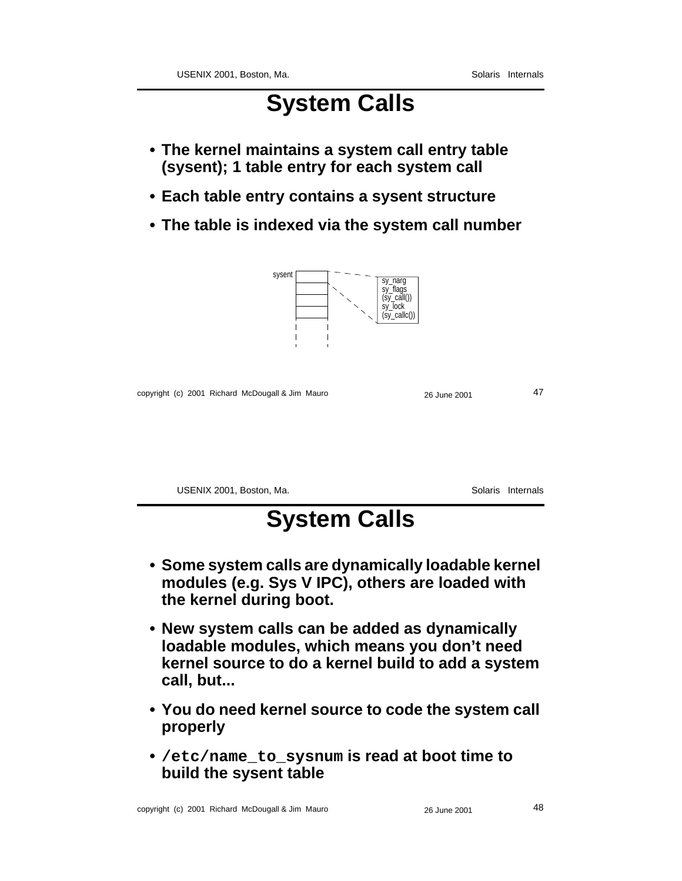### **System Calls**

- **The kernel maintains a system call entry table (sysent); 1 table entry for each system call**
- **Each table entry contains a sysent structure**
- **The table is indexed via the system call number**



copyright (c) 2001 Richard McDougall & Jim Mauro 26 June 2001 26 June 2001

USENIX 2001, Boston, Ma. Solaris Internals

### **System Calls**

- **Some system calls are dynamically loadable kernel modules (e.g. Sys V IPC), others are loaded with the kernel during boot.**
- **New system calls can be added as dynamically loadable modules, which means you don't need kernel source to do a kernel build to add a system call, but...**
- **You do need kernel source to code the system call properly**
- **• /etc/name\_to\_sysnum is read at boot time to build the sysent table**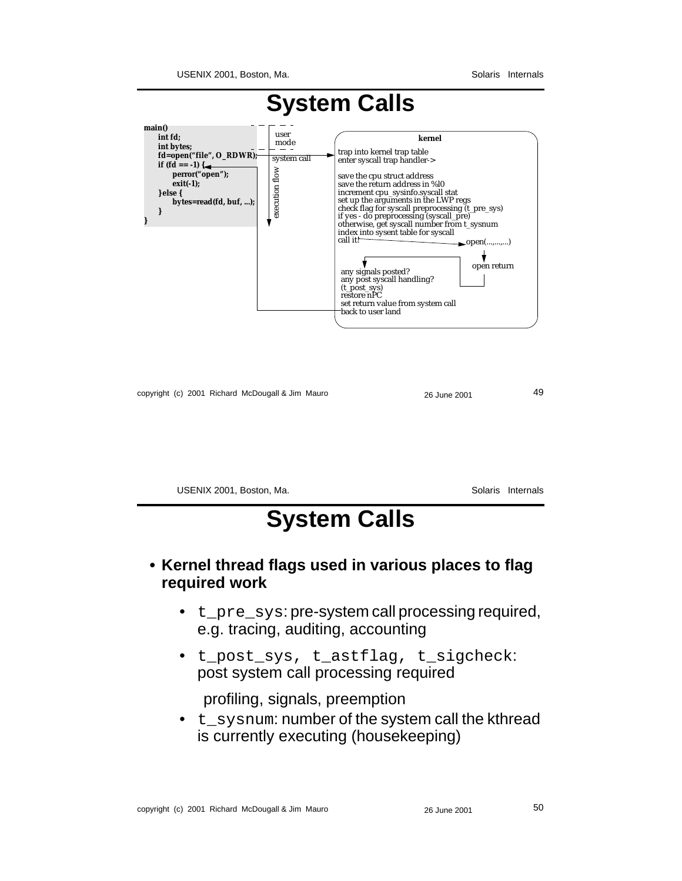

copyright (c) 2001 Richard McDougall & Jim Mauro 26 June 2001 26 June 2001

USENIX 2001, Boston, Ma. Solaris Internals

### **System Calls**

#### **• Kernel thread flags used in various places to flag required work**

- t\_pre\_sys: pre-system call processing required, e.g. tracing, auditing, accounting
- t\_post\_sys, t\_astflag, t\_sigcheck: post system call processing required

profiling, signals, preemption

• t\_sysnum: number of the system call the kthread is currently executing (housekeeping)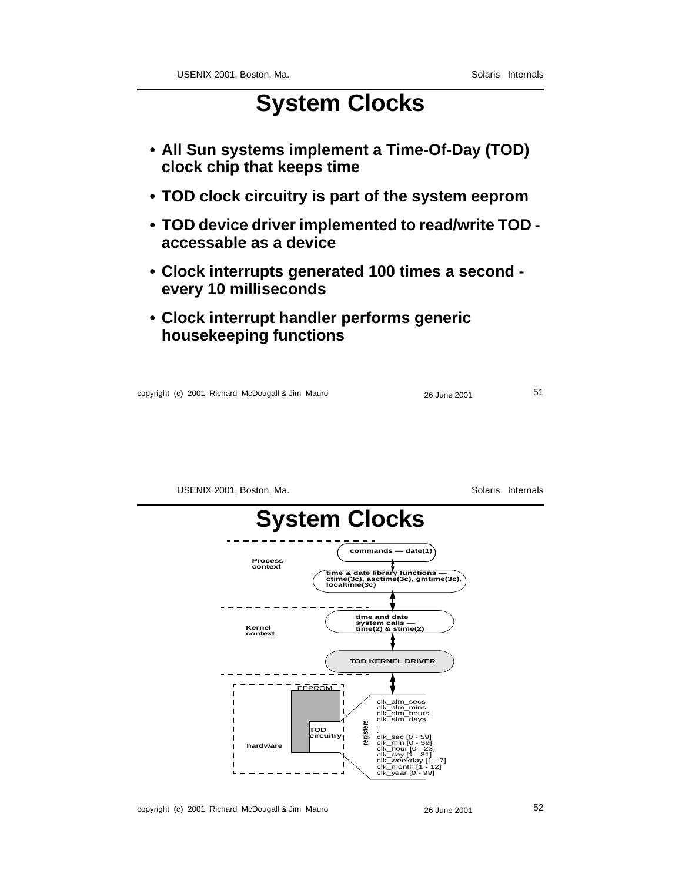### **System Clocks**

- **All Sun systems implement a Time-Of-Day (TOD) clock chip that keeps time**
- **TOD clock circuitry is part of the system eeprom**
- **TOD device driver implemented to read/write TOD accessable as a device**
- **Clock interrupts generated 100 times a second every 10 milliseconds**
- **Clock interrupt handler performs generic housekeeping functions**

|  | copyright (c) 2001 Richard McDougall & Jim Mauro | 26 June 2001 |  |
|--|--------------------------------------------------|--------------|--|
|--|--------------------------------------------------|--------------|--|

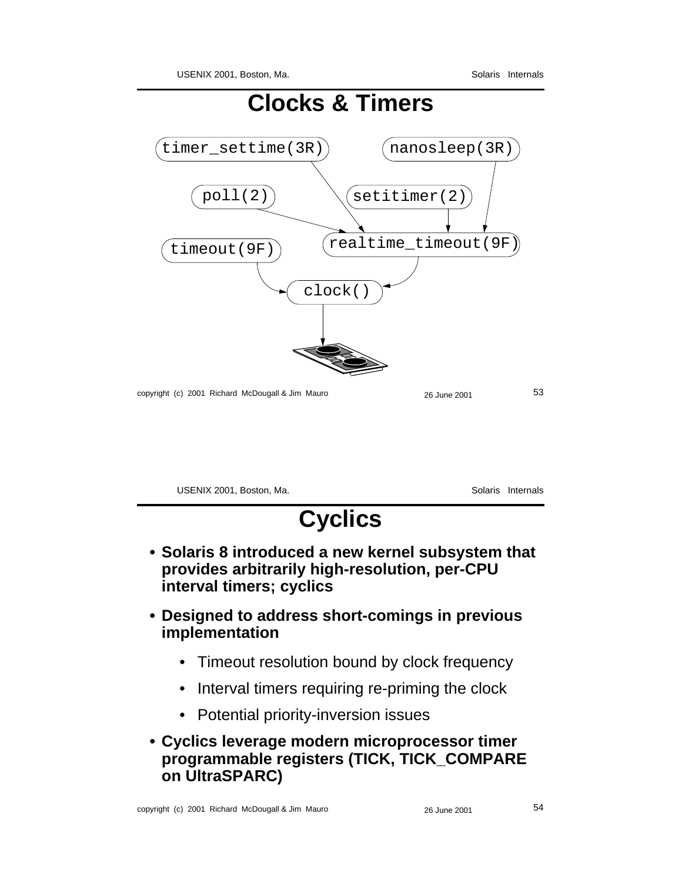

USENIX 2001, Boston, Ma. Solaris Internals **Cyclics • Solaris 8 introduced a new kernel subsystem that provides arbitrarily high-resolution, per-CPU interval timers; cyclics • Designed to address short-comings in previous implementation** • Timeout resolution bound by clock frequency • Interval timers requiring re-priming the clock • Potential priority-inversion issues

#### **• Cyclics leverage modern microprocessor timer programmable registers (TICK, TICK\_COMPARE on UltraSPARC)**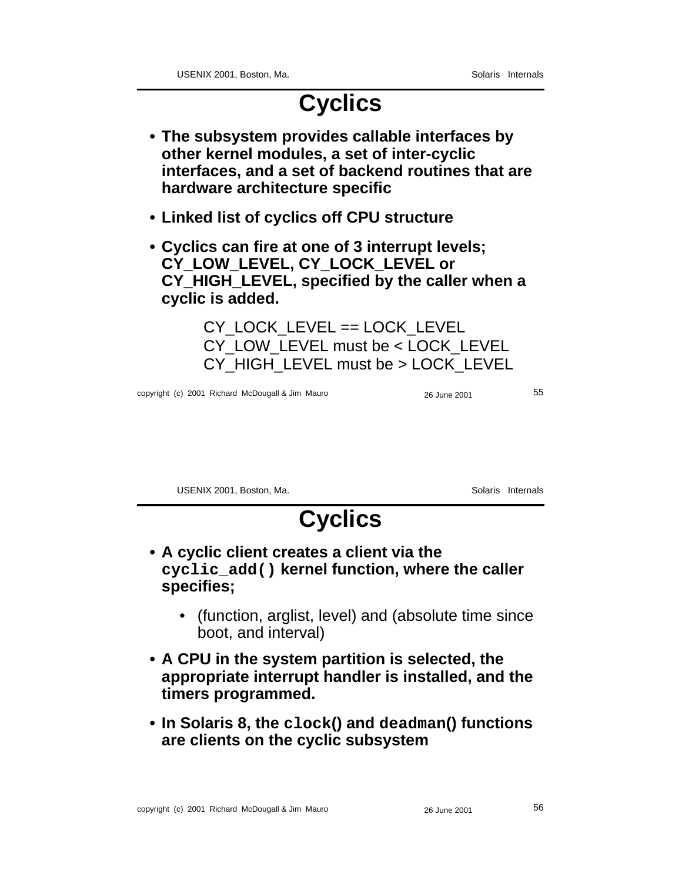### **Cyclics**

- **The subsystem provides callable interfaces by other kernel modules, a set of inter-cyclic interfaces, and a set of backend routines that are hardware architecture specific**
- **Linked list of cyclics off CPU structure**
- **Cyclics can fire at one of 3 interrupt levels; CY\_LOW\_LEVEL, CY\_LOCK\_LEVEL or CY\_HIGH\_LEVEL, specified by the caller when a cyclic is added.**

CY\_LOCK\_LEVEL == LOCK\_LEVEL CY\_LOW\_LEVEL must be < LOCK\_LEVEL CY\_HIGH\_LEVEL must be > LOCK\_LEVEL

copyright (c) 2001 Richard McDougall & Jim Mauro 26 June 2001 55

USENIX 2001, Boston, Ma. Solaris Internals

# **Cyclics**

- **A cyclic client creates a client via the cyclic\_add() kernel function, where the caller specifies;**
	- (function, arglist, level) and (absolute time since boot, and interval)
- **A CPU in the system partition is selected, the appropriate interrupt handler is installed, and the timers programmed.**
- **In Solaris 8, the clock() and deadman() functions are clients on the cyclic subsystem**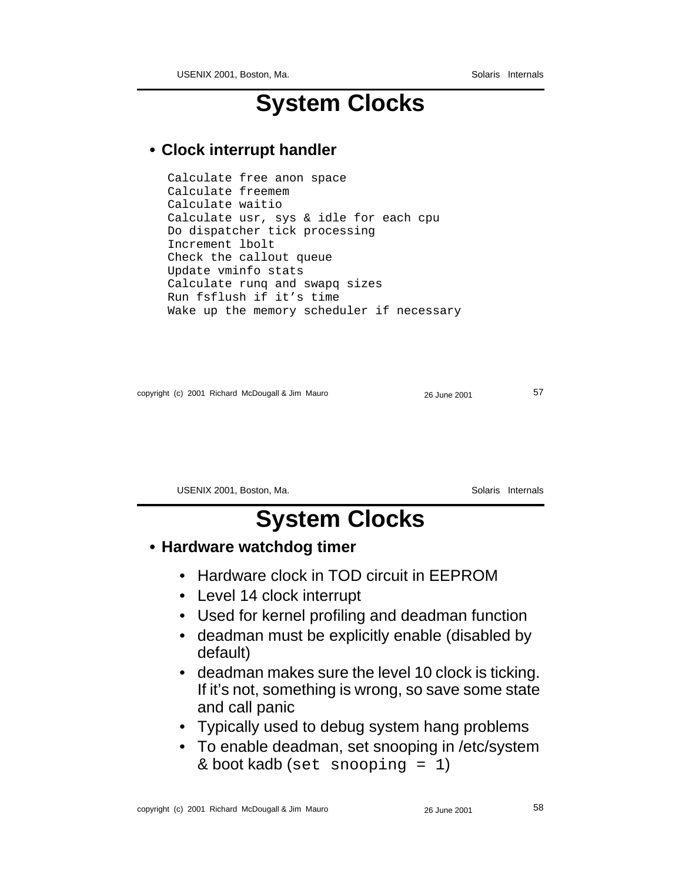#### **System Clocks**

#### **• Clock interrupt handler**

```
Calculate free anon space
Calculate freemem
Calculate waitio
Calculate usr, sys & idle for each cpu
Do dispatcher tick processing
Increment lbolt
Check the callout queue
Update vminfo stats
Calculate runq and swapq sizes
Run fsflush if it's time
Wake up the memory scheduler if necessary
```

```
copyright (c) 2001 Richard McDougall & Jim Mauro 26 June 2001 57
```
USENIX 2001, Boston, Ma. Solaris Internals

## **System Clocks**

#### **• Hardware watchdog timer**

- Hardware clock in TOD circuit in EEPROM
- Level 14 clock interrupt
- Used for kernel profiling and deadman function
- deadman must be explicitly enable (disabled by default)
- deadman makes sure the level 10 clock is ticking. If it's not, something is wrong, so save some state and call panic
- Typically used to debug system hang problems
- To enable deadman, set snooping in /etc/system & boot kadb (set snooping = 1)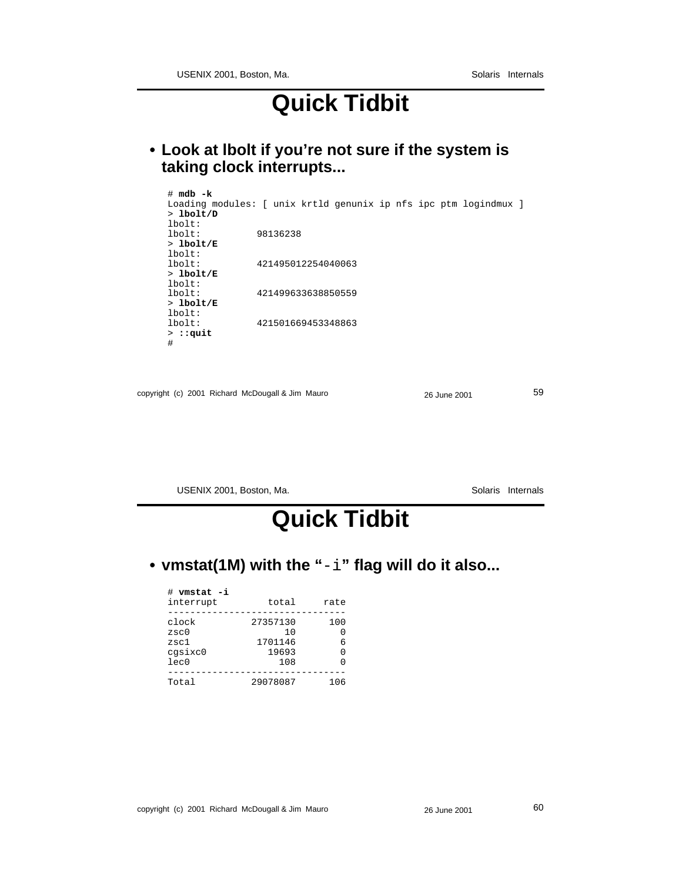#### **Quick Tidbit**

**• Look at lbolt if you're not sure if the system is taking clock interrupts...**

| # mdb -k<br>Loading modules: [ unix krtld genunix ip nfs ipc ptm logindmux ]<br>$> 1$ bolt/D<br>lbot: |  |
|-------------------------------------------------------------------------------------------------------|--|
| lbot:<br>98136238                                                                                     |  |
| $>1$ bolt/E                                                                                           |  |
| lbot:                                                                                                 |  |
| 421495012254040063<br>$1$ bolt:                                                                       |  |
| $>1$ bolt/E                                                                                           |  |
| $1$ bolt:                                                                                             |  |
| $1$ bolt:<br>421499633638850559                                                                       |  |
| $>1$ bolt/E                                                                                           |  |
| lbot:                                                                                                 |  |
| 421501669453348863<br>$1$ bolt:                                                                       |  |
| $>$ : : quit                                                                                          |  |
| #                                                                                                     |  |

| copyright (c) 2001 Richard McDougall & Jim Mauro | 26 June 2001 | 59 |
|--------------------------------------------------|--------------|----|
|                                                  |              |    |

USENIX 2001, Boston, Ma. Solaris Internals

### **Quick Tidbit**

#### **• vmstat(1M) with the "**-i**" flag will do it also...**

| # vmstat -i<br>interrupt         | total                               | rate               |
|----------------------------------|-------------------------------------|--------------------|
| clock<br>zsc0<br>zsc1<br>cgsixc0 | 27357130<br>1 O<br>1701146<br>19693 | 100<br>O<br>б<br>O |
| lec0<br>Total                    | 108<br>29078087                     | 106                |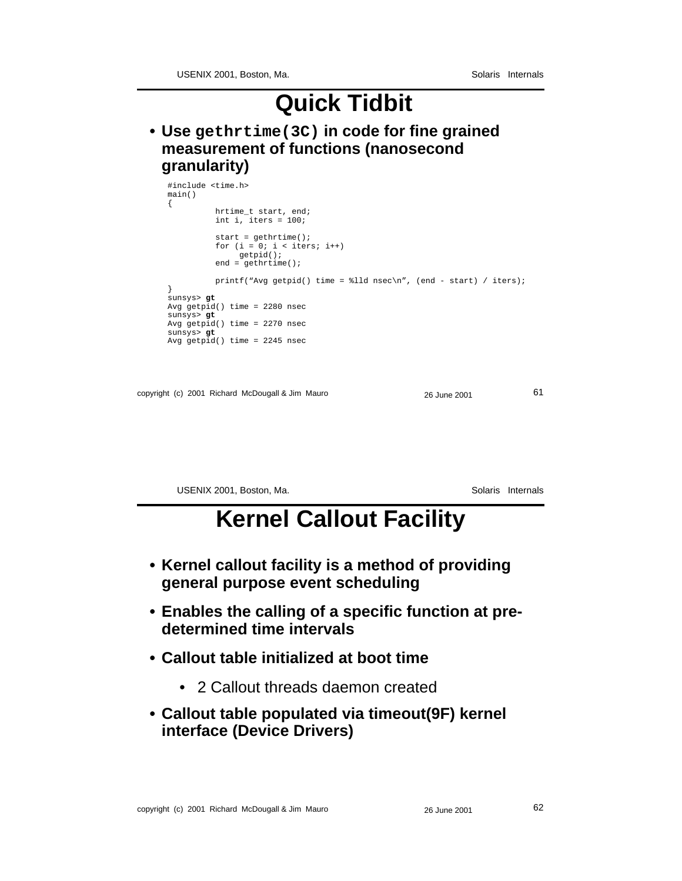### **Quick Tidbit**

**• Use gethrtime(3C) in code for fine grained measurement of functions (nanosecond granularity)**

| #include <time.h><br/>main()</time.h>  |                                                                                                                                                                                 |              |    |
|----------------------------------------|---------------------------------------------------------------------------------------------------------------------------------------------------------------------------------|--------------|----|
|                                        | hrtime_t start, end;<br>int i, iters = $100$ ;                                                                                                                                  |              |    |
|                                        | start = $gethrtime()$ ;<br>for $(i = 0; i < i$ ters; $i++)$<br>getpid()<br>$end = gethrtime()$                                                                                  |              |    |
| sunsys> gt<br>sunsys> gt<br>sunsys> gt | printf("Avg getpid() time = $\ell$ ld nsec\n", (end - start) / iters);<br>Avg $getpid()$ time = 2280 nsec<br>Avg $getpid()$ time = 2270 nsec<br>Avg getpid() time = $2245$ nsec |              |    |
|                                        | copyright (c) 2001 Richard McDougall & Jim Mauro                                                                                                                                | 26 June 2001 | 61 |

USENIX 2001, Boston, Ma. Solaris Internals

#### **Kernel Callout Facility**

- **Kernel callout facility is a method of providing general purpose event scheduling**
- **Enables the calling of a specific function at predetermined time intervals**
- **Callout table initialized at boot time**
	- 2 Callout threads daemon created
- **Callout table populated via timeout(9F) kernel interface (Device Drivers)**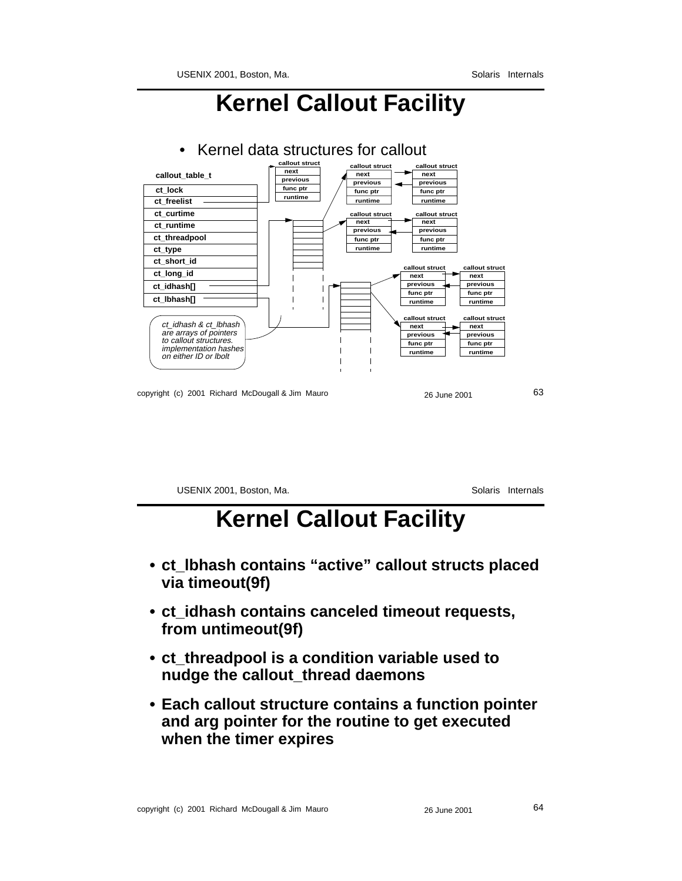### **Kernel Callout Facility**



USENIX 2001, Boston, Ma. Solaris Internals

#### **Kernel Callout Facility**

- **ct\_lbhash contains "active" callout structs placed via timeout(9f)**
- **ct\_idhash contains canceled timeout requests, from untimeout(9f)**
- **ct\_threadpool is a condition variable used to nudge the callout\_thread daemons**
- **Each callout structure contains a function pointer and arg pointer for the routine to get executed when the timer expires**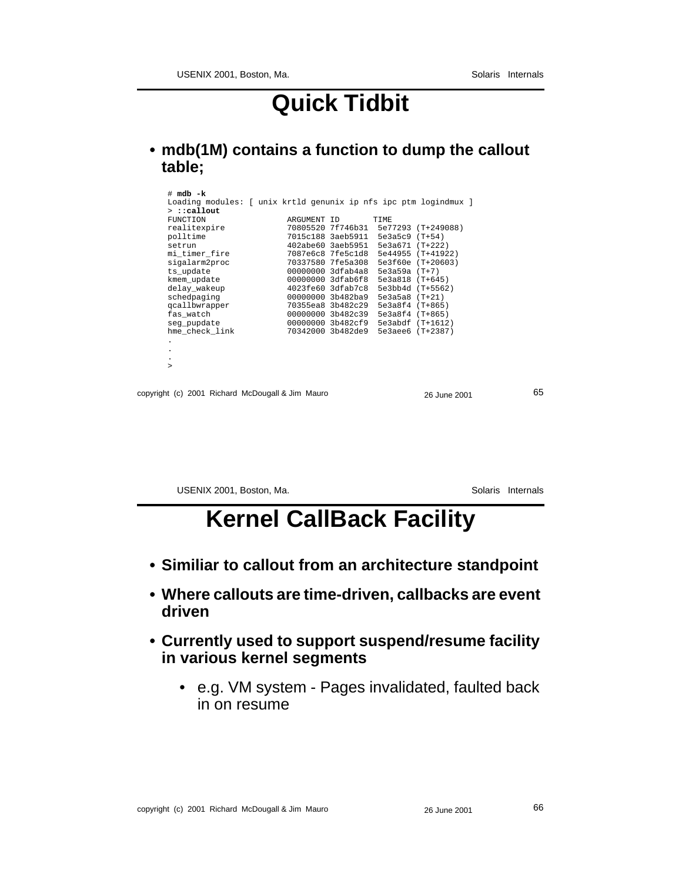### **Quick Tidbit**

**• mdb(1M) contains a function to dump the callout table;**

| $# \text{mdb} - k$                                               |                   |                                    |                                      |    |
|------------------------------------------------------------------|-------------------|------------------------------------|--------------------------------------|----|
| Loading modules: [ unix krtld genunix ip nfs ipc ptm logindmux ] |                   |                                    |                                      |    |
| $>$ ::callout                                                    |                   |                                    |                                      |    |
| FUNCTION                                                         | ARGUMENT ID       | <b>TIME</b>                        |                                      |    |
| realitexpire                                                     |                   |                                    | 70805520 7f746b31 5e77293 (T+249088) |    |
| polltime                                                         |                   | 7015c188 3aeb5911 5e3a5c9 (T+54)   |                                      |    |
| setrun                                                           |                   | 402abe60 3aeb5951 5e3a671 (T+222)  |                                      |    |
| mi timer fire                                                    |                   |                                    | 7087e6c8 7fe5c1d8 5e44955 (T+41922)  |    |
| sigalarm2proc                                                    |                   |                                    | 70337580 7fe5a308 5e3f60e (T+20603)  |    |
| ts update                                                        | 00000000 3dfab4a8 | 5e3a59a (T+7)                      |                                      |    |
| kmem_update                                                      | 00000000 3dfab6f8 | 5e3a818 (T+645)                    |                                      |    |
| delay wakeup                                                     | 4023fe60 3dfab7c8 |                                    | 5e3bb4d (T+5562)                     |    |
| schedpaging                                                      | 00000000 3b482ba9 | 5e3a5a8 (T+21)                     |                                      |    |
| gcallbwrapper                                                    | 70355ea8 3b482c29 | 5e3a8f4 (T+865)                    |                                      |    |
| fas watch                                                        |                   | 00000000 3b482c39 5e3a8f4 (T+865)  |                                      |    |
| seg_pupdate                                                      | 00000000 3b482cf9 |                                    | 5e3abdf (T+1612)                     |    |
| hme check link                                                   |                   | 70342000 3b482de9 5e3aee6 (T+2387) |                                      |    |
| $\bullet$                                                        |                   |                                    |                                      |    |
| $\cdot$                                                          |                   |                                    |                                      |    |
| $\bullet$                                                        |                   |                                    |                                      |    |
| $\geq$                                                           |                   |                                    |                                      |    |
|                                                                  |                   |                                    |                                      |    |
|                                                                  |                   |                                    |                                      |    |
| copyright (c) 2001 Richard McDougall & Jim Mauro                 |                   |                                    | 26 June 2001                         | 65 |
|                                                                  |                   |                                    |                                      |    |
|                                                                  |                   |                                    |                                      |    |

USENIX 2001, Boston, Ma. Solaris Internals

### **Kernel CallBack Facility**

- **Similiar to callout from an architecture standpoint**
- **Where callouts are time-driven, callbacks are event driven**
- **Currently used to support suspend/resume facility in various kernel segments**
	- e.g. VM system Pages invalidated, faulted back in on resume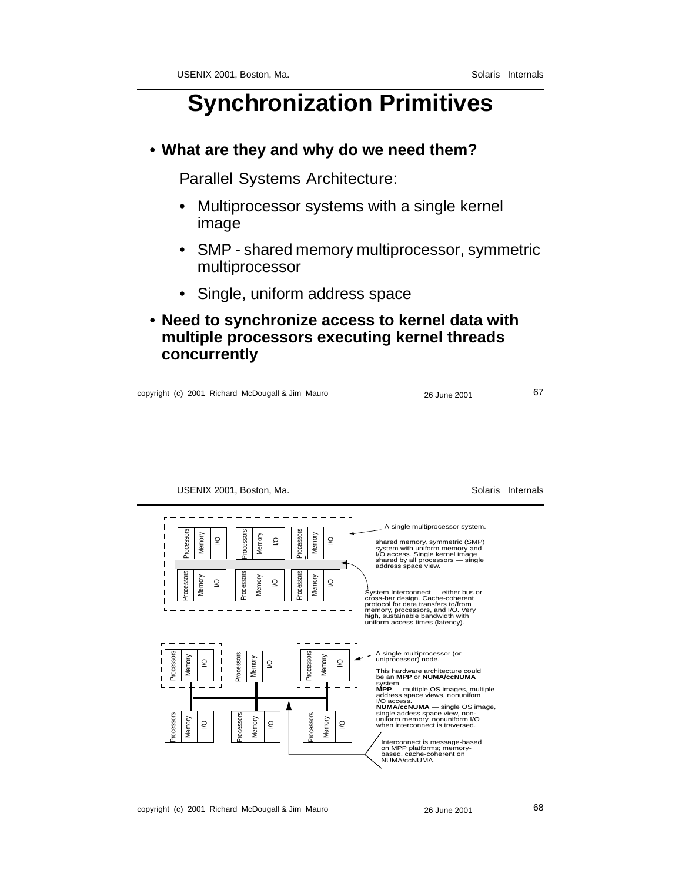#### **Synchronization Primitives**

#### **• What are they and why do we need them?**

Parallel Systems Architecture:

- Multiprocessor systems with a single kernel image
- SMP shared memory multiprocessor, symmetric multiprocessor
- Single, uniform address space
- **Need to synchronize access to kernel data with multiple processors executing kernel threads concurrently**

copyright (c) 2001 Richard McDougall & Jim Mauro 26 June 2001 26 June 2001

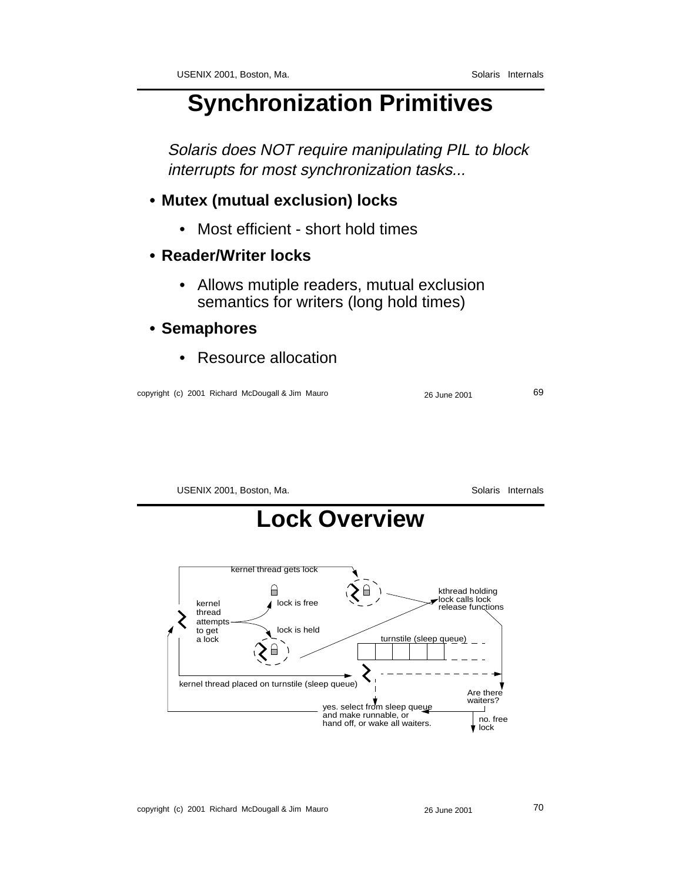#### **Synchronization Primitives**

Solaris does NOT require manipulating PIL to block interrupts for most synchronization tasks...

#### **• Mutex (mutual exclusion) locks**

- Most efficient short hold times
- **Reader/Writer locks**
	- Allows mutiple readers, mutual exclusion semantics for writers (long hold times)
- **Semaphores**
	- Resource allocation

copyright (c) 2001 Richard McDougall & Jim Mauro 26 June 2001 26 June 2001

USENIX 2001, Boston, Ma. Solaris Internals

### **Lock Overview**

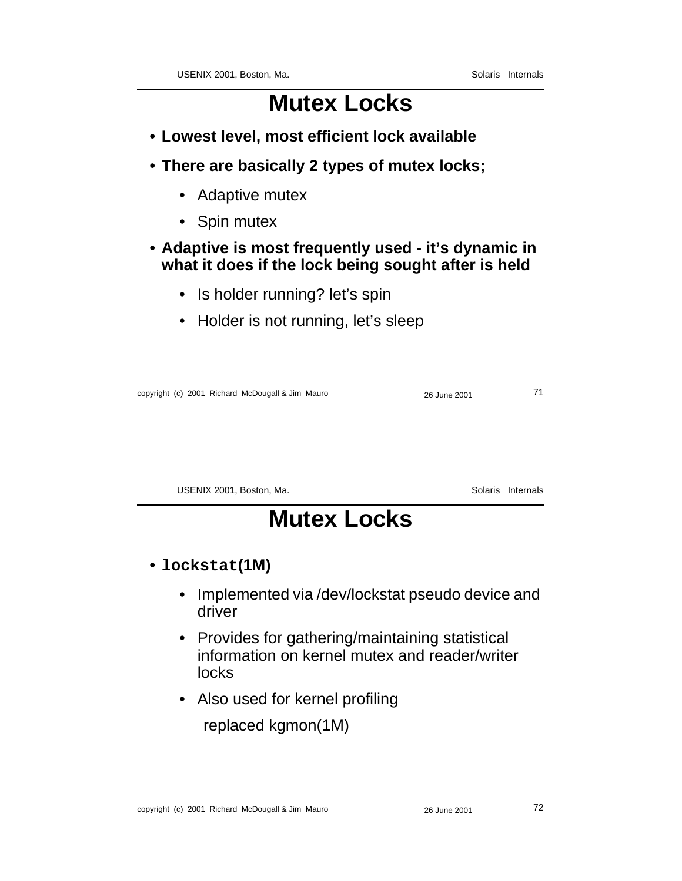### **Mutex Locks**

- **Lowest level, most efficient lock available**
- **There are basically 2 types of mutex locks;**
	- Adaptive mutex
	- Spin mutex

#### **• Adaptive is most frequently used - it's dynamic in what it does if the lock being sought after is held**

- Is holder running? let's spin
- Holder is not running, let's sleep

copyright (c) 2001 Richard McDougall & Jim Mauro 26 June 2001 26 June 2001

USENIX 2001, Boston, Ma. Subsetting the Solaris Internals

### **Mutex Locks**

- **• lockstat(1M)**
	- Implemented via /dev/lockstat pseudo device and driver
	- Provides for gathering/maintaining statistical information on kernel mutex and reader/writer locks
	- Also used for kernel profiling

replaced kgmon(1M)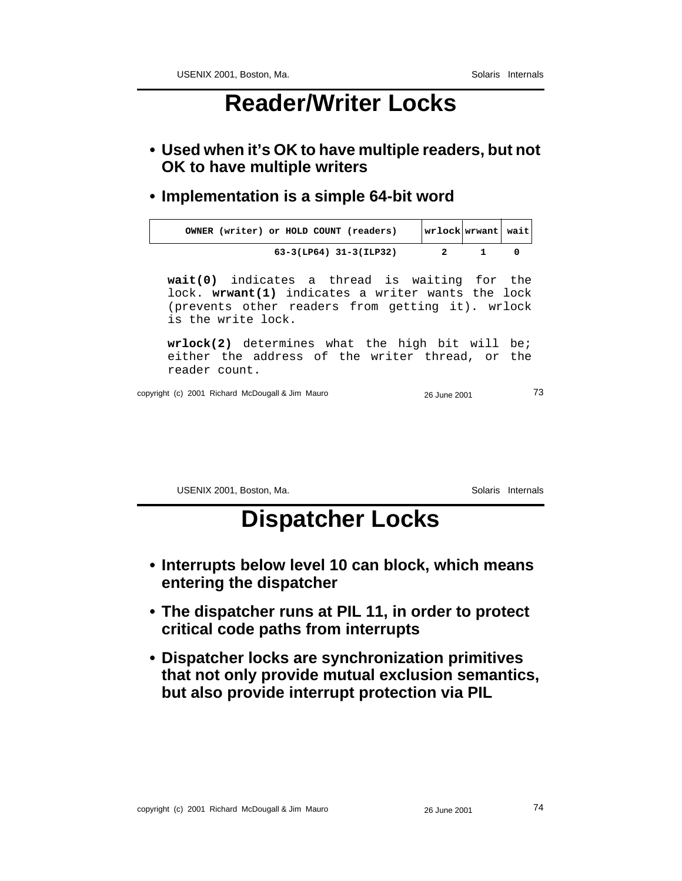# **Reader/Writer Locks**

- **Used when it's OK to have multiple readers, but not OK to have multiple writers**
- **Implementation is a simple 64-bit word**

| OWNER (writer) or HOLD COUNT (readers) | wrlock wrwant  wait |  |
|----------------------------------------|---------------------|--|
| 63-3(LP64) 31-3(ILP32)                 |                     |  |

**wait(0)** indicates a thread is waiting for the lock. **wrwant(1)** indicates a writer wants the lock (prevents other readers from getting it). wrlock is the write lock.

**wrlock(2)** determines what the high bit will be; either the address of the writer thread, or the reader count.

copyright (c) 2001 Richard McDougall & Jim Mauro 26 June 2001 26 2001

USENIX 2001, Boston, Ma. Solaris Internals

### **Dispatcher Locks**

- **Interrupts below level 10 can block, which means entering the dispatcher**
- **The dispatcher runs at PIL 11, in order to protect critical code paths from interrupts**
- **Dispatcher locks are synchronization primitives that not only provide mutual exclusion semantics, but also provide interrupt protection via PIL**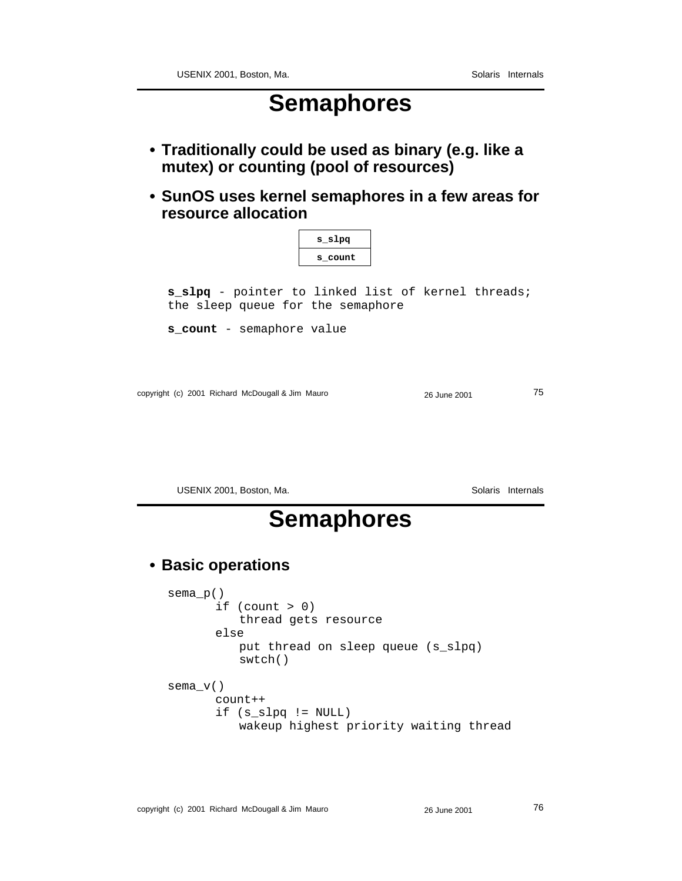### **Semaphores**

- **Traditionally could be used as binary (e.g. like a mutex) or counting (pool of resources)**
- **SunOS uses kernel semaphores in a few areas for resource allocation**

|                                                                                         | s slpg  |  |
|-----------------------------------------------------------------------------------------|---------|--|
|                                                                                         | s count |  |
| s_slpq - pointer to linked list of kernel threads;<br>the sleep queue for the semaphore |         |  |
| <b>s count</b> - semaphore value                                                        |         |  |

copyright (c) 2001 Richard McDougall & Jim Mauro 26 June 2001 26 June 2001

USENIX 2001, Boston, Ma. Solaris Internals

### **Semaphores**

#### **• Basic operations**

sema\_p() if (count  $> 0$ ) thread gets resource else put thread on sleep queue (s\_slpq) swtch() sema\_v() count++ if (s\_slpq != NULL) wakeup highest priority waiting thread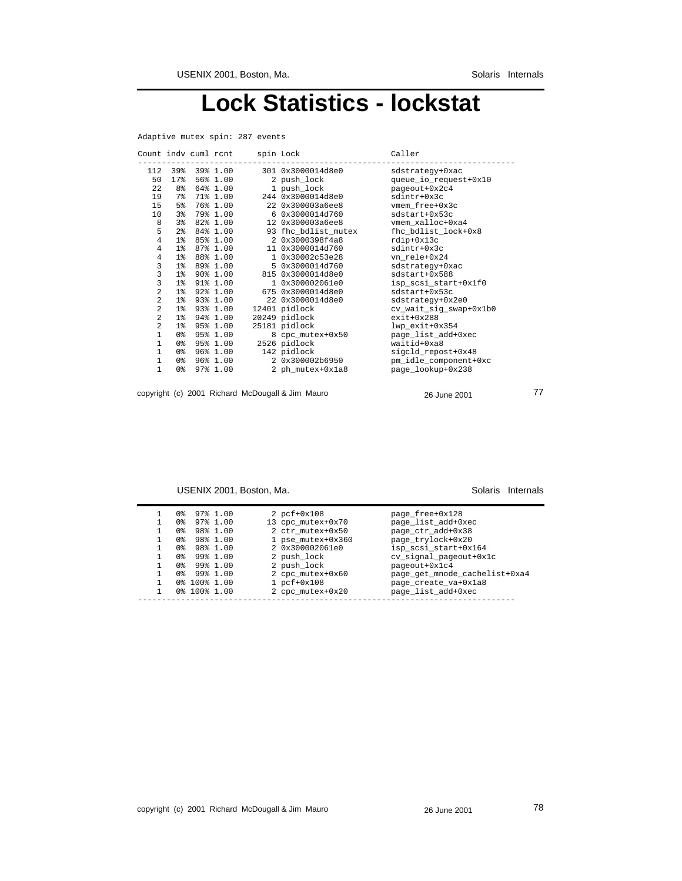### **Lock Statistics - lockstat**

Adaptive mutex spin: 287 events

|                 |  |                  | Count indv cuml rcnt spin Lock |                               | Caller                 |
|-----------------|--|------------------|--------------------------------|-------------------------------|------------------------|
|                 |  | 112 39% 39% 1.00 |                                | 301 0x3000014d8e0             | sdstrategy+0xac        |
| 50              |  |                  | 17% 56% 1.00                   | 2 push_lock                   | queue_io_request+0x10  |
| 22              |  | 8% 64% 1.00      |                                | 1 push_lock                   | pageout+0x2c4          |
| 19              |  | 7% 71% 1.00      |                                | 244 0x3000014d8e0             | $sdintrt+0x3c$         |
| 15 <sub>1</sub> |  | 5% 76% 1.00      |                                | 22 0x300003a6ee8              | vmem free+0x3c         |
| 10 <sup>°</sup> |  | 3% 79% 1.00      |                                | 6 0x3000014d760               | sdstart+0x53c          |
| 8               |  |                  | 3% 82% 1.00                    | 12 0x300003a6ee8              | vmem xalloc+0xa4       |
| 5               |  | 2% 84% 1.00      |                                | 93 fhc bdlist mutex           | fhc bdlist lock+0x8    |
| $\overline{4}$  |  |                  |                                | 1% 85% 1.00 2 0x3000398f4a8   | rdip+0x13c             |
| $\overline{4}$  |  |                  | 1% 87% 1.00                    | 11 0x3000014d760              | sdintr+0x3c            |
| $\overline{4}$  |  |                  |                                | 1% 88% 1.00 1 0x30002c53e28   | vn rele+0x24           |
| 3               |  |                  | 1% 89% 1.00                    | 5 0x3000014d760               | sdstrategy+0xac        |
| 3               |  |                  |                                | 1% 90% 1.00 815 0x3000014d8e0 | sdstart+0x588          |
| 3               |  | 1% 91% 1.00      |                                | 1 0x300002061e0               | isp scsi start+0x1f0   |
| $\overline{a}$  |  |                  |                                | 1% 92% 1.00 675 0x3000014d8e0 | $sdstart+0x53c$        |
| $\overline{a}$  |  |                  | 1% 93% 1.00                    | 22 0x3000014d8e0              | sdstrategy+0x2e0       |
| 2               |  | 1% 93% 1.00      |                                | 12401 pidlock                 | cv wait sig swap+0x1b0 |
| $\overline{a}$  |  | 1% 94% 1.00      |                                | 20249 pidlock                 | $ext+0x288$            |
| $\overline{a}$  |  | 1% 95% 1.00      |                                | 25181 pidlock                 | lwp exit+0x354         |
| $\mathbf{1}$    |  | 0% 95% 1.00      |                                | 8 cpc mutex+0x50              | page list add+0xec     |
| $\mathbf{1}$    |  | 0% 95% 1.00      |                                | 2526 pidlock                  | waitid+0xa8            |
| $\mathbf{1}$    |  | 0% 96% 1.00      |                                | 142 pidlock                   | sigcld_repost+0x48     |
| $\mathbf{1}$    |  | 0% 96% 1.00      |                                | 2 0x300002b6950               | pm_idle_component+0xc  |
| $\mathbf{1}$    |  | 0% 97% 1.00      |                                | 2 ph mutex+0x1a8              | page lookup+0x238      |
|                 |  |                  |                                |                               |                        |
|                 |  |                  |                                |                               |                        |

copyright (c) 2001 Richard McDougall & Jim Mauro 26 June 2001 26 June 2001

USENIX 2001, Boston, Ma. Solaris Internals

| 0% 100% 1.00<br>2 cpc mutex+0x20 |  | 0 %<br>0.‱<br>0.‱<br>0.‱<br>0.‱<br>0.‱<br>0.‱<br>0.‱ | 0% 100% 1.00 | 97% 1.00<br>97% 1.00<br>98% 1.00<br>98% 1.00<br>98% 1.00<br>99% 1.00<br>99% 1.00<br>99% 1.00 |  | $2$ pcf+0x108<br>13 cpc mutex+0x70<br>2 ctr mutex+0x50<br>1 pse mutex+0x360<br>2 0x300002061e0<br>2 push lock<br>2 push lock<br>2 cpc mutex+0x60<br>$1~pet+0x108$ | page free+0x128<br>page list add+0xec<br>page_ctr_add+0x38<br>page_trylock+0x20<br>isp scsi start+0x164<br>cv signal pageout+0x1c<br>pageout+0x1c4<br>page_get_mnode_cachelist+0xa4<br>page create va+0x1a8<br>page list add+0xec |
|----------------------------------|--|------------------------------------------------------|--------------|----------------------------------------------------------------------------------------------|--|-------------------------------------------------------------------------------------------------------------------------------------------------------------------|-----------------------------------------------------------------------------------------------------------------------------------------------------------------------------------------------------------------------------------|
|----------------------------------|--|------------------------------------------------------|--------------|----------------------------------------------------------------------------------------------|--|-------------------------------------------------------------------------------------------------------------------------------------------------------------------|-----------------------------------------------------------------------------------------------------------------------------------------------------------------------------------------------------------------------------------|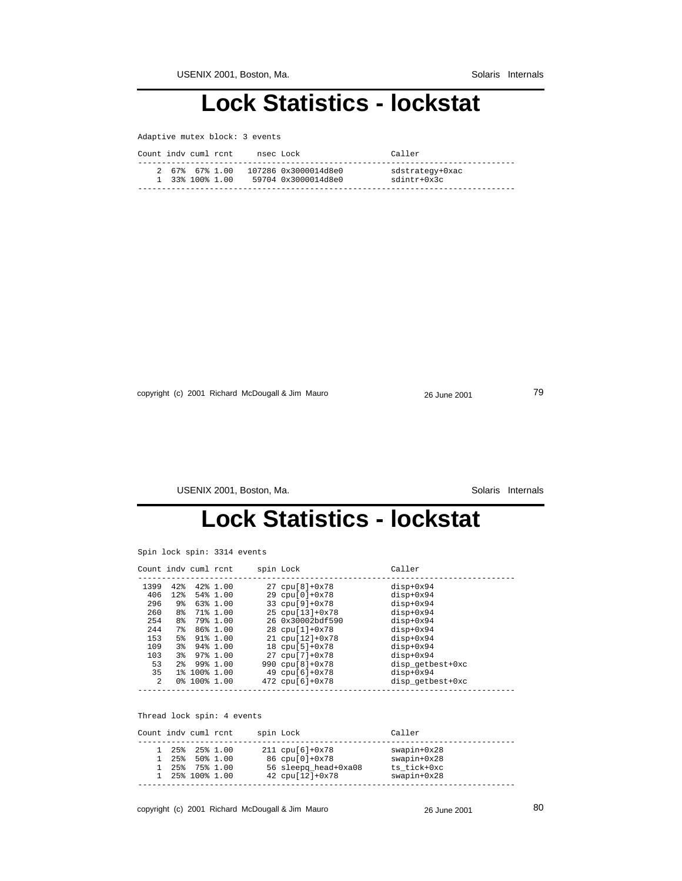### **Lock Statistics - lockstat**

| Adaptive mutex block: 3 events |  |  |  |  |
|--------------------------------|--|--|--|--|
|--------------------------------|--|--|--|--|

| Count indy cuml rent | nsec Lock            | Caller          |
|----------------------|----------------------|-----------------|
| 2 67% 67% 1 00       | 107286 0x3000014d8e0 | sdstrategy+0xac |
| 1 33% 100% 1.00      | 59704 0x3000014d8e0  | sdintr+0x3c     |

copyright (c) 2001 Richard McDougall & Jim Mauro 26 June 2001 26 June 2001

USENIX 2001, Boston, Ma. Solaris Internals

# **Lock Statistics - lockstat**

Spin lock spin: 3314 events

| Count indv cuml rent |                |                          |             | spin Lock                    | Caller           |  |
|----------------------|----------------|--------------------------|-------------|------------------------------|------------------|--|
| 1399                 | 42.8           |                          | 42% 1.00    | $27$ cpu[ $8$ ]+0 $x$ 78     | $disp+0x94$      |  |
| 406                  | 12%            |                          | 54% 1.00    | 29 cpu[0]+0x78               | $disp+0x94$      |  |
| 296                  | 9%             |                          | 63% 1.00    | 33 $cpu[9]+0x78$             | $disp+0x94$      |  |
| 260                  | 8%             |                          | 71% 1.00    | $25$ cpu $[13]+0x78$         | disp+0x94        |  |
| 254                  | 8%             |                          | 79% 1.00    | 26 0x30002bdf590             | $disp+0x94$      |  |
| 2.44                 | 7%             |                          | $86\%$ 1.00 | 28 cpu[1]+0x78               | $disp+0x94$      |  |
| 153                  | 5 <sup>8</sup> |                          | $91\%$ 1.00 | $21 \text{ coul} 121 + 0x78$ | disp+0x94        |  |
| 109                  | 3 <sup>8</sup> |                          | 94% 1.00    | $18$ cpu[ $5$ ]+0x78         | $disp+0x94$      |  |
| 103                  | 3%             |                          | 97% 1.00    | $27$ cpu $71+0x78$           | disp+0x94        |  |
| 53                   | 2 <sup>8</sup> |                          | 99% 1.00    | 990 $cpu[8]+0x78$            | disp getbest+0xc |  |
| 35                   |                | 1% 100% 1.00             |             | 49 $cpu[6]+0x78$             | $disp+0x94$      |  |
| $\mathfrak{D}$       |                | $0$ $3$ $100$ $3$ $1.00$ |             | 472 cpu[6]+0x78              | disp getbest+0xc |  |
|                      |                |                          |             |                              |                  |  |

Thread lock spin: 4 events

| Count indy cuml rent |                                                                             |  | spin Lock                                                                                          | Caller                                                             |
|----------------------|-----------------------------------------------------------------------------|--|----------------------------------------------------------------------------------------------------|--------------------------------------------------------------------|
|                      | 1 25% 25% 1.00<br>$1, 25\%$ 50 $1, 00$<br>1 25% 75% 1.00<br>1 25% 100% 1.00 |  | $211$ cpu[6]+0x78<br>86 cpu[0]+0x78<br>56 sleepg head+0xa08<br>$42 \text{ coul} 121 + 0 \times 78$ | $swapin+0x28$<br>$swapin+0x28$<br>ts tick+0xc<br>$swa$ pin+ $0x28$ |

copyright (c) 2001 Richard McDougall & Jim Mauro 26 June 2001 26 June 2001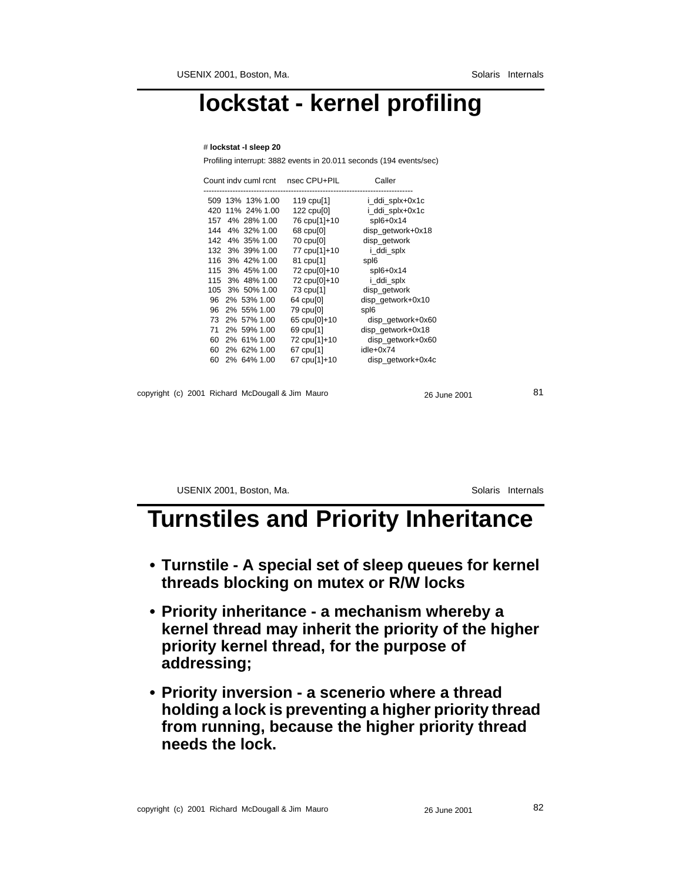# **lockstat - kernel profiling**

#### # **lockstat -I sleep 20**

Profiling interrupt: 3882 events in 20.011 seconds (194 events/sec)

|                                                  |    | Count indv cuml rcnt | nsec CPU+PIL           | Caller            |  |
|--------------------------------------------------|----|----------------------|------------------------|-------------------|--|
|                                                  |    | 509 13% 13% 1.00     | 119 cpu <sup>[1]</sup> | i_ddi_splx+0x1c   |  |
|                                                  |    | 420 11% 24% 1.00     | 122 cpu[0]             | i_ddi_splx+0x1c   |  |
|                                                  |    | 157 4% 28% 1.00      | 76 cpu[1]+10           | $spl6+0x14$       |  |
|                                                  |    | 144 4% 32% 1.00      | 68 cpu[0]              | disp_getwork+0x18 |  |
|                                                  |    | 142 4% 35% 1.00      | 70 cpu[0]              | disp_getwork      |  |
|                                                  |    | 132 3% 39% 1.00      | 77 cpu[1]+10           | i_ddi_splx        |  |
|                                                  |    | 116 3% 42% 1.00      | 81 cpu[1]              | spl6              |  |
|                                                  |    | 115 3% 45% 1.00      | 72 cpu[0]+10           | $spl6+0x14$       |  |
|                                                  |    | 115 3% 48% 1.00      | 72 cpu[0]+10           | i_ddi_splx        |  |
|                                                  |    | 105 3% 50% 1.00      | 73 cpu[1]              | disp_getwork      |  |
|                                                  |    | 96 2% 53% 1.00       | 64 cpu[0]              | disp_getwork+0x10 |  |
|                                                  |    | 96 2% 55% 1.00       | 79 cpu[0]              | spl6              |  |
|                                                  | 73 | 2% 57% 1.00          | 65 cpu[0]+10           | disp_getwork+0x60 |  |
|                                                  |    | 71 2% 59% 1.00       | 69 cpu <sup>[1]</sup>  | disp_getwork+0x18 |  |
|                                                  | 60 | 2% 61% 1.00          | 72 cpu[1]+10           | disp_getwork+0x60 |  |
|                                                  | 60 | 2% 62% 1.00          | 67 cpu[1]              | idle+0x74         |  |
|                                                  | 60 | 2% 64% 1.00          | 67 cpu[1]+10           | disp_getwork+0x4c |  |
|                                                  |    |                      |                        |                   |  |
| copyright (c) 2001 Richard McDougall & Jim Mauro |    |                      |                        | 26 June 2001      |  |

USENIX 2001, Boston, Ma. Solaris Internals

### **Turnstiles and Priority Inheritance**

- **Turnstile A special set of sleep queues for kernel threads blocking on mutex or R/W locks**
- **Priority inheritance a mechanism whereby a kernel thread may inherit the priority of the higher priority kernel thread, for the purpose of addressing;**
- **Priority inversion a scenerio where a thread holding a lock is preventing a higher priority thread from running, because the higher priority thread needs the lock.**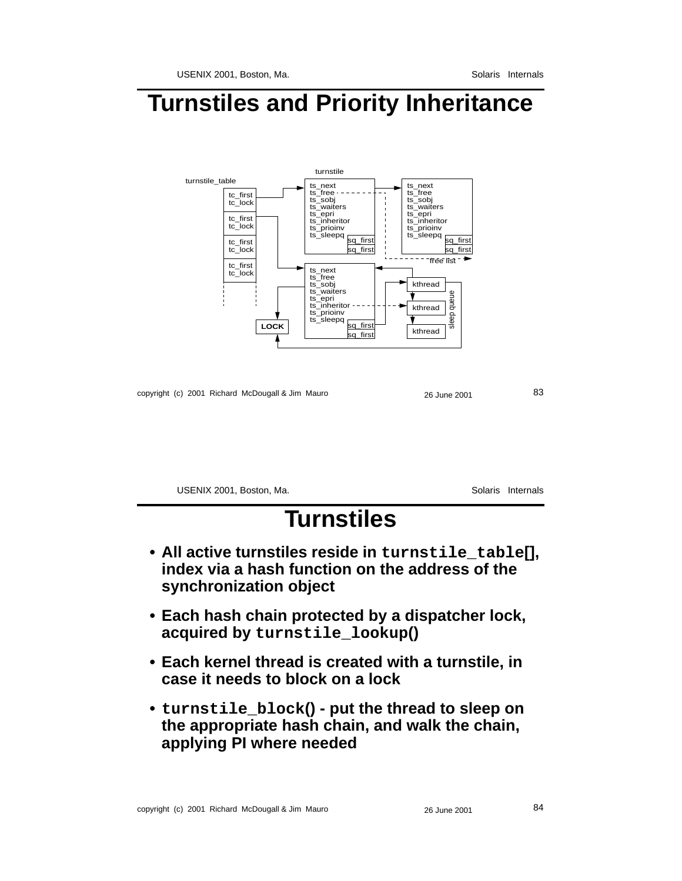### **Turnstiles and Priority Inheritance**



copyright (c) 2001 Richard McDougall & Jim Mauro 26 26 June 2001 26 33

USENIX 2001, Boston, Ma. Solaris Internals

# **Turnstiles**

- **All active turnstiles reside in turnstile\_table[], index via a hash function on the address of the synchronization object**
- **Each hash chain protected by a dispatcher lock, acquired by turnstile\_lookup()**
- **Each kernel thread is created with a turnstile, in case it needs to block on a lock**
- **• turnstile\_block() put the thread to sleep on the appropriate hash chain, and walk the chain, applying PI where needed**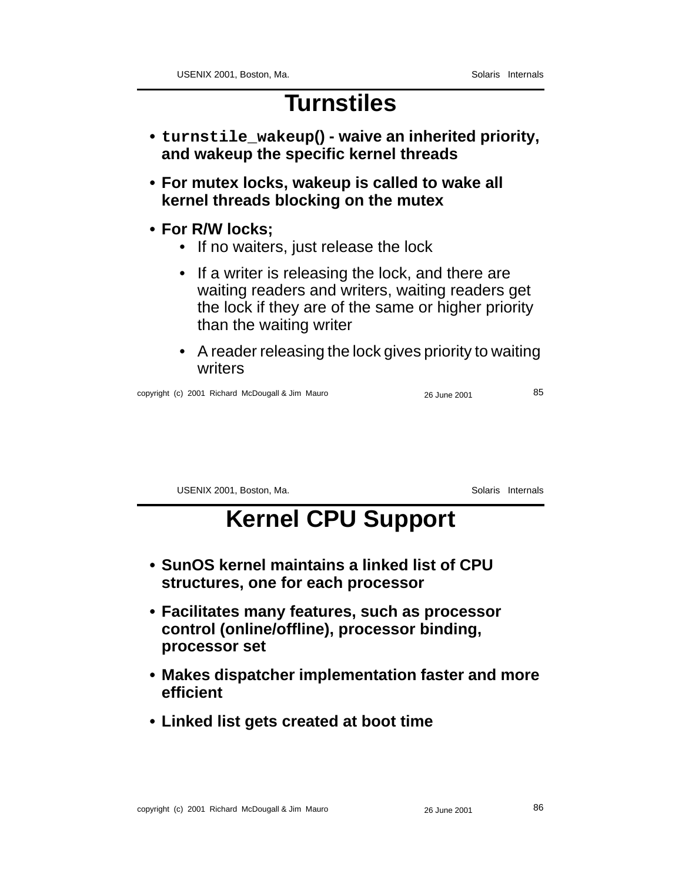# **Turnstiles**

- **• turnstile\_wakeup() waive an inherited priority, and wakeup the specific kernel threads**
- **For mutex locks, wakeup is called to wake all kernel threads blocking on the mutex**
- **For R/W locks;**
	- If no waiters, just release the lock
	- If a writer is releasing the lock, and there are waiting readers and writers, waiting readers get the lock if they are of the same or higher priority than the waiting writer
	- A reader releasing the lock gives priority to waiting writers

copyright (c) 2001 Richard McDougall & Jim Mauro 26 26 June 2001 26 June 2001

USENIX 2001, Boston, Ma. Solaris Internals

# **Kernel CPU Support**

- **SunOS kernel maintains a linked list of CPU structures, one for each processor**
- **Facilitates many features, such as processor control (online/offline), processor binding, processor set**
- **Makes dispatcher implementation faster and more efficient**
- **Linked list gets created at boot time**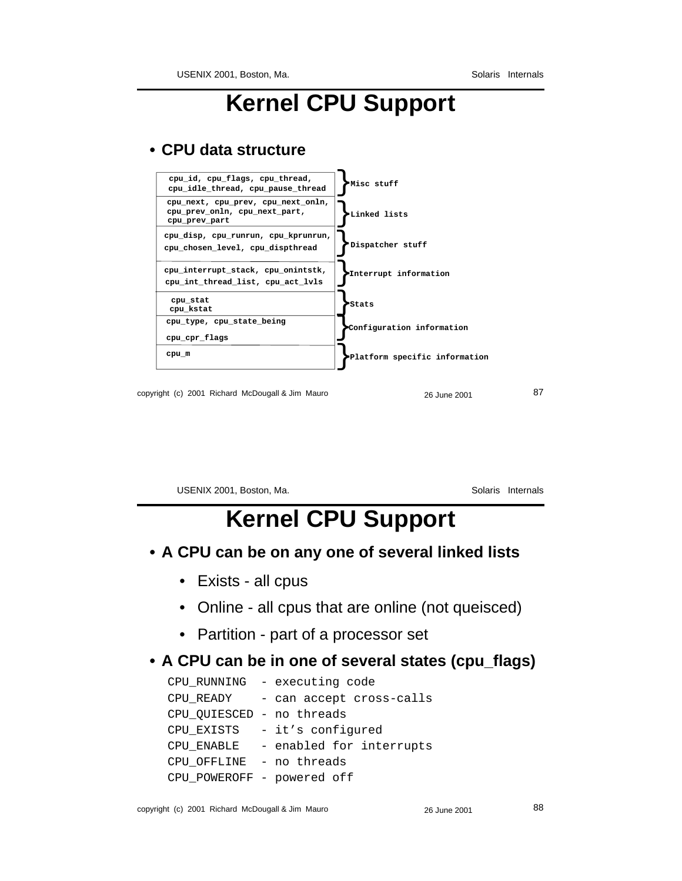# **Kernel CPU Support**

#### **• CPU data structure**

| cpu_id, cpu_flags, cpu_thread,<br>cpu idle thread, cpu pause thread                  | Misc stuff                    |
|--------------------------------------------------------------------------------------|-------------------------------|
| cpu next, cpu prev, cpu next onln,<br>cpu_prev_onln, cpu_next_part,<br>cpu prev part | Linked lists                  |
| cpu disp, cpu runrun, cpu kprunrun,<br>cpu chosen level, cpu dispthread              | Dispatcher stuff              |
| cpu interrupt stack, cpu onintstk,<br>cpu int thread list, cpu act lvls              | Interrupt information         |
| cpu stat<br>cpu kstat                                                                | Stats                         |
| cpu type, cpu state being<br>cpu cpr flags                                           | Configuration information     |
| cpu m                                                                                | Platform specific information |
|                                                                                      |                               |

copyright (c) 2001 Richard McDougall & Jim Mauro 26 June 2001 26 June 2001

USENIX 2001, Boston, Ma. Solaris Internals

# **Kernel CPU Support**

#### **• A CPU can be on any one of several linked lists**

- Exists all cpus
- Online all cpus that are online (not queisced)
- Partition part of a processor set

#### **• A CPU can be in one of several states (cpu\_flags)**

|                            | CPU RUNNING - executing code |
|----------------------------|------------------------------|
| CPU READY                  | - can accept cross-calls     |
| CPU QUIESCED - no threads  |                              |
|                            | CPU EXISTS - it's configured |
| CPU ENABLE                 | - enabled for interrupts     |
| CPU OFFLINE - no threads   |                              |
| CPU_POWEROFF - powered off |                              |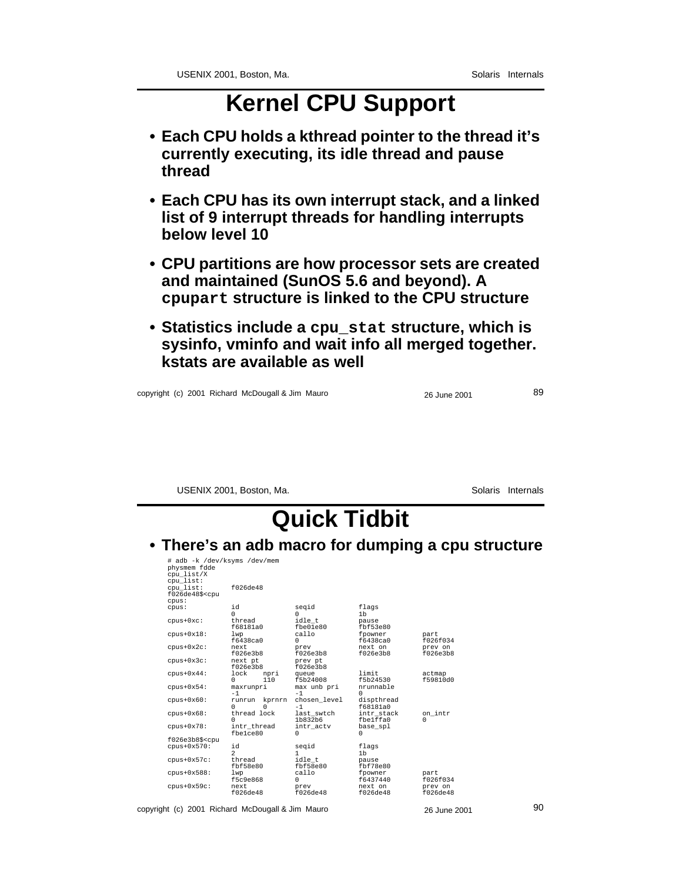# **Kernel CPU Support**

- **Each CPU holds a kthread pointer to the thread it's currently executing, its idle thread and pause thread**
- **Each CPU has its own interrupt stack, and a linked list of 9 interrupt threads for handling interrupts below level 10**
- **CPU partitions are how processor sets are created and maintained (SunOS 5.6 and beyond). A cpupart structure is linked to the CPU structure**
- **Statistics include a cpu\_stat structure, which is sysinfo, vminfo and wait info all merged together. kstats are available as well**

copyright (c) 2001 Richard McDougall & Jim Mauro 26 June 2001 26 June 2001

USENIX 2001, Boston, Ma. Solaris Internals

# **Quick Tidbit**

#### **• There's an adb macro for dumping a cpu structure**

| # adb -k /dev/ksyms /dev/mem                                       |                   |              |                |          |
|--------------------------------------------------------------------|-------------------|--------------|----------------|----------|
| physmem fdde                                                       |                   |              |                |          |
| cpu list/X                                                         |                   |              |                |          |
| cpu list:                                                          |                   |              |                |          |
| cpu list:                                                          | f026de48          |              |                |          |
| f026de48\$ <cpu< td=""><td></td><td></td><td></td><td></td></cpu<> |                   |              |                |          |
| cpus:                                                              |                   |              |                |          |
| cpus:                                                              | id                | segid        | flags          |          |
|                                                                    | U                 | U            | 1 <sub>b</sub> |          |
| $cpus+0xc:$                                                        | thread            | idle t       | pause          |          |
|                                                                    | f68181a0          | fbe01e80     | fbf53e80       |          |
| $cpus+0x18$ :                                                      | lwp               | callo        | fpowner        | part     |
|                                                                    | f6438ca0          | 0            | f6438ca0       | f026f034 |
| $cpus+0x2c$ :                                                      | next              | prev         | next on        | prev on  |
|                                                                    | f026e3b8          | f026e3b8     | f026e3b8       | f026e3b8 |
| $cpus+0x3c$ :                                                      | next pt           | prev pt      |                |          |
|                                                                    | f026e3b8          | f026e3b8     |                |          |
| $cpus+0x44$ :                                                      | lock<br>npri      | queue        | limit          | actmap   |
|                                                                    | 110<br>U          | f5b24008     | f5b24530       | f59810d0 |
| $cpus+0x54$ :                                                      | maxrunpri         | max unb pri  | nrunnable      |          |
|                                                                    | $-1$              | $-1$         | O              |          |
| $cpus+0x60$ :                                                      | kprnrn<br>runrun  | chosen level | dispthread     |          |
|                                                                    | U<br><sup>0</sup> | $-1$         | f68181a0       |          |
| $cpus+0x68$ :                                                      | thread lock       | last swtch   | intr stack     | on_intr  |
|                                                                    | U                 | 1b832b6      | fbe1ffa0       | 0        |
| $cpus+0x78$ :                                                      | intr thread       | intr actv    | base spl       |          |
|                                                                    | fbelce80          | 0            | 0              |          |
| f026e3b8\$ <cpu< td=""><td></td><td></td><td></td><td></td></cpu<> |                   |              |                |          |
| $cpus+0x570$ :                                                     | id                | segid        | flags          |          |
|                                                                    | $\mathfrak{D}$    | 1            | 1 <sub>b</sub> |          |
| $cpus+0x57c$ :                                                     | thread            | idle t       | pause          |          |
|                                                                    | fbf58e80          | fbf58e80     | fbf78e80       |          |
| $cpus+0x588:$                                                      | lwp               | callo        | fpowner        | part     |
|                                                                    | f5c9e868          | 0            | f6437440       | f026f034 |
| $cpus+0x59c$ :                                                     | next.             | prev         | next on        | prev on  |
|                                                                    | f026de48          | f026de48     | f026de48       | f026de48 |

copyright (c) 2001 Richard McDougall & Jim Mauro 26 June 2001 26 June 2001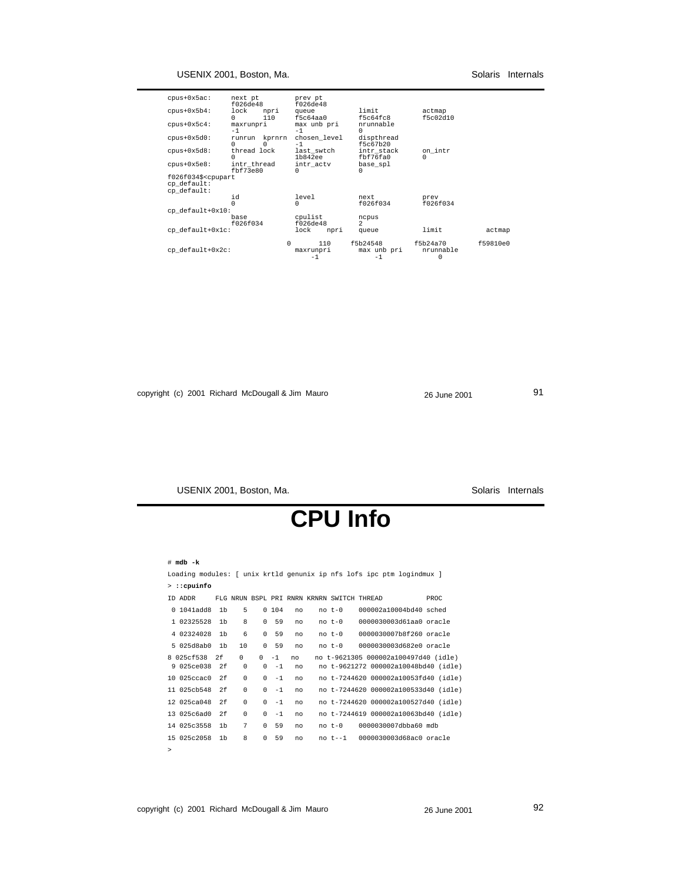| $cpus+0x5ac$ :<br>$cpus+0x5b4$ :                                | next pt<br>f026de48<br>lock<br>npri<br>110<br><sup>0</sup> | prev pt<br>f026de48<br>queue<br>f5c64aa0 | limit<br>f5c64fc8               | actmap<br>f5c02d10         |          |
|-----------------------------------------------------------------|------------------------------------------------------------|------------------------------------------|---------------------------------|----------------------------|----------|
| $cpus+0x5c4$ :                                                  | maxrunpri<br>$-1$                                          | max unb pri<br>$-1$                      | nrunnable<br>U                  |                            |          |
| $cpus+0x5d0$ :                                                  | kprnrn<br>runrun<br><sup>0</sup><br><sup>0</sup>           | chosen level<br>$-1$                     | dispthread<br>f5c67b20          |                            |          |
| $cpus+0x5d8$ :                                                  | thread lock                                                | last swtch<br>1b842ee                    | intr stack<br>fbf76fa0          | on intr<br>U               |          |
| $cpus+0x5e8$ :                                                  | intr thread<br>fbf73e80                                    | intr actv<br>$\Omega$                    | base spl<br>U                   |                            |          |
| f026f034\$ <cpupart<br>cp default:<br/>cp default:</cpupart<br> |                                                            |                                          |                                 |                            |          |
|                                                                 | id                                                         | level<br>0                               | next.<br>f026f034               | prev<br>f026f034           |          |
| cp default+0x10:                                                |                                                            |                                          |                                 |                            |          |
|                                                                 | base<br>f026f034                                           | cpulist<br>f026de48                      | ncpus<br>$\mathfrak{D}$         |                            |          |
| cp default+0x1c:                                                |                                                            | lock<br>npri                             | queue                           | limit                      | actmap   |
| cp default+0x2c:                                                |                                                            | 110<br><sup>n</sup><br>maxrunpri<br>$-1$ | f5b24548<br>max unb pri<br>$-1$ | f5b24a70<br>nrunnable<br>0 | f59810e0 |

copyright (c) 2001 Richard McDougall & Jim Mauro 26 June 2001 26 June 2001

USENIX 2001, Boston, Ma. Subsetting and Solaris Internals

# **CPU Info**

#### # **mdb -k**

|          |                           |                |          |          |        |    |                                            |  | Loading modules: [ unix krtld genunix ip nfs lofs ipc ptm logindmux ] |      |  |
|----------|---------------------------|----------------|----------|----------|--------|----|--------------------------------------------|--|-----------------------------------------------------------------------|------|--|
|          | $\rightarrow$ : : cpuinfo |                |          |          |        |    |                                            |  |                                                                       |      |  |
| TD ADDR  |                           |                |          |          |        |    | FLG NRUN BSPL PRI RNRN KRNRN SWITCH THREAD |  |                                                                       | PROC |  |
| $\Omega$ | $1041a$ dd $8$            | 1 <sub>b</sub> | 5        |          | 0, 104 | no | $no t-0$                                   |  | 000002a10004bd40 sched                                                |      |  |
|          | 1 02325528                | 1 <sub>b</sub> | 8        | $\Omega$ | 59     | no | $no t-0$                                   |  | 0000030003d61aa0 oracle                                               |      |  |
|          | 4 02324028                | 1 <sub>b</sub> | 6        | $\Omega$ | 59     | no | $no t-0$                                   |  | 0000030007b8f260 oracle                                               |      |  |
|          | 5 025d8ab0                | 1 <sub>b</sub> | 10       | $\Omega$ | 59     | no | $no t-0$                                   |  | 0000030003d682e0 oracle                                               |      |  |
|          | 8 025cf538                | 2f             | $\Omega$ | $\Omega$ | $-1$   | no |                                            |  | no t-9621305 000002a100497d40 (idle)                                  |      |  |
|          | 9 025ce038                | 2f             | 0        | $\Omega$ | $-1$   | no |                                            |  | no t-9621272 000002a10048bd40 (idle)                                  |      |  |
|          | $10,025cc$ ac $0$         | 2f             | 0        | $\Omega$ | $-1$   | no |                                            |  | no t-7244620 000002a10053fd40 (idle)                                  |      |  |
|          | 11 025cb548               | 2f             | 0        | $\Omega$ | $-1$   | no |                                            |  | no t-7244620 000002a100533d40 (idle)                                  |      |  |
|          | 12 025ca048               | 2f             | 0        | $\Omega$ | $-1$   | no |                                            |  | no t-7244620 000002a100527d40 (idle)                                  |      |  |
|          | 13 025c6ad0               | 2f             | 0        | 0        | $-1$   | no |                                            |  | no t-7244619 000002a10063bd40 (idle)                                  |      |  |
|          | 14 025c3558               | 1 <sub>b</sub> | 7        | $\Omega$ | 59     | no | $no t-0$                                   |  | 0000030007dbba60 mdb                                                  |      |  |
|          | 15 025c2058               | 1b             | 8        | $\Omega$ | 59     | no |                                            |  | no t--1 0000030003d68ac0 oracle                                       |      |  |
| $\geq$   |                           |                |          |          |        |    |                                            |  |                                                                       |      |  |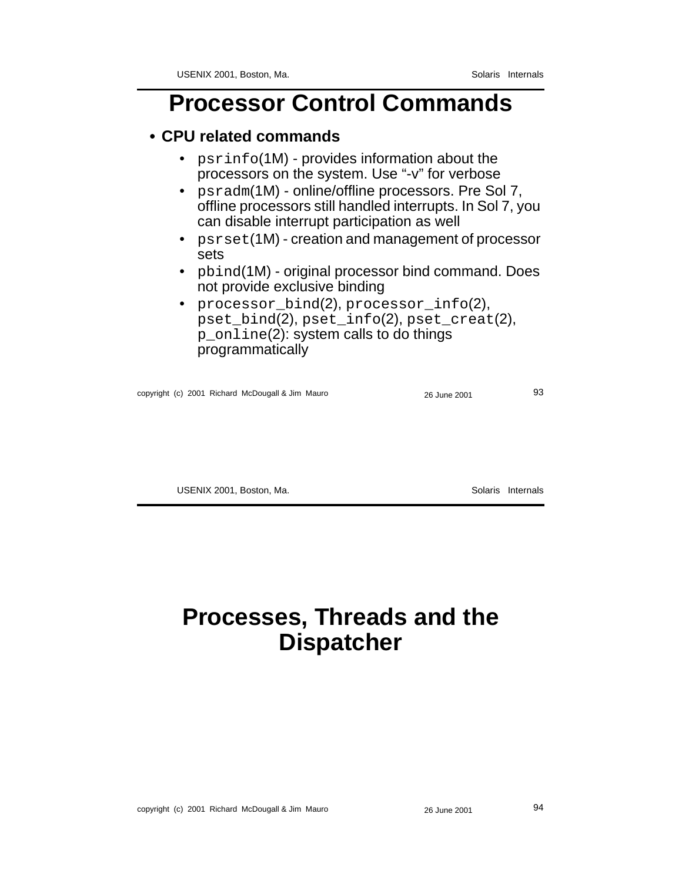# **Processor Control Commands**

#### **• CPU related commands**

- psrinfo(1M) provides information about the processors on the system. Use "-v" for verbose
- psradm(1M) online/offline processors. Pre Sol 7, offline processors still handled interrupts. In Sol 7, you can disable interrupt participation as well
- psrset(1M) creation and management of processor sets
- pbind(1M) original processor bind command. Does not provide exclusive binding
- processor\_bind(2), processor\_info(2), pset\_bind(2), pset\_info(2), pset\_creat(2), p\_online(2): system calls to do things programmatically

copyright (c) 2001 Richard McDougall & Jim Mauro 26 June 2001 26 June 2001

USENIX 2001, Boston, Ma. Solaris Internals

### **Processes, Threads and the Dispatcher**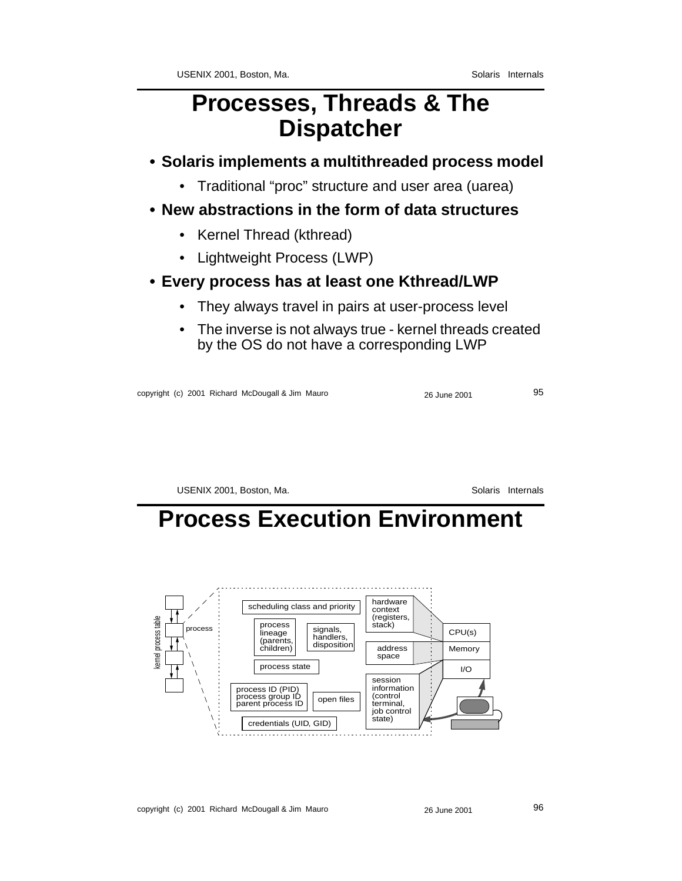### **Processes, Threads & The Dispatcher**

#### **• Solaris implements a multithreaded process model**

- Traditional "proc" structure and user area (uarea)
- **New abstractions in the form of data structures**
	- Kernel Thread (kthread)
	- Lightweight Process (LWP)
- **Every process has at least one Kthread/LWP**
	- They always travel in pairs at user-process level
	- The inverse is not always true kernel threads created by the OS do not have a corresponding LWP

copyright (c) 2001 Richard McDougall & Jim Mauro 26 June 2001 26 June 2001

USENIX 2001, Boston, Ma. Solaris Internals

# **Process Execution Environment**

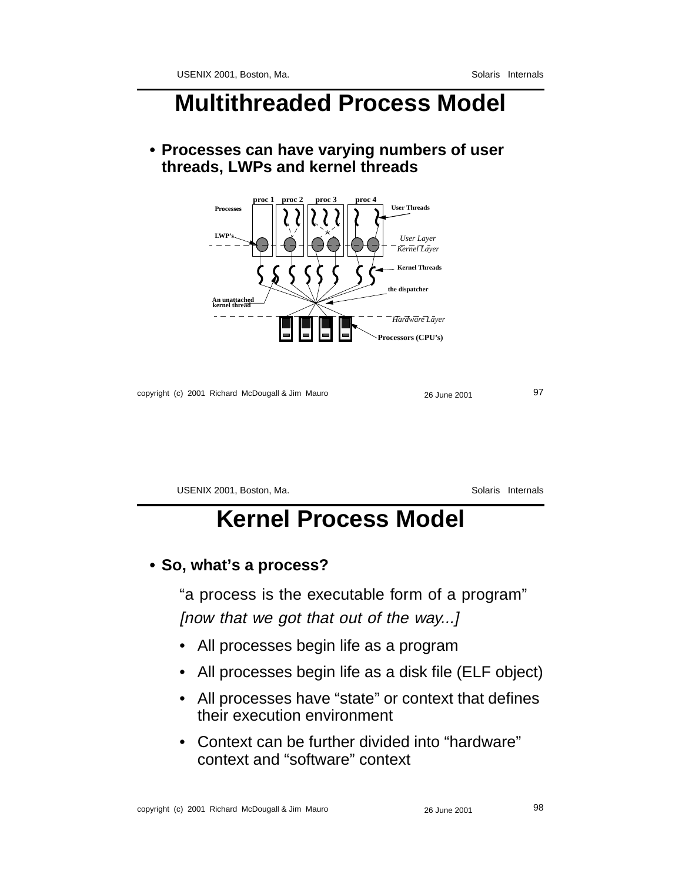### **Multithreaded Process Model**

**• Processes can have varying numbers of user threads, LWPs and kernel threads**



copyright (c) 2001 Richard McDougall & Jim Mauro 26 June 2001 26 June 2001

USENIX 2001, Boston, Ma. Solaris Internals **Kernel Process Model**

#### **• So, what's a process?**

"a process is the executable form of a program"

[now that we got that out of the way...]

- All processes begin life as a program
- All processes begin life as a disk file (ELF object)
- All processes have "state" or context that defines their execution environment
- Context can be further divided into "hardware" context and "software" context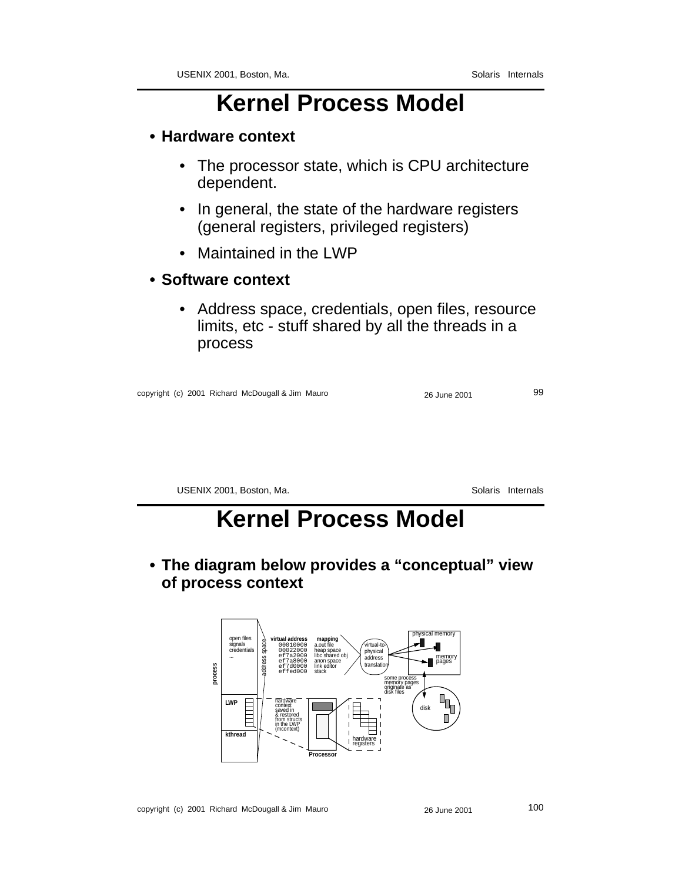- **Hardware context**
	- The processor state, which is CPU architecture dependent.
	- In general, the state of the hardware registers (general registers, privileged registers)
	- Maintained in the LWP

#### **• Software context**

• Address space, credentials, open files, resource limits, etc - stuff shared by all the threads in a process

| copyright (c) 2001 Richard McDougall & Jim Mauro | 26 June 2001 | 99 |
|--------------------------------------------------|--------------|----|
|                                                  |              |    |

USENIX 2001, Boston, Ma. Solaris Internals

### **Kernel Process Model**

**• The diagram below provides a "conceptual" view of process context**

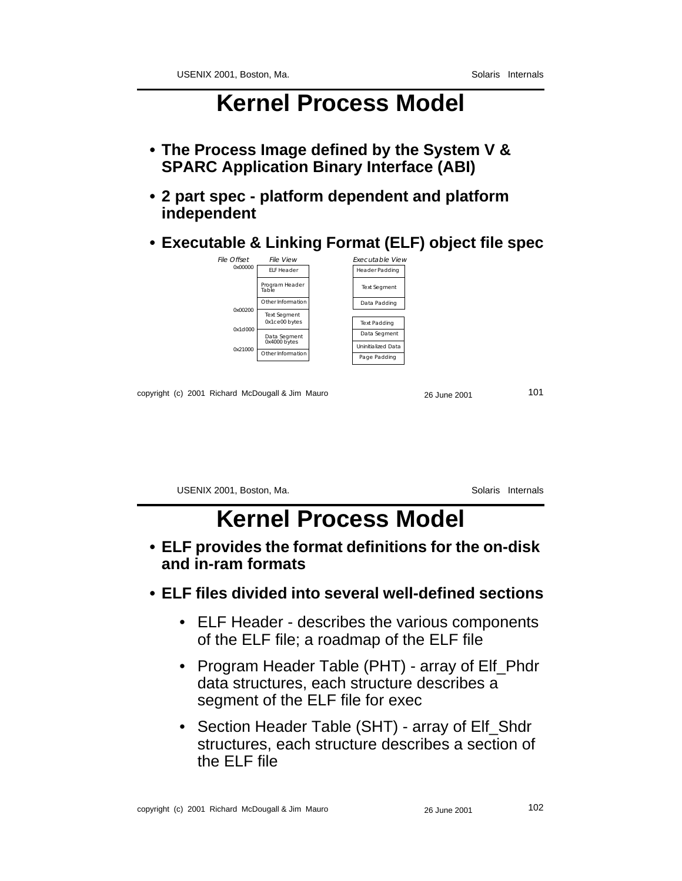- **The Process Image defined by the System V & SPARC Application Binary Interface (ABI)**
- **2 part spec platform dependent and platform independent**
- **Executable & Linking Format (ELF) object file spec**



copyright (c) 2001 Richard McDougall & Jim Mauro 26 June 2001 26 June 2001 101

USENIX 2001, Boston, Ma. Solaris Internals

### **Kernel Process Model**

- **ELF provides the format definitions for the on-disk and in-ram formats**
- **ELF files divided into several well-defined sections**
	- ELF Header describes the various components of the ELF file; a roadmap of the ELF file
	- Program Header Table (PHT) array of Elf Phdr data structures, each structure describes a segment of the ELF file for exec
	- Section Header Table (SHT) array of Elf\_Shdr structures, each structure describes a section of the ELF file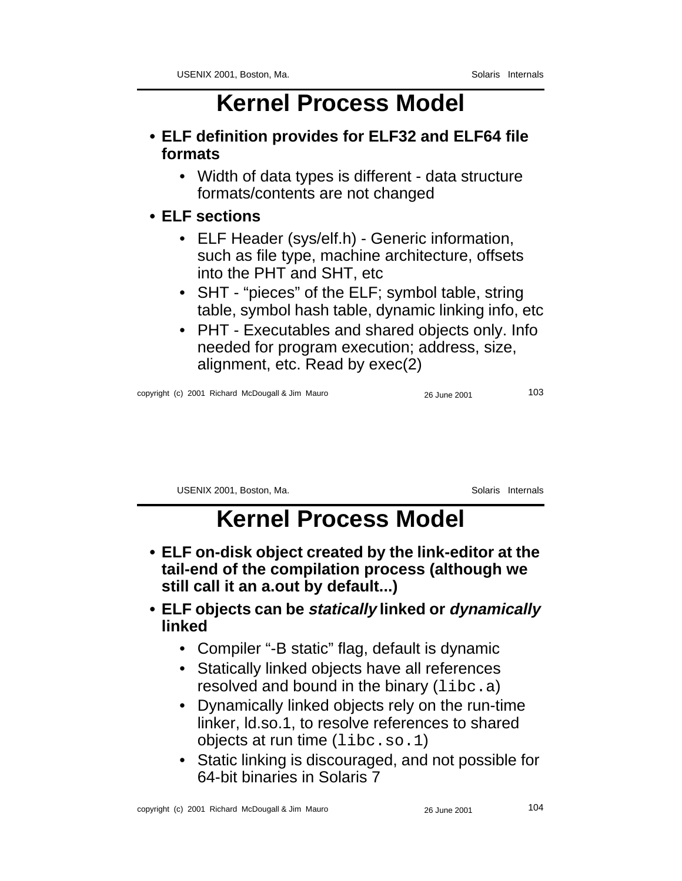- **ELF definition provides for ELF32 and ELF64 file formats**
	- Width of data types is different data structure formats/contents are not changed
- **ELF sections**
	- ELF Header (sys/elf.h) Generic information, such as file type, machine architecture, offsets into the PHT and SHT, etc
	- SHT "pieces" of the ELF; symbol table, string table, symbol hash table, dynamic linking info, etc
	- PHT Executables and shared objects only. Info needed for program execution; address, size, alignment, etc. Read by exec(2)

copyright (c) 2001 Richard McDougall & Jim Mauro 26 June 2001 26 June 2001 103

USENIX 2001, Boston, Ma. Solaris Internals

# **Kernel Process Model**

- **ELF on-disk object created by the link-editor at the tail-end of the compilation process (although we still call it an a.out by default...)**
- **ELF objects can be statically linked or dynamically linked**
	- Compiler "-B static" flag, default is dynamic
	- Statically linked objects have all references resolved and bound in the binary  $(libe.a)$
	- Dynamically linked objects rely on the run-time linker, ld.so.1, to resolve references to shared objects at run time (libc.so.1)
	- Static linking is discouraged, and not possible for 64-bit binaries in Solaris 7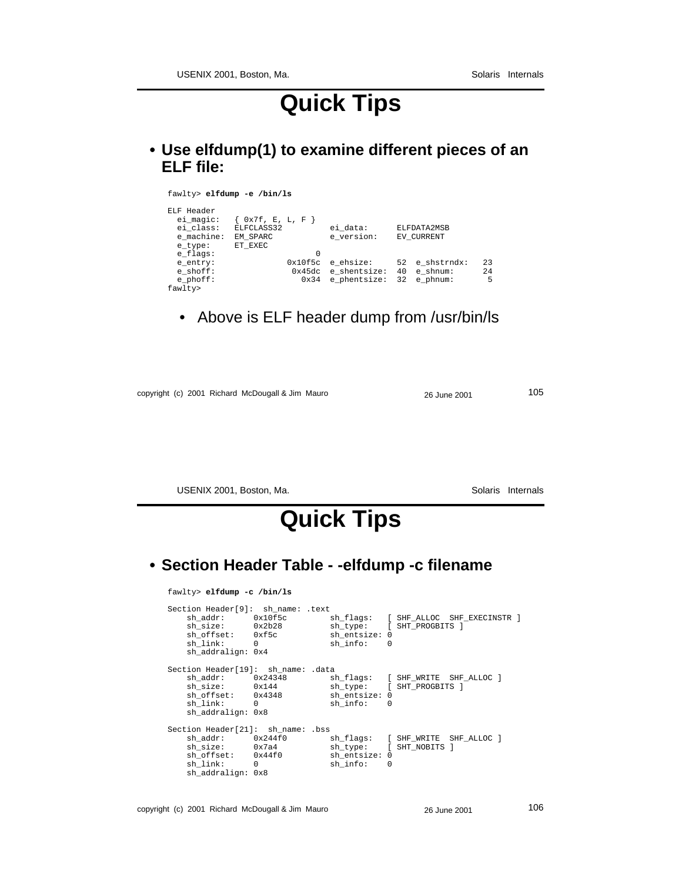# **Quick Tips**

**• Use elfdump(1) to examine different pieces of an ELF file:**

| fawlty> elfdump -e /bin/ls                                                |                                                         |                                           |                                                    |                |
|---------------------------------------------------------------------------|---------------------------------------------------------|-------------------------------------------|----------------------------------------------------|----------------|
| ELF Header<br>ei magic:<br>ei class:<br>e machine:<br>e type:<br>e flags: | 0x7f, E, L, F<br>ELFCLASS32<br>EM SPARC<br>ET EXEC<br>0 | ei data:<br>e version:                    | ELFDATA2MSB<br>EV CURRENT                          |                |
| e entry:<br>$e$ shoff:<br>$e$ phoff:<br>fawlty>                           | 0x10f5c<br>0x45dc<br>0x34                               | e ehsize:<br>e shentsize:<br>e phentsize: | 52 e shstrndx:<br>40<br>e shnum:<br>32<br>e phnum: | 23<br>2.4<br>5 |

• Above is ELF header dump from /usr/bin/ls

copyright (c) 2001 Richard McDougall & Jim Mauro 26 June 2001 26 June 2001

USENIX 2001, Boston, Ma. Solaris Internals

# **Quick Tips**

#### **• Section Header Table - -elfdump -c filename**

fawlty> **elfdump -c /bin/ls**

| Section Header[9]: sh name: .text  |                                                                                  |                                        |                                                                   |
|------------------------------------|----------------------------------------------------------------------------------|----------------------------------------|-------------------------------------------------------------------|
| sh link: 0<br>sh addralign: 0x4    | sh addr: 0x10f5c<br>sh size: 0x2b28<br>sh offset: 0xf5c sh entsize: 0            | $\sin$ info: $\theta$                  | sh_flags: [SHF_ALLOC SHF_EXECINSTR ]<br>sh_type: [ SHT_PROGBITS ] |
| Section Header[19]: sh_name: .data |                                                                                  |                                        |                                                                   |
| sh link: 0<br>sh addralign: 0x8    | sh addr: 0x24348<br>sh size: 0x144 sh type: [SHT PROGBITS ]<br>sh_offset: 0x4348 | sh entsize: 0<br>$\sin$ info: $\theta$ | sh_flags: [SHF_WRITE SHF_ALLOC ]                                  |
| Section Header[21]: sh name: .bss  |                                                                                  |                                        |                                                                   |
| sh link: 0<br>sh addralign: 0x8    | sh addr: 0x244f0<br>sh size: 0x7a4<br>sh offset: 0x44f0                          | sh entsize: 0<br>$\sin$ info: $\theta$ | sh flags: [ SHF WRITE SHF ALLOC ]<br>sh type: [ SHT NOBITS ]      |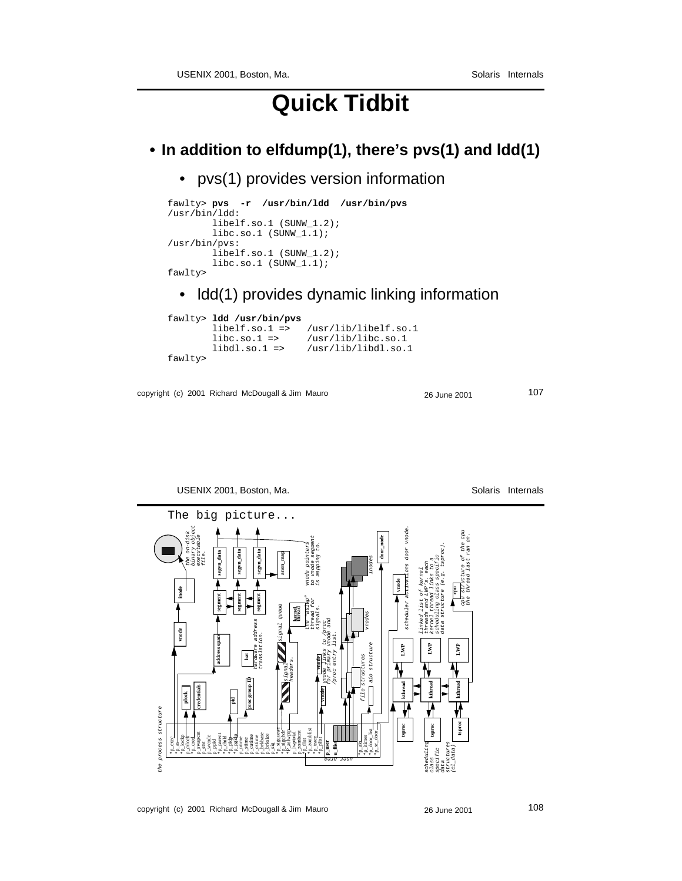# **Quick Tidbit**

#### **• In addition to elfdump(1), there's pvs(1) and ldd(1)**

• pvs(1) provides version information

```
fawlty> pvs -r /usr/bin/ldd /usr/bin/pvs
/usr/bin/ldd:
       libelf.so.1 (SUNW 1.2);
       libc.so.1 (SUMW_1.1);/usr/bin/pvs:
        libelf.so.1 (SUNW_1.2);
        libc.so.1 (SUNW_1.1);
fawlty>
```
#### • ldd(1) provides dynamic linking information

```
fawlty> ldd /usr/bin/pvs
 libelf.so.1 => /usr/lib/libelf.so.1
 libc.so.1 => /usr/lib/libc.so.1
       libdl.so.1 => /usr/lib/libdl.so.1
fawlty>
```

```
copyright (c) 2001 Richard McDougall & Jim Mauro 26 June 2001 26 June 2001
```

```
USENIX 2001, Boston, Ma. Solaris Internals
          The big picture... binary object
                                                                                                                                                                                                                                                                                                       scheduler activations door vnode.
                                                                                                                                                                                                                                                                                                                                                                          cpu structure of the cpu
                                  the on-disk
                                                                                                                                                                                                                                                                                                                                                                                the thread last ran on.
                                               executable
                                                                                                                                                                                       to vnode segment
                                                                                                                                                                                                                                                                         door_node
                                                                                                                                                                                vnode pointers
                                                                                                                                                                                             is mapping to.
                                                                                                                                                                                                                                                                                                                                                 data structure (e.g. tsproc).
                                                                                               segvn_data
                                                                                                                       segvn_data
                                                                       segvn_data
                                                     file.
                                                                                                                                                    anon_map
                                                                                                                                                                                                                                                                                                                                           scheduling class specific
                                                                                                                                                                                                                                                            inodes
                                                                                                                                                                                                                                                                                                                                     kernel thread links to a
                                                                                                                                                                                                                                                                                                                              threads and LWP's. each
                                                                                                                                                                                                                                                                                                                        linked list of kernel
                                                                                                                                                                                                                                                                                           vnode
                         inode
                                                                                                                                                                                                                                                                                                                                                                 cpu
                                                                       segment
                                                                                               segment
                                                                                                                      segment
                                                                                                                                                                                the "aslwp"
                                                                                                                                                                                       thread for
                                                                                                                                                signal queue
                                                                                                                                                                  kernel thread
                                                                                                                                                                                             signals.
                                                                                                                                                                                                                                                       vnodes
                                                                                                                                                                                                          for primary vnode and
                                                                                                                   hardware address
                                                                                                                                                                                                  vnode vnode links to /proc
                       vnode
                                                                                                                         translation.
                                                                                                                                                                                                                /proc entry list.
                                                                      address space
                                                                                                                                                                                                                                                                                                LWP
                                                                                                                                                                                                                                                                                                                                LWP
                                                                                                                                                                                                                                                            aio structure
                                                                                                                                                                                                                                                                                                                                                                  LWP
                                                                                                        hat
                                                                                                                                                                                                                                                   file structures
                                                                                                                                                                                              vnode
                                                                                                                                                             headers.
                                                                                                                                                       signal
                                                                                                           proc group ID
                                                                                                                                                                                                                                                                                                   kthread
                                                                                                                                                                                                                                                                                                                                   kthread
                                                                                                                                                                                                                                                                                                                                                                    kthread
                                               credentials
                               plock
                                                                                       pid
 the process structure
                                                                                                                                                                                                                                                                                                                                                                      tsproc
                                                                                                                                                                                                                                                                                                   tsproc
                                                                                                                                                                                                                                                                                                                                     tsproc
               *p_exec *p_as *p_lockp p_crlock *p_cred p_swapcnt p_stat p_wcode p_ppid *p_parent *p_child *p_pidp *p_pgidp p_utime p_stime p_cutime p_cstime p_brkbase p_brksize p_sig *p_sigqueue *p_sigqhdr p_lwptotal
                                                                                                                                                                                   *p_zomblist
                                                                                                                                                                                                                                                            *p_door_list
                                                                                                                                                          *P_aslwptp
                                                                                                                                                                      p_zombcnt
                                                                                                                                                                                                                                                                  *p_sc_door
                                                                                                                                                                                                                                                     *p_itimer
                                                                                                                                                                                         *p_trace
                                                                                                                                                                                                *p_plist
                                                                                                                                                                             *p_tlist
                                                                                                                                                                                                         p_user
                                                                                                                                                                                                                 u_flist
                                                                                                                                                                                                                                               *p_aio
                                                                                                                                                                                                                                                                                                                              scheduling
                                                                                                                                                                                                                                                                                                                                                        structures
                                                                                                                                                                                                                                                                                                                                                              (cl_data)specific
                                                                                                                                                                                                       user area
                                                                                                                                                                                                                                                                                                                                     class
                                                                                                                                                                                                                                                                                                                                                  data
he
```
copyright (c) 2001 Richard McDougall & Jim Mauro 26 June 2001 26 June 2001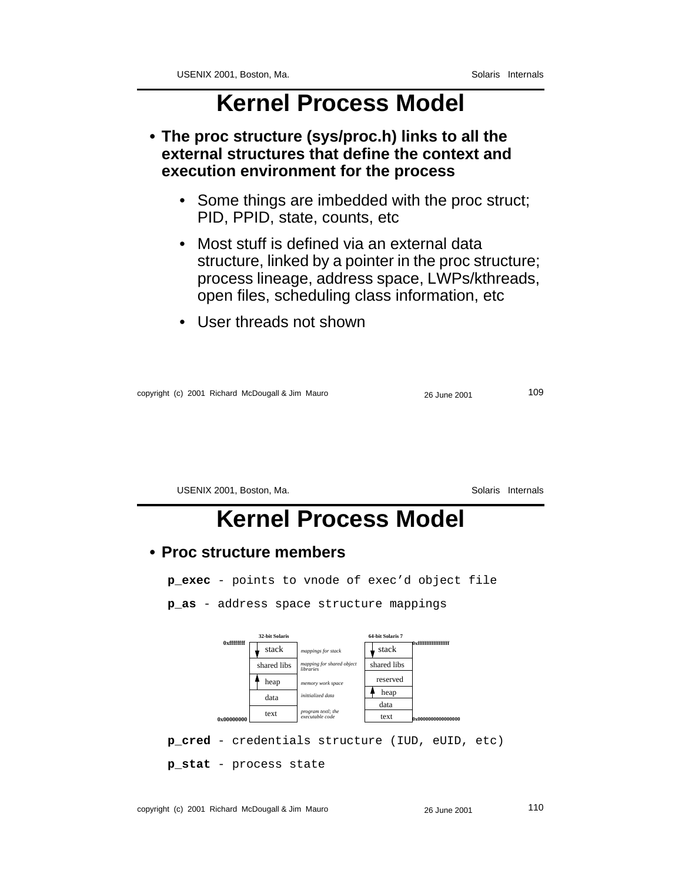**• The proc structure (sys/proc.h) links to all the external structures that define the context and execution environment for the process**

- Some things are imbedded with the proc struct; PID, PPID, state, counts, etc
- Most stuff is defined via an external data structure, linked by a pointer in the proc structure; process lineage, address space, LWPs/kthreads, open files, scheduling class information, etc
- User threads not shown

| copyright (c) 2001 Richard McDougall & Jim Mauro | 26 June 2001 | 109 |
|--------------------------------------------------|--------------|-----|
|                                                  |              |     |

USENIX 2001, Boston, Ma. Solaris Internals

### **Kernel Process Model**

#### **• Proc structure members**

**p\_exec** - points to vnode of exec'd object file

**p\_as** - address space structure mappings



**p\_cred** - credentials structure (IUD, eUID, etc)

**p\_stat** - process state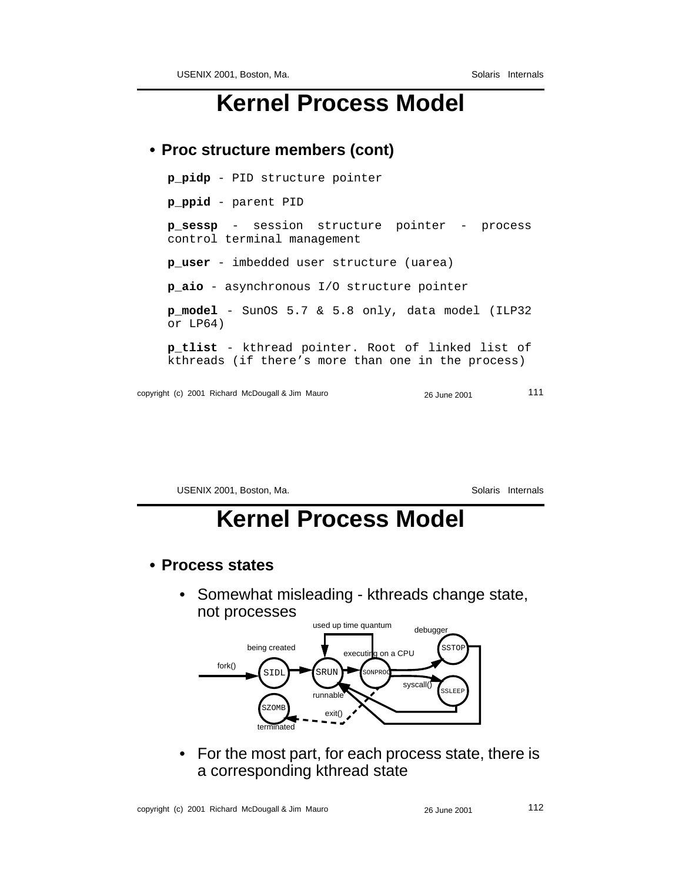#### **• Proc structure members (cont)**

copyright (c) 2001 Richard McDougall & Jim Mauro 26 June 2001 111 **p\_pidp** - PID structure pointer **p\_ppid** - parent PID **p\_sessp** - session structure pointer - process control terminal management **p\_user** - imbedded user structure (uarea) **p\_aio** - asynchronous I/O structure pointer **p\_model** - SunOS 5.7 & 5.8 only, data model (ILP32 or LP64) **p\_tlist** - kthread pointer. Root of linked list of kthreads (if there's more than one in the process)

USENIX 2001, Boston, Ma. Solaris Internals

# **Kernel Process Model**

- **Process states**
	- Somewhat misleading kthreads change state, not processes



• For the most part, for each process state, there is a corresponding kthread state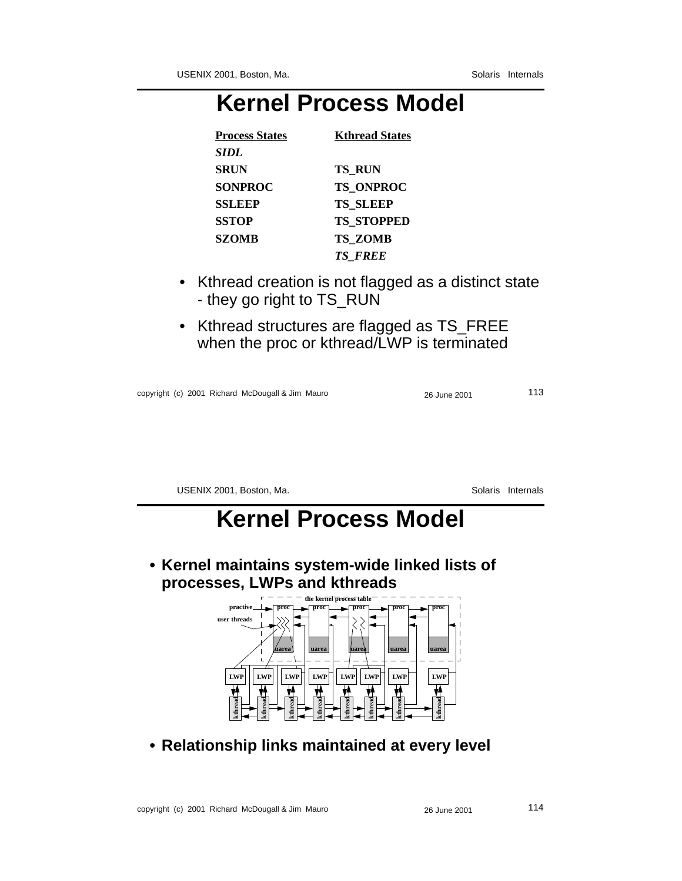| <b>Process States</b> | <b>Kthread States</b> |
|-----------------------|-----------------------|
| SIDL                  |                       |
| <b>SRUN</b>           | <b>TS RUN</b>         |
| <b>SONPROC</b>        | <b>TS ONPROC</b>      |
| <b>SSLEEP</b>         | <b>TS SLEEP</b>       |
| <b>SSTOP</b>          | <b>TS STOPPED</b>     |
| <b>SZOMB</b>          | <b>TS ZOMB</b>        |
|                       | <b>TS FREE</b>        |

- Kthread creation is not flagged as a distinct state - they go right to TS\_RUN
- Kthread structures are flagged as TS\_FREE when the proc or kthread/LWP is terminated

copyright (c) 2001 Richard McDougall & Jim Mauro 26 June 2001 26 June 2001

USENIX 2001, Boston, Ma. Solaris Internals

# **Kernel Process Model**

**• Kernel maintains system-wide linked lists of processes, LWPs and kthreads**



**• Relationship links maintained at every level**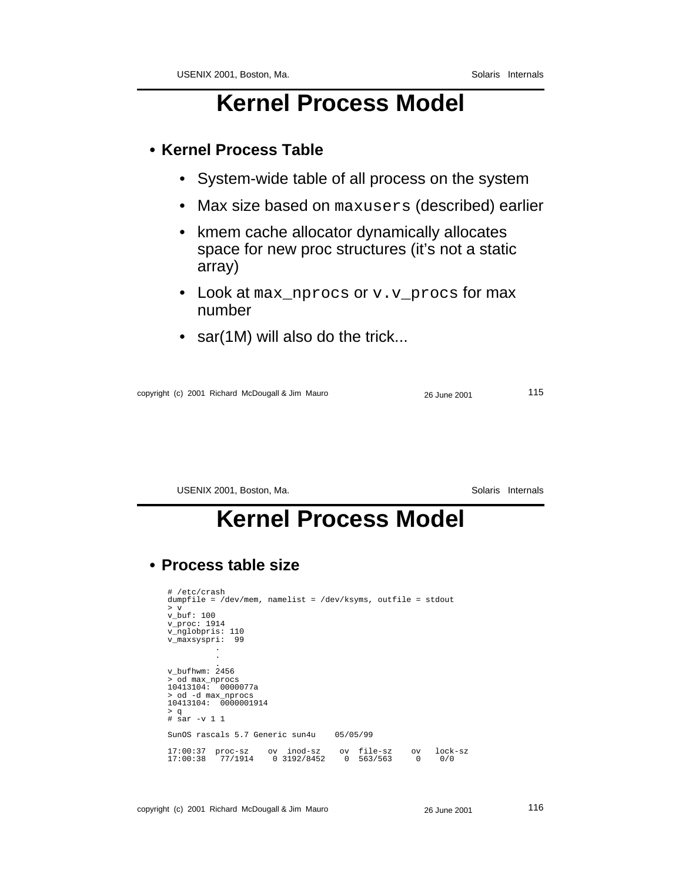#### **• Kernel Process Table**

- System-wide table of all process on the system
- Max size based on maxusers (described) earlier
- kmem cache allocator dynamically allocates space for new proc structures (it's not a static array)
- Look at max\_nprocs or v.v\_procs for max number
- sar(1M) will also do the trick...

copyright (c) 2001 Richard McDougall & Jim Mauro 26 June 2001 115

USENIX 2001, Boston, Ma. Solaris Internals

### **Kernel Process Model**

#### **• Process table size**

```
# /etc/crash
dumpfile = /dev/mem, namelist = /dev/ksyms, outfile = stdout
> v
v_buf: 100
v_proc: 1914
v_nglobpris: 110
v_maxsyspri: 99
              .
              .
. v_bufhwm: 2456
> od max_nprocs
10413104: 0000077a
> od -d max_nprocs
10413104: 0000001914
> q
# sar -v 1 1
SunOS rascals 5.7 Generic sun4u 05/05/99
17:00:37 proc-sz ov inod-sz ov file-sz ov lock-sz
17:00:38 77/1914 0 3192/8452 0 563/563 0 0/0
```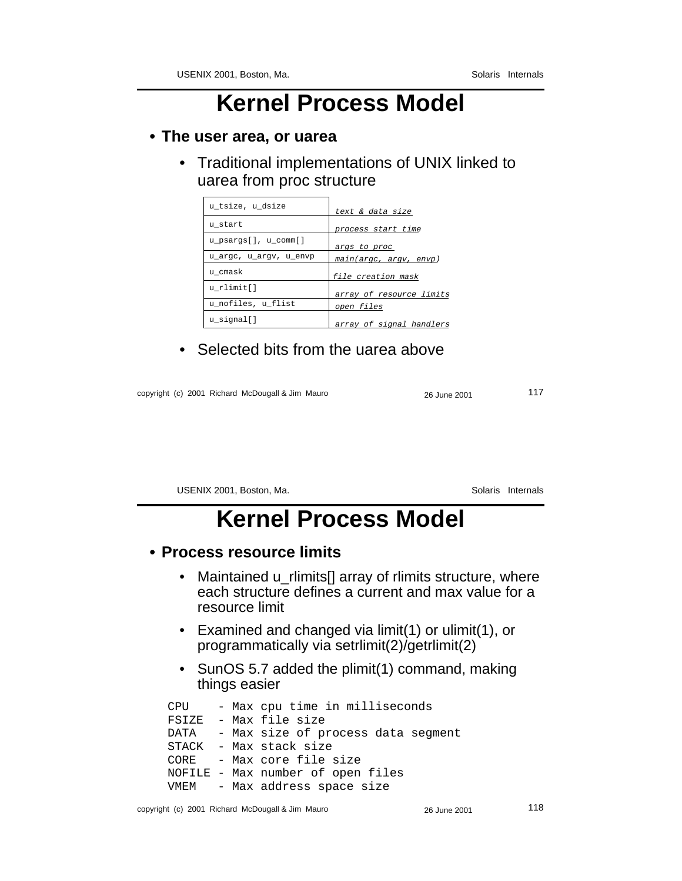#### **• The user area, or uarea**

• Traditional implementations of UNIX linked to uarea from proc structure

| u tsize, u dsize       | text & data size         |
|------------------------|--------------------------|
| u start                | process start time       |
| u_psargs[], u_comm[]   | args to proc             |
| u_argc, u_argv, u_envp | main(argc, argv, envp)   |
| u cmask                | file creation mask       |
| u rlimit[]             | array of resource limits |
| u_nofiles, u_flist     | open files               |
| u signal[]             | array of signal handlers |

• Selected bits from the uarea above

copyright (c) 2001 Richard McDougall & Jim Mauro 26 June 2001 117

USENIX 2001, Boston, Ma. Solaris Internals

# **Kernel Process Model**

#### **• Process resource limits**

- Maintained u\_rlimits<sup>[]</sup> array of rlimits structure, where each structure defines a current and max value for a resource limit
- Examined and changed via limit(1) or ulimit(1), or programmatically via setrlimit(2)/getrlimit(2)
- SunOS 5.7 added the plimit(1) command, making things easier

CPU - Max cpu time in milliseconds FSIZE - Max file size DATA - Max size of process data segment STACK - Max stack size CORE - Max core file size NOFILE - Max number of open files VMEM - Max address space size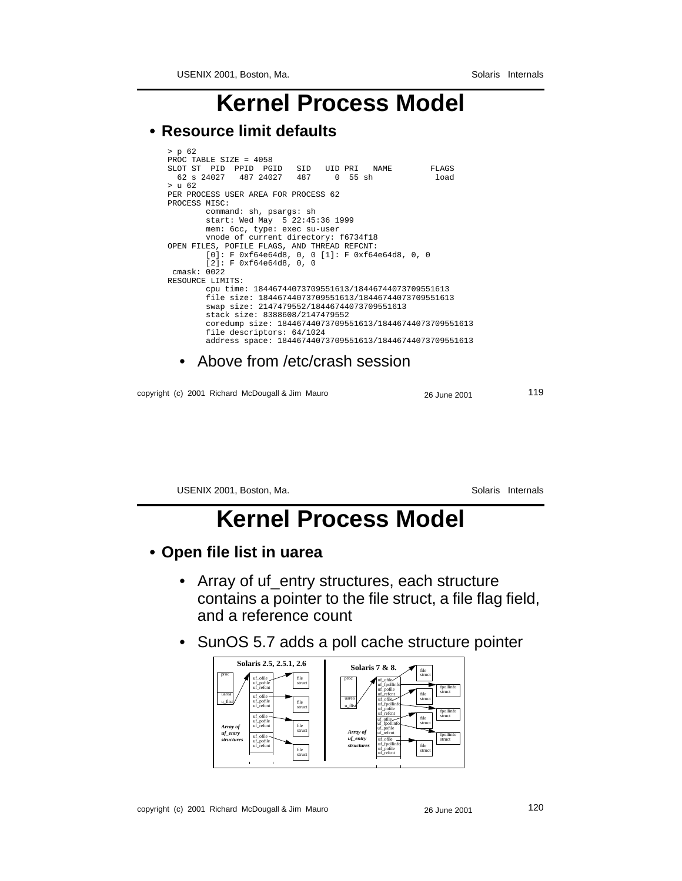USENIX 2001, Boston, Ma. Solaris Internals

### **Kernel Process Model**

#### **• Resource limit defaults**

```
> p 62
PROC TABLE SIZE = 4058
SLOT ST PID PPID PGID SID UID PRI NAME FLAGS
 62 s 24027 487 24027 487 0 55 sh load
> u 62
PER PROCESS USER AREA FOR PROCESS 62
PROCESS MISC:
         command: sh, psargs: sh
 start: Wed May 5 22:45:36 1999
 mem: 6cc, type: exec su-user
          vnode of current directory: f6734f18
OPEN FILES, POFILE FLAGS, AND THREAD REFCNT:
         [0]: F 0xf64e64d8, 0, 0 [1]: F 0xf64e64d8, 0, 0
          [2]: F 0xf64e64d8, 0, 0
  cmask: 0022
RESOURCE LIMITS:
          cpu time: 18446744073709551613/18446744073709551613
         file size: 18446744073709551613/18446744073709551613
          swap size: 2147479552/18446744073709551613
          stack size: 8388608/2147479552
          coredump size: 18446744073709551613/18446744073709551613
          file descriptors: 64/1024
          address space: 18446744073709551613/18446744073709551613
```
• Above from /etc/crash session

copyright (c) 2001 Richard McDougall & Jim Mauro 26 June 2001 119

USENIX 2001, Boston, Ma. Solaris Internals

### **Kernel Process Model**

#### **• Open file list in uarea**

- Array of uf\_entry structures, each structure contains a pointer to the file struct, a file flag field, and a reference count
- SunOS 5.7 adds a poll cache structure pointer

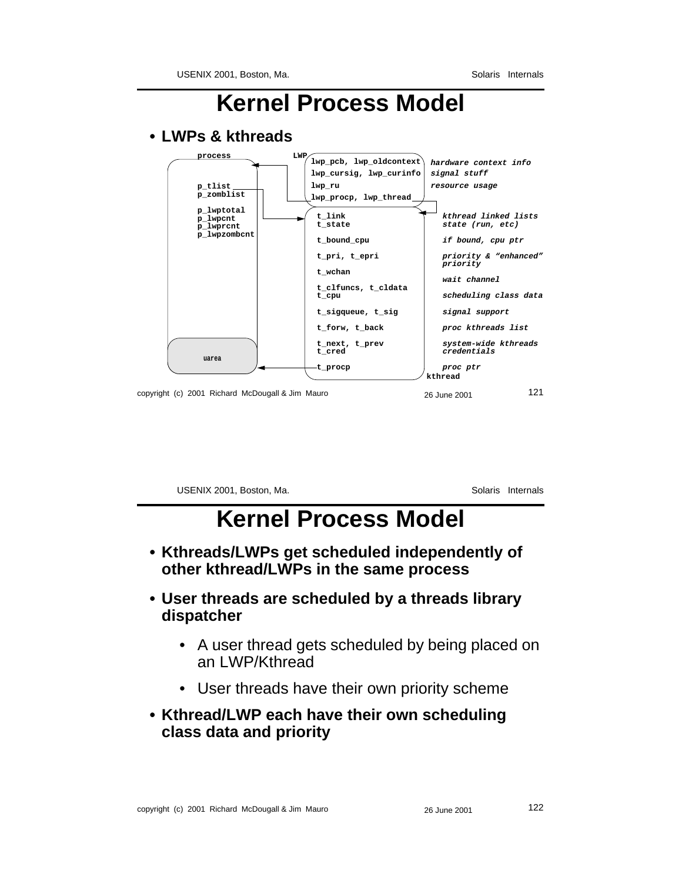#### copyright (c) 2001 Richard McDougall & Jim Mauro 26 June 2001 121 **• LWPs & kthreads uarea process LWP kthread p\_tlist p\_zomblist p\_lwptotal p\_lwpcnt p\_lwprcnt p\_lwpzombcnt lwp\_pcb, lwp\_oldcontext lwp\_cursig, lwp\_curinfo lwp\_ru lwp\_procp, lwp\_thread hardware context info resource usage signal stuff t\_link t\_state t\_bound\_cpu t\_pri, t\_epri t\_wchan t\_clfuncs, t\_cldata t\_cpu t\_sigqueue, t\_sig t\_forw, t\_back t\_next, t\_prev t\_cred t\_procp kthread linked lists state (run, etc) if bound, cpu ptr priority & "enhanced" priority wait channel scheduling class data signal support proc kthreads list system-wide kthreads credentials proc ptr**

**Kernel Process Model**

USENIX 2001, Boston, Ma. Solaris Internals

### **Kernel Process Model**

- **Kthreads/LWPs get scheduled independently of other kthread/LWPs in the same process**
- **User threads are scheduled by a threads library dispatcher**
	- A user thread gets scheduled by being placed on an LWP/Kthread
	- User threads have their own priority scheme
- **Kthread/LWP each have their own scheduling class data and priority**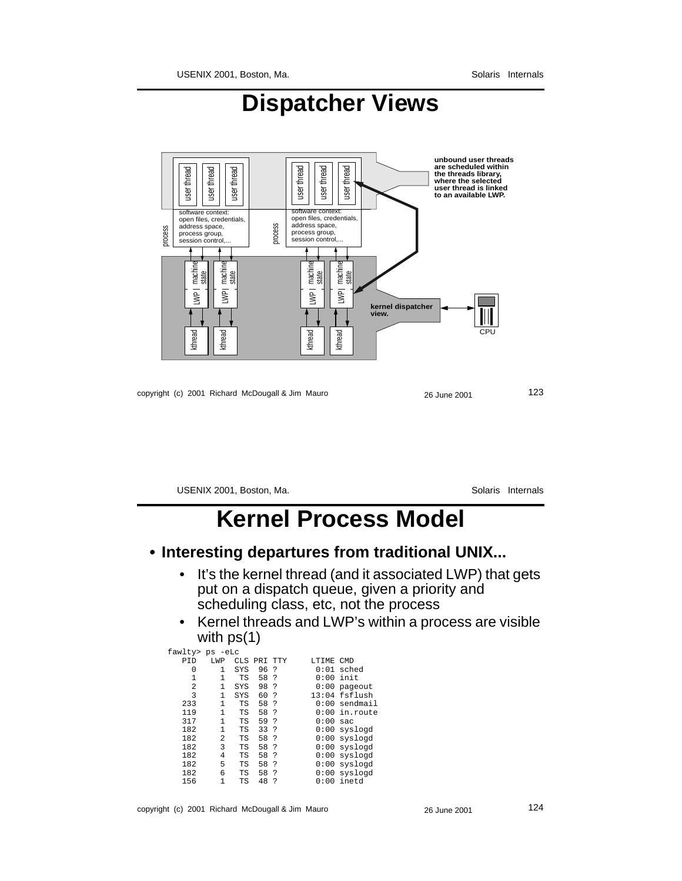

### **Dispatcher Views**

copyright (c) 2001 Richard McDougall & Jim Mauro 26 June 2001 26 June 2001

USENIX 2001, Boston, Ma. Solaris Internals

### **Kernel Process Model**

#### **• Interesting departures from traditional UNIX...**

- It's the kernel thread (and it associated LWP) that gets put on a dispatch queue, given a priority and scheduling class, etc, not the process
- Kernel threads and LWP's within a process are visible with ps(1)

| fawlty> ps<br>-eLc<br><b>LWP</b> |     |      |     |           |            |
|----------------------------------|-----|------|-----|-----------|------------|
|                                  |     |      |     |           |            |
|                                  |     | PRT  | TTY | LTIME.    | <b>CMD</b> |
| 1                                | SYS | 96   | 2   | 0:01      | sched      |
| 1                                | ТS  | 58   | ?   | 0:00      | init       |
| 1                                | SYS | 98   | 2   | 0:00      | pageout    |
| 1                                | SYS | 60   | ?   | 13:04     | fsflush    |
| 1                                | TS  | 58   | ?   | 0:00      | sendmail   |
| 1                                | TS  | 58   | ?   | 0:00      | in.route   |
| 1                                | ТS  | 59   | ?   | 0:00      | sac        |
| 1                                | ТS  | 33   | ?   | 0:00      | syslogd    |
| 2                                | ТS  | 58   | ?   | 0:00      | syslogd    |
| 3                                | TS  | 58   | ?   | 0:00      | syslogd    |
| 4                                | ТS  | 58   | 2   | 0:00      | syslogd    |
| 5                                | TS  | 58   | ?   | 0:00      | syslogd    |
| 6                                | TS  | 58   | 2   | 0:00      | syslogd    |
| 1                                | ТS  | 48   | 2   | : 00<br>U | inetd      |
|                                  |     | CLS. |     |           |            |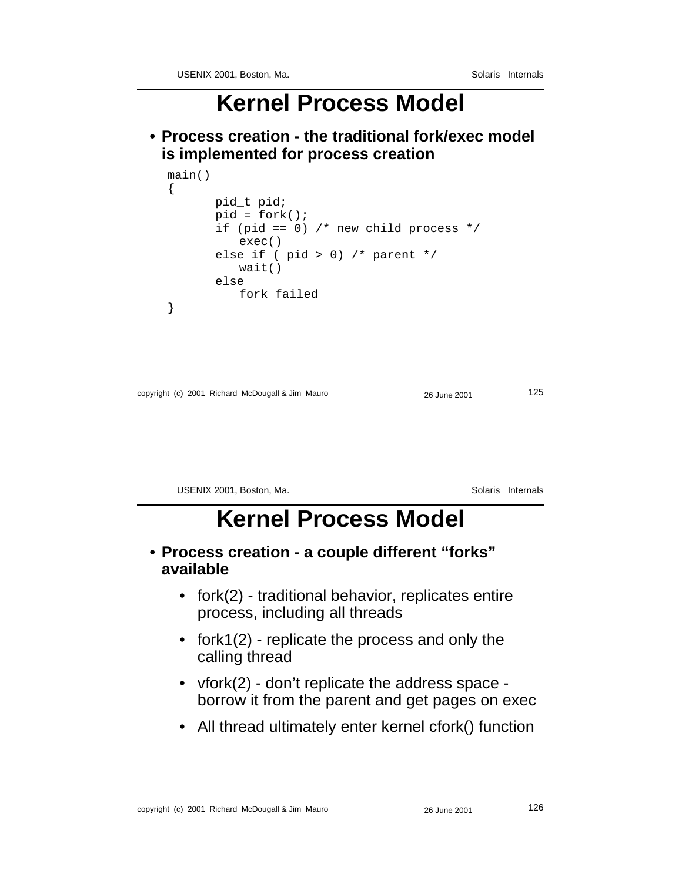**• Process creation - the traditional fork/exec model is implemented for process creation**

```
main()
\{pid_t pid;
       pid = fork();
       if (pid == 0) /* new child process */
          exec()
       else if ( pid > 0) /* parent */
          wait()
       else
          fork failed
}
```

```
copyright (c) 2001 Richard McDougall & Jim Mauro 26 June 2001 26 June 2001
```

```
USENIX 2001, Boston, Ma. Solaris Internals
```
#### **Kernel Process Model**

- **Process creation a couple different "forks" available**
	- fork(2) traditional behavior, replicates entire process, including all threads
	- fork1(2) replicate the process and only the calling thread
	- vfork(2) don't replicate the address space borrow it from the parent and get pages on exec
	- All thread ultimately enter kernel cfork() function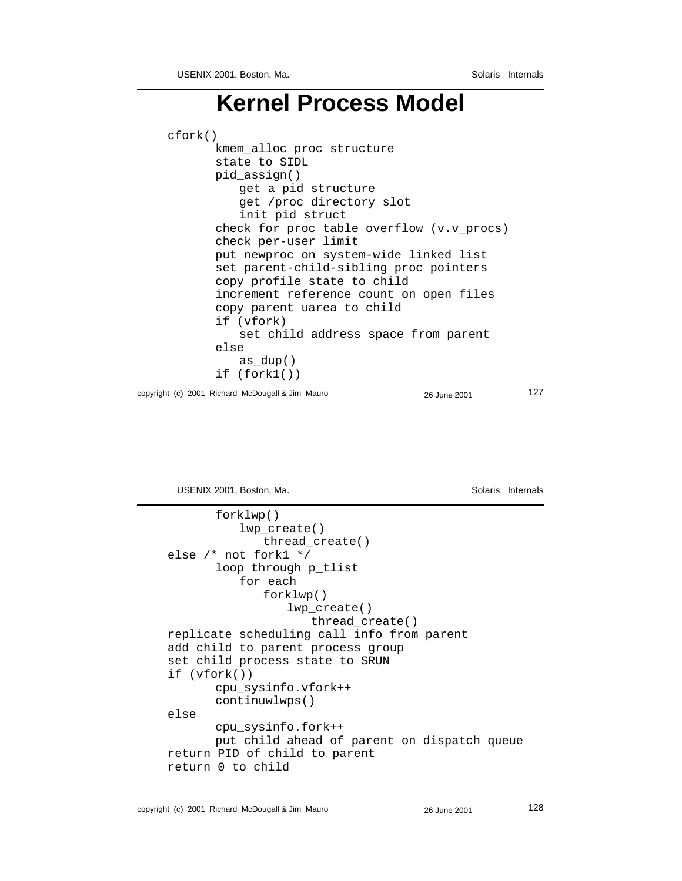copyright (c) 2001 Richard McDougall & Jim Mauro 26 June 2001 27 cfork() kmem\_alloc proc structure state to SIDL pid\_assign() get a pid structure get /proc directory slot init pid struct check for proc table overflow (v.v\_procs) check per-user limit put newproc on system-wide linked list set parent-child-sibling proc pointers copy profile state to child increment reference count on open files copy parent uarea to child if (vfork) set child address space from parent else as dup() if (fork1())

USENIX 2001, Boston, Ma. Solaris Internals

```
forklwp()
          lwp_create()
             thread_create()
else /* not fork1 */
       loop through p_tlist
          for each
             forklwp()
                 lwp_create()
                    thread_create()
replicate scheduling call info from parent
add child to parent process group
set child process state to SRUN
if (vfork())
      cpu_sysinfo.vfork++
      continuwlwps()
else
      cpu_sysinfo.fork++
      put child ahead of parent on dispatch queue
return PID of child to parent
return 0 to child
```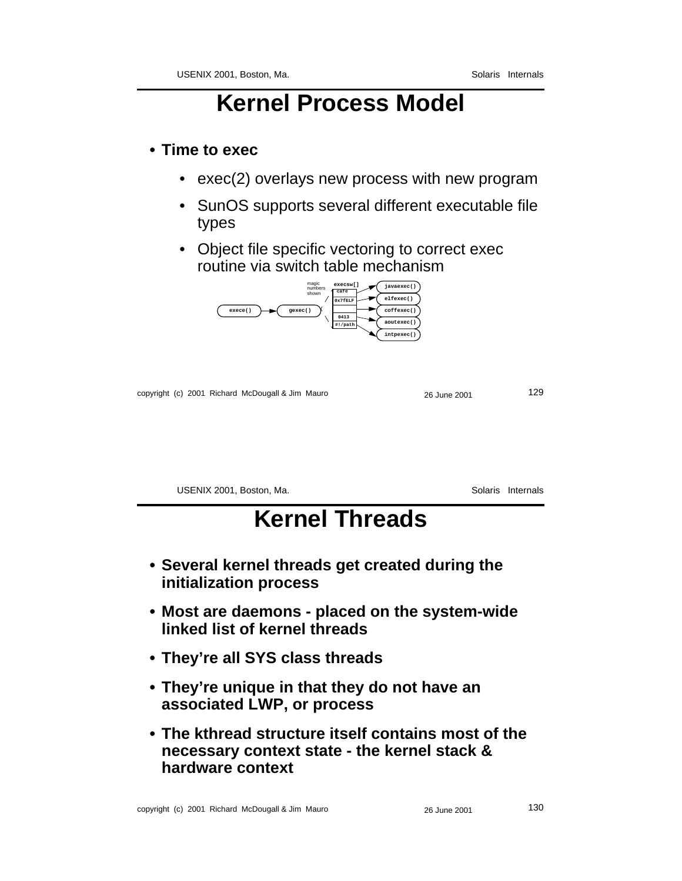#### **• Time to exec**

- exec(2) overlays new process with new program
- SunOS supports several different executable file types
- Object file specific vectoring to correct exec routine via switch table mechanism



copyright (c) 2001 Richard McDougall & Jim Mauro 26 June 2001 29

USENIX 2001, Boston, Ma. Solaris Internals

# **Kernel Threads**

- **Several kernel threads get created during the initialization process**
- **Most are daemons placed on the system-wide linked list of kernel threads**
- **They're all SYS class threads**
- **They're unique in that they do not have an associated LWP, or process**
- **The kthread structure itself contains most of the necessary context state - the kernel stack & hardware context**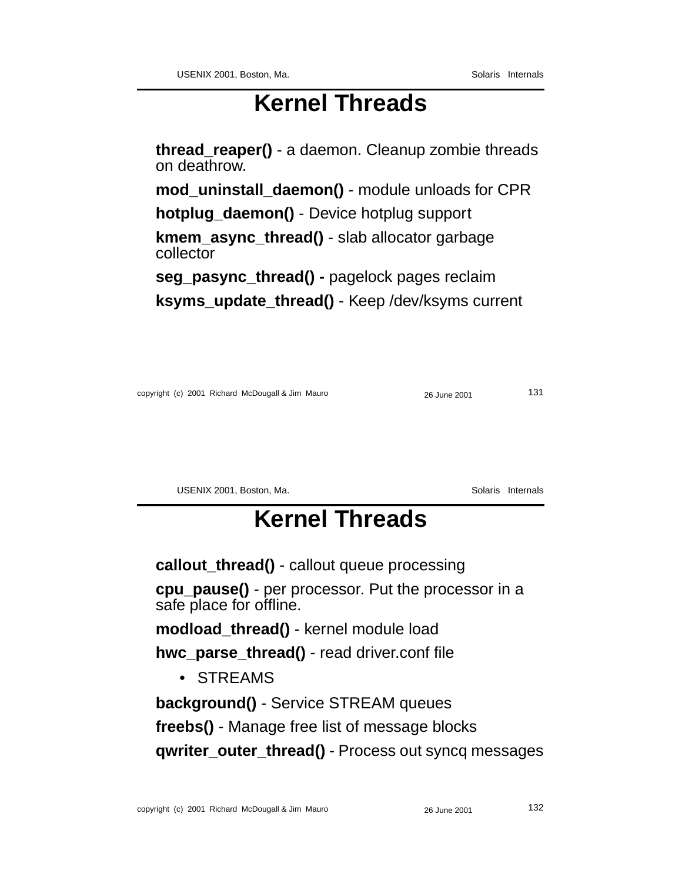# **Kernel Threads**

**thread\_reaper()** - a daemon. Cleanup zombie threads on deathrow.

**mod\_uninstall\_daemon()** - module unloads for CPR

**hotplug\_daemon()** - Device hotplug support

**kmem\_async\_thread()** - slab allocator garbage collector

**seg\_pasync\_thread() -** pagelock pages reclaim **ksyms** update thread() - Keep /dev/ksyms current

copyright (c) 2001 Richard McDougall & Jim Mauro 26 June 2001 131

USENIX 2001, Boston, Ma. Solaris Internals

# **Kernel Threads**

**callout\_thread()** - callout queue processing

**cpu\_pause()** - per processor. Put the processor in a safe place for offline.

**modload\_thread()** - kernel module load

**hwc\_parse\_thread()** - read driver.conf file

• STREAMS

**background()** - Service STREAM queues

**freebs()** - Manage free list of message blocks

**qwriter\_outer\_thread()** - Process out syncq messages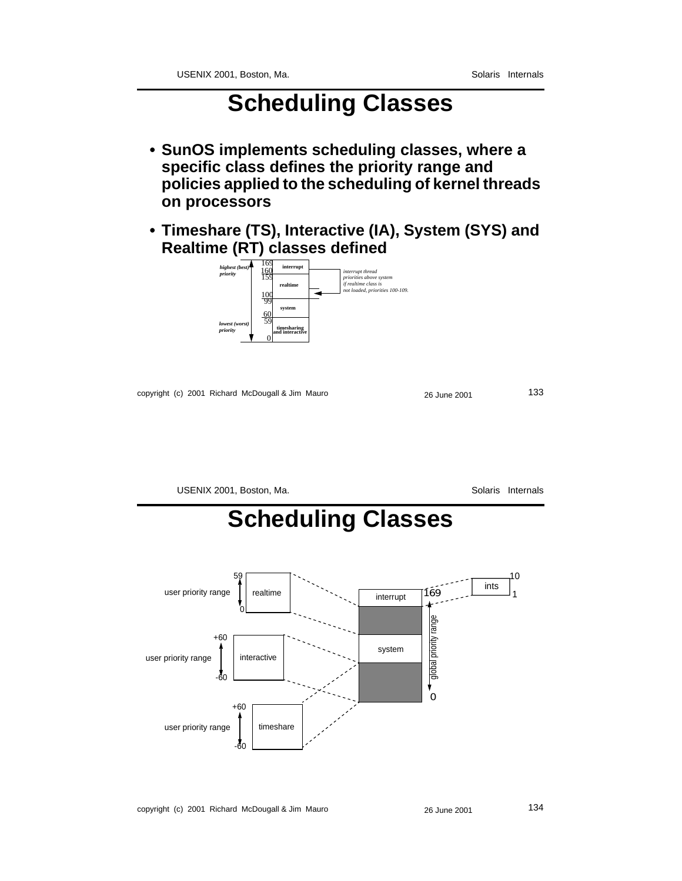# **Scheduling Classes**

- **SunOS implements scheduling classes, where a specific class defines the priority range and policies applied to the scheduling of kernel threads on processors**
- **Timeshare (TS), Interactive (IA), System (SYS) and Realtime (RT) classes defined**



copyright (c) 2001 Richard McDougall & Jim Mauro 26 June 2001 26 June 2001



copyright (c) 2001 Richard McDougall & Jim Mauro 26 June 2001 26 June 2001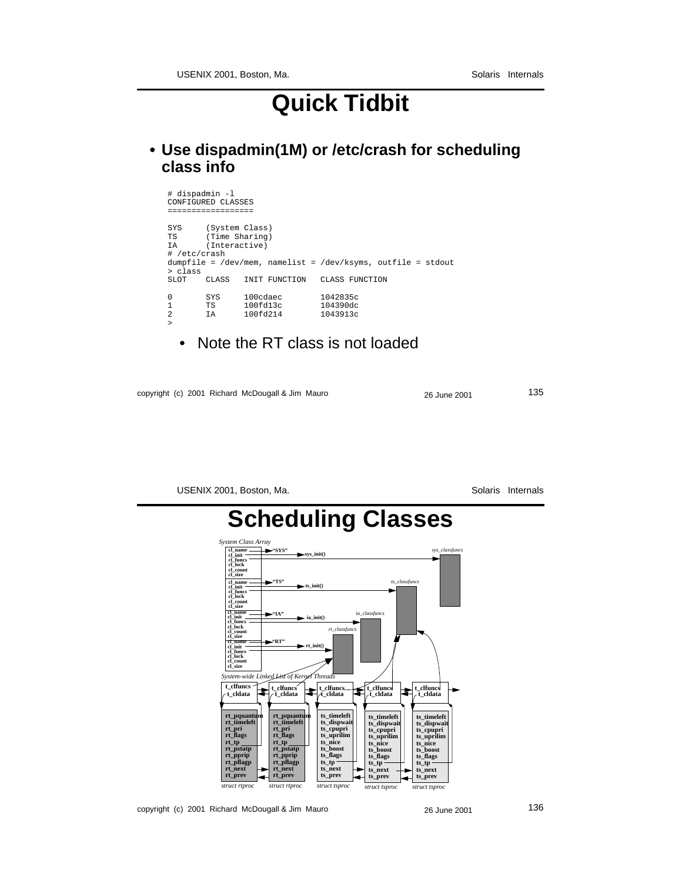# **Quick Tidbit**

**• Use dispadmin(1M) or /etc/crash for scheduling class info**

| # dispadmin -1                                                                                                                                                                                                                                                            | CONFIGURED CLASSES                                |                                                                 |                                  |  |
|---------------------------------------------------------------------------------------------------------------------------------------------------------------------------------------------------------------------------------------------------------------------------|---------------------------------------------------|-----------------------------------------------------------------|----------------------------------|--|
| SYS<br>TS and the set of the set of the set of the set of the set of the set of the set of the set of the set of the set of the set of the set of the set of the set of the set of the set of the set of the set of the set of the se<br>IA DI<br># /etc/crash<br>> class | (System Class)<br>(Time Sharing)<br>(Interactive) | $dumpfile = /dev/mem, namelyist = /dev/kgyms, outfile = stdout$ |                                  |  |
| SLOT.                                                                                                                                                                                                                                                                     | CLASS                                             | INIT FUNCTION                                                   | CLASS FUNCTION                   |  |
| 0<br>1<br>$\mathfrak{D}$<br>$\geq$                                                                                                                                                                                                                                        | SYS<br>TS F<br>T A                                | 100cdaec<br>100fd13c<br>100fd214                                | 1042835c<br>104390dc<br>1043913c |  |

• Note the RT class is not loaded

copyright (c) 2001 Richard McDougall & Jim Mauro 26 June 2001 26 June 2001



USENIX 2001, Boston, Ma. Solaris Internals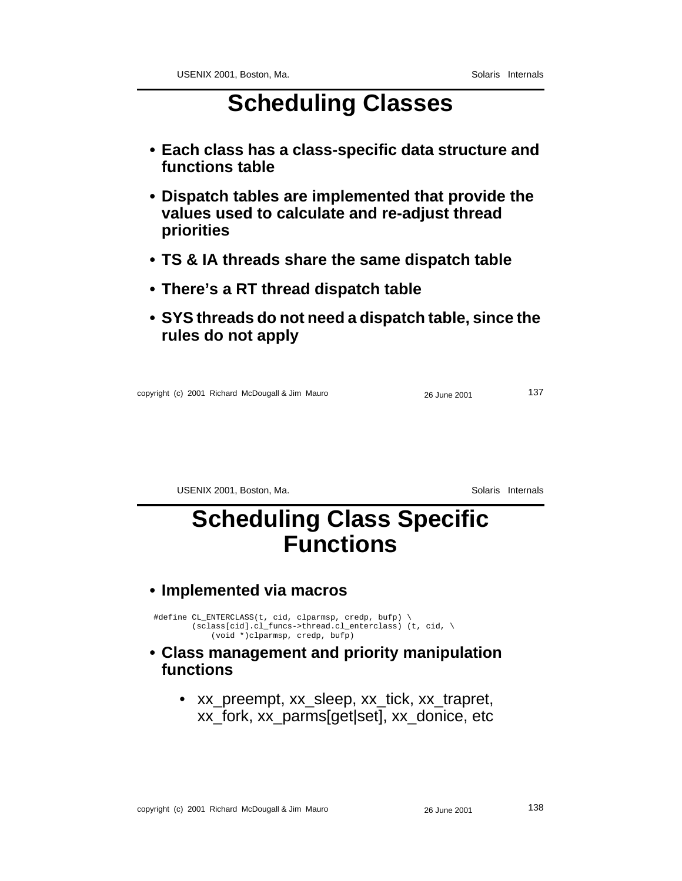# **Scheduling Classes**

- **Each class has a class-specific data structure and functions table**
- **Dispatch tables are implemented that provide the values used to calculate and re-adjust thread priorities**
- **TS & IA threads share the same dispatch table**
- **There's a RT thread dispatch table**
- **SYS threads do not need a dispatch table, since the rules do not apply**

copyright (c) 2001 Richard McDougall & Jim Mauro 26 June 2001 137

USENIX 2001, Boston, Ma. Solaris Internals

### **Scheduling Class Specific Functions**

#### **• Implemented via macros**

#define CL\_ENTERCLASS(t, cid, clparmsp, credp, bufp) \ (sclass[cid].cl\_funcs->thread.cl\_enterclass) (t, cid, \ (void \*)clparmsp, credp, bufp)

#### **• Class management and priority manipulation functions**

• xx\_preempt, xx\_sleep, xx\_tick, xx\_trapret, xx\_fork, xx\_parms[get|set], xx\_donice, etc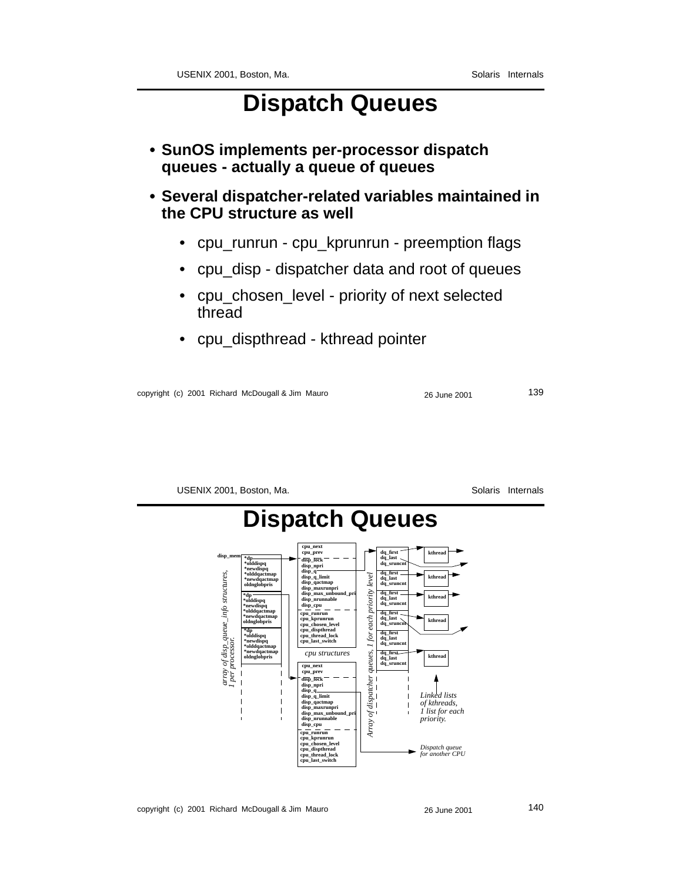### **Dispatch Queues**

- **SunOS implements per-processor dispatch queues - actually a queue of queues**
- **Several dispatcher-related variables maintained in the CPU structure as well**
	- cpu\_runrun cpu\_kprunrun preemption flags
	- cpu\_disp dispatcher data and root of queues
	- cpu\_chosen\_level priority of next selected thread
	- cpu\_dispthread kthread pointer

copyright (c) 2001 Richard McDougall & Jim Mauro 26 June 2001 26 June 2001 239

USENIX 2001, Boston, Ma. Solaris Internals



copyright (c) 2001 Richard McDougall & Jim Mauro 26 June 2001 26 June 2001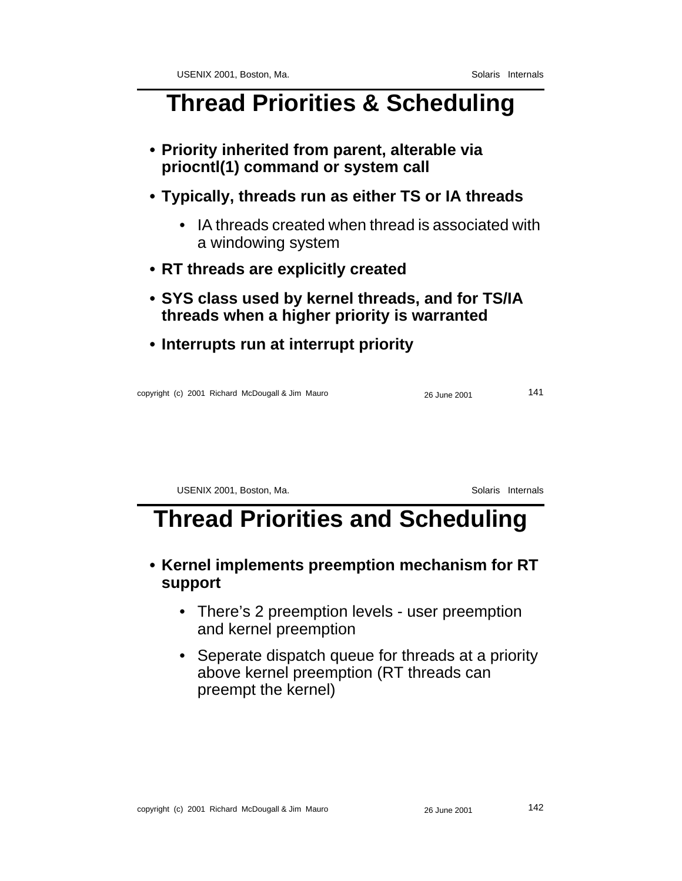## **Thread Priorities & Scheduling**

- **Priority inherited from parent, alterable via priocntl(1) command or system call**
- **Typically, threads run as either TS or IA threads**
	- IA threads created when thread is associated with a windowing system
- **RT threads are explicitly created**
- **SYS class used by kernel threads, and for TS/IA threads when a higher priority is warranted**
- **Interrupts run at interrupt priority**

copyright (c) 2001 Richard McDougall & Jim Mauro 26 June 2001 141

USENIX 2001, Boston, Ma. Solaris Internals

# **Thread Priorities and Scheduling**

#### **• Kernel implements preemption mechanism for RT support**

- There's 2 preemption levels user preemption and kernel preemption
- Seperate dispatch queue for threads at a priority above kernel preemption (RT threads can preempt the kernel)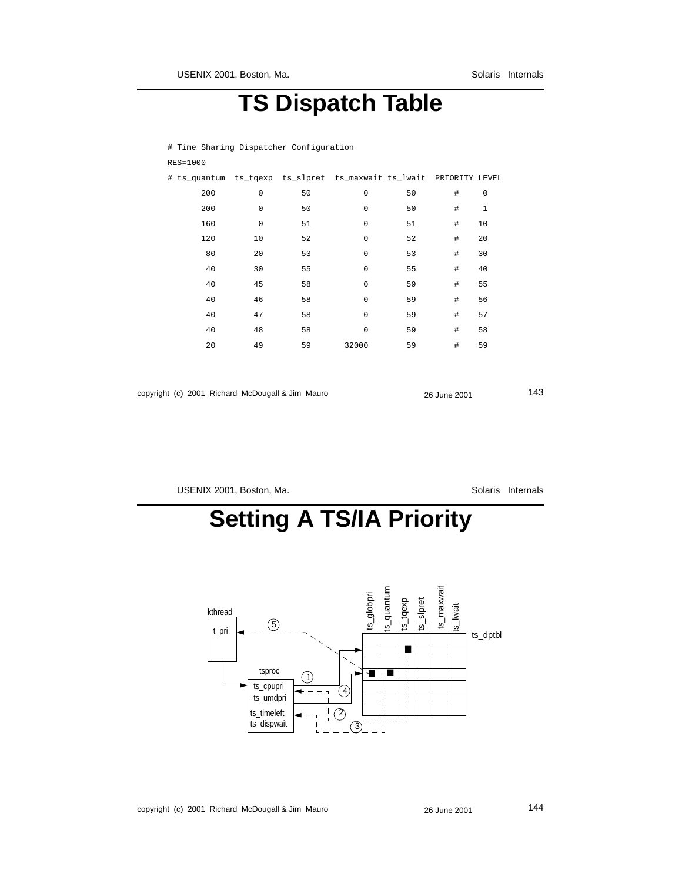# **TS Dispatch Table**

# Time Sharing Dispatcher Configuration RES=1000

| # ts_quantum ts_tqexp ts_slpret ts_maxwait ts_lwait PRIORITY LEVEL |                     |    |             |    |      |              |  |
|--------------------------------------------------------------------|---------------------|----|-------------|----|------|--------------|--|
| 200                                                                | $\mathsf 0$         | 50 | $\mathbf 0$ | 50 | #    | $\mathsf 0$  |  |
| 200                                                                | $\mathbf 0$         | 50 | $\mathbf 0$ | 50 | #    | $\mathbf{1}$ |  |
| 160                                                                | $\mathsf{O}\xspace$ | 51 | $\mathbf 0$ | 51 | #    | 10           |  |
| 120                                                                | 10                  | 52 | $\mathbf 0$ | 52 | #    | 20           |  |
| 80                                                                 | 20                  | 53 | $\mathbf 0$ | 53 | #    | 30           |  |
| 40                                                                 | 30                  | 55 | $\mathbf 0$ | 55 | #    | 40           |  |
| 40                                                                 | 45                  | 58 | $\mathbf 0$ | 59 | #    | 55           |  |
| 40                                                                 | 46                  | 58 | $\mathbf 0$ | 59 | $\#$ | 56           |  |
| 40                                                                 | 47                  | 58 | $\mathbf 0$ | 59 | $\#$ | 57           |  |
| 40                                                                 | 48                  | 58 | $\Omega$    | 59 | $\#$ | 58           |  |
| 20                                                                 | 49                  | 59 | 32000       | 59 | $\#$ | 59           |  |
|                                                                    |                     |    |             |    |      |              |  |

|  | copyright (c) 2001 Richard McDougall & Jim Mauro | 26 June 2001 | 143 |
|--|--------------------------------------------------|--------------|-----|
|  |                                                  |              |     |

USENIX 2001, Boston, Ma. Solaris Internals

# **Setting A TS/IA Priority**

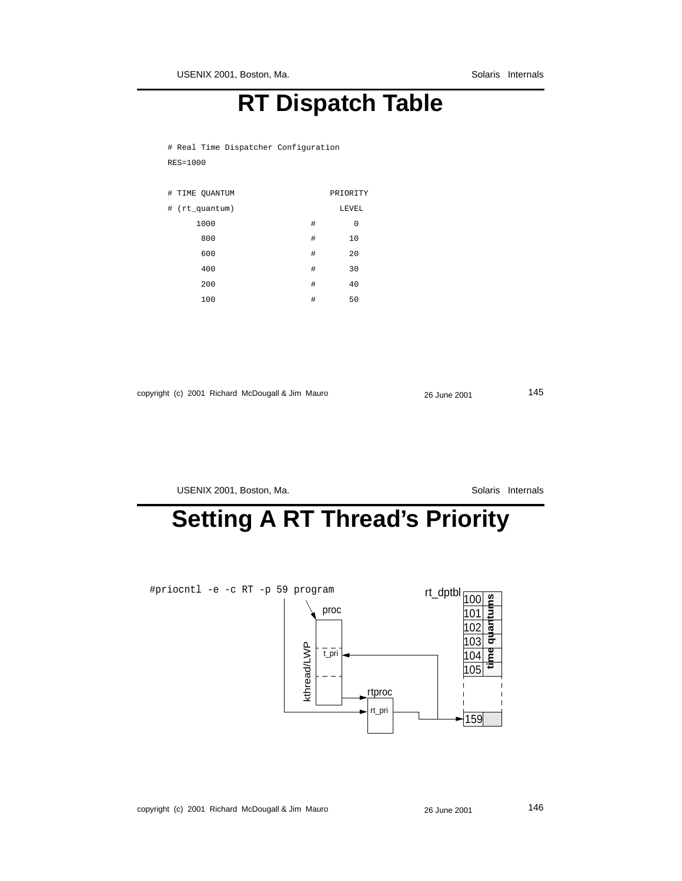## **RT Dispatch Table**

# Real Time Dispatcher Configuration RES=1000

|   | # TIME QUANTUM            |   | PRIORITY |
|---|---------------------------|---|----------|
| # | $(rt_q^{\text{quantum}})$ |   | LEVEL    |
|   | 1000                      | # | 0        |
|   | 800                       | # | 10       |
|   | 600                       | # | 20       |
|   | 400                       | # | 30       |
|   | 200                       | # | 40       |
|   | 100                       | # | 50       |
|   |                           |   |          |

|  | copyright (c) 2001 Richard McDougall & Jim Mauro | 26 June 2001 | 145 |
|--|--------------------------------------------------|--------------|-----|
|--|--------------------------------------------------|--------------|-----|

USENIX 2001, Boston, Ma. Solaris Internals

# **Setting A RT Thread's Priority**

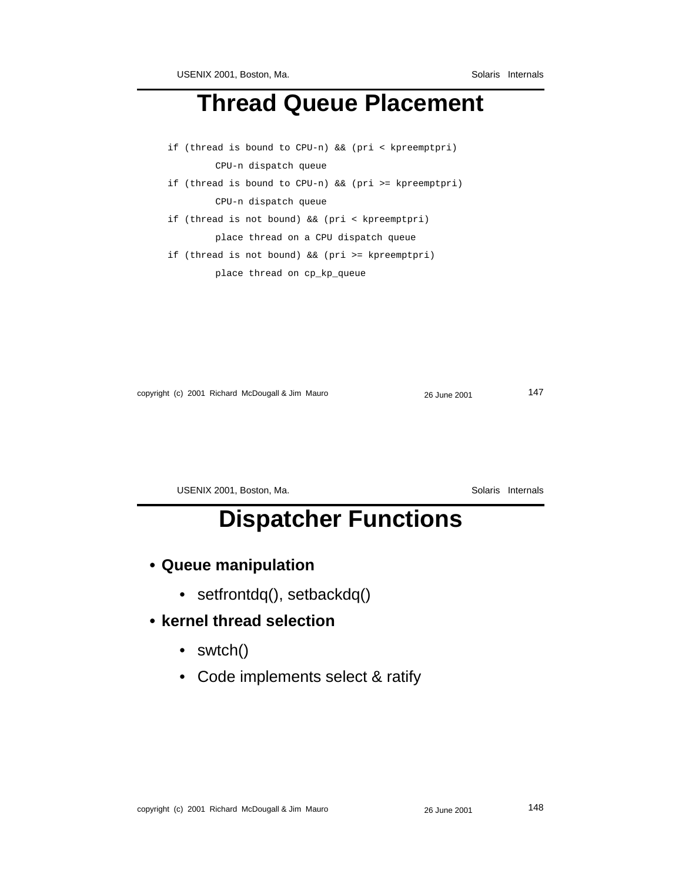## **Thread Queue Placement**

- if (thread is bound to CPU-n) && (pri < kpreemptpri) CPU-n dispatch queue
- if (thread is bound to CPU-n) && (pri >= kpreemptpri) CPU-n dispatch queue
- if (thread is not bound) && (pri < kpreemptpri) place thread on a CPU dispatch queue

if (thread is not bound) && (pri >= kpreemptpri) place thread on cp\_kp\_queue

copyright (c) 2001 Richard McDougall & Jim Mauro 26 June 2001 26 June 2001

USENIX 2001, Boston, Ma. Solaris Internals

# **Dispatcher Functions**

- **Queue manipulation**
	- setfrontdq(), setbackdq()
- **kernel thread selection**
	- swtch()
	- Code implements select & ratify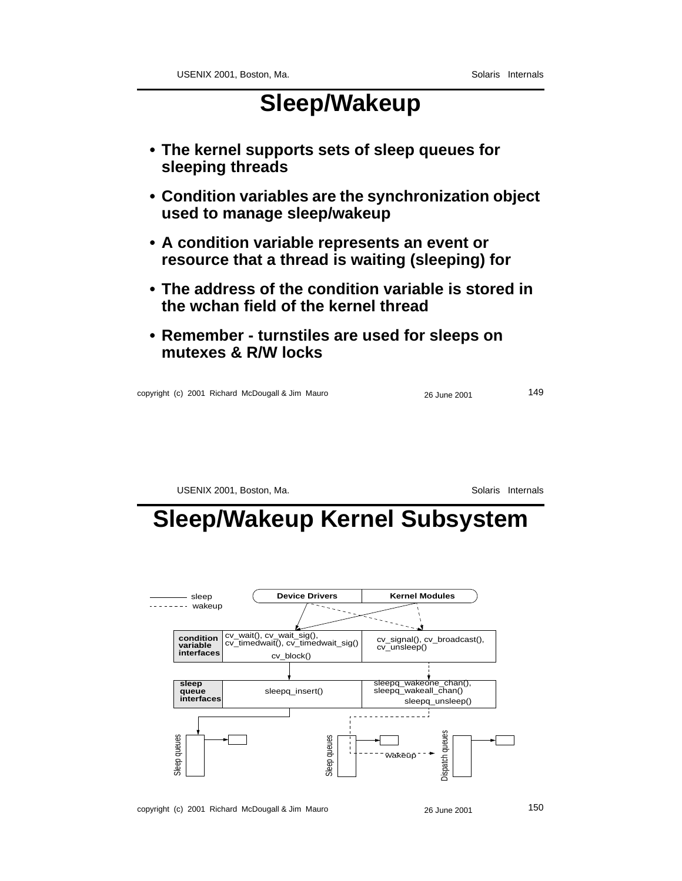## **Sleep/Wakeup**

- **The kernel supports sets of sleep queues for sleeping threads**
- **Condition variables are the synchronization object used to manage sleep/wakeup**
- **A condition variable represents an event or resource that a thread is waiting (sleeping) for**
- **The address of the condition variable is stored in the wchan field of the kernel thread**
- **Remember turnstiles are used for sleeps on mutexes & R/W locks**

copyright (c) 2001 Richard McDougall & Jim Mauro 26 June 2001 149

USENIX 2001, Boston, Ma. Solaris Internals

## **Sleep/Wakeup Kernel Subsystem**

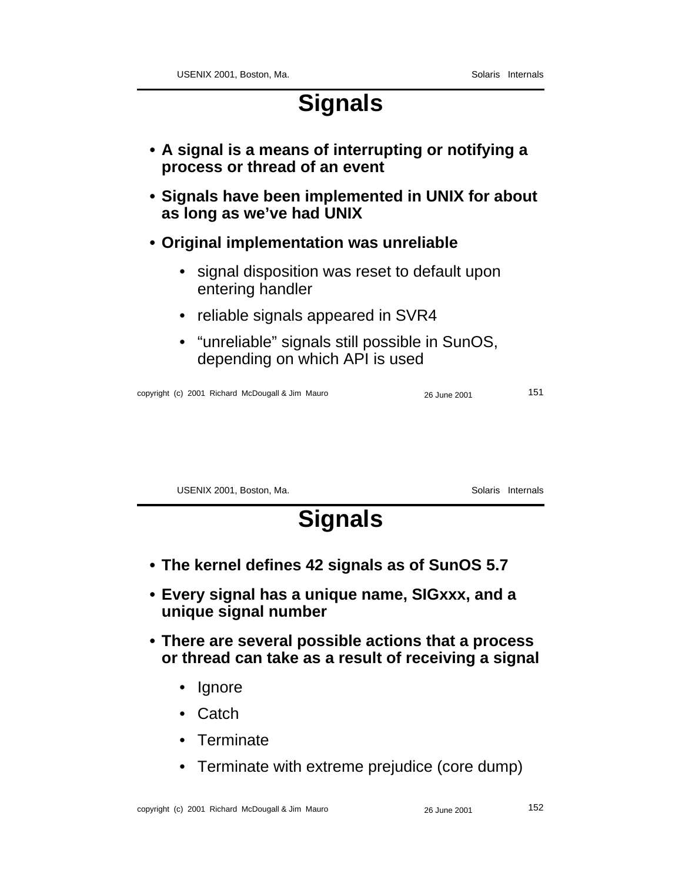## **Signals**

- **A signal is a means of interrupting or notifying a process or thread of an event**
- **Signals have been implemented in UNIX for about as long as we've had UNIX**
- **Original implementation was unreliable**
	- signal disposition was reset to default upon entering handler
	- reliable signals appeared in SVR4
	- "unreliable" signals still possible in SunOS, depending on which API is used

copyright (c) 2001 Richard McDougall & Jim Mauro 26 June 2001 151

USENIX 2001, Boston, Ma. Solaris Internals

# **Signals**

- **The kernel defines 42 signals as of SunOS 5.7**
- **Every signal has a unique name, SIGxxx, and a unique signal number**
- **There are several possible actions that a process or thread can take as a result of receiving a signal**
	- Ignore
	- Catch
	- Terminate
	- Terminate with extreme prejudice (core dump)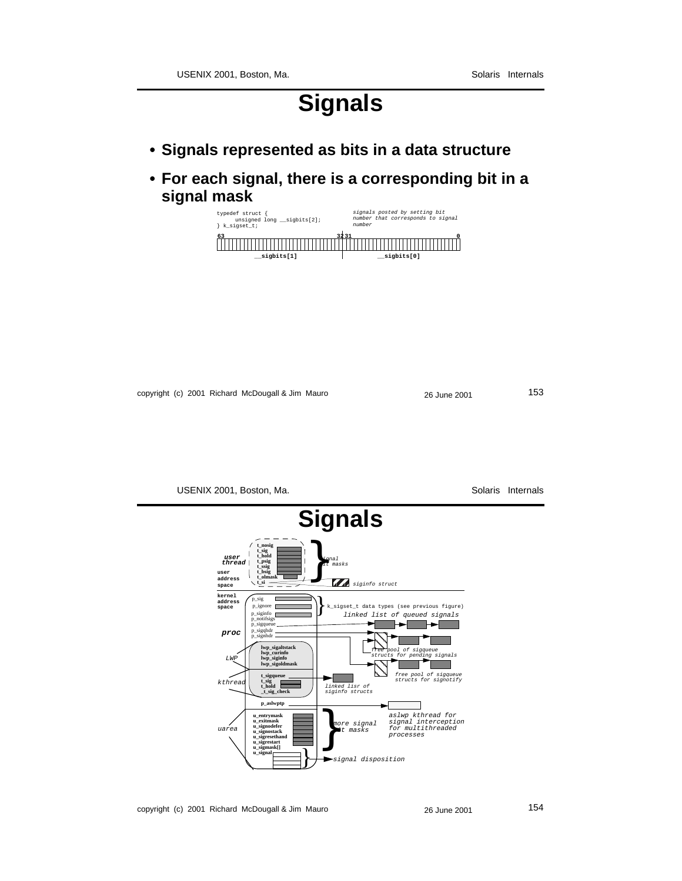## **Signals**

- **Signals represented as bits in a data structure**
- **For each signal, there is a corresponding bit in a signal mask**



copyright (c) 2001 Richard McDougall & Jim Mauro 26 June 2001 26 June 2001



copyright (c) 2001 Richard McDougall & Jim Mauro 26 June 2001 26 June 2001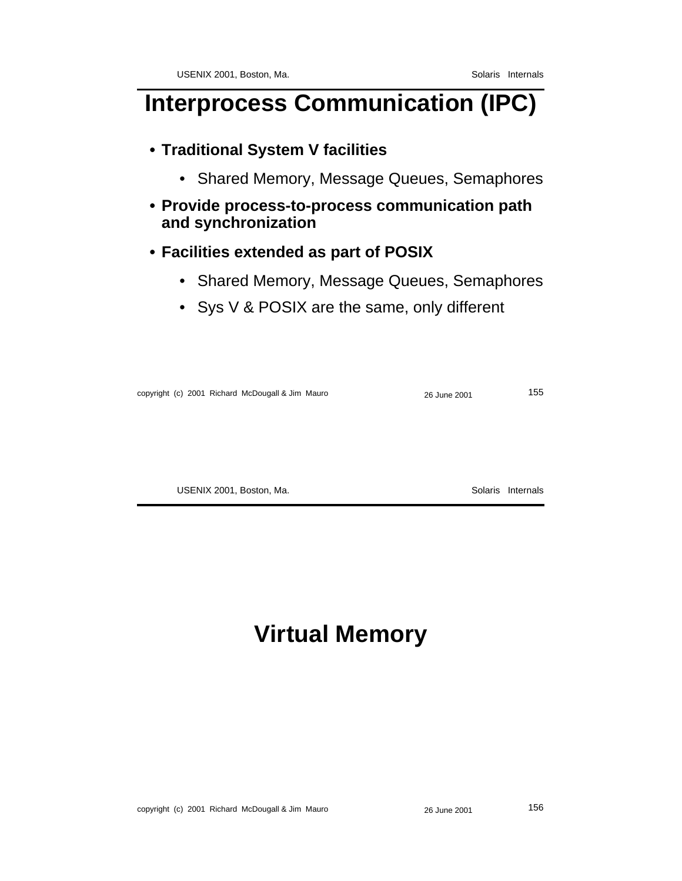# **Interprocess Communication (IPC)**

### **• Traditional System V facilities**

- Shared Memory, Message Queues, Semaphores
- **Provide process-to-process communication path and synchronization**

#### **• Facilities extended as part of POSIX**

- Shared Memory, Message Queues, Semaphores
- Sys V & POSIX are the same, only different

copyright (c) 2001 Richard McDougall & Jim Mauro 26 June 2001 26 June 2001

USENIX 2001, Boston, Ma. Solaris Internals

# **Virtual Memory**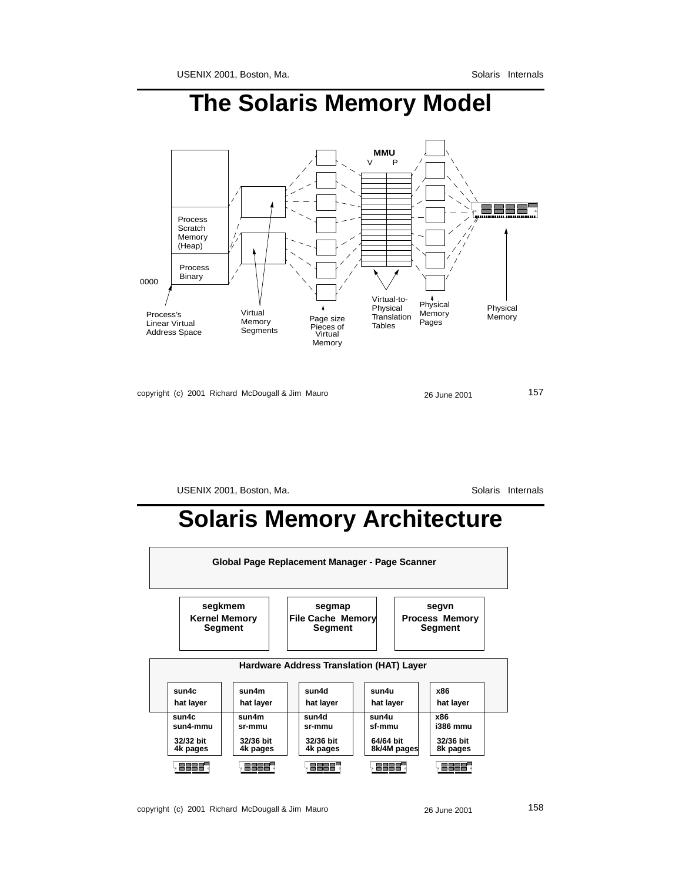# **The Solaris Memory Model**



copyright (c) 2001 Richard McDougall & Jim Mauro 26 June 2001 26 June 2001

USENIX 2001, Boston, Ma. Solaris Internals

## **Solaris Memory Architecture**

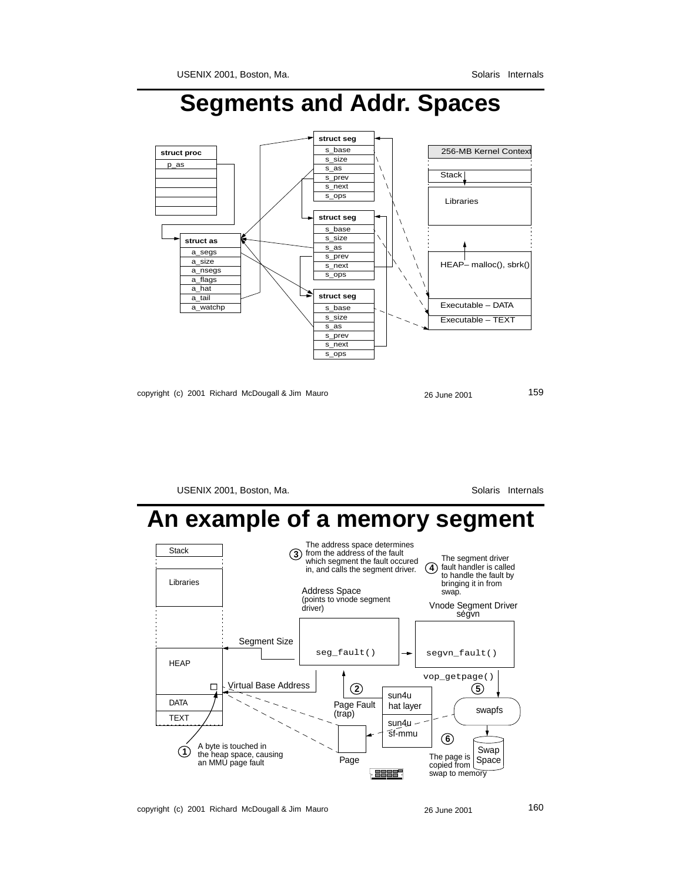# **Segments and Addr. Spaces**



copyright (c) 2001 Richard McDougall & Jim Mauro 26 June 2001 26 June 2001

USENIX 2001, Boston, Ma. Solaris Internals

## **An example of a memory segment**



copyright (c) 2001 Richard McDougall & Jim Mauro 26 June 2001 26 June 2001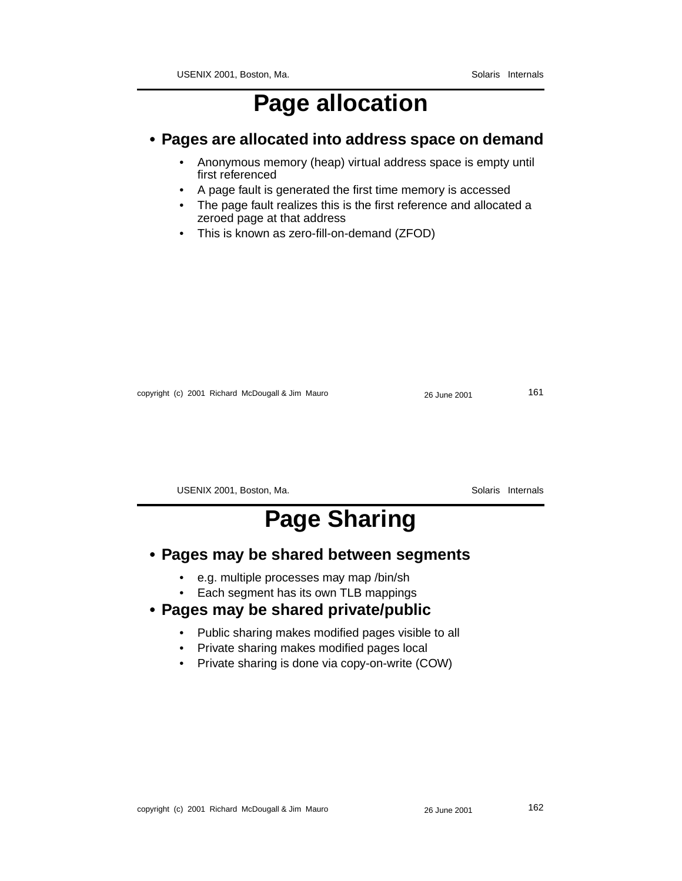## **Page allocation**

#### **• Pages are allocated into address space on demand**

- Anonymous memory (heap) virtual address space is empty until first referenced
- A page fault is generated the first time memory is accessed
- The page fault realizes this is the first reference and allocated a zeroed page at that address
- This is known as zero-fill-on-demand (ZFOD)

copyright (c) 2001 Richard McDougall & Jim Mauro 26 June 2001 26 June 2001 161

USENIX 2001, Boston, Ma. Solaris Internals

# **Page Sharing**

#### **• Pages may be shared between segments**

- e.g. multiple processes may map /bin/sh
- Each segment has its own TLB mappings

#### **• Pages may be shared private/public**

- Public sharing makes modified pages visible to all
- Private sharing makes modified pages local
- Private sharing is done via copy-on-write (COW)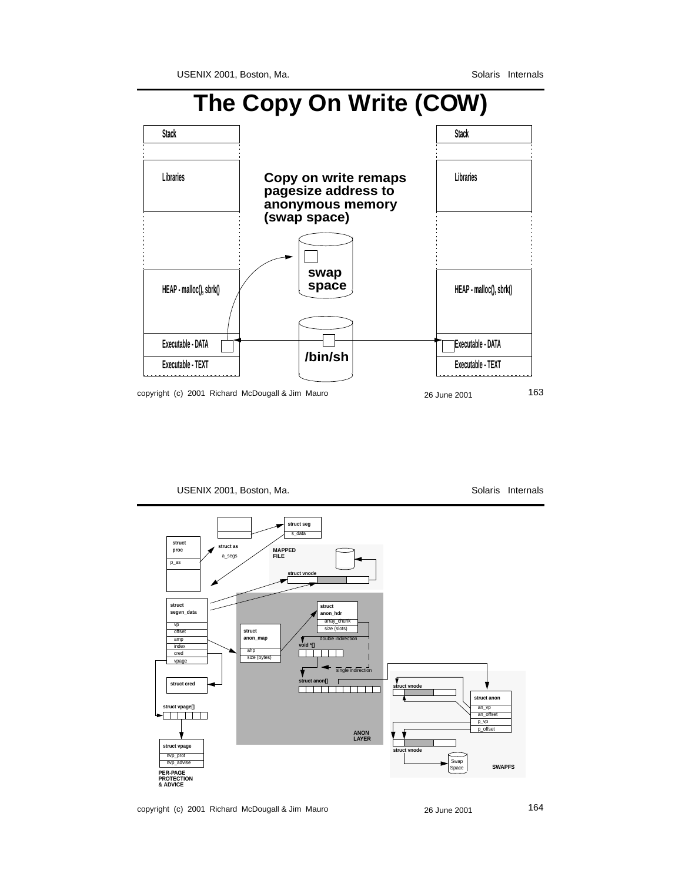## **The Copy On Write (COW)**



USENIX 2001, Boston, Ma. Solaris Internals



copyright (c) 2001 Richard McDougall & Jim Mauro 26 June 2001 26 June 2001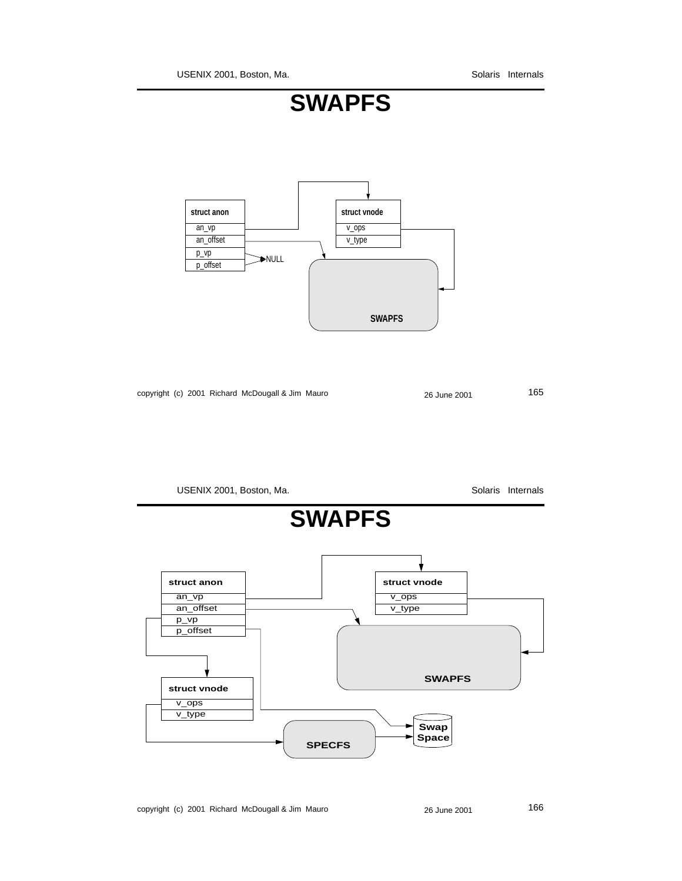USENIX 2001, Boston, Ma. Solaris Internals





copyright (c) 2001 Richard McDougall & Jim Mauro 26 June 2001 26 June 2001

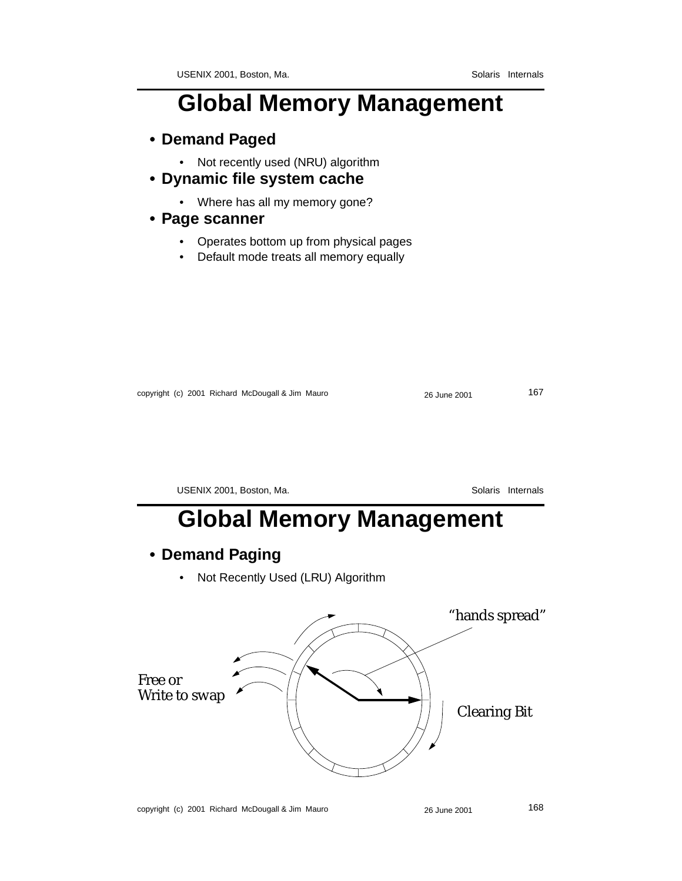# **Global Memory Management**

- **Demand Paged**
	- Not recently used (NRU) algorithm
- **Dynamic file system cache**
	- Where has all my memory gone?

#### **• Page scanner**

- Operates bottom up from physical pages
- Default mode treats all memory equally

| copyright (c) 2001 Richard McDougall & Jim Mauro |  |  |
|--------------------------------------------------|--|--|
|--------------------------------------------------|--|--|

copyright (c) 2001 Richard McDougall & Jim Mauro 26 June 2001 167

USENIX 2001, Boston, Ma. Solaris Internals

# **Global Memory Management**

#### **• Demand Paging**

• Not Recently Used (LRU) Algorithm

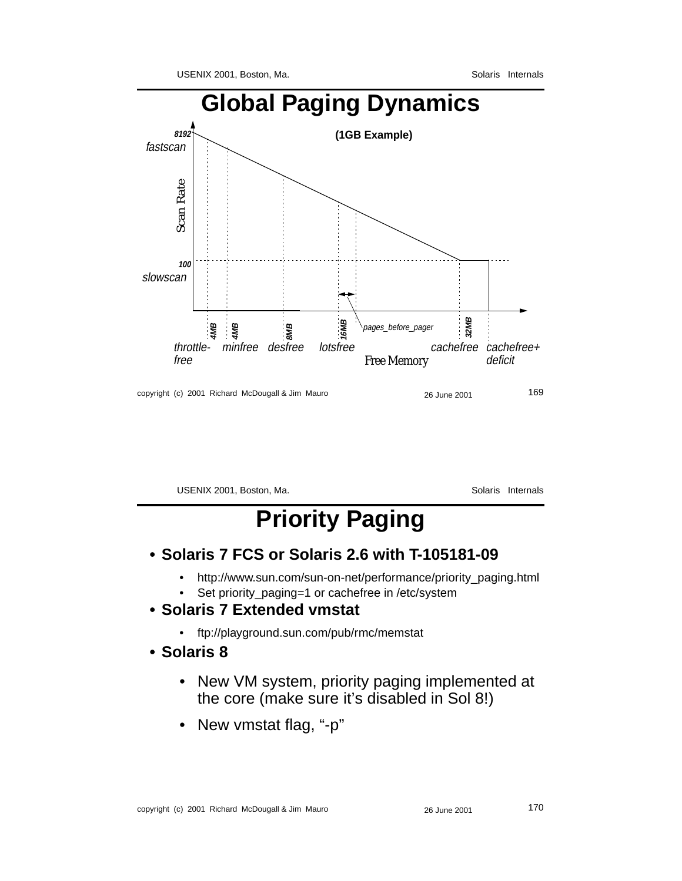

copyright (c) 2001 Richard McDougall & Jim Mauro 26 June 2001 26 June 2001

USENIX 2001, Boston, Ma. Solaris Internals

# **Priority Paging**

- **Solaris 7 FCS or Solaris 2.6 with T-105181-09**
	- http://www.sun.com/sun-on-net/performance/priority\_paging.html
	- Set priority\_paging=1 or cachefree in /etc/system
- **Solaris 7 Extended vmstat**
	- ftp://playground.sun.com/pub/rmc/memstat
- **Solaris 8**
	- New VM system, priority paging implemented at the core (make sure it's disabled in Sol 8!)
	- New vmstat flag, "-p"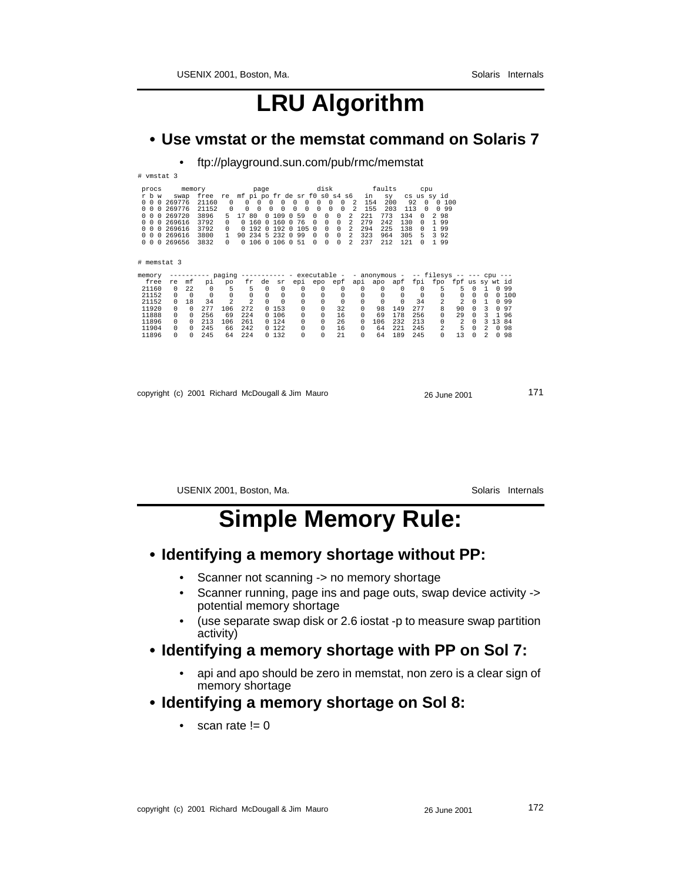## **LRU Algorithm**

#### **• Use vmstat or the memstat command on Solaris 7**

• ftp://playground.sun.com/pub/rmc/memstat

| # vmstat 3                                                                                                                                            |                                                                        |          |                                                                |                                                                       |                                                                  |                                                                                       |                                                       |                                                                                                                                                                |                                                                        |                                                                                                                              |                                                                                                               |                                                     |                                                               |                                              |                                                                                 |                                                                                     |                |                   |                |          |        |
|-------------------------------------------------------------------------------------------------------------------------------------------------------|------------------------------------------------------------------------|----------|----------------------------------------------------------------|-----------------------------------------------------------------------|------------------------------------------------------------------|---------------------------------------------------------------------------------------|-------------------------------------------------------|----------------------------------------------------------------------------------------------------------------------------------------------------------------|------------------------------------------------------------------------|------------------------------------------------------------------------------------------------------------------------------|---------------------------------------------------------------------------------------------------------------|-----------------------------------------------------|---------------------------------------------------------------|----------------------------------------------|---------------------------------------------------------------------------------|-------------------------------------------------------------------------------------|----------------|-------------------|----------------|----------|--------|
| procs<br>r b w<br>0 0 0 269776<br>$\Omega$<br>$\Omega$<br>$\Omega$<br><sup>n</sup><br>0<br>$^{\circ}$<br>$\Omega$<br>$\Omega$<br>$\Omega$<br>$\Omega$ | swap<br>269776<br>269720<br>0 269616<br>269616<br>0 269616<br>0 269656 | memory   | free<br>21160<br>21152<br>3896<br>3792<br>3792<br>3800<br>3832 | re<br>0<br>$\Omega$<br>5<br>$\Omega$<br>0<br>$\mathbf{1}$<br>$\Omega$ | $\Omega$<br>0<br>17<br>80<br>0,160<br>0.192<br>90<br>0 106 0 106 | page<br>$\Omega$<br>$\Omega$<br>$\Omega$<br>$\Omega$<br>$\Omega$<br>$\Omega$<br>234 5 | 0<br>$\Omega$<br>$\Omega$<br>109<br>160<br>192<br>232 | disk disk<br>mf pi po fr de sr f0 s0 s4 s6<br>0<br>0<br>$\Omega$<br>0<br>59<br>$\Omega$<br>76<br>$\Omega$<br>105<br>$\Omega$<br>99<br>$\cap$<br>51<br>$\Omega$ | 0<br>$\Omega$<br>0<br>$\Omega$<br>$\Omega$<br><sup>n</sup><br>$\Omega$ | 0<br>$\Omega$<br>$\Omega$<br>$\Omega$<br>$\circ$<br>0<br>0<br>0<br>$\Omega$<br>$\Omega$<br>$\mathbf 0$<br>0<br>$\Omega$<br>0 | $\overline{2}$<br>$\mathfrak{D}$<br>2<br>$\mathfrak{D}$<br>$\mathfrak{D}$<br>$\mathfrak{D}$<br>$\mathfrak{D}$ | in<br>154<br>155<br>221<br>279<br>294<br>323<br>237 | faults<br>sy<br>200<br>203<br>773<br>242<br>225<br>964<br>212 | 92<br>113<br>134<br>130<br>138<br>305<br>121 | cpu<br>$\Omega$<br>$\Omega$<br>$\cap$<br>$\Omega$<br>$\Omega$<br>.5<br>$\Omega$ | cs us sv id<br>0,100<br>0 9 9<br>98<br>1 9 9<br>99<br>$\mathbf{1}$<br>3 9 2<br>1 99 |                |                   |                |          |        |
| # memstat 3                                                                                                                                           |                                                                        |          |                                                                |                                                                       |                                                                  |                                                                                       |                                                       |                                                                                                                                                                |                                                                        |                                                                                                                              |                                                                                                               |                                                     |                                                               |                                              |                                                                                 |                                                                                     |                |                   |                |          |        |
| memory                                                                                                                                                |                                                                        |          |                                                                |                                                                       | -- paging ----------- - executable -  - anonymous -              |                                                                                       |                                                       |                                                                                                                                                                |                                                                        |                                                                                                                              |                                                                                                               |                                                     |                                                               |                                              |                                                                                 | -- filesys -- --- cpu ---                                                           |                |                   |                |          |        |
| free                                                                                                                                                  | re                                                                     | mf       | рi                                                             | po                                                                    | fr                                                               | de                                                                                    | sr                                                    | epi epo                                                                                                                                                        |                                                                        | epf                                                                                                                          |                                                                                                               | api apo                                             |                                                               | apf                                          |                                                                                 | fpi fpo fpf us sy wt id                                                             |                |                   |                |          |        |
| 21160                                                                                                                                                 | $\Omega$                                                               | 22       | $\Omega$                                                       | 5                                                                     | 5                                                                | $\Omega$                                                                              | $^{\circ}$                                            | $\Omega$                                                                                                                                                       | $\Omega$                                                               | $\Omega$                                                                                                                     |                                                                                                               | $\Omega$                                            | $\Omega$                                                      | $\Omega$                                     | $\Omega$                                                                        | 5                                                                                   | 5              | $\Omega$          | $\overline{1}$ |          | 0 9 9  |
| 21152                                                                                                                                                 | $\Omega$                                                               | $\Omega$ | $\Omega$                                                       | $\Omega$                                                              | $\mathbf 0$                                                      | $\Omega$                                                                              | $^{\circ}$                                            | 0                                                                                                                                                              | 0                                                                      | 0                                                                                                                            |                                                                                                               | 0                                                   | $\Omega$                                                      | $\Omega$                                     | $\Omega$                                                                        | 0                                                                                   | 0              | $\Omega$          | $\Omega$       |          | 0, 100 |
| 21152                                                                                                                                                 |                                                                        | 18       | 34                                                             | $\mathfrak{D}$                                                        | $\overline{\mathcal{L}}$                                         | $\Omega$                                                                              | $\Omega$                                              | 0                                                                                                                                                              | 0                                                                      | $\Omega$                                                                                                                     |                                                                                                               | 0                                                   | $\Omega$                                                      | $\Omega$                                     | 34                                                                              | 2                                                                                   | 2              | $\Omega$          | $\mathbf{1}$   |          | 0 9 9  |
| 11920                                                                                                                                                 | $\Omega$                                                               | 0        | 277                                                            | 106                                                                   | 272                                                              |                                                                                       | 0, 153                                                | $\Omega$                                                                                                                                                       | $\Omega$                                                               | 32                                                                                                                           |                                                                                                               | 0                                                   | 98                                                            | 149                                          | 277                                                                             | 8                                                                                   | 90             | $\Omega$          | 3              |          | 0.97   |
| 11888                                                                                                                                                 | $\Omega$                                                               | 0        | 256                                                            | 69                                                                    | 224                                                              |                                                                                       | 0, 106                                                | 0                                                                                                                                                              | $\Omega$                                                               | 16                                                                                                                           |                                                                                                               | $\Omega$                                            | 69                                                            | 178                                          | 256                                                                             | $\Omega$                                                                            | 29             | $\Omega$          | 3              |          | 196    |
| 11896                                                                                                                                                 |                                                                        | $\Omega$ | 213                                                            | 106                                                                   | 261                                                              |                                                                                       | 0, 124                                                | 0                                                                                                                                                              | 0                                                                      | 26                                                                                                                           |                                                                                                               | $\Omega$                                            | 106                                                           | 232                                          | 213                                                                             | 0                                                                                   | $\overline{2}$ | $\Omega$          | 3              | 13 84    |        |
| 11904                                                                                                                                                 | $\Omega$                                                               | $\Omega$ | 245                                                            | 66                                                                    | 242                                                              |                                                                                       | 0122                                                  |                                                                                                                                                                |                                                                        |                                                                                                                              |                                                                                                               |                                                     | 64                                                            | 221                                          | 245                                                                             | 2                                                                                   |                |                   | $\mathcal{L}$  | $\Omega$ | 98     |
| 11896                                                                                                                                                 | <sup>n</sup>                                                           | 0        | 245                                                            | 64                                                                    | 224                                                              |                                                                                       | 0, 132                                                | 0<br>0                                                                                                                                                         | 0<br>$\Omega$                                                          | 16<br>21                                                                                                                     |                                                                                                               | 0<br>0                                              | 64                                                            | 189                                          | 245                                                                             | $\Omega$                                                                            | 5<br>13        | 0<br><sup>n</sup> | $\mathfrak{D}$ |          | 0.98   |
|                                                                                                                                                       |                                                                        |          |                                                                |                                                                       |                                                                  |                                                                                       |                                                       |                                                                                                                                                                |                                                                        |                                                                                                                              |                                                                                                               |                                                     |                                                               |                                              |                                                                                 |                                                                                     |                |                   |                |          |        |

| copyright (c) 2001 Richard McDougall & Jim Mauro | 26 June 2001 | 171 |
|--------------------------------------------------|--------------|-----|
|                                                  |              |     |

USENIX 2001, Boston, Ma. Solaris Internals

## **Simple Memory Rule:**

#### **• Identifying a memory shortage without PP:**

- Scanner not scanning -> no memory shortage
- Scanner running, page ins and page outs, swap device activity -> potential memory shortage
- (use separate swap disk or 2.6 iostat -p to measure swap partition activity)

#### **• Identifying a memory shortage with PP on Sol 7:**

• api and apo should be zero in memstat, non zero is a clear sign of memory shortage

#### **• Identifying a memory shortage on Sol 8:**

• scan rate  $!= 0$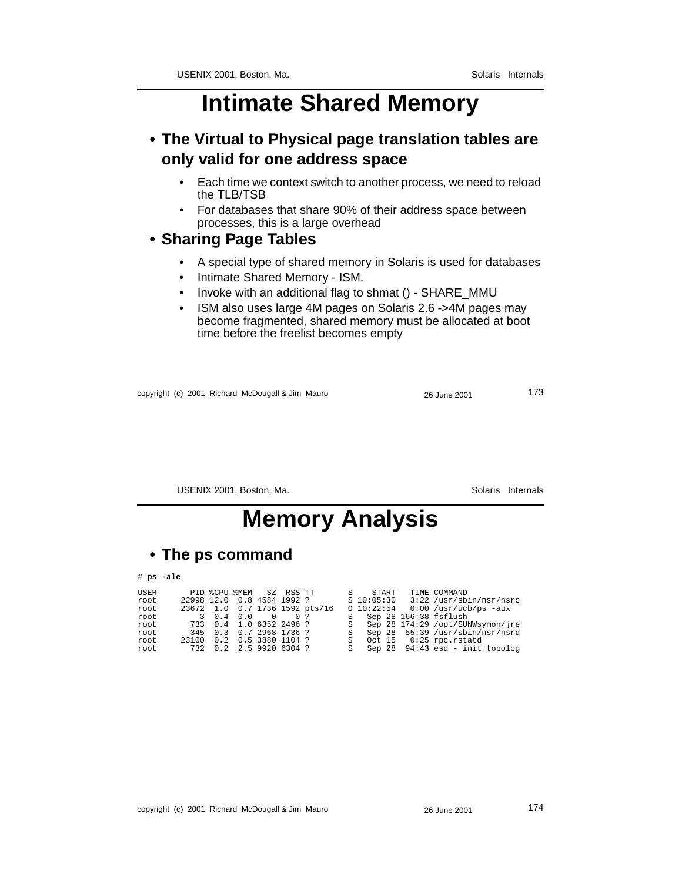## **Intimate Shared Memory**

#### **• The Virtual to Physical page translation tables are only valid for one address space**

- Each time we context switch to another process, we need to reload the TLB/TSB
- For databases that share 90% of their address space between processes, this is a large overhead

#### **• Sharing Page Tables**

- A special type of shared memory in Solaris is used for databases
- Intimate Shared Memory ISM.
- Invoke with an additional flag to shmat () SHARE\_MMU
- ISM also uses large 4M pages on Solaris 2.6 ->4M pages may become fragmented, shared memory must be allocated at boot time before the freelist becomes empty

copyright (c) 2001 Richard McDougall & Jim Mauro 26 June 2001 26 June 2001 273

USENIX 2001, Boston, Ma. Solaris Internals

## **Memory Analysis**

#### **• The ps command**

# **ps -ale**

| USER |                            | PID %CPU %MEM SZ RSS TT |  |                                | $S -$ | START                   | TIME COMMAND                         |
|------|----------------------------|-------------------------|--|--------------------------------|-------|-------------------------|--------------------------------------|
| root | 22998 12.0 0.8 4584 1992 ? |                         |  |                                |       | $S$ 10:05:30            | 3:22 /usr/sbin/nsr/nsrc              |
| root |                            |                         |  | 23672 1.0 0.7 1736 1592 pts/16 |       |                         | $0 10:22:54 0:00$ /usr/ucb/ps $-aux$ |
| root |                            | 3 0.4 0.0 0 0 ?         |  |                                |       | S Sep 28 166:38 fsflush |                                      |
| root |                            | 733 0.4 1.0 6352 2496 ? |  |                                | S     |                         | Sep 28 174:29 /opt/SUNWsymon/jre     |
| root |                            | 345 0.3 0.7 2968 1736 ? |  |                                | S     |                         | Sep 28 55:39 /usr/sbin/nsr/nsrd      |
| root | 23100 0.2 0.5 3880 1104 ?  |                         |  |                                | S     |                         | Oct $15$ 0:25 rpc. rstatd            |
| root | 732 0.2 2.5 9920 6304 ?    |                         |  |                                |       |                         | S Sep 28 94:43 esd - init topolog    |
|      |                            |                         |  |                                |       |                         |                                      |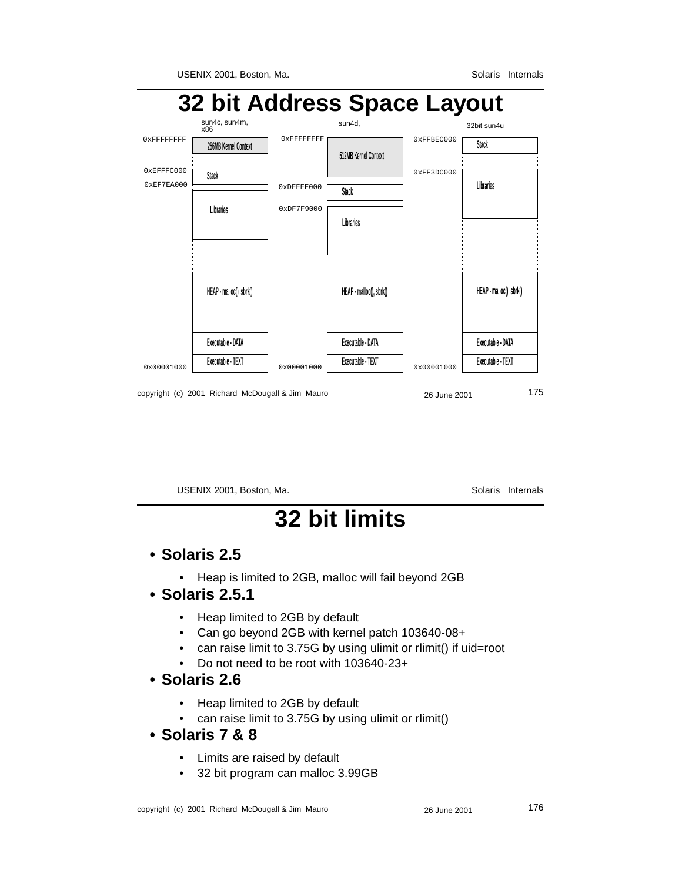

copyright (c) 2001 Richard McDougall & Jim Mauro 26 June 2001 26 June 2001

USENIX 2001, Boston, Ma. Solaris Internals

# **32 bit limits**

#### **• Solaris 2.5**

• Heap is limited to 2GB, malloc will fail beyond 2GB

#### **• Solaris 2.5.1**

- Heap limited to 2GB by default
- Can go beyond 2GB with kernel patch 103640-08+
- can raise limit to 3.75G by using ulimit or rlimit() if uid=root
- Do not need to be root with 103640-23+

#### **• Solaris 2.6**

- Heap limited to 2GB by default
- can raise limit to 3.75G by using ulimit or rlimit()
- **Solaris 7 & 8**
	- Limits are raised by default
	- 32 bit program can malloc 3.99GB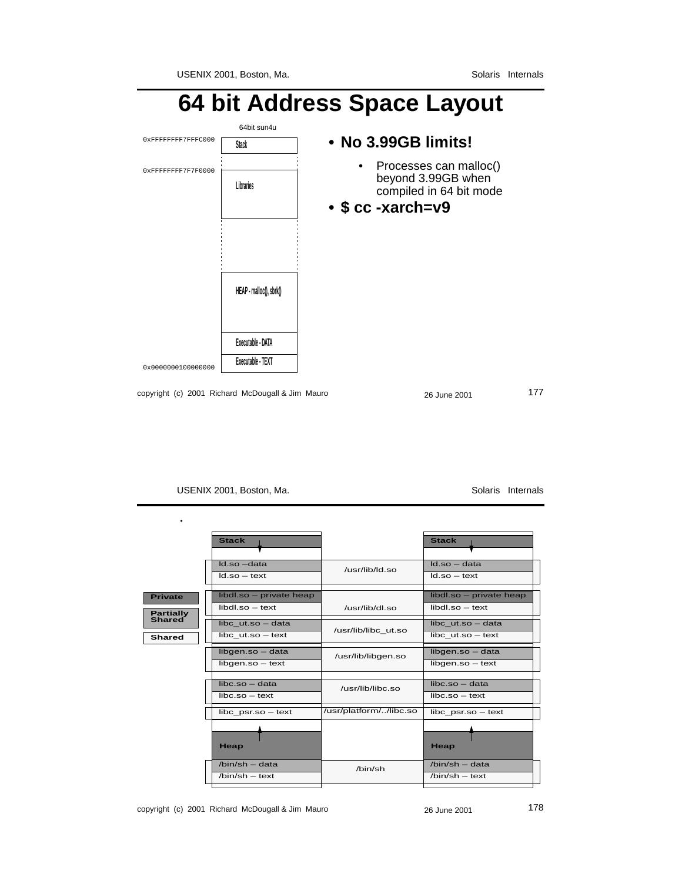### **64 bit Address Space Layout** 0x0000000100000000 0xFFFFFFFF7F7F0000 0xFFFFFFFF7FFFC000 64bit sun4u **Executable - TEXT Executable - DATA HEAP - malloc(), sbrk() Stack Libraries • No 3.99GB limits!** • Processes can malloc() beyond 3.99GB when compiled in 64 bit mode **• \$ cc -xarch=v9**

copyright (c) 2001 Richard McDougall & Jim Mauro 26 June 2001 26 June 2001

USENIX 2001, Boston, Ma. Solaris Internals

•

|                                    | <b>Stack</b>                                    |                        | <b>Stack</b>                                    |
|------------------------------------|-------------------------------------------------|------------------------|-------------------------------------------------|
|                                    | $Id.so$ $-data$<br>$Id.so - text$               | /usr/lib/ld.so         | $Id.so - data$<br>$Id.so - text$                |
| <b>Private</b><br><b>Partially</b> | libdl.so - private heap<br>$libdl$ .so $-$ text | /usr/lib/dl.so         | libdl.so - private heap<br>$libdl$ .so $-$ text |
| <b>Shared</b><br><b>Shared</b>     | libc ut.so - data<br>$libc$ ut.so $-$ text      | /usr/lib/libc ut.so    | libc ut.so - data<br>$libc$ ut.so $-$ text      |
|                                    | libgen.so - data<br>libgen.so - text            | /usr/lib/libgen.so     | libgen.so - data<br>libgen.so - text            |
|                                    | $libc.so - data$<br>$libc.so - text$            | /usr/lib/libc.so       | $libc.so - data$<br>$libc.so - text$            |
|                                    | $libc$ psr.so $-$ text                          | /usr/platform//libc.so | $libc$ psr.so $-$ text                          |
|                                    | Heap                                            |                        | Heap                                            |
|                                    | $/bin/sh - data$<br>$/hin/sh - text$            | $/h$ in/sh             | $/bin/sh - data$<br>$/bin(sh - text$            |
|                                    |                                                 |                        |                                                 |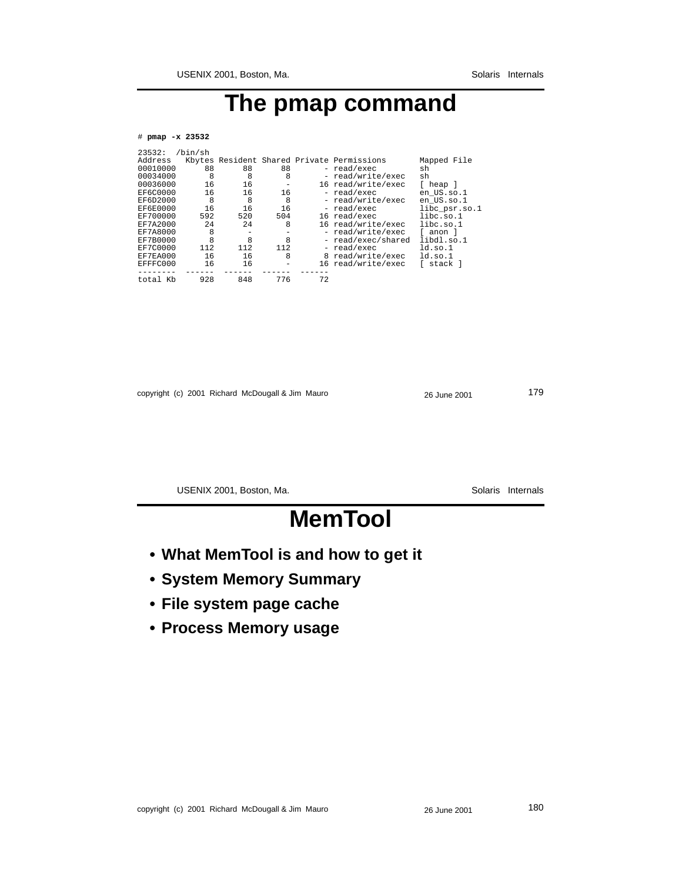# **The pmap command**

#### # **pmap -x 23532**

| 23532:          | /bin/sh |     |                   |    |                                            |               |
|-----------------|---------|-----|-------------------|----|--------------------------------------------|---------------|
| Address         |         |     |                   |    | Kbytes Resident Shared Private Permissions | Mapped File   |
| 00010000        | 88      | 88  | 88                |    | - read/exec                                | sh            |
| 00034000        | 8       | 8   | 8                 |    | - read/write/exec                          | sh            |
| 00036000        | 16      | 16  | $\qquad \qquad -$ |    | 16 read/write/exec                         | [ heap ]      |
| EF6C0000        | 16      | 16  | 16                |    | - read/exec                                | en US.so.1    |
| EF6D2000        | 8       | 8   | 8                 |    | - read/write/exec                          | en US.so.1    |
| EF6E0000        | 16      | 16  | 16                |    | - read/exec                                | libc psr.so.1 |
| EF700000        | 592     | 520 | 504               |    | 16 read/exec                               | line. so.1    |
| <b>EF7A2000</b> | 2.4     | 2.4 | 8                 |    | 16 read/write/exec                         | libc.so.1     |
| EF7A8000        | 8       | -   |                   |    | - read/write/exec                          | f anon l      |
| EF7B0000        | 8       | 8   | 8                 |    | - read/exec/shared                         | libdl.so.1    |
| EF7C0000        | 112     | 112 | 112               |    | - read/exec                                | ldso.1        |
| EF7EA000        | 16      | 16  | 8                 |    | 8 read/write/exec                          | ldso.1        |
| EFFFC000        | 16      | 16  | -                 |    | 16 read/write/exec                         | stack l       |
|                 |         |     |                   |    |                                            |               |
| total Kb        | 928     | 848 | 776               | 72 |                                            |               |

copyright (c) 2001 Richard McDougall & Jim Mauro 26 June 2001 26 June 2001

USENIX 2001, Boston, Ma. Solaris Internals

# **MemTool**

- **What MemTool is and how to get it**
- **System Memory Summary**
- **File system page cache**
- **Process Memory usage**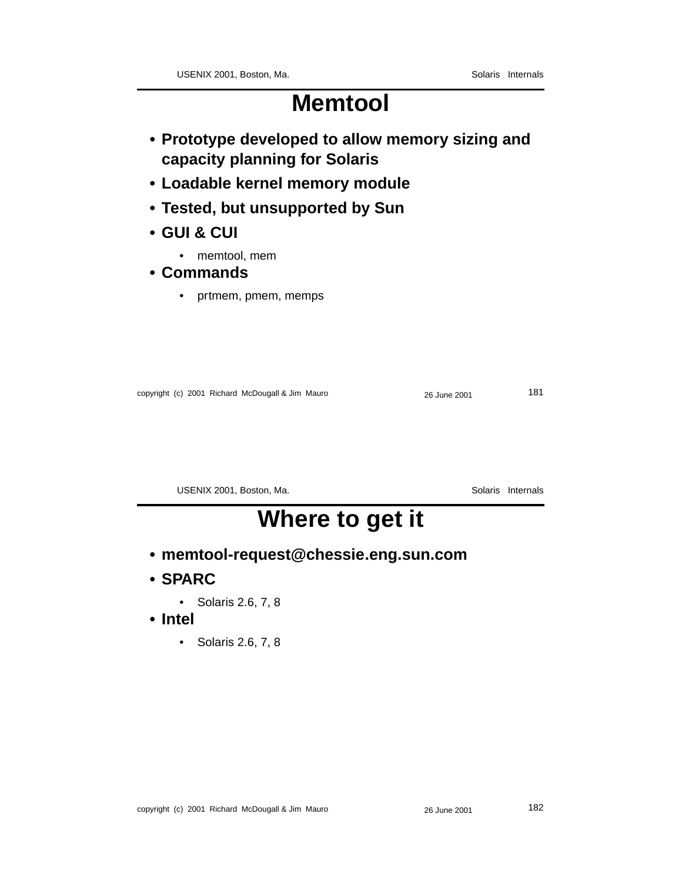## **Memtool**

- **Prototype developed to allow memory sizing and capacity planning for Solaris**
- **Loadable kernel memory module**
- **Tested, but unsupported by Sun**
- **GUI & CUI**
	- memtool, mem
- **Commands**
	- prtmem, pmem, memps

| copyright (c) 2001 Richard McDougall & Jim Mauro<br>26 June 2001 |
|------------------------------------------------------------------|
|------------------------------------------------------------------|

USENIX 2001, Boston, Ma. Solaris Internals

## **Where to get it**

- **memtool-request@chessie.eng.sun.com**
- **SPARC**
	- Solaris 2.6, 7, 8
- **Intel**
	- Solaris 2.6, 7, 8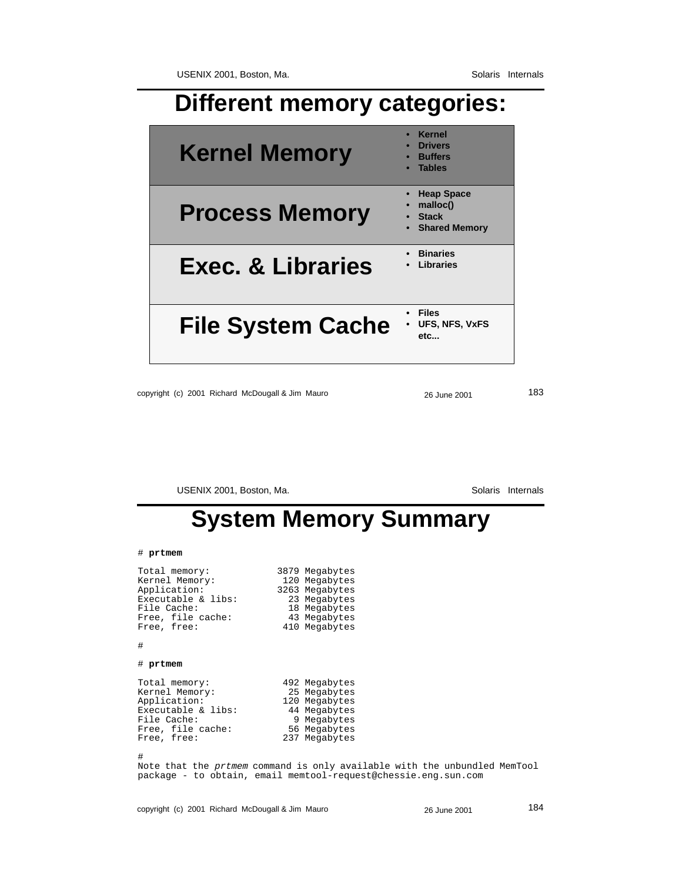### **Different memory categories:**

| <b>Kernel Memory</b>         | <b>Kernel</b><br><b>Drivers</b><br><b>Buffers</b><br><b>Tables</b>    |
|------------------------------|-----------------------------------------------------------------------|
| <b>Process Memory</b>        | <b>Heap Space</b><br>malloc()<br><b>Stack</b><br><b>Shared Memory</b> |
| <b>Exec. &amp; Libraries</b> | <b>Binaries</b><br>Libraries                                          |
| <b>File System Cache</b>     | <b>Files</b><br>UFS, NFS, VxFS<br>etc                                 |

copyright (c) 2001 Richard McDougall & Jim Mauro 26 June 2001 26 June 2001

USENIX 2001, Boston, Ma. Solaris Internals

## **System Memory Summary**

#### # **prtmem**

Total memory: 3879 Megabytes Kernel Memory: 120 Megabytes Application: 3263 Megabytes Executable & libs: 23 Megabytes File Cache: 18 Megabytes Free, file cache: 43 Megabytes Free, free: 410 Megabytes

#### #

#### # **prtmem**

Total memory: 492 Megabytes Kernel Memory: 25 Megabytes Externel Memory: 25 Megabytes<br>
Application: 120 Megabytes Executable & libs:<br>File Cache: Free, file cache: 56 Megabytes Free, free: 237 Megabytes

#

Note that the prtmem command is only available with the unbundled MemTool package - to obtain, email memtool-request@chessie.eng.sun.com

14 Megabytes<br>9 Megabytes<br>56 Megabytes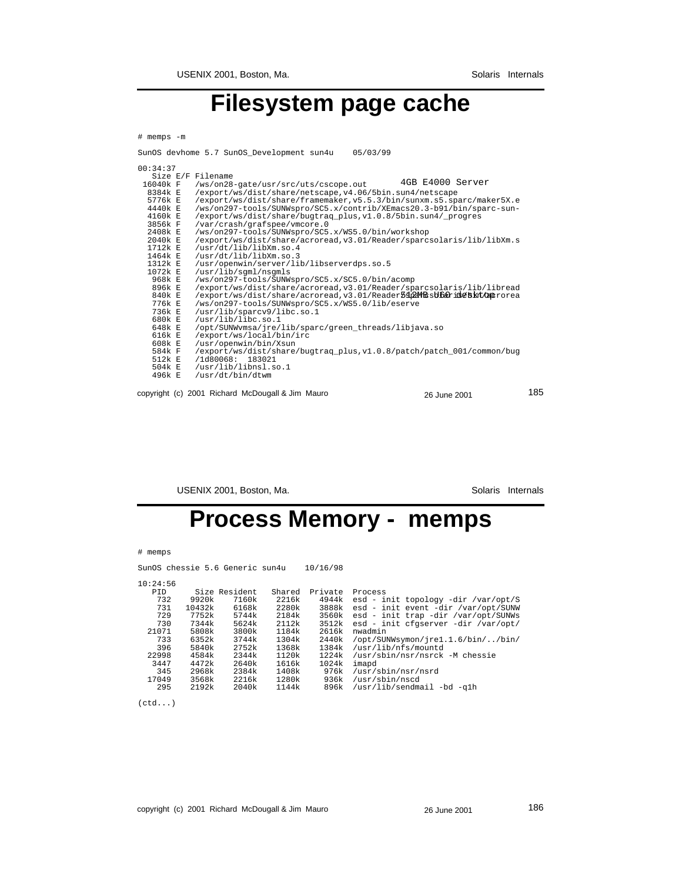## **Filesystem page cache**

| # memps -m        |                                                                                              |
|-------------------|----------------------------------------------------------------------------------------------|
|                   | SunOS devhome 5.7 SunOS Development sun4u<br>05/03/99                                        |
| 00:34:37          |                                                                                              |
| Size E/F Filename |                                                                                              |
| 16040k F          | 4GB E4000 Server<br>/ws/on28-gate/usr/src/uts/cscope.out                                     |
| 8384k E           | /export/ws/dist/share/netscape.v4.06/5bin.sun4/netscape                                      |
| 5776k E           | /export/ws/dist/share/framemaker.v5.5.3/bin/sunxm.s5.sparc/maker5X.e                         |
| 4440k E           | /ws/on297-tools/SUNWspro/SC5.x/contrib/XEmacs20.3-b91/bin/sparc-sun-                         |
| 4160k E           | /export/ws/dist/share/bugtraq_plus,v1.0.8/5bin.sun4/_progres                                 |
| 3856k F           | /var/crash/grafspee/vmcore.0                                                                 |
| 2408k E           | /ws/on297-tools/SUNWspro/SC5.x/WS5.0/bin/workshop                                            |
| 2040k E           | /export/ws/dist/share/acroread, v3.01/Reader/sparcsolaris/lib/libXm.s                        |
| 1712k E           | /usr/dt/lib/libXm.so.4                                                                       |
| $1464k$ F         | /usr/dt/lib/libXm.so.3                                                                       |
| $1312k$ E         | /usr/openwin/server/lib/libserverdps.so.5                                                    |
| $1072k$ F         | /usr/lib/sqml/nsqmls                                                                         |
| 968k E            | /ws/on297-tools/SUNWspro/SC5.x/SC5.0/bin/acomp                                               |
| 896k E            | /export/ws/dist/share/acroread, v3.01/Reader/sparcsolaris/lib/libread                        |
| 840k E            | /export/ws/dist/share/acroread, v3.01/Reader5sp2MHzsUbaride5kt/cm2rorea                      |
| 776k E            | /ws/on297-tools/SUNWspro/SC5.x/WS5.0/lib/eserve                                              |
| 736k E            | /usr/lib/sparcv9/libc.so.1                                                                   |
| 680k E            | /usr/lib/libc.so.1                                                                           |
| 648k E            | /opt/SUNWvmsa/jre/lib/sparc/green_threads/libjava.so                                         |
| 616k E            | /export/ws/local/bin/irc                                                                     |
| 608k E<br>584k F  | /usr/openwin/bin/Xsun                                                                        |
| 512k E            | /export/ws/dist/share/bugtrag plus, v1.0.8/patch/patch 001/common/bug<br>/1d80068:<br>183021 |
| 504k E            | /usr/lib/libnsl.so.1                                                                         |
| 496k F            | /usr/dt/bin/dtwm                                                                             |
|                   |                                                                                              |
|                   |                                                                                              |

copyright (c) 2001 Richard McDougall & Jim Mauro 26 June 2001 26 June 2001

USENIX 2001, Boston, Ma. Solaris Internals

## **Process Memory - memps**

|  | memps |
|--|-------|
|--|-------|

SunOS chessie 5.6 Generic sun4u 10/16/98

| × | × | ٠, |
|---|---|----|

| <b>PTD</b> |        | Size Resident | Shared | Private | Process                             |
|------------|--------|---------------|--------|---------|-------------------------------------|
| 732        | 9920k  | 7160k         | 2216k  | 4944k   | esd - init topology -dir /var/opt/S |
| 731        | 10432k | 6168k         | 2280k  | 3888k   | esd - init event -dir /var/opt/SUNW |
| 729        | 7752k  | 5744k         | 2184k  | 3560k   | esd - init trap -dir /var/opt/SUNWs |
| 730        | 7344k  | 5624k         | 2112k  | 3512k   | esd - init cfgserver -dir /var/opt/ |
| 21071      | 5808k  | 3800k         | 1184k  | 2616k   | nwadmin                             |
| 733        | 6352k  | 3744k         | 1304k  | 2440k   | /opt/SUNWsymon/jre1.1.6/bin//bin/   |
| 396        | 5840k  | 2752k         | 1368k  | 1384k   | /usr/lib/nfs/mountd                 |
| 22998      | 4584k  | 2344k         | 1120k  | 1224k   | /usr/sbin/nsr/nsrck -M chessie      |
| 3447       | 4472k  | 2640k         | 1616k  | 1024k   | imapd                               |
| 345        | 2968k  | 2384k         | 1408k  | 976k    | /usr/sbin/nsr/nsrd                  |
| 17049      | 3568k  | 2216k         | 1280k  | 936k    | /usr/sbin/nscd                      |
| 295        | 2192k  | 2040k         | 1144k  | 896k    | /usr/lib/sendmail -bd -qlh          |
|            |        |               |        |         |                                     |

 $(\verb"ctd"\ldots)$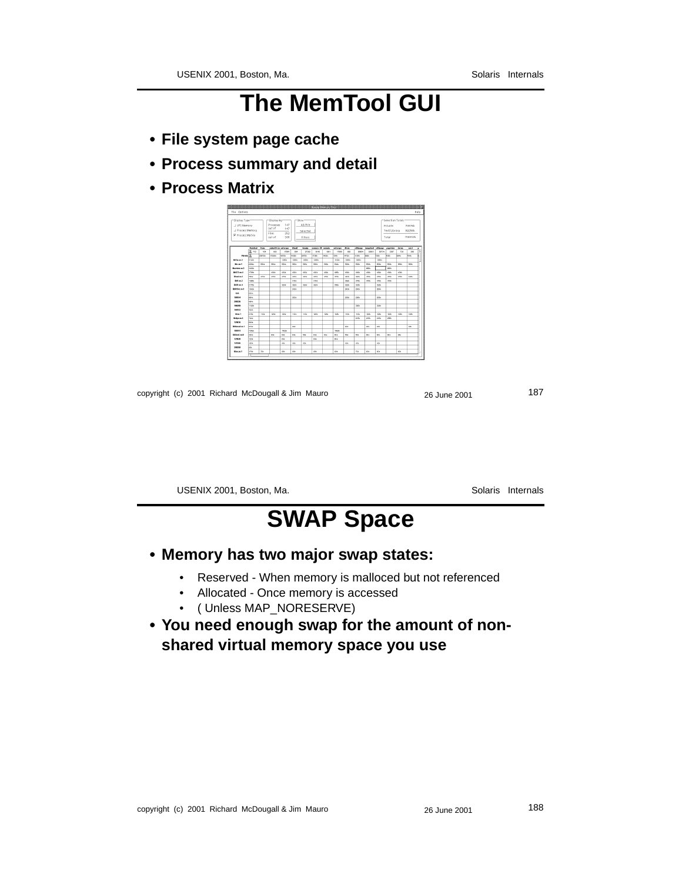# **The MemTool GUI**

- **File system page cache**
- **Process summary and detail**
- **Process Matrix**

| file Options                                                                  |                |              |                                                        |                          |              | <b>ELECTRIC MARKEY TO HARRISTERING</b> |                  |       |              |              |              |              |             |                                                        |        |                             | Help |
|-------------------------------------------------------------------------------|----------------|--------------|--------------------------------------------------------|--------------------------|--------------|----------------------------------------|------------------|-------|--------------|--------------|--------------|--------------|-------------|--------------------------------------------------------|--------|-----------------------------|------|
| -Display Type-<br>J VFS Memory<br>J Process Memory<br><b>N</b> Process Matrix |                |              | -Displaying<br>Pronected<br>out of<br>Files.<br>out of | 147<br>147<br>252<br>386 | $r$ -Show-   | <b>ALI/Filt</b><br>Selected<br>Filters |                  |       |              |              |              |              |             | -Selection Totals-<br>Private<br>Text/Library<br>Total |        | 205268<br>397558<br>1598321 |      |
|                                                                               | <b>Dentron</b> | <b>Your</b>  | materSX.cx extreme                                     |                          | <b>Final</b> | bonds.                                 | tomers-20 symphs |       | netocape     | <b>Sheep</b> |              |              |             | offices southe leaster reserve                         | zinces | wol                         |      |
|                                                                               | 35 PO          | 454          | <b>FASS</b>                                            | OSNA                     | M4           | <b>PITCARD</b>                         | nsan             | 1001  | 17055        | 680          | onona        | <b>DRAMA</b> | DETTA       | own                                                    | 738    | pon                         | E    |
| Prinate 35                                                                    |                | 006326       | 172,683                                                | 48726                    | 41071        | perces                                 | 17356            | 14081 | <b>OG</b>    | 16705        | <b>CMV</b>   | <b>ASOV</b>  | 7099        | anna.                                                  | onsa   | <b>TOG</b>                  | k    |
| <b>Bota se 3</b>                                                              | <b>Acces</b>   |              |                                                        | cann-                    | 12021        | catca                                  | cars.            |       | 14329        | <b>CMO</b>   | cassa        |              | <b>CMO</b>  |                                                        |        |                             |      |
| <b>Bone</b>                                                                   | <b>DOMES</b>   | <b>casts</b> | Mille                                                  | tota                     | <b>CASH</b>  | AM/EX                                  | nne»             | ness  | Anto.        | tras         | nnes         | <b>CANY</b>  | Anny        | nnes                                                   | nus    | AM/N                        |      |
| Baylon as 3                                                                   | 34321          |              |                                                        |                          |              |                                        |                  |       |              |              |              | once.        |             | poss                                                   |        |                             |      |
| <b>EDOCT 1 ap. 6</b>                                                          | 170Ex          |              | 021                                                    | 4323                     | 4325         | 432x                                   | 4321             | 4329  | anni.        | 021          | 4323         | 4325         | $-02x$      | 4321                                                   | 4329   |                             |      |
| <b>Hoof and</b>                                                               | <b>TEAM</b>    | a vis        | $_{\rm crs}$                                           | 4723                     | 4725         | 4426                                   | 4728             | 4725  | antis.       | 1101         | AM'S         | 4725         | $-02x$      | 4TEN                                                   | 4725   | 4426                        |      |
| Rift as 2                                                                     | 140EK          |              |                                                        |                          | $+ 10$       |                                        | 1101             |       |              | <b>SSEK</b>  | 2764         | $+100$       | 410x        | 4164                                                   |        |                             |      |
| 0000.00.4                                                                     | <b>SORK</b>    |              |                                                        | 2219                     | 200          | 200x                                   | 2211             |       | <b>SHOW</b>  | <b>SOFK</b>  | <b>SOM</b>   |              | <b>SORK</b> |                                                        |        |                             |      |
| R645yc.xe.1                                                                   | 14489          |              |                                                        |                          | 2406         |                                        |                  |       |              | <b>SARA</b>  | <b>Calls</b> |              | <b>MAY</b>  |                                                        |        |                             |      |
| <b>Feb.</b>                                                                   | <b>KNAA</b>    |              |                                                        |                          |              |                                        |                  |       |              |              |              |              |             |                                                        |        |                             |      |
| 180164                                                                        | 6644           |              |                                                        |                          | 2206         |                                        |                  |       |              | pose         | 9904         |              | 200x        |                                                        |        |                             |      |
| 290336                                                                        | <b>ASAA</b>    |              |                                                        |                          |              |                                        |                  |       |              |              |              |              |             |                                                        |        |                             |      |
| 100209                                                                        | 11082          |              |                                                        |                          |              |                                        |                  |       |              |              | tone         |              | 0049        |                                                        |        |                             |      |
| 100353                                                                        | 4.604          |              |                                                        |                          |              |                                        |                  |       |              |              |              |              |             |                                                        |        |                             |      |
| Man1                                                                          | lova           | 4406         | 4099                                                   | 1014                     | 1476         | 4476                                   | 1004             | +2/4  | <b>GAL</b>   | 1172         | 1539         | 12.66        | <b>KNV</b>  | 1014                                                   | 12.54  | <b>GAV</b>                  |      |
| <b>Ridge as S</b>                                                             | 7443           |              |                                                        |                          |              |                                        |                  |       |              |              | <b>DSA</b>   | C-Mik        | 2154        | <b>MA</b>                                              |        |                             |      |
| 120616                                                                        | <b>BBON</b>    |              |                                                        |                          |              |                                        |                  |       |              |              |              |              |             |                                                        |        |                             |      |
| <b>Rithmetian 1</b>                                                           | <b>DOOS</b>    |              |                                                        |                          | <b>Atk</b>   |                                        |                  |       |              | AN-          |              | <b>ABY</b>   | ANA         |                                                        |        | At is                       |      |
| 196191                                                                        | <b>TMPL</b>    |              |                                                        | 152.6%                   |              |                                        |                  |       | <b>CROWN</b> |              |              |              |             |                                                        |        |                             |      |
| BODG as 8                                                                     | <b>SOLA</b>    |              | <b>BSK</b>                                             | <b>Bill</b>              | nex          | <b>ABS</b>                             | <b>BSK</b>       | nev   | no           | <b>MA</b>    | <b>MS</b>    | nex          | <b>ALL</b>  | <b>Bill</b>                                            | nex    |                             |      |
| 120628                                                                        | 1206           |              |                                                        | <b>BSK</b>               |              |                                        | <b>BSK</b>       |       | <b>BEE</b>   |              |              |              |             |                                                        |        |                             |      |
| 111565                                                                        | <b>HOS</b>     |              |                                                        | 4m                       | <b>AB</b>    | 40k                                    |                  |       |              | 4th          | 424          |              | 40          |                                                        |        |                             |      |
| 200250                                                                        | lezy.          |              |                                                        |                          |              |                                        |                  |       |              |              |              |              |             |                                                        |        |                             |      |
| <b>Bound</b>                                                                  | <b>UNG</b>     | 728          |                                                        | sos.                     | <b>ASK</b>   |                                        | <b>BOW</b>       |       | AC4          |              | 726          | <b>ASS</b>   | acs.        |                                                        | ags.   |                             |      |
|                                                                               |                |              |                                                        |                          |              |                                        |                  |       |              |              |              |              |             |                                                        |        |                             |      |

copyright (c) 2001 Richard McDougall & Jim Mauro 26 June 2001 26 June 2001

USENIX 2001, Boston, Ma. Solaris Internals

# **SWAP Space**

- **Memory has two major swap states:**
	- Reserved When memory is malloced but not referenced
	- Allocated Once memory is accessed
	- ( Unless MAP\_NORESERVE)
- **You need enough swap for the amount of nonshared virtual memory space you use**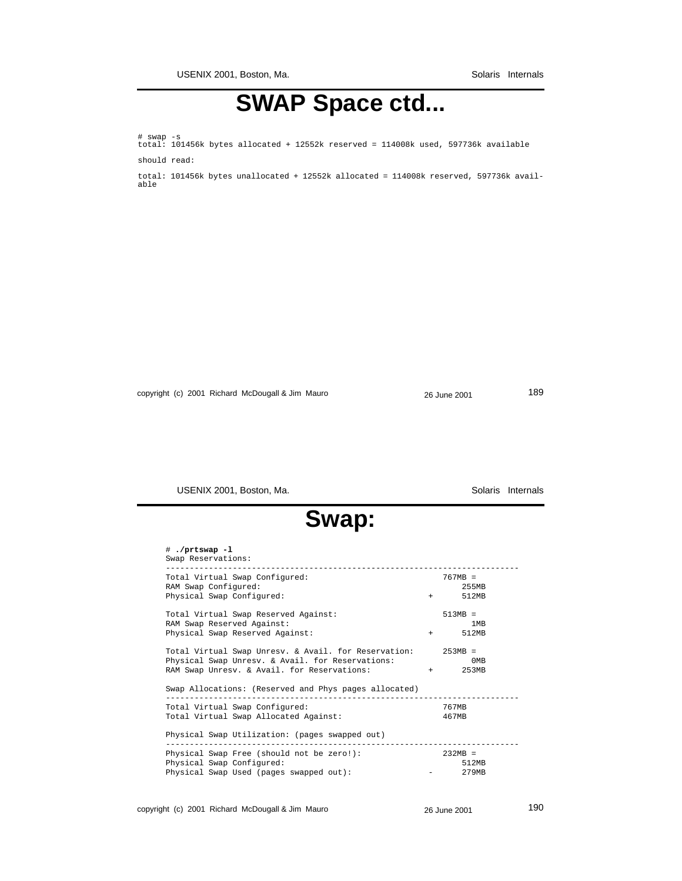**SWAP Space ctd...**

# swap -s total: 101456k bytes allocated + 12552k reserved = 114008k used, 597736k available should read:

total: 101456k bytes unallocated + 12552k allocated = 114008k reserved, 597736k available

copyright (c) 2001 Richard McDougall & Jim Mauro 26 June 2001 26 June 2001

USENIX 2001, Boston, Ma. Solaris Internals

# **Swap:**

| # ./prtswap -1<br>Swap Reservations:                         |                  |
|--------------------------------------------------------------|------------------|
| Total Virtual Swap Configured:                               | $767MB =$        |
| RAM Swap Configured:                                         | 255MB            |
| Physical Swap Configured:                                    | 512MB<br>$+$ $-$ |
| Total Virtual Swap Reserved Against:                         | $513MB =$        |
| RAM Swap Reserved Against:                                   | 1 <sub>MB</sub>  |
| Physical Swap Reserved Against:                              | 512MB<br>$+$ $-$ |
| Total Virtual Swap Unresv. & Avail. for Reservation: 253MB = |                  |
| Physical Swap Unresv. & Avail. for Reservations:             | 0MB              |
| RAM Swap Unresv. & Avail. for Reservations:                  | $+$ 253MB        |
| Swap Allocations: (Reserved and Phys pages allocated)        |                  |
| Total Virtual Swap Configured:                               | 767MB            |
| Total Virtual Swap Allocated Against:                        | 467MB            |
| Physical Swap Utilization: (pages swapped out)               |                  |
|                                                              |                  |
| Physical Swap Free (should not be zero!):                    | $232MB =$        |
| Physical Swap Configured:                                    | 512MB            |
| Physical Swap Used (pages swapped out):                      | 279MB            |
|                                                              |                  |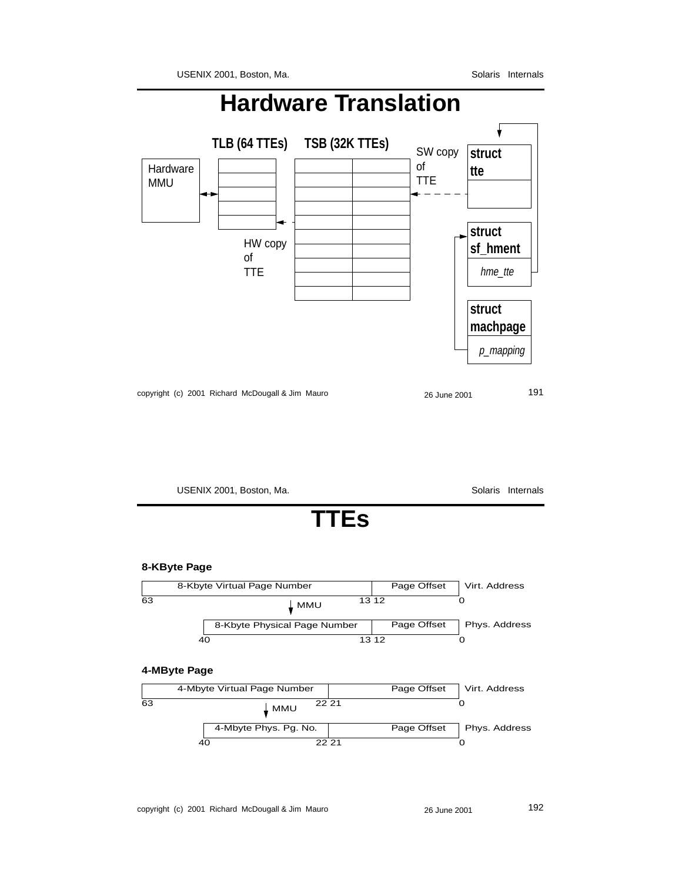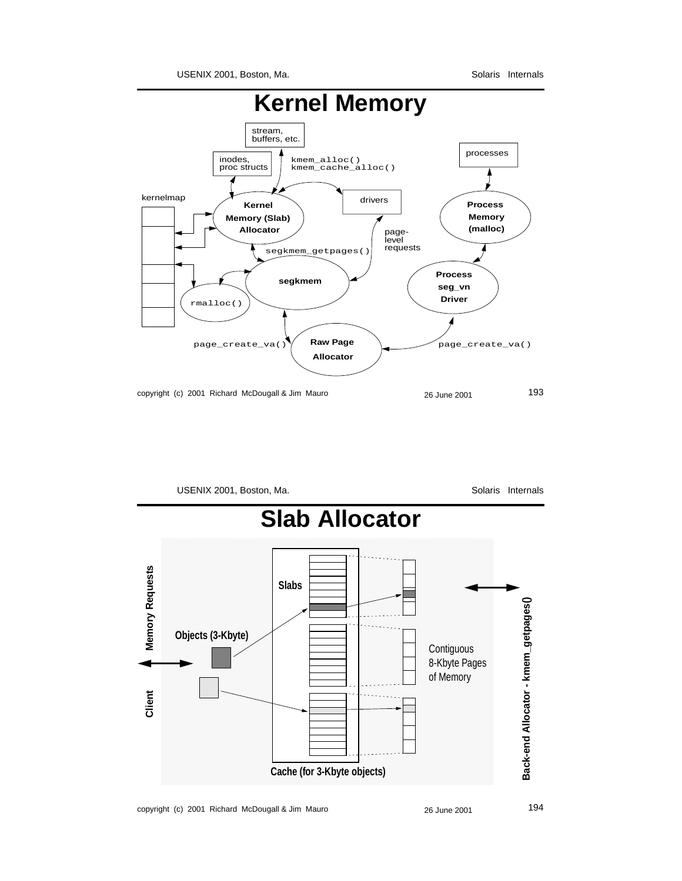

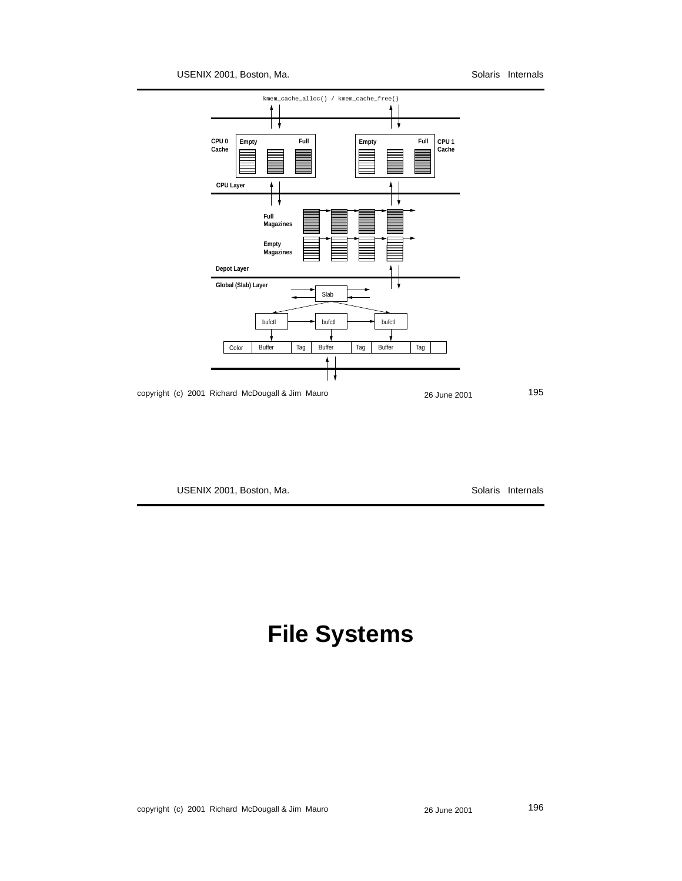USENIX 2001, Boston, Ma. Solaris Internals



USENIX 2001, Boston, Ma. Subsetting and Solaris Internals

## **File Systems**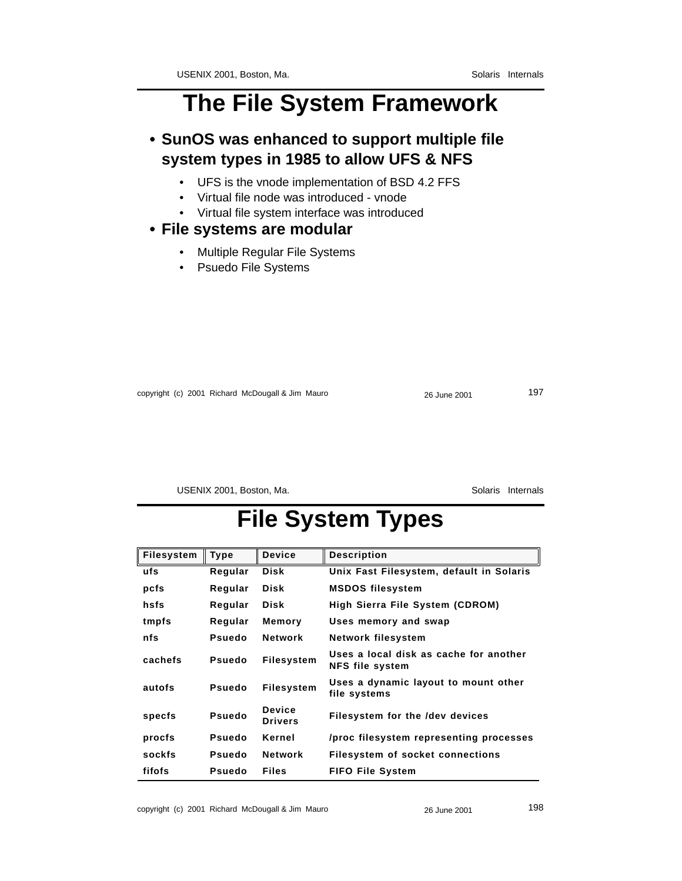## **The File System Framework**

### **• SunOS was enhanced to support multiple file system types in 1985 to allow UFS & NFS**

- UFS is the vnode implementation of BSD 4.2 FFS
- Virtual file node was introduced vnode
- Virtual file system interface was introduced

#### **• File systems are modular**

- Multiple Regular File Systems
- Psuedo File Systems

copyright (c) 2001 Richard McDougall & Jim Mauro 26 June 2001 26 June 2001

USENIX 2001, Boston, Ma. Solaris Internals

## **File System Types**

| <b>Filesystem</b> | <b>Type</b>   | <b>Device</b>                   | <b>Description</b>                                               |
|-------------------|---------------|---------------------------------|------------------------------------------------------------------|
| ufs               | Regular       | Disk                            | Unix Fast Filesystem, default in Solaris                         |
| pcfs              | Regular       | Disk                            | <b>MSDOS</b> filesystem                                          |
| hsfs              | Regular       | Disk                            | High Sierra File System (CDROM)                                  |
| tmpfs             | Regular       | Memory                          | Uses memory and swap                                             |
| nfs               | Psuedo        | <b>Network</b>                  | Network filesystem                                               |
| cachefs           | <b>Psuedo</b> | <b>Filesystem</b>               | Uses a local disk as cache for another<br><b>NFS file system</b> |
| autofs            | Psuedo        | <b>Filesystem</b>               | Uses a dynamic layout to mount other<br>file systems             |
| specfs            | Psuedo        | <b>Device</b><br><b>Drivers</b> | Filesystem for the /dev devices                                  |
| procfs            | Psuedo        | Kernel                          | /proc filesystem representing processes                          |
| sockfs            | <b>Psuedo</b> | <b>Network</b>                  | Filesystem of socket connections                                 |
| fifofs            | Psuedo        | <b>Files</b>                    | <b>FIFO File System</b>                                          |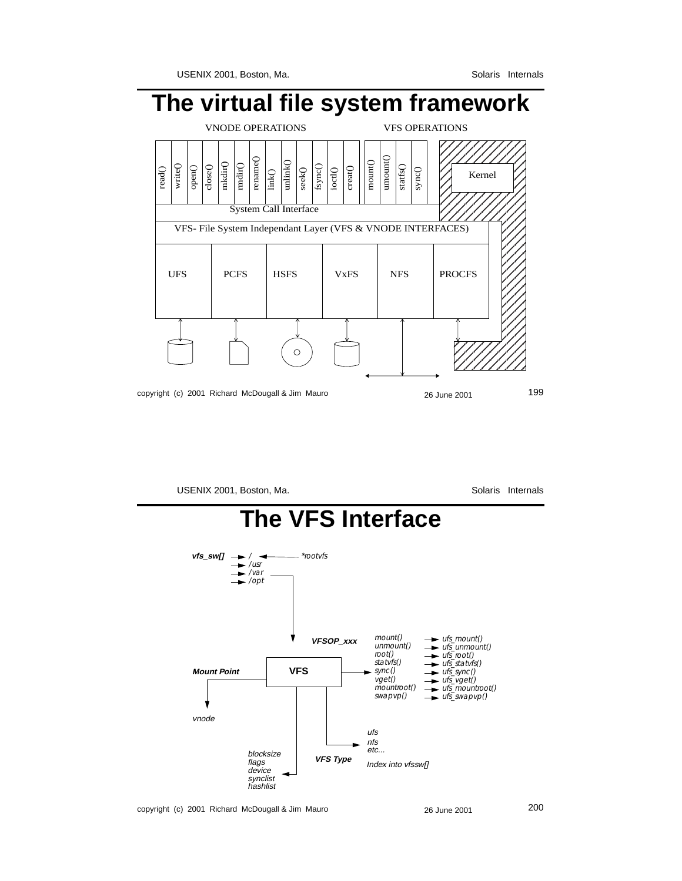

USENIX 2001, Boston, Ma. Solaris Internals

#### **The VFS Interface** *\*rootvfsvfs\_sw[]* $\rightarrow$  **/** *·*  $\overline{\phantom{a}}$ */var*  $\rightarrow$  /opt *mount() ufs\_mount()* **VFSOP\_xxx** *unmount() ufs\_unmount() ufs\_root() ufs\_statvfs() root() statvfs()* **Mount Point VFS** *sync() ufs\_sync()*  $\ddot{\phantom{1}}$ *vget() ufs\_vget() ufs\_mountroot() mountroot() swapvp() ufs\_swapvp()* vnode ufs nfs etc... blocksize **VFS Type** flags Index into vfssw[] device synclist hashlist

copyright (c) 2001 Richard McDougall & Jim Mauro 26 June 2001 200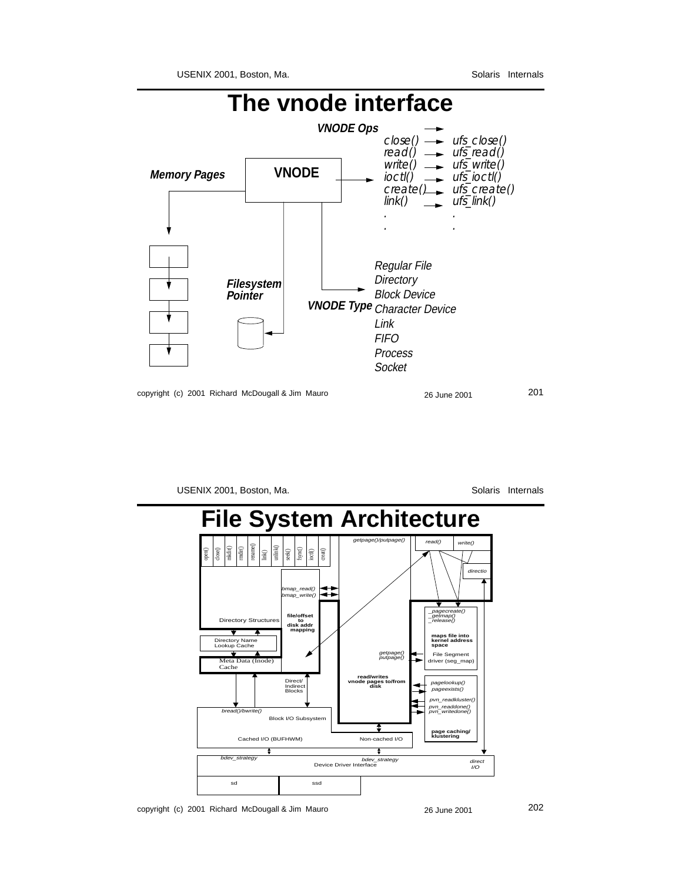

USENIX 2001, Boston, Ma. Solaris Internals



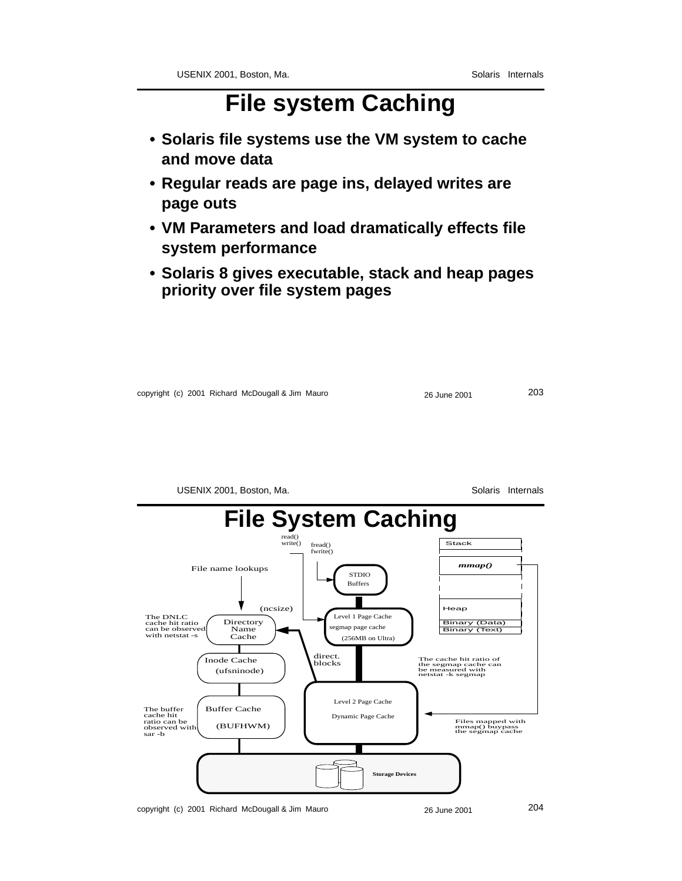# **File system Caching**

- **Solaris file systems use the VM system to cache and move data**
- **Regular reads are page ins, delayed writes are page outs**
- **VM Parameters and load dramatically effects file system performance**
- **Solaris 8 gives executable, stack and heap pages priority over file system pages**

|  |  | copyright (c) 2001 Richard McDougall & Jim Mauro | 26 June 2001 | 203 |
|--|--|--------------------------------------------------|--------------|-----|
|--|--|--------------------------------------------------|--------------|-----|



copyright (c) 2001 Richard McDougall & Jim Mauro 26 June 2001 204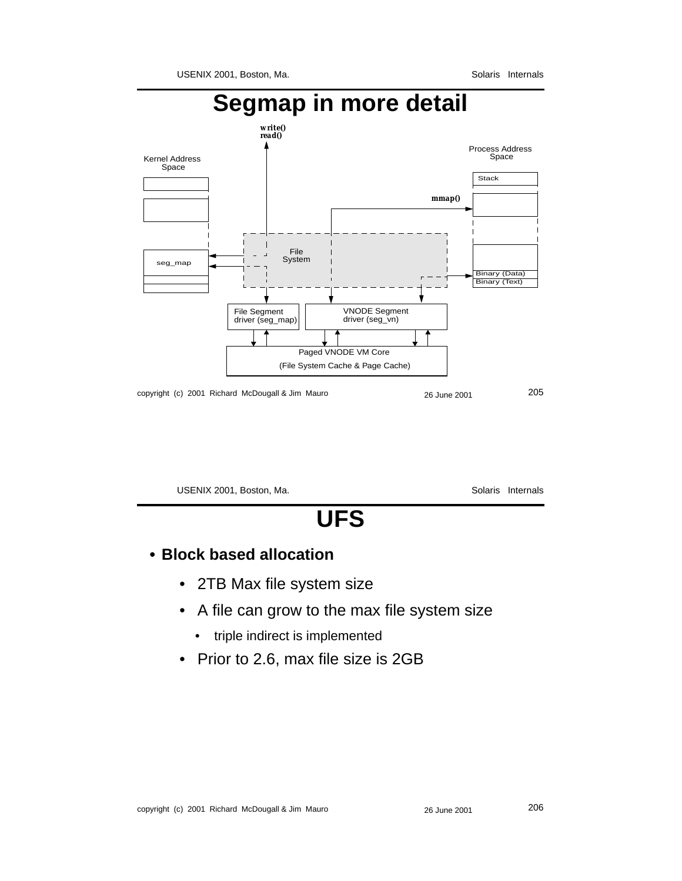

USENIX 2001, Boston, Ma. Solaris Internals **UFS**

### **• Block based allocation**

- 2TB Max file system size
- A file can grow to the max file system size
	- triple indirect is implemented
- Prior to 2.6, max file size is 2GB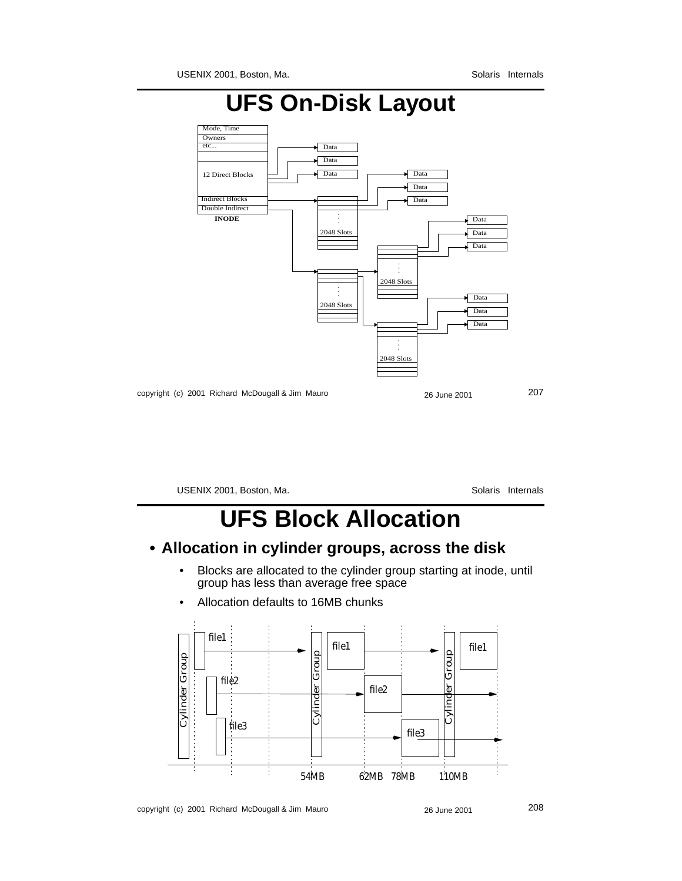

USENIX 2001, Boston, Ma. Solaris Internals

# **UFS Block Allocation**

#### **• Allocation in cylinder groups, across the disk**

• Blocks are allocated to the cylinder group starting at inode, until group has less than average free space



• Allocation defaults to 16MB chunks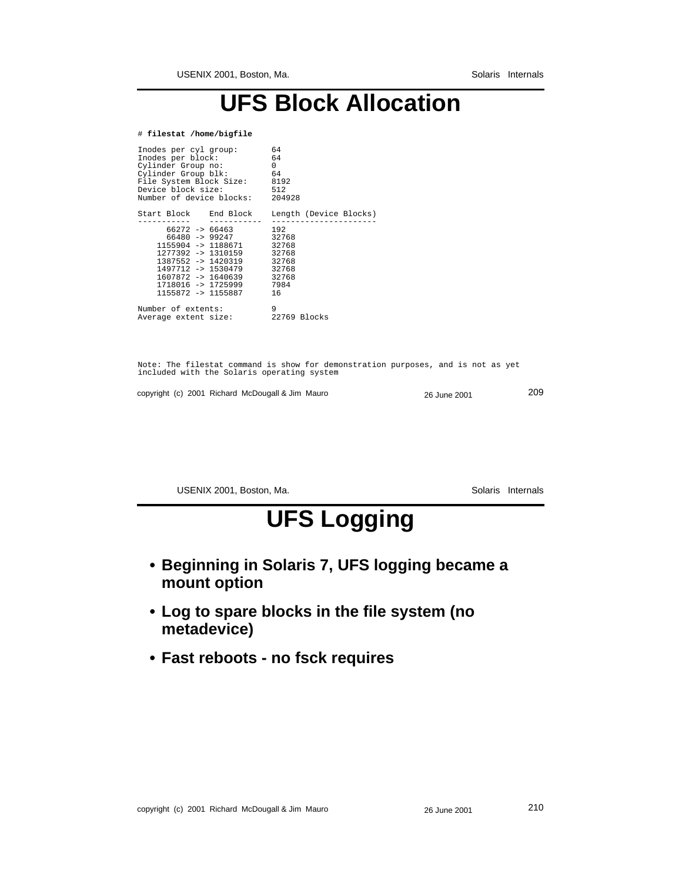# **UFS Block Allocation**

#### # **filestat /home/bigfile**

| Inodes per cyl group:<br>Inodes per block:<br>Cylinder Group no:<br>Cylinder Group blk:<br>File System Block Size: 8192<br>Device block size:<br>Number of device blocks: 204928                                                         | 64<br>64<br>$\Omega$<br>64<br>512 |
|------------------------------------------------------------------------------------------------------------------------------------------------------------------------------------------------------------------------------------------|-----------------------------------|
| Start Block – End Block                                                                                                                                                                                                                  | Length (Device Blocks)            |
| $66272$ -> $66463$<br>66480 -> 99247 32768<br>1155904 -> 1188671 32768<br>1277392 -> 1310159 32768<br>1387552 -> 1420319 32768<br>$1497712 - 1530479$ 32768<br>1607872 -> 1640639 32768<br>1718016 -> 1725999 7984<br>1155872 -> 1155887 | 192<br>16                         |
| Number of extents:<br>Average extent size:                                                                                                                                                                                               | 9<br>22769 Blocks                 |

Note: The filestat command is show for demonstration purposes, and is not as yet included with the Solaris operating system

copyright (c) 2001 Richard McDougall & Jim Mauro 26 June 2001 209

USENIX 2001, Boston, Ma. Solaris Internals

# **UFS Logging**

- **Beginning in Solaris 7, UFS logging became a mount option**
- **Log to spare blocks in the file system (no metadevice)**
- **Fast reboots no fsck requires**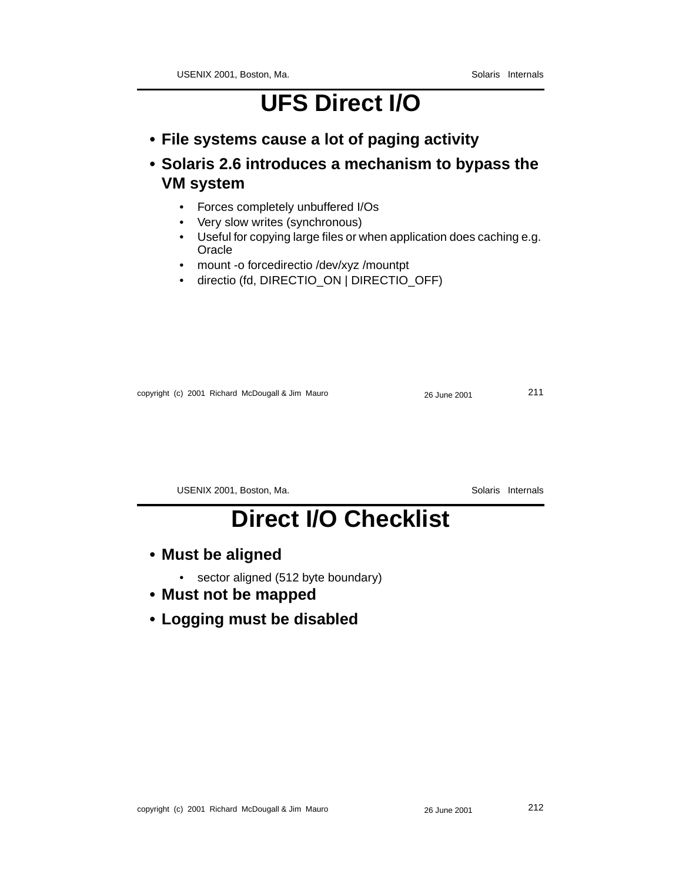# **UFS Direct I/O**

- **File systems cause a lot of paging activity**
- **Solaris 2.6 introduces a mechanism to bypass the VM system**
	- Forces completely unbuffered I/Os
	- Very slow writes (synchronous)
	- Useful for copying large files or when application does caching e.g. **Oracle**
	- mount -o forcedirectio /dev/xyz /mountpt
	- directio (fd, DIRECTIO\_ON | DIRECTIO\_OFF)

copyright (c) 2001 Richard McDougall & Jim Mauro 26 June 2001 211

USENIX 2001, Boston, Ma. Solaris Internals

# **Direct I/O Checklist**

- **Must be aligned**
	- sector aligned (512 byte boundary)
- **Must not be mapped**
- **Logging must be disabled**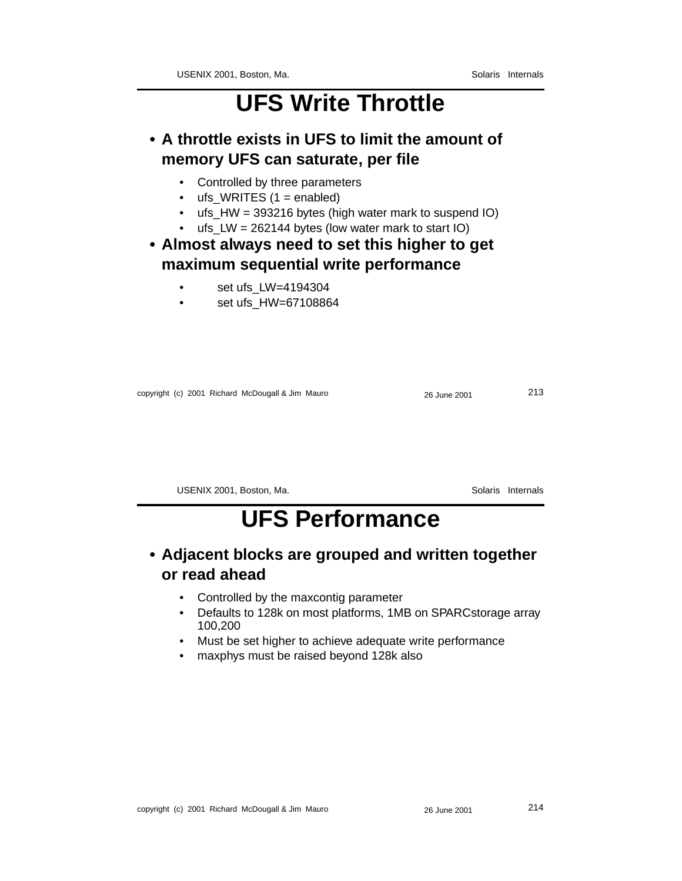## **UFS Write Throttle**

**• A throttle exists in UFS to limit the amount of memory UFS can saturate, per file**

- Controlled by three parameters
- ufs\_WRITES  $(1 =$  enabled)
- ufs\_HW = 393216 bytes (high water mark to suspend IO)
- ufs  $LW = 262144$  bytes (low water mark to start IO)

#### **• Almost always need to set this higher to get maximum sequential write performance**

- set ufs\_LW=4194304
- set ufs HW=67108864

copyright (c) 2001 Richard McDougall & Jim Mauro 26 June 2001 213

USENIX 2001, Boston, Ma. Solaris Internals

# **UFS Performance**

### **• Adjacent blocks are grouped and written together or read ahead**

- Controlled by the maxcontig parameter
- Defaults to 128k on most platforms, 1MB on SPARCstorage array 100,200
- Must be set higher to achieve adequate write performance
- maxphys must be raised beyond 128k also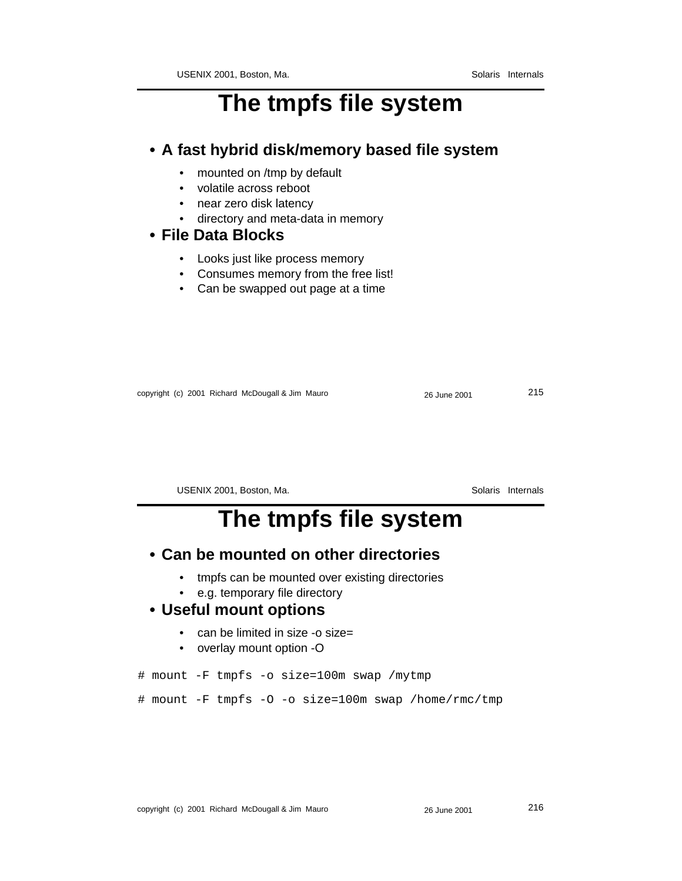## **The tmpfs file system**

#### **• A fast hybrid disk/memory based file system**

- mounted on /tmp by default
- volatile across reboot
- near zero disk latency
- directory and meta-data in memory

#### **• File Data Blocks**

- Looks just like process memory
- Consumes memory from the free list!
- Can be swapped out page at a time

copyright (c) 2001 Richard McDougall & Jim Mauro 26 June 2001 215

USENIX 2001, Boston, Ma. Solaris Internals

## **The tmpfs file system**

#### **• Can be mounted on other directories**

- tmpfs can be mounted over existing directories
- e.g. temporary file directory

#### **• Useful mount options**

- can be limited in size -o size=
- overlay mount option -O

# mount -F tmpfs -o size=100m swap /mytmp

# mount -F tmpfs -O -o size=100m swap /home/rmc/tmp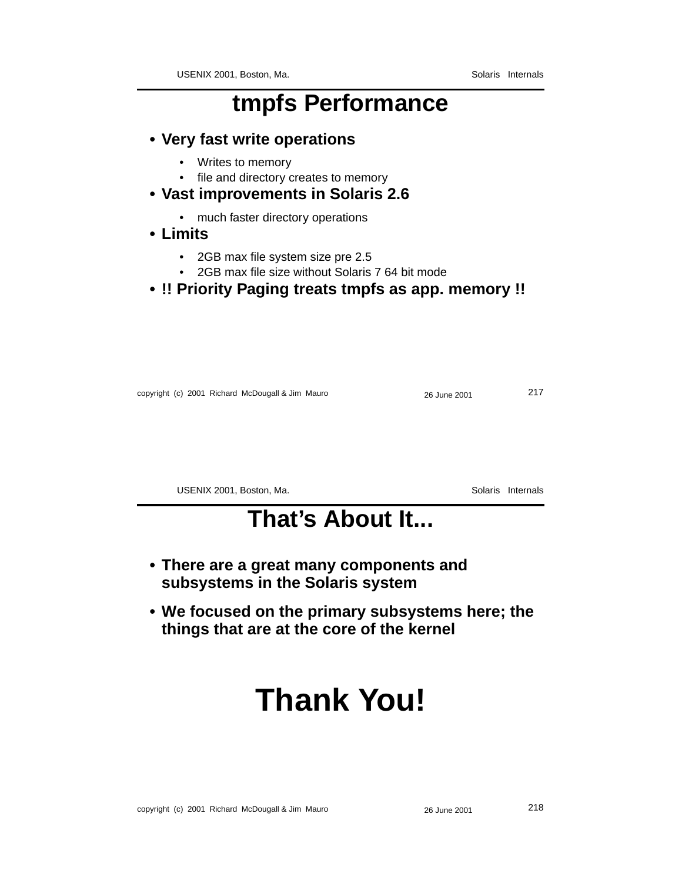### **tmpfs Performance**

- **Very fast write operations**
	- Writes to memory
	- file and directory creates to memory
- **Vast improvements in Solaris 2.6**
	- much faster directory operations
- **Limits**
	- 2GB max file system size pre 2.5
	- 2GB max file size without Solaris 7 64 bit mode
- **!! Priority Paging treats tmpfs as app. memory !!**

| copyright (c) 2001 Richard McDougall & Jim Mauro | 26 June 2001 | 217 |
|--------------------------------------------------|--------------|-----|
|--------------------------------------------------|--------------|-----|

USENIX 2001, Boston, Ma. Solaris Internals

### **That's About It...**

- **There are a great many components and subsystems in the Solaris system**
- **We focused on the primary subsystems here; the things that are at the core of the kernel**

# **Thank You!**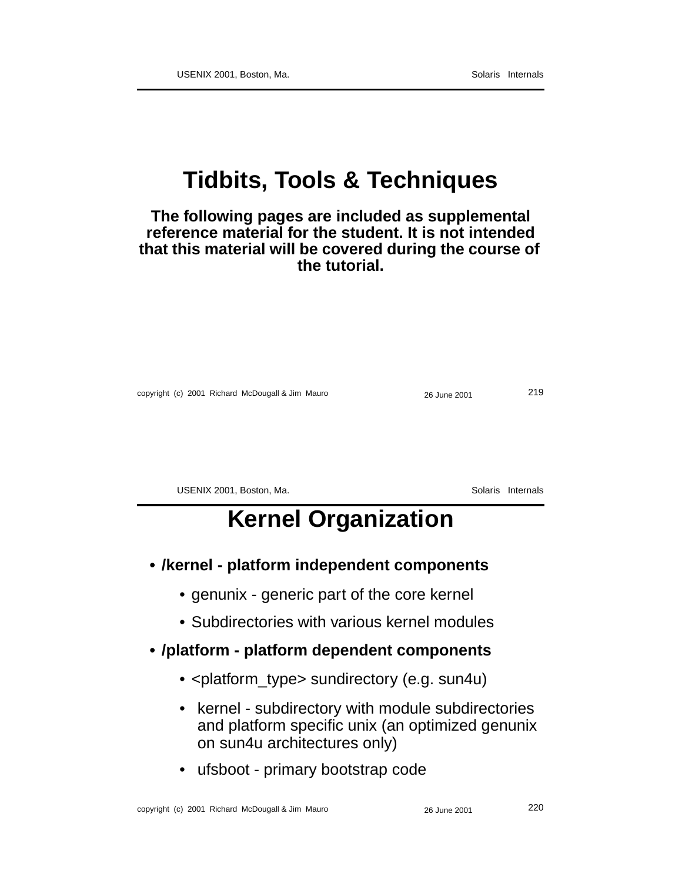## **Tidbits, Tools & Techniques**

#### **The following pages are included as supplemental reference material for the student. It is not intended that this material will be covered during the course of the tutorial.**

copyright (c) 2001 Richard McDougall & Jim Mauro 26 June 2001 219

USENIX 2001, Boston, Ma. Solaris Internals

### **Kernel Organization**

- **/kernel platform independent components**
	- genunix generic part of the core kernel
	- Subdirectories with various kernel modules

#### **• /platform - platform dependent components**

- <platform\_type> sundirectory (e.g. sun4u)
- kernel subdirectory with module subdirectories and platform specific unix (an optimized genunix on sun4u architectures only)
- ufsboot primary bootstrap code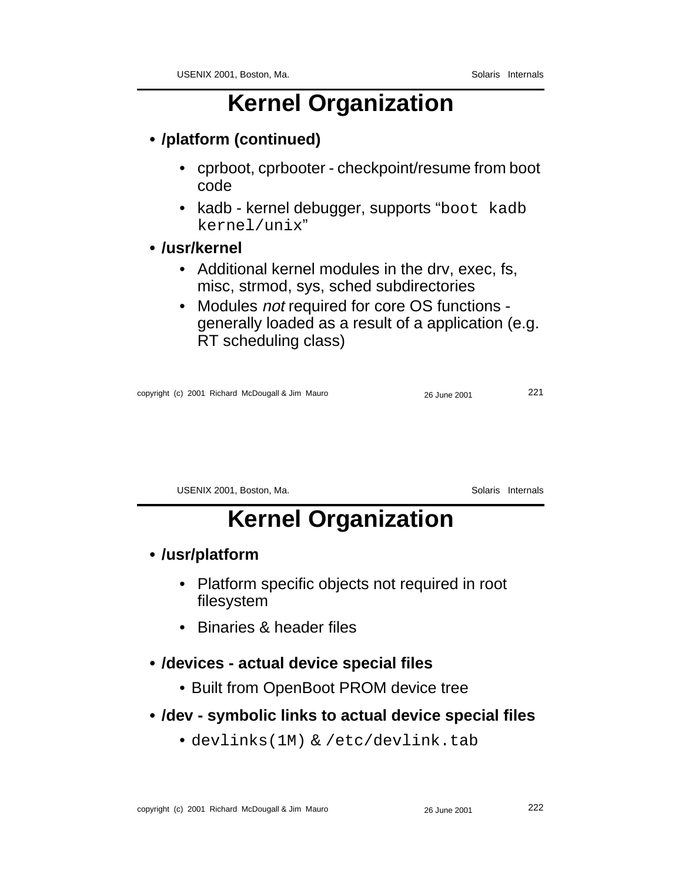## **Kernel Organization**

### **• /platform (continued)**

- cprboot, cprbooter checkpoint/resume from boot code
- kadb kernel debugger, supports "boot kadb kernel/unix"

#### **• /usr/kernel**

- Additional kernel modules in the drv, exec, fs, misc, strmod, sys, sched subdirectories
- Modules *not* required for core OS functions generally loaded as a result of a application (e.g. RT scheduling class)

| copyright (c) 2001 Richard McDougall & Jim Mauro | 26 June 2001 | 221 |
|--------------------------------------------------|--------------|-----|
|--------------------------------------------------|--------------|-----|

USENIX 2001, Boston, Ma. Solaris Internals

## **Kernel Organization**

#### **• /usr/platform**

- Platform specific objects not required in root filesystem
- Binaries & header files

#### **• /devices - actual device special files**

- Built from OpenBoot PROM device tree
- **/dev symbolic links to actual device special files**
	- devlinks(1M) & /etc/devlink.tab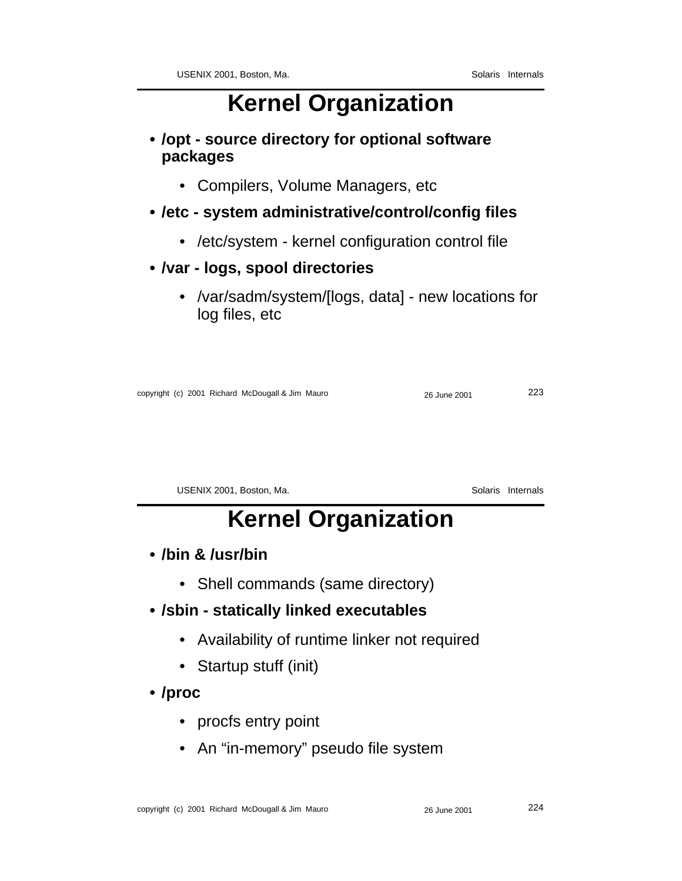## **Kernel Organization**

**• /opt - source directory for optional software packages**

• Compilers, Volume Managers, etc

### **• /etc - system administrative/control/config files**

- /etc/system kernel configuration control file
- **/var logs, spool directories**
	- /var/sadm/system/[logs, data] new locations for log files, etc

|  | copyright (c) 2001 Richard McDougall & Jim Mauro | 26 June 2001 | 223 |
|--|--------------------------------------------------|--------------|-----|
|--|--------------------------------------------------|--------------|-----|

USENIX 2001, Boston, Ma. Solaris Internals

## **Kernel Organization**

**• /bin & /usr/bin**

- Shell commands (same directory)
- **/sbin statically linked executables**
	- Availability of runtime linker not required
	- Startup stuff (init)
- **/proc**
	- procfs entry point
	- An "in-memory" pseudo file system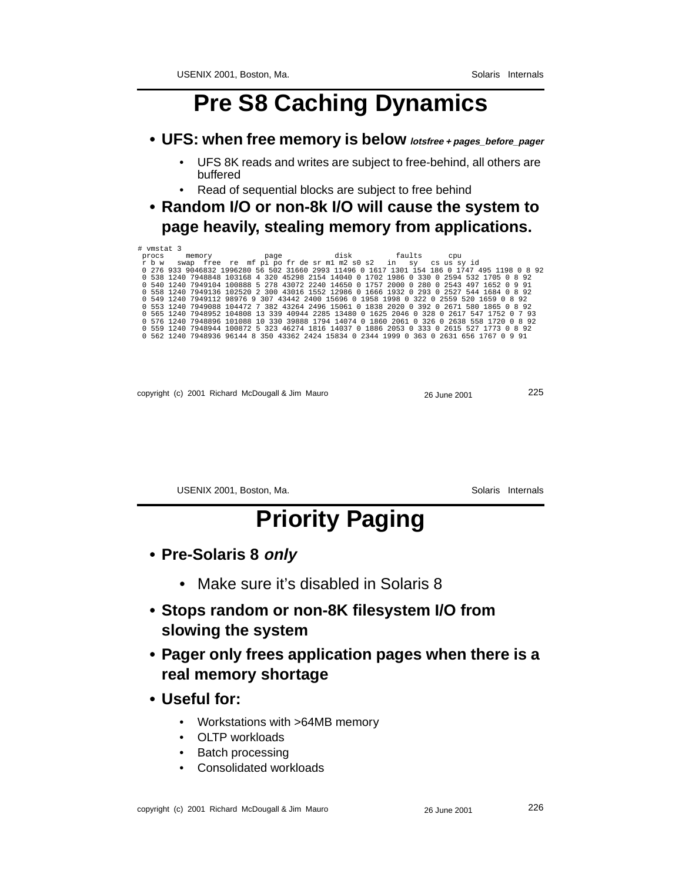### **Pre S8 Caching Dynamics**

- **UFS: when free memory is below lotsfree <sup>+</sup> pages\_before\_pager**
	- UFS 8K reads and writes are subject to free-behind, all others are buffered
	- Read of sequential blocks are subject to free behind
- **Random I/O or non-8k I/O will cause the system to page heavily, stealing memory from applications.**

| # vmstat 3 |                                                              |  |      |  |             |     |                                                                                              |  |
|------------|--------------------------------------------------------------|--|------|--|-------------|-----|----------------------------------------------------------------------------------------------|--|
| procs      | memory                                                       |  | page |  | disk faults | cpu |                                                                                              |  |
| r b w      | swap free re mf pi po fr de sr m1 m2 s0 s2 in sy cs us sy id |  |      |  |             |     |                                                                                              |  |
|            |                                                              |  |      |  |             |     | 0 276 933 9046832 1996280 56 502 31660 2993 11496 0 1617 1301 154 186 0 1747 495 1198 0 8 92 |  |
|            |                                                              |  |      |  |             |     | 0 538 1240 7948848 103168 4 320 45298 2154 14040 0 1702 1986 0 330 0 2594 532 1705 0 8 92    |  |
|            |                                                              |  |      |  |             |     | 0 540 1240 7949104 100888 5 278 43072 2240 14650 0 1757 2000 0 280 0 2543 497 1652 0 9 91    |  |
|            |                                                              |  |      |  |             |     | 0 558 1240 7949136 102520 2 300 43016 1552 12986 0 1666 1932 0 293 0 2527 544 1684 0 8 92    |  |
|            |                                                              |  |      |  |             |     | 0 549 1240 7949112 98976 9 307 43442 2400 15696 0 1958 1998 0 322 0 2559 520 1659 0 8 92     |  |
|            |                                                              |  |      |  |             |     | 0 553 1240 7949088 104472 7 382 43264 2496 15061 0 1838 2020 0 392 0 2671 580 1865 0 8 92    |  |
|            |                                                              |  |      |  |             |     | 0 565 1240 7948952 104808 13 339 40944 2285 13480 0 1625 2046 0 328 0 2617 547 1752 0 7 93   |  |
|            |                                                              |  |      |  |             |     | 0 576 1240 7948896 101088 10 330 39888 1794 14074 0 1860 2061 0 326 0 2638 558 1720 0 8 92   |  |
|            |                                                              |  |      |  |             |     | 0 559 1240 7948944 100872 5 323 46274 1816 14037 0 1886 2053 0 333 0 2615 527 1773 0 8 92    |  |
|            |                                                              |  |      |  |             |     | 0 562 1240 7948936 96144 8 350 43362 2424 15834 0 2344 1999 0 363 0 2631 656 1767 0 9 91     |  |
|            |                                                              |  |      |  |             |     |                                                                                              |  |

| copyright (c) 2001 Richard McDougall & Jim Mauro | 26 June 2001 | 225 |
|--------------------------------------------------|--------------|-----|
|--------------------------------------------------|--------------|-----|

USENIX 2001, Boston, Ma. Solaris Internals

## **Priority Paging**

- **Pre-Solaris 8 only**
	- Make sure it's disabled in Solaris 8
- **Stops random or non-8K filesystem I/O from slowing the system**
- **Pager only frees application pages when there is a real memory shortage**
- **Useful for:**
	- Workstations with >64MB memory
	- OLTP workloads
	- Batch processing
	- Consolidated workloads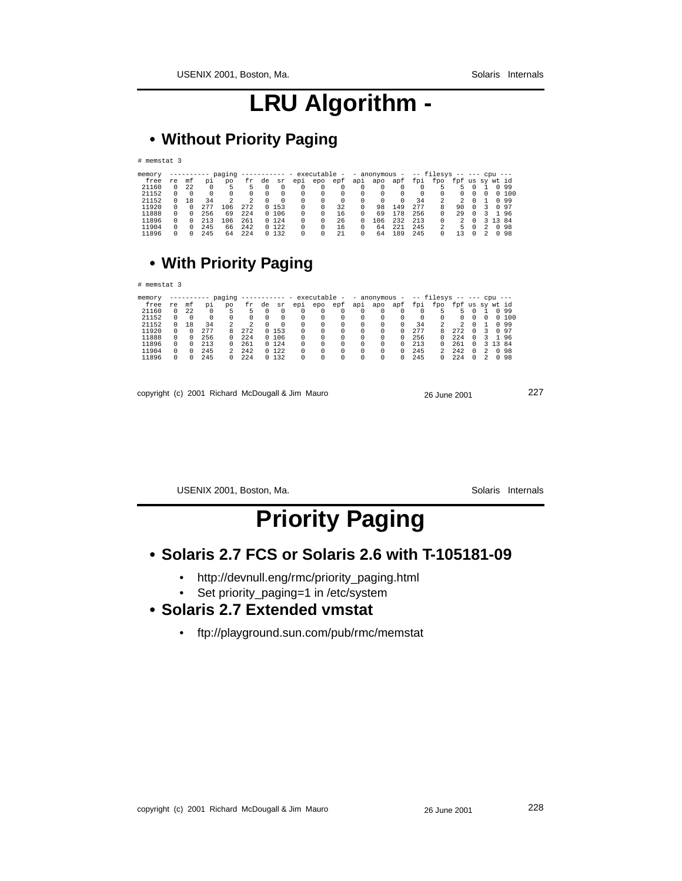### **LRU Algorithm -**

### **• Without Priority Paging**

# memstat 3

| memory |    |    |     | paging | ------------ - |    |        |     | executable - - anonymous - |     |          |     |     |     | -- filesys -- --- cpu --- |                 |   |    |         |       |
|--------|----|----|-----|--------|----------------|----|--------|-----|----------------------------|-----|----------|-----|-----|-----|---------------------------|-----------------|---|----|---------|-------|
| free   | re | mt | юi  | po     | fr             | de | sr     | epi | epo                        | epf | api      | apo | apf | fpi | fpo                       | fpf us sv wt id |   |    |         |       |
| 21160  |    | 22 |     | 5      | 5              |    |        |     |                            |     | 0        |     |     |     |                           |                 |   |    |         | 0 9 9 |
| 21152  |    |    |     |        | 0              |    |        |     |                            | 0   | $\Omega$ |     |     |     | 0                         |                 |   |    |         | 0,100 |
| 21152  |    | 18 | 34  |        | 2              |    |        | 0   |                            | 0   | $\Omega$ | 0   |     | 34  | 2                         |                 |   |    |         | 0 9 9 |
| 11920  |    |    | 277 | 106    | 272            |    | 0, 153 | 0   |                            | 32  |          | 98  | 149 | 277 | 8                         | 90              | 0 | 3. |         | 0 9 7 |
| 11888  |    |    | 256 | 69     | 2.2.4          |    | 0, 106 | 0   |                            | 16  | 0        | 69  | 178 | 256 | 0                         | 29              |   | 3. |         | 196   |
| 11896  |    |    | 213 | 106    | 261            |    | 0, 124 | 0   |                            | 26  |          | 106 | 232 | 213 | 0                         |                 |   |    | 3 13 84 |       |
| 11904  |    |    | 245 | 66     | 242            |    | 0, 122 |     |                            | 16  |          | 64  | 221 | 245 | 2                         | 5               |   |    |         | 0 98  |
| 11896  |    |    | 245 | 64     | 224            |    | 0132   |     |                            | 2.1 |          | 64  | 189 | 245 | 0                         | 3               |   |    |         | 0 98  |

#### **• With Priority Paging**

# memstat 3

| memory |    |    |     | paging | ------------ - |    |        |     | executable - |     |     |     | - anonymous - |     | -- filesys -- --- cpu --- |                 |          |   |         |       |
|--------|----|----|-----|--------|----------------|----|--------|-----|--------------|-----|-----|-----|---------------|-----|---------------------------|-----------------|----------|---|---------|-------|
| free   | re | mf | юi  | po     | fr.            | de | sr     | epi | epo          | epf | api | apo | apf           | fpi | fpo                       | fpf us sy wt id |          |   |         |       |
| 21160  |    | 22 |     | 5      |                |    |        |     |              |     |     |     |               |     |                           | 5.              | $\circ$  |   |         | 0 9 9 |
| 21152  |    |    |     |        |                |    |        |     |              |     | 0   |     |               |     |                           |                 |          |   |         | 0 100 |
| 21152  |    | 18 | 34  | 2      | 2              |    |        | 0   | 0            |     |     |     |               | 34  |                           |                 |          |   |         | 0 9 9 |
| 11920  |    |    | 277 | 8      | 272            |    | 0 153  | 0   | 0            |     | 0   |     |               | 277 | 8                         | 272             | $\Omega$ | 3 |         | 0 9 7 |
| 11888  |    |    | 256 | 0.     | 224            |    | 0 106  | 0   | 0            |     | 0   |     | ∩.            | 256 |                           | 224             | $\Omega$ | 3 |         | 196   |
| 11896  |    |    | 213 | O.     | 261            |    | 0.124  | 0   |              |     | 0   |     |               | 213 |                           | 261             | $\Omega$ |   | 3 13 84 |       |
| 11904  |    |    | 245 |        | 2.42           |    | 0, 122 |     |              |     | 0   |     |               | 245 |                           | 2.42            | $\Omega$ | 2 |         | 0 98  |
| 11896  |    |    | 245 | O.     | 224            |    | 0 132  |     | 0            |     | 0   | 0   |               | 245 |                           | 224             | $\Omega$ |   |         | 0.98  |

copyright (c) 2001 Richard McDougall & Jim Mauro 26 June 2001 227

USENIX 2001, Boston, Ma. Solaris Internals

### **Priority Paging**

- **Solaris 2.7 FCS or Solaris 2.6 with T-105181-09**
	- http://devnull.eng/rmc/priority\_paging.html
	- Set priority\_paging=1 in /etc/system
- **Solaris 2.7 Extended vmstat**
	- ftp://playground.sun.com/pub/rmc/memstat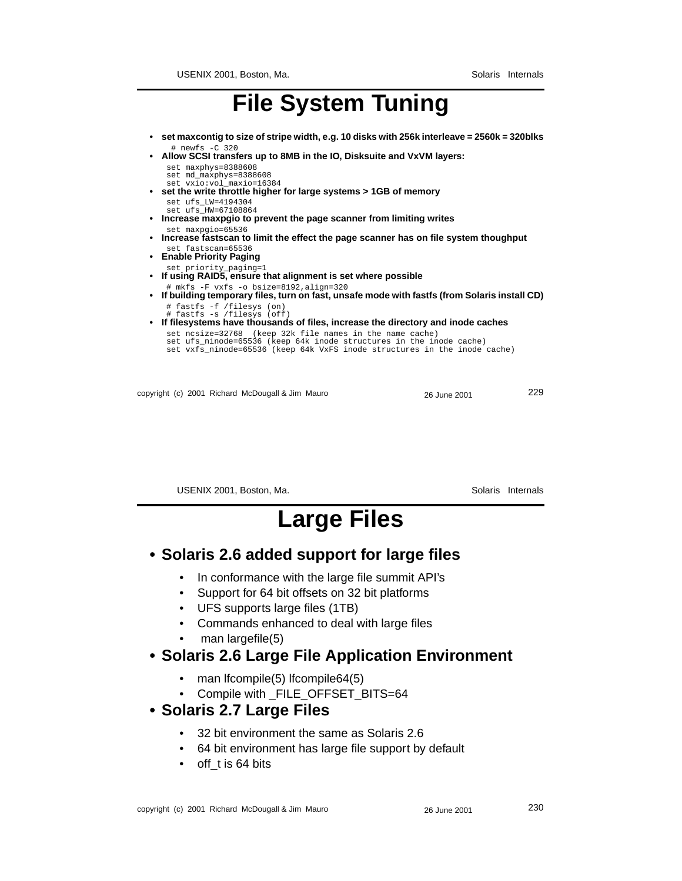### **File System Tuning**

- **set maxcontig to size of stripe width, e.g. 10 disks with 256k interleave = 2560k = 320blks** # newfs -C 320
- **Allow SCSI transfers up to 8MB in the IO, Disksuite and VxVM layers:**
	- set maxphys=8388608
	- set md\_maxphys=8388608
- set vxio:vol\_maxio=16384  **set the write throttle higher for large systems > 1GB of memory** set ufs\_LW=4194304
	- set ufs\_HW=67108864
	- **Increase maxpgio to prevent the page scanner from limiting writes** set maxpgio=65536
	- **Increase fastscan to limit the effect the page scanner has on file system thoughput** set fastscan=65536
	- **Enable Priority Paging**
	- set priority\_paging=1
	- **If using RAID5, ensure that alignment is set where possible**
- # mkfs -F vxfs -o bsize=8192,align=320 **• If building temporary files, turn on fast, unsafe mode with fastfs (from Solaris install CD)** # fastfs -f /filesys (on) # fastfs -s /filesys (off)
	-
	- **If filesystems have thousands of files, increase the directory and inode caches**
- set ncsize=32768 (keep 32k file names in the name cache) set ufs\_ninode=65536 (keep 64k inode structures in the inode cache) set vxfs\_ninode=65536 (keep 64k VxFS inode structures in the inode cache)
	-

copyright (c) 2001 Richard McDougall & Jim Mauro 26 June 2001 229

USENIX 2001, Boston, Ma. Solaris Internals

### **Large Files**

#### **• Solaris 2.6 added support for large files**

- In conformance with the large file summit API's
- Support for 64 bit offsets on 32 bit platforms
- UFS supports large files (1TB)
- Commands enhanced to deal with large files
- man largefile(5)

#### **• Solaris 2.6 Large File Application Environment**

- man lfcompile(5) lfcompile64(5)
- Compile with \_FILE\_OFFSET\_BITS=64

#### **• Solaris 2.7 Large Files**

- 32 bit environment the same as Solaris 2.6
- 64 bit environment has large file support by default
- off\_t is 64 bits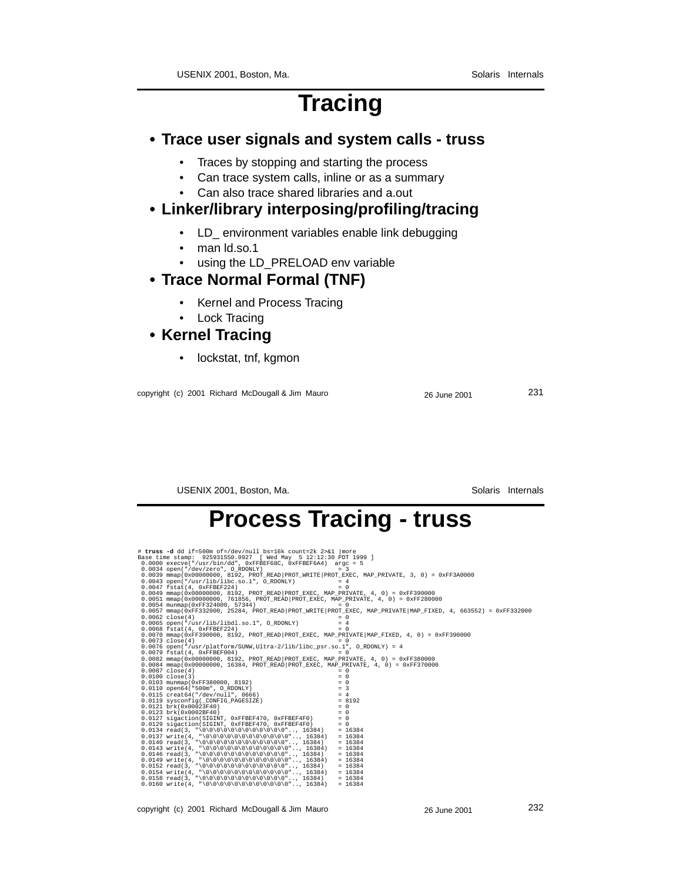### **Tracing**

#### **• Trace user signals and system calls - truss**

- Traces by stopping and starting the process
- Can trace system calls, inline or as a summary
- Can also trace shared libraries and a.out

#### **• Linker/library interposing/profiling/tracing**

- LD\_ environment variables enable link debugging
- man Id.so.1
- using the LD\_PRELOAD env variable

#### **• Trace Normal Formal (TNF)**

- Kernel and Process Tracing
- Lock Tracing

#### **• Kernel Tracing**

• lockstat, tnf, kgmon

copyright (c) 2001 Richard McDougall & Jim Mauro 26 June 2001 231

USENIX 2001, Boston, Ma. Solaris Internals

### **Process Tracing - truss**

# truss -d dd if=500m of=/dev/null bs=16k count=2k 2>kl | more<br>
Base time stamp: 925931550.0927 [Wed May 5 12:12:30 ppr 1999 ]<br>
0.0000 execve("/usr/bin/dd", 0xFFBEF68C, 0xFFBEF6A4) argc = 5<br>
0.0034 open(" $\text{dev}/\text{zero}$ ", OR 0.0076 open("/usr/platform/SUNW,Ultra-2/lib/libc\_psr.so.1", O\_RDONLY) = 4<br>0.0079 fstat(4, 0xFFBEF004)<br>0.0082 mmap(0x0000000, 8192, PROT\_READ|PROT\_EXEC, MAP\_PRIVATE, 4, 0) = 0xFF380000<br>0.0084 mmap(0x00000000, 16384, PROT\_R  $(10037 \text{ closed } 4) = 0$ 0.0103 munnap (0xFF380000, 8192)<br>
0.0100 close(3)<br>
0.0100 close(3)<br>
0.0110 close(3)<br>
0.0115 creat64("/dev/null", 0666)<br>
0.0115 creat64("/dev/null", 0666)<br>
0.0123 brk (0x00023F40)<br>
0.0123 brk (0x00023F4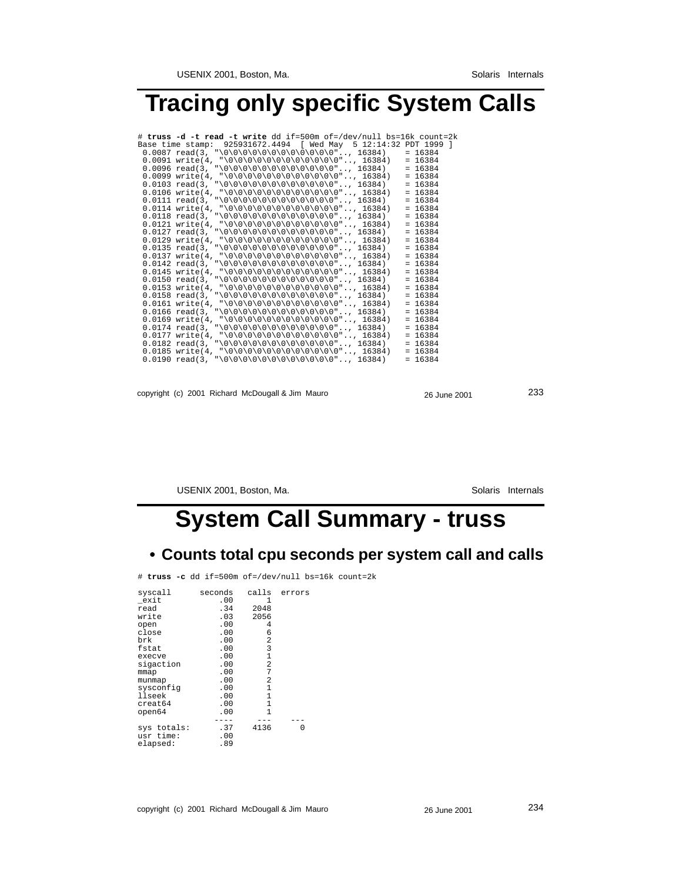### **Tracing only specific System Calls**

| # truss -d -t read -t write dd if=500m of=/dev/null bs=16k count=2k |  |  |           |
|---------------------------------------------------------------------|--|--|-----------|
| Base time stamp: 925931672.4494 [ Wed May 5 12:14:32 PDT 1999 ]     |  |  |           |
|                                                                     |  |  | $= 16384$ |
| $0.0091$ write(4, "\0\0\0\0\0\0\0\0\0\0\0\0", 16384)                |  |  | $= 16384$ |
| $0.0096$ read(3, "\0\0\0\0\0\0\0\0\0\0\0\0\0", 16384)               |  |  | $= 16384$ |
| $0.0099$ write(4, "\0\0\0\0\0\0\0\0\0\0\0\0", 16384)                |  |  | $= 16384$ |
| $0.0103$ read(3, "\0\0\0\0\0\0\0\0\0\0\0\0\0", 16384)               |  |  | $= 16384$ |
| $0.0106$ write(4, "\0\0\0\0\0\0\0\0\0\0\0\0", 16384)                |  |  | $= 16384$ |
|                                                                     |  |  | $= 16384$ |
| $0.0114$ write(4, "\0\0\0\0\0\0\0\0\0\0\0\0", 16384)                |  |  | $= 16384$ |
| $0.0118$ read(3, "\0\0\0\0\0\0\0\0\0\0\0\0\0", 16384)               |  |  | $= 16384$ |
| $0.0121$ write(4, "\0\0\0\0\0\0\0\0\0\0\0\0\0", 16384)              |  |  | $= 16384$ |
|                                                                     |  |  | $= 16384$ |
| $0.0129$ write(4, "\0\0\0\0\0\0\0\0\0\0\0\0", 16384)                |  |  | $= 16384$ |
| $0.0135$ read(3, "\0\0\0\0\0\0\0\0\0\0\0\0\0", 16384)               |  |  | $= 16384$ |
| $0.0137$ write(4, "\0\0\0\0\0\0\0\0\0\0\0\0\0", 16384)              |  |  | $= 16384$ |
|                                                                     |  |  | $= 16384$ |
| $0.0145$ write(4, "\0\0\0\0\0\0\0\0\0\0\0\0\0", 16384)              |  |  | $= 16384$ |
| $0.0150$ read(3, "\0\0\0\0\0\0\0\0\0\0\0\0\0", 16384)               |  |  | $= 16384$ |
| $0.0153$ write(4, "\0\0\0\0\0\0\0\0\0\0\0\0\0", 16384)              |  |  | $= 16384$ |
|                                                                     |  |  | $= 16384$ |
| $0.0161$ write(4, "\0\0\0\0\0\0\0\0\0\0\0\0\0", 16384)              |  |  | $= 16384$ |
| $0.0166$ read(3, "\0\0\0\0\0\0\0\0\0\0\0\0\0", 16384)               |  |  | $= 16384$ |
| $0.0169$ write(4, "\0\0\0\0\0\0\0\0\0\0\0\0\0", 16384)              |  |  | $= 16384$ |
|                                                                     |  |  | $= 16384$ |
| $0.0177$ write(4, "\0\0\0\0\0\0\0\0\0\0\0\0\0", 16384)              |  |  | $= 16384$ |
| $0.0182$ read(3, "\0\0\0\0\0\0\0\0\0\0\0\0\0", 16384)               |  |  | $= 16384$ |
| $0.0185$ write(4, "\0\0\0\0\0\0\0\0\0\0\0\0\0", 16384)              |  |  | $= 16384$ |
|                                                                     |  |  | $= 16384$ |

copyright (c) 2001 Richard McDougall & Jim Mauro 26 June 2001 233

USENIX 2001, Boston, Ma. Solaris Internals

## **System Call Summary - truss**

#### **• Counts total cpu seconds per system call and calls**

# **truss -c** dd if=500m of=/dev/null bs=16k count=2k

| syscall                              | seconds           | calls        | errors |
|--------------------------------------|-------------------|--------------|--------|
| exit                                 | .00               | 1            |        |
| read                                 | .34               | 2048         |        |
| write                                | .03               | 2056         |        |
| open                                 | .00               | 4            |        |
| close                                | .00               | 6            |        |
| brk                                  | .00               | 2            |        |
| fstat                                | .00               | 3            |        |
| execve                               | .00               | $\mathbf{1}$ |        |
| sigaction                            | .00               | 2            |        |
| mmap                                 | .00               | 7            |        |
| munmap                               | .00               | 2            |        |
| sysconfiq                            | .00               | $\mathbf{1}$ |        |
| llseek                               | .00               | $\mathbf{1}$ |        |
| creat64                              | .00               | $\mathbf{1}$ |        |
| open64                               | .00               | 1            |        |
| sys totals:<br>usr time:<br>elapsed: | .37<br>.00<br>.89 | 4136         | ∩      |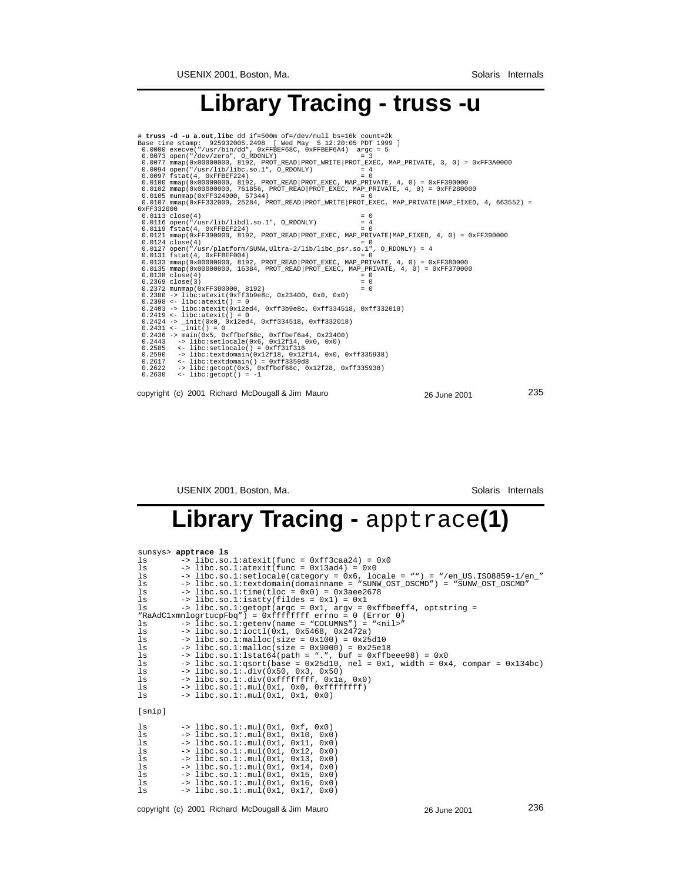### **Library Tracing - truss -u**

```
copyright (c) 2001 Richard McDougall & Jim Mauro 26 June 2001 235
 # truss -d -u a.out, libe dd if=500m of=/dev/null bs=16k count=2k<br>
Base time stamp: 925932005.2498 [Wed May 5 12:20:05 PDT 1999 ]<br>
0.0000 execve("/usr/bin/dd", 0xFFBEF68C, 0xFFBEF6A4) argc = 5<br>
0.0073 open("/dev/zero", OR
 0.0113 close(4)<br>
0.0116 open("/usr/lib/libdl.so.1", O_RDONLY) = 4<br>
0.0119 fstat(4, 0xFFBEF224) = 0<br>
0.0121 mmap(0xFF390000, 8192, PROT_READ|PROT_EXEC, MAP_PRIVATE|MAP_FIXED, 4, 0) = 0xFF390000
 0.0124 close(4)<br>
0.0127 open("/usr/platform/SUNW,Ultra-2/lib/libc_psr.so.1", O_RDONLY) = 4<br>
0.0131 fstat(4, 0xFFBEF004)<br>
0.0131 smmap(0x00000000, 16384, PROT_READ|PROT_EXEC, MAP_PRIVATE, 4, 0) = 0xFF380000<br>
0.0133 smmap(0
```
USENIX 2001, Boston, Ma. Solaris Internals

### **Library Tracing -** apptrace**(1)**

|        | sunsys> apptrace ls                                                                     |
|--------|-----------------------------------------------------------------------------------------|
| ls     | $\rightarrow$ libc.so.1:atexit(func = 0xff3caa24) = 0x0                                 |
| ls     | $\Rightarrow$ libc.so.1:atexit(func = 0x13ad4) = 0x0                                    |
| ls     | $\rightarrow$ libc.so.1:setlocale(category = 0x6, locale = "") = "/en US.IS08859-1/en " |
| ls     | -> libc.so.1:textdomain(domainname = "SUNW_OST_OSCMD") = "SUNW_OST_OSCMD"               |
| ls     | $\rightarrow$ libc.so.1:time(tloc = 0x0) = 0x3aee2678                                   |
| ls     | $\rightarrow$ libc.so.1:isatty(fildes = 0x1) = 0x1                                      |
| ls     | $\rightarrow$ libc.so.l:qetopt(argc = 0x1, argy = 0xffbeeff4, optstring =               |
|        | "RaAdClxmnlogrtucpFbq") = $0$ xffffffff errno = $0$ (Error 0)                           |
| ls     | $\rightarrow$ libc.so.1:qetenv(name = "COLUMNS") = " <nil>"</nil>                       |
| ls     | $\rightarrow$ libc.so.1:ioctl(0x1, 0x5468, 0x2472a)                                     |
| ls     | $\rightarrow$ libc.so.1:malloc(size = 0x100) = 0x25d10                                  |
| ls     | $\rightarrow$ libc.so.1:malloc(size = 0x9000) = 0x25e18                                 |
| ls     | $\rightarrow$ libc.so.1:1stat64(path = ".", buf = 0xffbeee98) = 0x0                     |
| ls     | $\rightarrow$ libc.so.1:gsort(base = 0x25d10, nel = 0x1, width = 0x4, compar = 0x134bc) |
| ls     | $\rightarrow$ libc.so.1:.div(0x50, 0x3, 0x50)                                           |
| ls     | -> libc.so.1:.div(0xfffffffff, 0x1a, 0x0)                                               |
| ls     | $\rightarrow$ libc.so.1:.mul(0x1, 0x0, 0xfffffffff)                                     |
| ls     | $\rightarrow$ libc.so.1:.mul(0x1, 0x1, 0x0)                                             |
| [snip] |                                                                                         |
| ls     | $\rightarrow$ libc.so.1:.mul(0x1, 0xf, 0x0)                                             |
| ls     | $\rightarrow$ libc.so.1:.mul(0x1, 0x10, 0x0)                                            |
| ls     | $\rightarrow$ libc.so.1:.mul(0x1, 0x11, 0x0)                                            |
| ls     | $\rightarrow$ libc.so.1:.mul(0x1, 0x12, 0x0)                                            |
| ls     | $\rightarrow$ libc.so.1:.mul(0x1, 0x13, 0x0)                                            |
| ls     | $\rightarrow$ libc.so.1:.mul(0x1, 0x14, 0x0)                                            |
| ls     | $\rightarrow$ libc.so.1:.mul(0x1, 0x15, 0x0)                                            |
| ls     | $\rightarrow$ libc.so.1:.mul(0x1, 0x16, 0x0)                                            |
| ls     | $\rightarrow$ libc.so.1:.mul(0x1, 0x17, 0x0)                                            |
|        |                                                                                         |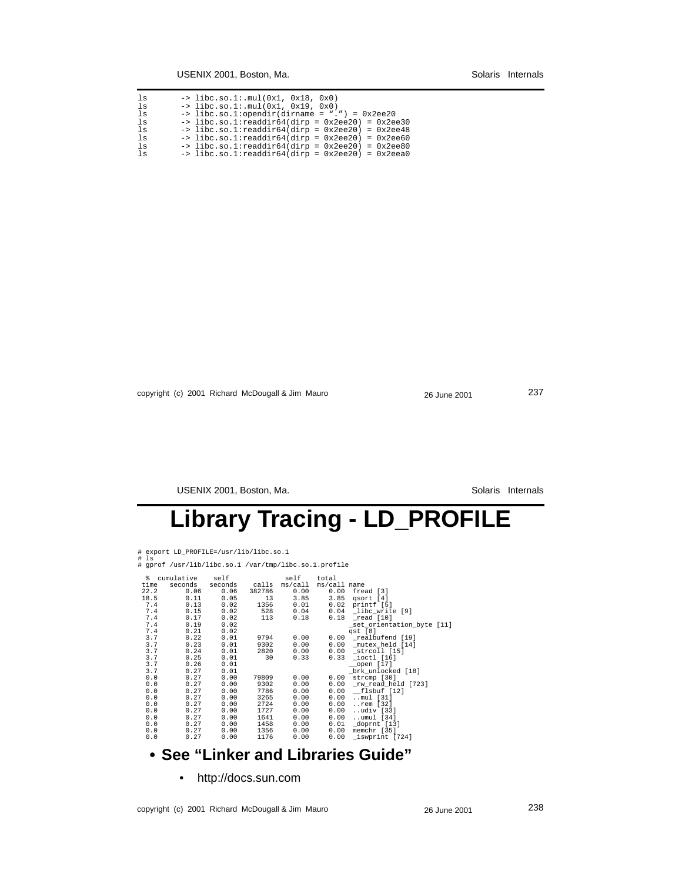| 1s    | $\rightarrow$ libc.so.1:.mul(0x1, 0x18, 0x0)                |
|-------|-------------------------------------------------------------|
| ls    | $\rightarrow$ libc.so.1:.mul(0x1, 0x19, 0x0)                |
| $\ln$ | $\rightarrow$ libc.so.1:opendir(dirname = ".") = 0x2ee20    |
| 1s    | $\rightarrow$ libc.so.1:readdir64(dirp = 0x2ee20) = 0x2ee30 |
| $\ln$ | $\rightarrow$ libc.so.1:readdir64(dirp = 0x2ee20) = 0x2ee48 |
| ls    | $\rightarrow$ libc.so.1:readdir64(dirp = 0x2ee20) = 0x2ee60 |
| 1s    | $\rightarrow$ libc.so.1:readdir64(dirp = 0x2ee20) = 0x2ee80 |
| ls    | $\rightarrow$ libc.so.1:readdir64(dirp = 0x2ee20) = 0x2eea0 |

copyright (c) 2001 Richard McDougall & Jim Mauro 26 June 2001 237

USENIX 2001, Boston, Ma. Solaris Internals

## **Library Tracing - LD\_PROFILE**

- 
- # export LD\_PROFILE=/usr/lib/libc.so.1 # ls # gprof /usr/lib/libc.so.1 /var/tmp/libc.so.1.profile

| ႜႜၟ  | cumulative | self    |        | self          | total        |                           |
|------|------------|---------|--------|---------------|--------------|---------------------------|
| time | seconds    | seconds |        | calls ms/call | ms/call name |                           |
| 22.2 | 0.06       | 0.06    | 382786 | 0.00          | 0.00         | fread [3]                 |
| 18.5 | 0.11       | 0.05    | 13     | 3.85          | 3.85         | qsort [4]                 |
| 7.4  | 0.13       | 0.02    | 1356   | 0.01          | 0.02         | printf [5]                |
| 7.4  | 0.15       | 0.02    | 528    | 0.04          | 0.04         | libc_write [9]            |
| 7.4  | 0.17       | 0.02    | 113    | 0.18          | 0.18         | read [10]                 |
| 7.4  | 0.19       | 0.02    |        |               |              | set orientation byte [11] |
| 7.4  | 0.21       | 0.02    |        |               |              | qst [8]                   |
| 3.7  | 0.22       | 0.01    | 9794   | 0.00          |              | 0.00 realbufend [19]      |
| 3.7  | 0.23       | 0.01    | 9302   | 0.00          | 0.00         | mutex held [14]           |
| 3.7  | 0.24       | 0.01    | 2820   | 0.00          | 0.00         | strcoll [15]              |
| 3.7  | 0.25       | 0.01    | 30     | 0.33          | 0.33         | ioctl [16]                |
| 3.7  | 0.26       | 0.01    |        |               |              | open [17]                 |
| 3.7  | 0.27       | 0.01    |        |               |              | brk unlocked [18]         |
| 0.0  | 0.27       | 0.00    | 79809  | 0.00          | 0.00         | strcmp [30]               |
| 0.0  | 0.27       | 0.00    | 9302   | 0.00          | 0.00         | rw read held [723]        |
| 0.0  | 0.27       | 0.00    | 7786   | 0.00          | 0.00         | flsbuf [12]               |
| 0.0  | 0.27       | 0.00    | 3265   | 0.00          | 0.00         | $$ mul [31]               |
| 0.0  | 0.27       | 0.00    | 2724   | 0.00          | 0.00         | rem [32]                  |
| 0.0  | 0.27       | 0.00    | 1727   | 0.00          | 0.00         | udiv [33]                 |
| 0.0  | 0.27       | 0.00    | 1641   | 0.00          | 0.00         | umul [34]                 |
| 0.0  | 0.27       | 0.00    | 1458   | 0.00          | 0.01         | doprnt [13]               |
| 0.0  | 0.27       | 0.00    | 1356   | 0.00          | 0.00         | memchr [35]               |
| 0.0  | 0.27       | 0.00    | 1176   | 0.00          | 0.00         | iswprint [724]            |
|      |            |         |        |               |              |                           |

### **• See "Linker and Libraries Guide"**

• http://docs.sun.com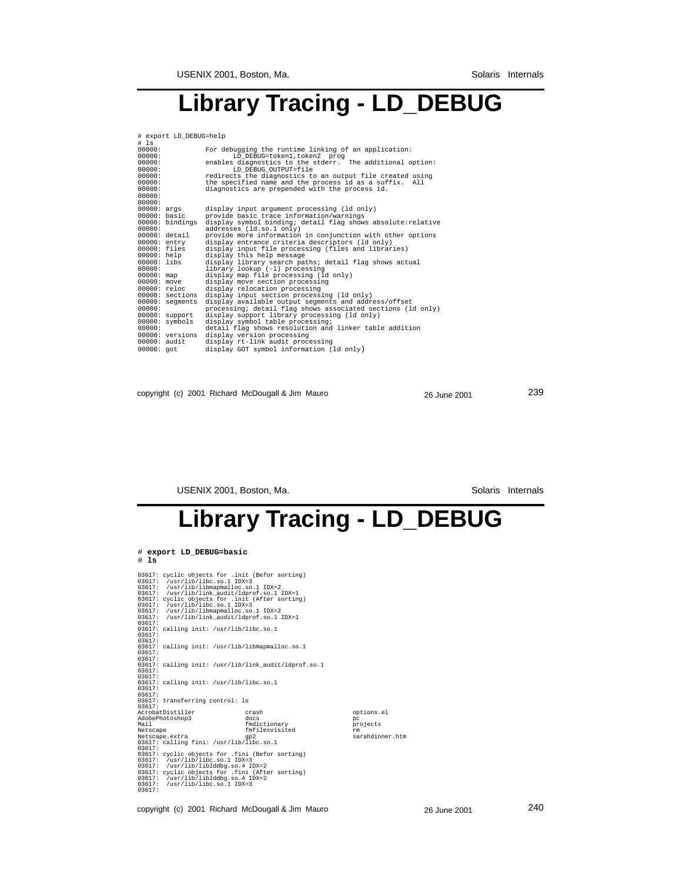### **Library Tracing - LD\_DEBUG**

| # export LD DEBUG=help<br># Is |                                                                                          |  |  |  |  |  |  |  |
|--------------------------------|------------------------------------------------------------------------------------------|--|--|--|--|--|--|--|
| 00000:                         | For debugging the runtime linking of an application:                                     |  |  |  |  |  |  |  |
| 00000:                         | LD DEBUG=token1.token2 prog                                                              |  |  |  |  |  |  |  |
| 00000:                         | enables diagnostics to the stderr. The additional option:                                |  |  |  |  |  |  |  |
| 00000:                         | LD DEBUG OUTPUT=file                                                                     |  |  |  |  |  |  |  |
| 00000:                         | redirects the diagnostics to an output file created using                                |  |  |  |  |  |  |  |
| 00000:                         | the specified name and the process id as a suffix. All                                   |  |  |  |  |  |  |  |
| 00000:<br>00000:               | diagnostics are prepended with the process id.                                           |  |  |  |  |  |  |  |
| 00000:                         |                                                                                          |  |  |  |  |  |  |  |
| 00000: args                    | display input argument processing (ld only)                                              |  |  |  |  |  |  |  |
| 00000: basic                   | provide basic trace information/warnings                                                 |  |  |  |  |  |  |  |
| $00000:$ bindings              | display symbol binding; detail flag shows absolute: relative                             |  |  |  |  |  |  |  |
| 00000:                         | addresses (ld.so.1 only)                                                                 |  |  |  |  |  |  |  |
| 00000: detail                  | provide more information in conjunction with other options                               |  |  |  |  |  |  |  |
| $00000:$ entry                 | display entrance criteria descriptors (ld only)                                          |  |  |  |  |  |  |  |
| $00000:$ files                 | display input file processing (files and libraries)                                      |  |  |  |  |  |  |  |
| $00000:$ help<br>$00000:$ libs | display this help message                                                                |  |  |  |  |  |  |  |
| 00000:                         | display library search paths; detail flag shows actual<br>library lookup (-1) processing |  |  |  |  |  |  |  |
| $00000:$ map                   | display map file processing (ld only)                                                    |  |  |  |  |  |  |  |
| $00000:$ move                  | display move section processing                                                          |  |  |  |  |  |  |  |
| $00000:$ reloc                 | display relocation processing                                                            |  |  |  |  |  |  |  |
| $00000:$ sections              | display input section processing (ld only)                                               |  |  |  |  |  |  |  |
| $00000:$ segments              | display available output seqments and address/offset                                     |  |  |  |  |  |  |  |
| 00000:                         | processing; detail flag shows associated sections (ld only)                              |  |  |  |  |  |  |  |
| 00000: support                 | display support library processing (ld only)                                             |  |  |  |  |  |  |  |
| $00000:$ symbols               | display symbol table processing;                                                         |  |  |  |  |  |  |  |
| 00000:<br>00000: versions      | detail flag shows resolution and linker table addition<br>display version processing     |  |  |  |  |  |  |  |
| $00000:$ audit                 | display rt-link audit processing                                                         |  |  |  |  |  |  |  |
| $00000:$ got                   | display GOT symbol information (ld only)                                                 |  |  |  |  |  |  |  |
|                                |                                                                                          |  |  |  |  |  |  |  |

copyright (c) 2001 Richard McDougall & Jim Mauro 26 June 2001 239

USENIX 2001, Boston, Ma. Solaris Internals

## **Library Tracing - LD\_DEBUG**

| # export LD DEBUG=basic                                                                                                                                                                                                                                                                                                                                            |                                                        |                                                        |
|--------------------------------------------------------------------------------------------------------------------------------------------------------------------------------------------------------------------------------------------------------------------------------------------------------------------------------------------------------------------|--------------------------------------------------------|--------------------------------------------------------|
| $#$ 1s                                                                                                                                                                                                                                                                                                                                                             |                                                        |                                                        |
| 03617: cyclic objects for .init (Befor sorting)<br>$03617:$ /usr/lib/libc.so.1 IDX=3<br>03617: /usr/lib/libmapmalloc.so.1 IDX=2<br>03617: /usr/lib/link audit/ldprof.so.1 IDX=1<br>03617: cyclic objects for .init (After sorting)<br>$03617:$ /usr/lib/libc.so.1 IDX=3<br>03617: /usr/lib/libmapmalloc.so.1 IDX=2<br>03617: /usr/lib/link audit/ldprof.so.1 IDX=1 |                                                        |                                                        |
| 03617:<br>03617: calling init: /usr/lib/libc.so.1<br>03617:<br>03617:                                                                                                                                                                                                                                                                                              |                                                        |                                                        |
| 03617: calling init: /usr/lib/libmapmalloc.so.1<br>03617:<br>03617:                                                                                                                                                                                                                                                                                                |                                                        |                                                        |
| 03617: calling init: /usr/lib/link_audit/ldprof.so.1<br>03617:<br>03617:                                                                                                                                                                                                                                                                                           |                                                        |                                                        |
| 03617: calling init: /usr/lib/libc.so.1<br>03617:<br>03617:                                                                                                                                                                                                                                                                                                        |                                                        |                                                        |
| 03617: transferring control: 1s<br>03617:                                                                                                                                                                                                                                                                                                                          |                                                        |                                                        |
| AcrobatDistiller<br>AdobePhotoshop3<br>Mail<br>Netscape<br>Netscape.extra<br>03617: calling fini: /usr/lib/libc.so.1                                                                                                                                                                                                                                               | crash<br>docs<br>fmdictionary<br>fmfilesvisited<br>qp2 | options.el<br>рc<br>projects<br>rm.<br>sarahdinner.htm |
| 03617:<br>03617: cyclic objects for .fini (Befor sorting)<br>$03617:$ /usr/lib/libc.so.1 IDX=3<br>03617: /usr/lib/liblddbg.so.4 IDX=2<br>03617: cyclic objects for .fini (After sorting)<br>03617: /usr/lib/liblddbg.so.4 IDX=2<br>$03617:$ /usr/lib/libc.so.1 IDX=3<br>03617:                                                                                     |                                                        |                                                        |

copyright (c) 2001 Richard McDougall & Jim Mauro 26 June 2001 240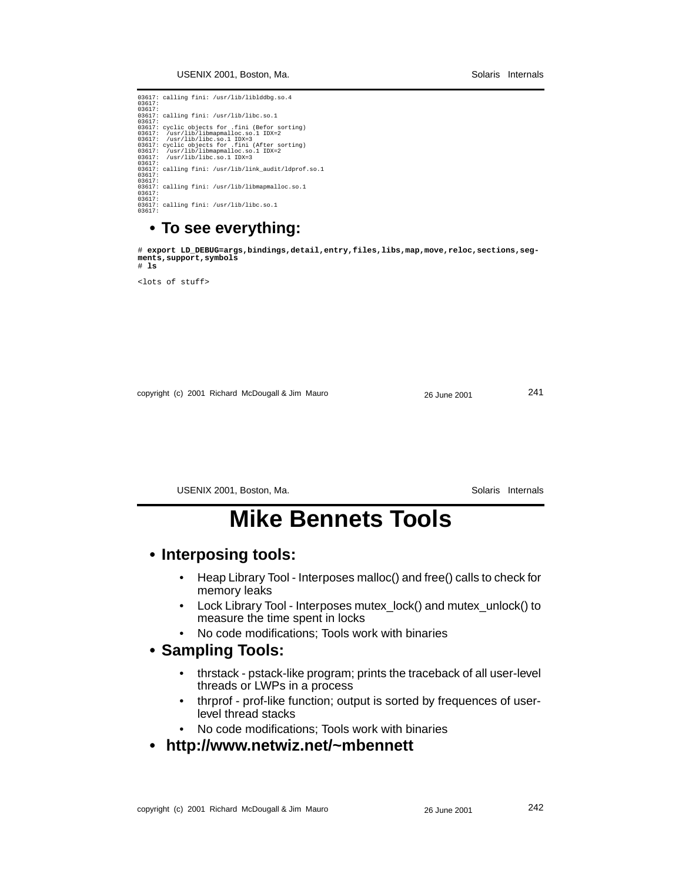03617: calling fini: /usr/lib/liblddbg.so.4<br>03617:<br>03617: calling fini: /usr/lib/libc.so.1<br>03617: calling fini: /usr/lib/libc.so.1<br>03617: cyclic objects for .fini (Befor sorting)<br>03617: /usr/lib/libmapmalloc.so.1 IDX=2<br>036 03617: calling fini: /usr/lib/link\_audit/ldprof.so.1  $03617:03617:$ 03617:<br>03617: calling fini: /usr/lib/libmapmalloc.so.1<br>03617:<br>03617:<br>03617: calling fini: /usr/lib/libc.so.1<br>03617:

#### **• To see everything:**

# **export LD\_DEBUG=args,bindings,detail,entry,files,libs,map,move,reloc,sections,segments,support,symbols** # **ls**

<lots of stuff>

copyright (c) 2001 Richard McDougall & Jim Mauro 26 June 2001 241

USENIX 2001, Boston, Ma. Solaris Internals

### **Mike Bennets Tools**

#### **• Interposing tools:**

- Heap Library Tool Interposes malloc() and free() calls to check for memory leaks
- Lock Library Tool Interposes mutex\_lock() and mutex\_unlock() to measure the time spent in locks
- No code modifications; Tools work with binaries

#### **• Sampling Tools:**

- thrstack pstack-like program; prints the traceback of all user-level threads or LWPs in a process
- thrprof prof-like function; output is sorted by frequences of userlevel thread stacks
- No code modifications; Tools work with binaries
- **http://www.netwiz.net/~mbennett**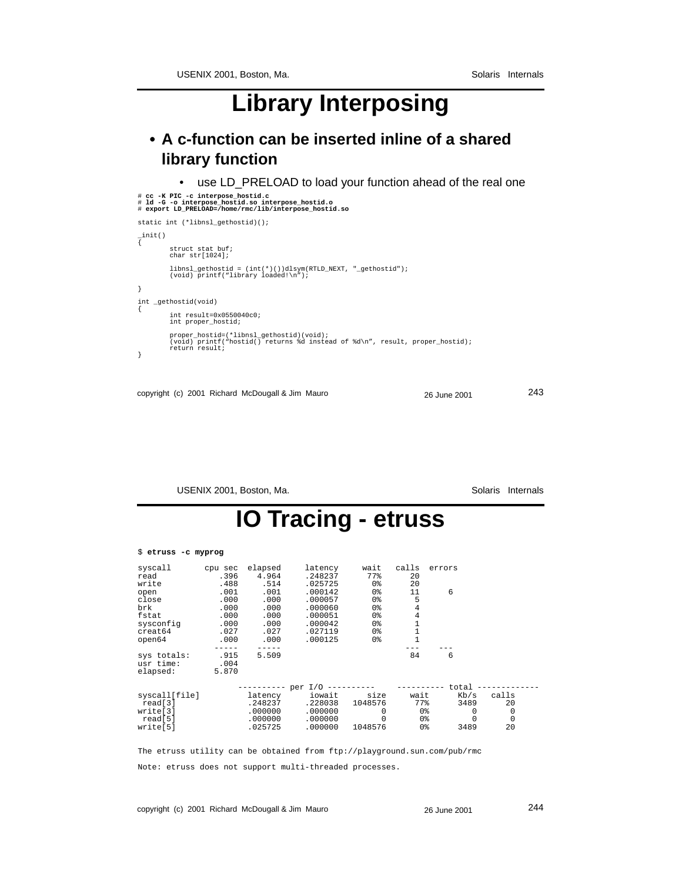## **Library Interposing**

### **• A c-function can be inserted inline of a shared library function**

• use LD\_PRELOAD to load your function ahead of the real one

```
# cc -K PIC -c interpose_hostid.c
# ld -G -o interpose_hostid.so interpose_hostid.o # export LD_PRELOAD=/home/rmc/lib/interpose_hostid.so
static int (*libnsl_gethostid)();
_init()
{
 struct stat buf;
 char str[1024];
 libnsl_gethostid = (int(*)())dlsym(RTLD_NEXT, "_gethostid");
 (void) printf("library loaded!\n");
}
int _gethostid(void)
{
             int result=0x0550040c0;
             int proper_hostid;
 proper_hostid=(*libnsl_gethostid)(void);
 (void) printf("hostid() returns %d instead of %d\n", result, proper_hostid);
 return result;
}
```

```
copyright (c) 2001 Richard McDougall & Jim Mauro 26 June 2001 243
```
USENIX 2001, Boston, Ma. Solaris Internals

### **IO Tracing - etruss**

| \$ etruss -c myprog                  |                       |         |         |          |                |          |       |  |
|--------------------------------------|-----------------------|---------|---------|----------|----------------|----------|-------|--|
| syscall                              | cpu sec               | elapsed | latency | wait     | calls          | errors   |       |  |
| read                                 | .396                  | 4.964   | .248237 | 77%      | 20             |          |       |  |
| write                                | .488                  | .514    | .025725 | 0%       | 20             |          |       |  |
| open                                 | .001                  | .001    | .000142 | 0%       | 11             | 6        |       |  |
| close                                | .000                  | .000    | .000057 | 0%       | 5              |          |       |  |
| brk                                  | .000                  | .000    | .000060 | 0%       | 4              |          |       |  |
| fstat                                | .000                  | .000    | .000051 | 0%       | 4              |          |       |  |
| sysconfig                            | .000                  | .000    | .000042 | 0%       | $\overline{1}$ |          |       |  |
| creat64                              | .027                  | .027    | .027119 | 0%       |                |          |       |  |
| open64                               | .000                  | .000    | .000125 | 0%       |                |          |       |  |
|                                      |                       |         |         |          |                |          |       |  |
| sys totals:<br>usr time:<br>elapsed: | .915<br>.004<br>5.870 | 5.509   |         |          | 84             | 6        |       |  |
|                                      |                       |         | per I/O |          |                | total    |       |  |
| syscall[file]                        |                       | latency | iowait  | size     | wait           | Kb/s     | calls |  |
| read[3]                              |                       | .248237 | .228038 | 1048576  | 77%            | 3489     | 20    |  |
| write[3]                             |                       | .000000 | .000000 | $\Omega$ | 0%             | 0        | 0     |  |
| real[5]                              |                       | .000000 | .000000 | $\Omega$ | 0%             | $\Omega$ | 0     |  |
| write[5]                             |                       | .025725 | .000000 | 1048576  | 0%             | 3489     | 20    |  |

The etruss utility can be obtained from ftp://playground.sun.com/pub/rmc Note: etruss does not support multi-threaded processes.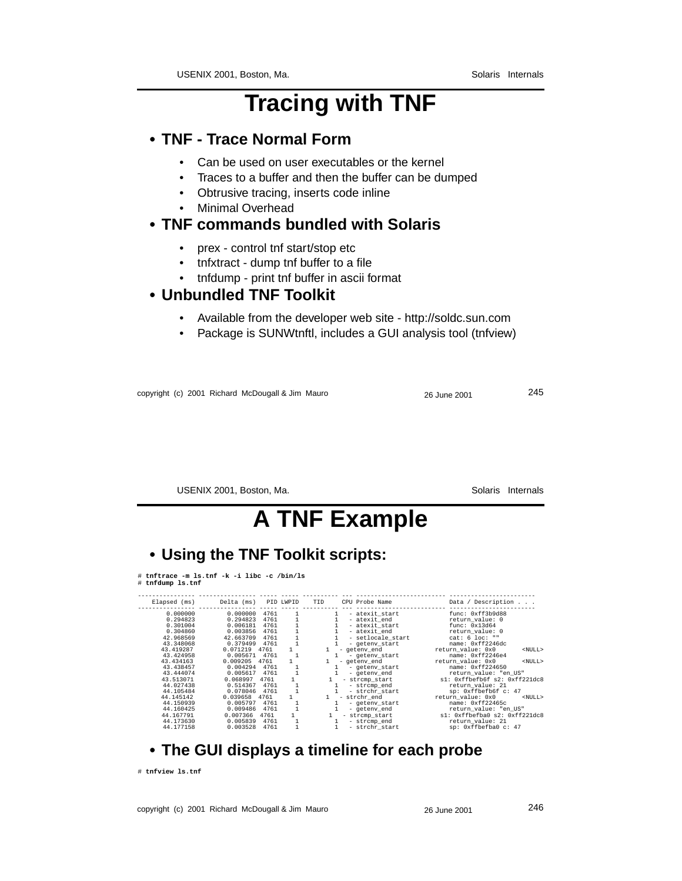## **Tracing with TNF**

#### **• TNF - Trace Normal Form**

- Can be used on user executables or the kernel
- Traces to a buffer and then the buffer can be dumped
- Obtrusive tracing, inserts code inline
- Minimal Overhead

#### **• TNF commands bundled with Solaris**

- prex control tnf start/stop etc
- tnfxtract dump tnf buffer to a file
- tnfdump print tnf buffer in ascii format

#### **• Unbundled TNF Toolkit**

- Available from the developer web site http://soldc.sun.com
- Package is SUNWtnftl, includes a GUI analysis tool (tnfview)

copyright (c) 2001 Richard McDougall & Jim Mauro 26 June 2001 245

USENIX 2001, Boston, Ma. Solaris Internals

### **A TNF Example**

#### **• Using the TNF Toolkit scripts:**

# **tnftrace -m ls.tnf -k -i libc -c /bin/ls** # **tnfdump ls.tnf**

| Elapsed (ms)           | Delta (ms)            |              | PID LWPID | TID                | CPU Probe Name                      | Data / Description                                     |
|------------------------|-----------------------|--------------|-----------|--------------------|-------------------------------------|--------------------------------------------------------|
| 0.000000<br>0.294823   | 0.000000<br>0.294823  | 4761<br>4761 |           |                    | - atexit start<br>- atexit end      | func: 0xff3b9d88<br>return value: 0                    |
| 0.301004<br>0.304860   | 0.006181<br>0.003856  | 4761<br>4761 |           |                    | - atexit start<br>- atexit end      | func: 0x13d64<br>return value: 0                       |
| 42.968569<br>43.348068 | 42.663709<br>0.379499 | 4761<br>4761 |           |                    | - setlocale start<br>- geteny start | cat: 6 loc: ""<br>name: 0xff2246dc                     |
| 43.419287<br>43.424958 | 0.071219<br>0.005671  | 4761<br>4761 |           | 1.                 | - geteny end<br>- geteny start      | return value: 0x0<br>$<$ NULL $>$<br>name: 0xff2246e4  |
| 43.434163<br>43.438457 | 0.009205<br>0.004294  | 4761<br>4761 |           |                    | - geteny end<br>- geteny start      | return value: 0x0<br>$<$ NULL $>$<br>name: 0xff224650  |
| 43.444074<br>43.513071 | 0.005617<br>0.068997  | 4761<br>4761 |           |                    | - geteny end<br>- strcmp start      | return value: "en US"<br>sl: 0xffbefb6f s2: 0xff221dc8 |
| 44.027438<br>44.105484 | 0.514367<br>0.078046  | 4761<br>4761 |           | 1.<br>$\mathbf{1}$ | - strcmp end<br>- strchr start      | return value: 21<br>sp: 0xffbefb6f c: 47               |
| 44.145142<br>44.150939 | 0.039658<br>0.005797  | 4761<br>4761 |           |                    | - strchr end<br>- geteny start      | return value: 0x0<br>$<$ NULL $>$<br>name: 0xff22465c  |
| 44.160425<br>44.167791 | 0.009486<br>0.007366  | 4761<br>4761 |           |                    | - geteny end<br>- strcmp start      | return value: "en US"<br>sl: 0xffbefba0 s2: 0xff221dc8 |
| 44.173630<br>44.177158 | 0.005839<br>0.003528  | 4761<br>4761 |           | 1<br>1.            | - strcmp end<br>- strchr start      | return value: 21<br>sp: 0xffbefba0 c: 47               |
|                        |                       |              |           |                    |                                     |                                                        |

#### **• The GUI displays a timeline for each probe**

# **tnfview ls.tnf**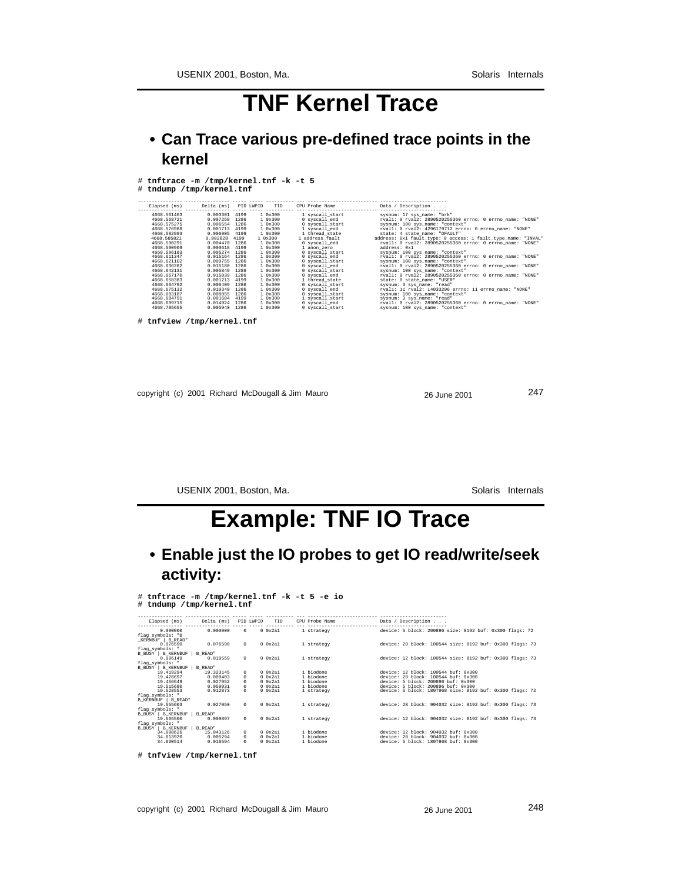### **TNF Kernel Trace**

### **• Can Trace various pre-defined trace points in the kernel**

| Elapsed (ms)                                                                                                                                                                                                                                                                                                            | Delta (ms) PID LWPID                                                                                                                                                                                                                                                                                                                                              | TID                                                                                                                                                                                                                   | CPU Probe Name                                                                                                                                                                                                                                                                                                                                                                        | Data / Description                                                                                                                                                                                                                                                                                                                                                                                                                                                                                                                                                                                                                                                                                                                                                                                                                                                                                                                                          |
|-------------------------------------------------------------------------------------------------------------------------------------------------------------------------------------------------------------------------------------------------------------------------------------------------------------------------|-------------------------------------------------------------------------------------------------------------------------------------------------------------------------------------------------------------------------------------------------------------------------------------------------------------------------------------------------------------------|-----------------------------------------------------------------------------------------------------------------------------------------------------------------------------------------------------------------------|---------------------------------------------------------------------------------------------------------------------------------------------------------------------------------------------------------------------------------------------------------------------------------------------------------------------------------------------------------------------------------------|-------------------------------------------------------------------------------------------------------------------------------------------------------------------------------------------------------------------------------------------------------------------------------------------------------------------------------------------------------------------------------------------------------------------------------------------------------------------------------------------------------------------------------------------------------------------------------------------------------------------------------------------------------------------------------------------------------------------------------------------------------------------------------------------------------------------------------------------------------------------------------------------------------------------------------------------------------------|
| 4668.561463<br>4668.568721<br>4668.575275<br>4668.576988<br>4668.582993<br>4668.585821<br>4668.590291<br>4668.590909<br>4668.596183<br>4668.611347<br>4668.621102<br>4668.636282<br>4668.642131<br>4668.657170<br>4668.658383<br>4668.664792<br>4668.675132<br>4668.683187<br>4668.684791<br>4668.699715<br>4668.705655 | 0.003301 4199<br>0.007258 1286<br>0.006554 1286<br>0.001713 4199<br>0.006005 4199<br>0.002828 4199<br>0.004470 1286<br>0.000618 4199<br>0.005274 1286<br>0.015164 1286<br>0.009755 1286<br>0.015180 1286<br>0.005849 1286<br>0.015039 1286<br>0.001213 4199<br>0.006409 1286<br>0.010340 1286<br>0.008055 1286<br>0.001604 4199<br>0.014924 1286<br>0.005940 1286 | 10x300<br>1 0x300<br>10x300<br>10x300<br>1 0x300<br>10x300<br>1 0x300<br>1 0x300<br>1 0x300<br>10x300<br>10x300<br>10x300<br>10x300<br>10x300<br>10x300<br>10x300<br>1 0x300<br>10x300<br>1 0x300<br>10x300<br>10x300 | l svscall start<br>0 svscall end<br>0 syscall start<br>1 svscall end<br>1 thread state<br>1 address fault<br>0 syscall end<br>1 anon zero<br>0 syscall start<br>0 syscall_end<br>0 syscall_start<br>0 syscall end<br>0 syscall start<br>0 syscall end<br>1 thread state<br>0 syscall start<br>0 syscall_end<br>0 syscall start<br>1 syscall_start<br>0 svscall end<br>0 syscall start | sysnum: 17 sys_name: "brk"<br>rvall: 0 rval2: 2890520255360 errno: 0 errno name: "NONE"<br>sysnum: 100 sys name: "context"<br>rvall: 0 rval2: 4296179712 errno: 0 errno name: "NONE"<br>state: 4 state name: "DFAULT"<br>address: 0x1 fault_type: 0 access: 1 fault_type_name: "INVAL"<br>rvall: 0 rval2: 2890520255360 errno: 0 errno name: "NONE"<br>address: Oxl<br>sysnum: 100 sys_name: "context"<br>rvall: 0 rval2: 2890520255360 errno: 0 errno name: "NONE"<br>sysnum: 100 sys_name: "context"<br>rvall: 0 rval2: 2890520255360 errno: 0 errno_name: "NONE"<br>sysnum: 100 sys_name: "context"<br>rvall: 0 rval2: 2890520255360 errno: 0 errno_name: "NONE"<br>state: 0 state name: "USER"<br>sysnum: 3 sys name: "read"<br>rvall: 11 rval2: 14033296 errno: 11 errno name: "NONE"<br>sysnum: 100 sys name: "context"<br>sysnum: 3 sys_name: "read"<br>rvall: 0 rval2: 2890520255360 errno: 0 errno_name: "NONE"<br>sysnum: 100 sys_name: "context" |
| # tnfview /tmp/kernel.tnf                                                                                                                                                                                                                                                                                               |                                                                                                                                                                                                                                                                                                                                                                   |                                                                                                                                                                                                                       |                                                                                                                                                                                                                                                                                                                                                                                       |                                                                                                                                                                                                                                                                                                                                                                                                                                                                                                                                                                                                                                                                                                                                                                                                                                                                                                                                                             |

copyright (c) 2001 Richard McDougall & Jim Mauro 26 June 2001 247

USENIX 2001, Boston, Ma. Solaris Internals

### **Example: TNF IO Trace**

**• Enable just the IO probes to get IO read/write/seek activity:**

|                          | # tnftrace -m /tmp/kernel.tnf -k -t 5 -e io |  |  |  |
|--------------------------|---------------------------------------------|--|--|--|
| # tndump /tmp/kernel.tnf |                                             |  |  |  |

|                              |           |            |          |         | Elapsed (ms) Delta (ms) PID LWPID TID CPU Probe Name | Data / Description                                                         |
|------------------------------|-----------|------------|----------|---------|------------------------------------------------------|----------------------------------------------------------------------------|
|                              |           |            |          |         |                                                      |                                                                            |
| 0.000000                     | 0.000000  |            |          |         |                                                      | 0 0x2a1 1 strategy device: 5 block: 200896 size: 8192 buf: 0x300 flags: 72 |
| flag_symbols: "B             |           |            |          |         |                                                      |                                                                            |
| _KERNBUF   B_READ"           |           |            |          |         |                                                      |                                                                            |
| 0.076590                     | 0.076590  |            | $\Omega$ |         | 0 0x2a1 1 strategy                                   | device: 28 block: 100544 size: 8192 buf: 0x300 flags: 73                   |
| flag_symbols: "              |           |            |          |         |                                                      |                                                                            |
| B_BUSY   B_KERNBUF   B_READ" |           |            |          |         |                                                      |                                                                            |
| 0.096149                     | 0.019559  |            | $\Omega$ | 0.0x2a1 | 1 strategy                                           | device: 12 block: 100544 size: 8192 buf: 0x300 flags: 73                   |
| flag_symbols: "              |           |            |          |         |                                                      |                                                                            |
| B_BUSY   B_KERNBUF   B_READ" |           |            |          |         |                                                      |                                                                            |
| 19.419294                    | 19.323145 | $\Omega$   |          | 0.0x2a1 | 1 biodone                                            | device: 12 block: 100544 buf: 0x300                                        |
| 19.428697                    | 0.009403  | $\Omega$   |          | 0.0x2a1 | 1 biodone                                            | device: 28 block: 100544 buf: 0x300                                        |
| 19.456649                    | 0.027952  |            |          | 0.0x2a1 | 1 biodone                                            | device: 5 block: 200896 buf: 0x300                                         |
| 19.515680                    | 0.059031  | $^{\circ}$ |          | 0.0x2a1 | 1 biodone                                            | device: 5 block: 200896 buf: 0x300                                         |
| 19.528553                    | 0.012873  | $\Omega$   |          | 0.0x2a1 | 1 strategy                                           | device: 5 block: 1807968 size: 8192 buf: 0x300 flags: 72                   |
| flag_symbols: "              |           |            |          |         |                                                      |                                                                            |
| B_KERNBUF   B_READ"          |           |            |          |         |                                                      |                                                                            |
| 19.555603                    | 0.027050  |            | $\Omega$ | 0.0x2a1 | 1 strategy                                           | device: 28 block: 904032 size: 8192 buf: 0x300 flags: 73                   |
| flag_symbols: "              |           |            |          |         |                                                      |                                                                            |
| B_BUSY   B_KERNBUF   B_READ" |           |            |          |         |                                                      |                                                                            |
| 19.565500                    | 0.009897  | $\Omega$   |          | 0.0x2a1 | 1 strategy                                           | device: 12 block: 904032 size: 8192 buf: 0x300 flags: 73                   |
| flag_symbols: "              |           |            |          |         |                                                      |                                                                            |
| B_BUSY   B_KERNBUF   B_READ" |           |            |          |         |                                                      |                                                                            |
| 34.608626                    | 15.043126 | $^{\circ}$ |          | 0.0x2a1 | 1 biodone                                            | device: 12 block: 904032 buf: 0x300                                        |
| 34.613920                    | 0.005294  | $\Omega$   |          | 0.0x2a1 | 1 biodone                                            | device: 28 block: 904032 buf: 0x300                                        |
| 34.630514                    | 0.016594  | $^{\circ}$ |          | 0.0x2a1 | 1 biodone                                            | device: 5 block: 1807968 buf: 0x300                                        |
|                              |           |            |          |         |                                                      |                                                                            |
|                              |           |            |          |         |                                                      |                                                                            |
| # tnfview /tmp/kernel.tnf    |           |            |          |         |                                                      |                                                                            |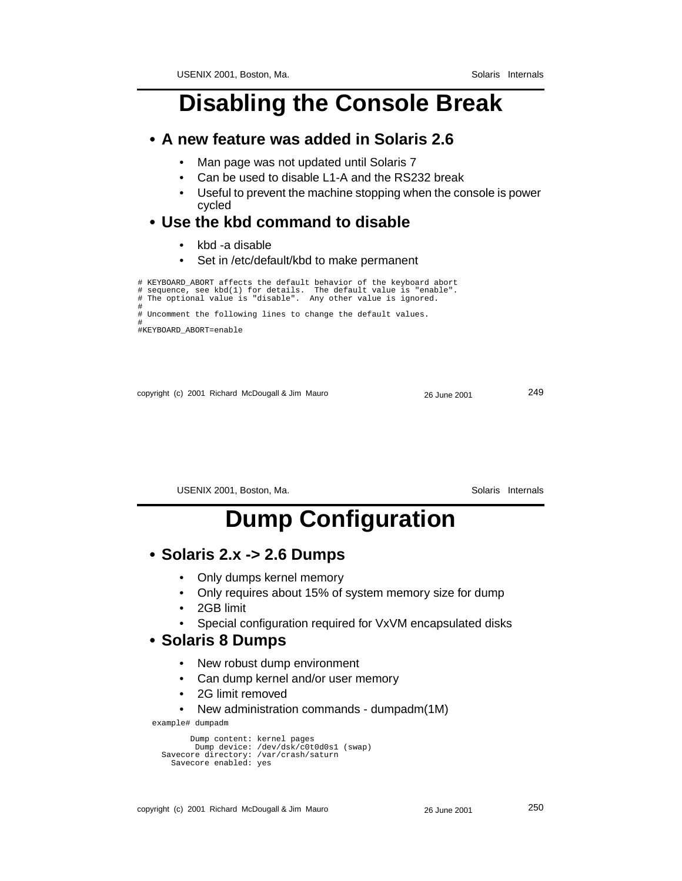### **Disabling the Console Break**

#### **• A new feature was added in Solaris 2.6**

- Man page was not updated until Solaris 7
- Can be used to disable L1-A and the RS232 break
- Useful to prevent the machine stopping when the console is power cycled

#### **• Use the kbd command to disable**

- kbd -a disable
- Set in /etc/default/kbd to make permanent

# KEYBOARD\_ABORT affects the default behavior of the keyboard abort # sequence, see kbd(1) for details. The default value is "enable". # The optional value is "disable". Any other value is ignored. # # Uncomment the following lines to change the default values. # #KEYBOARD\_ABORT=enable

copyright (c) 2001 Richard McDougall & Jim Mauro 26 June 2001 249

USENIX 2001, Boston, Ma. Solaris Internals

### **Dump Configuration**

#### **• Solaris 2.x -> 2.6 Dumps**

- Only dumps kernel memory
- Only requires about 15% of system memory size for dump
- 2GB limit
- Special configuration required for VxVM encapsulated disks

#### **• Solaris 8 Dumps**

- New robust dump environment
- Can dump kernel and/or user memory
- 2G limit removed
- New administration commands dumpadm(1M)

example# dumpadm

```
 Dump content: kernel pages
 Dump device: /dev/dsk/c0t0d0s1 (swap)
 Savecore directory: /var/crash/saturn
            Savecore enabled: yes
```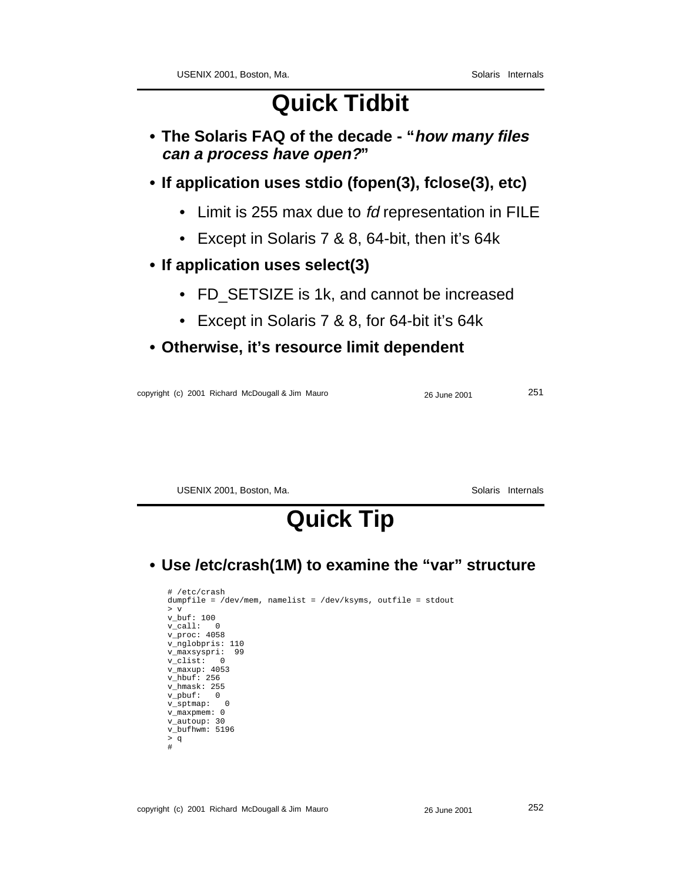## **Quick Tidbit**

- **The Solaris FAQ of the decade "how many files can a process have open?"**
- **If application uses stdio (fopen(3), fclose(3), etc)**
	- Limit is 255 max due to fd representation in FILE
	- Except in Solaris 7 & 8, 64-bit, then it's 64k
- **If application uses select(3)**
	- FD SETSIZE is 1k, and cannot be increased
	- Except in Solaris 7 & 8, for 64-bit it's 64k
- **Otherwise, it's resource limit dependent**

copyright (c) 2001 Richard McDougall & Jim Mauro 26 June 2001 251

USENIX 2001, Boston, Ma. Solaris Internals

## **Quick Tip**

**• Use /etc/crash(1M) to examine the "var" structure**

```
# /etc/crash
dumpfile = /dev/mem, namelist = /dev/ksyms, outfile = stdout
> v
v_buf: 100
v_call: 0
v_{\text{proc}}: 4058v_nglobpris: 110
v_maxsyspri: 99
v_clist: 0
v_maxup: 4053
v_hbuf: 256
v_hmask: 255
v_pbuf: 0v_sptmap: 0
v_maxpmem: 0
v_autoup: 30
v_bufhwm: 5196
> q#
```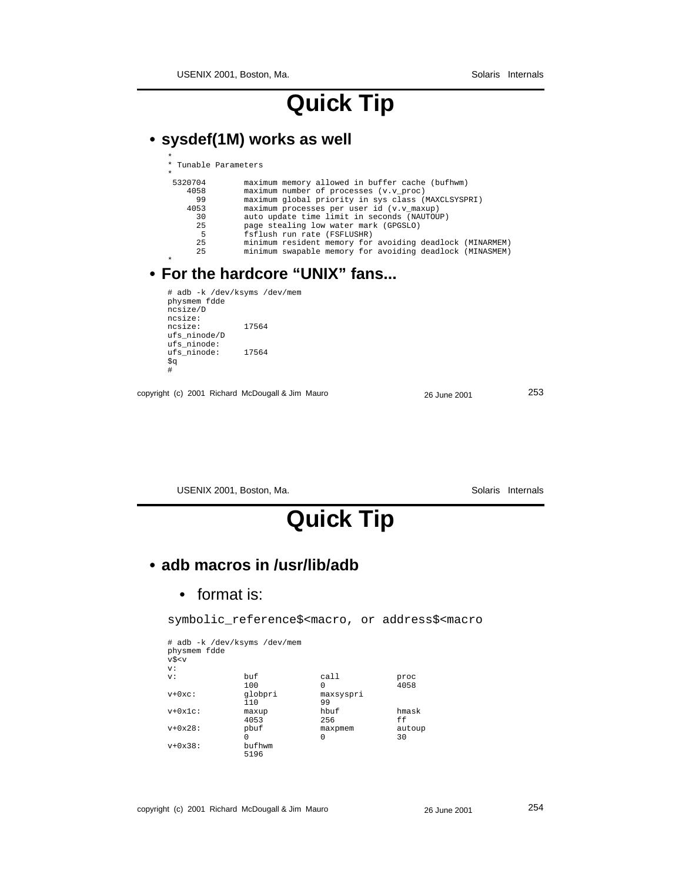USENIX 2001, Boston, Ma. Solaris Internals

## **Quick Tip**

### **• sysdef(1M) works as well**

| * Tunable Parameters                                     |
|----------------------------------------------------------|
|                                                          |
| maximum memory allowed in buffer cache (bufhwm)          |
| maximum number of processes (v.v proc)                   |
| maximum qlobal priority in sys class (MAXCLSYSPRI)       |
| maximum processes per user id (v.v maxup)                |
| auto update time limit in seconds (NAUTOUP)              |
| page stealing low water mark (GPGSLO)                    |
| fsflush run rate (FSFLUSHR)                              |
| minimum resident memory for avoiding deadlock (MINARMEM) |
| minimum swapable memory for avoiding deadlock (MINASMEM) |
|                                                          |
|                                                          |

#### **• For the hardcore "UNIX" fans...**

```
# adb -k /dev/ksyms /dev/mem
physmem fdde
ncsize/D
ncsize:
ncsize: 17564
ufs_ninode/D
ufs_ninode:
ufs_ninode: 17564
\mathop{\$q}\nolimits#
```
copyright (c) 2001 Richard McDougall & Jim Mauro 26 June 2001 253

USENIX 2001, Boston, Ma. Solaris Internals

## **Quick Tip**

### **• adb macros in /usr/lib/adb**

• format is:

symbolic\_reference\$<macro, or address\$<macro

| physmem fdde<br>v\$ <v< th=""><th># adb -k /dev/ksyms /dev/mem</th><th></th><th></th></v<> | # adb -k /dev/ksyms /dev/mem |                 |              |
|--------------------------------------------------------------------------------------------|------------------------------|-----------------|--------------|
| V:                                                                                         |                              |                 |              |
| V:                                                                                         | buf<br>100                   | call<br>0       | proc<br>4058 |
| $v+0xc$ :                                                                                  | globpri<br>110               | maxsyspri<br>99 |              |
| $v+0x1c$ :                                                                                 | maxup<br>4053                | hbuf<br>256     | hmask<br>ff  |
| $v+0x28$ :                                                                                 | pbuf<br>0                    | maxpmem<br>0    | autoup<br>30 |
| $v+0x38$ :                                                                                 | bufhwm<br>5196               |                 |              |